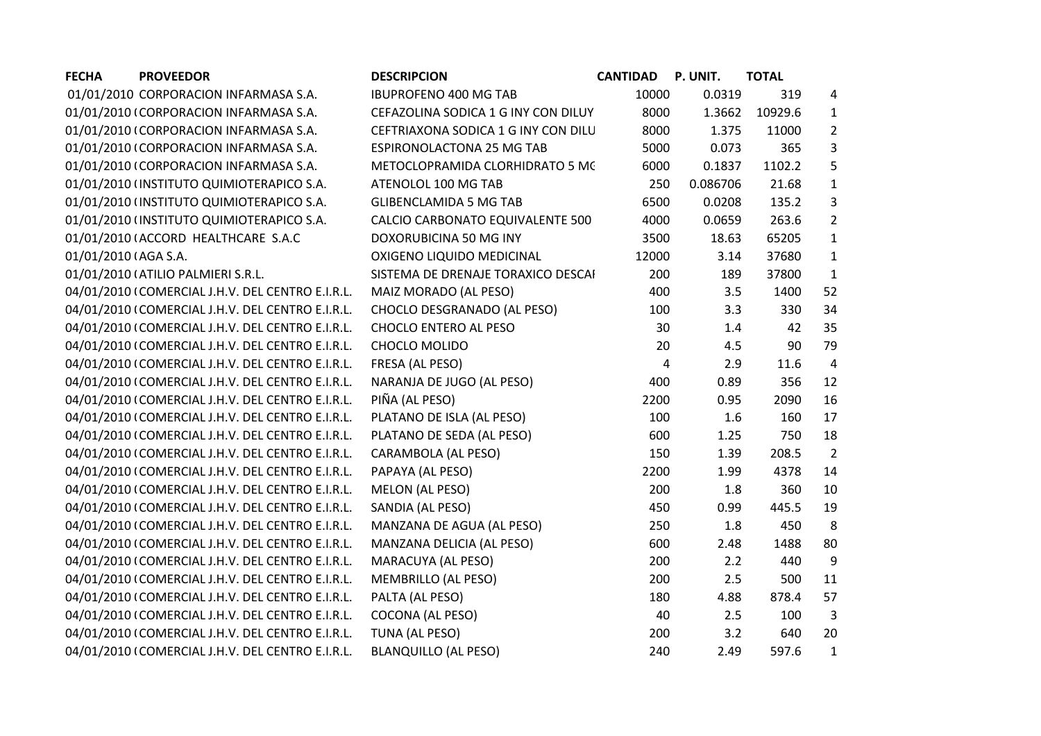| <b>PROVEEDOR</b><br><b>FECHA</b>                  | <b>DESCRIPCION</b>                  | <b>CANTIDAD</b> | P. UNIT. | <b>TOTAL</b> |                |
|---------------------------------------------------|-------------------------------------|-----------------|----------|--------------|----------------|
| 01/01/2010 CORPORACION INFARMASA S.A.             | <b>IBUPROFENO 400 MG TAB</b>        | 10000           | 0.0319   | 319          | 4              |
| 01/01/2010 (CORPORACION INFARMASA S.A.            | CEFAZOLINA SODICA 1 G INY CON DILUY | 8000            | 1.3662   | 10929.6      | $\mathbf{1}$   |
| 01/01/2010 (CORPORACION INFARMASA S.A.            | CEFTRIAXONA SODICA 1 G INY CON DILU | 8000            | 1.375    | 11000        | $\overline{2}$ |
| 01/01/2010 (CORPORACION INFARMASA S.A.            | ESPIRONOLACTONA 25 MG TAB           | 5000            | 0.073    | 365          | 3              |
| 01/01/2010 (CORPORACION INFARMASA S.A.            | METOCLOPRAMIDA CLORHIDRATO 5 MC     | 6000            | 0.1837   | 1102.2       | 5              |
| 01/01/2010 (INSTITUTO QUIMIOTERAPICO S.A.         | ATENOLOL 100 MG TAB                 | 250             | 0.086706 | 21.68        | $\mathbf{1}$   |
| 01/01/2010 (INSTITUTO QUIMIOTERAPICO S.A.         | <b>GLIBENCLAMIDA 5 MG TAB</b>       | 6500            | 0.0208   | 135.2        | 3              |
| 01/01/2010 (INSTITUTO QUIMIOTERAPICO S.A.         | CALCIO CARBONATO EQUIVALENTE 500    | 4000            | 0.0659   | 263.6        | $\overline{2}$ |
| 01/01/2010 (ACCORD HEALTHCARE S.A.C               | DOXORUBICINA 50 MG INY              | 3500            | 18.63    | 65205        | $\mathbf{1}$   |
| 01/01/2010 (AGA S.A.                              | OXIGENO LIQUIDO MEDICINAL           | 12000           | 3.14     | 37680        | $\mathbf{1}$   |
| 01/01/2010 (ATILIO PALMIERI S.R.L.                | SISTEMA DE DRENAJE TORAXICO DESCAI  | 200             | 189      | 37800        | $\mathbf{1}$   |
| 04/01/2010 (COMERCIAL J.H.V. DEL CENTRO E.I.R.L.  | MAIZ MORADO (AL PESO)               | 400             | 3.5      | 1400         | 52             |
| 04/01/2010 (COMERCIAL J.H.V. DEL CENTRO E.I.R.L.  | CHOCLO DESGRANADO (AL PESO)         | 100             | 3.3      | 330          | 34             |
| 04/01/2010 (COMERCIAL J.H.V. DEL CENTRO E.I.R.L.  | CHOCLO ENTERO AL PESO               | 30              | 1.4      | 42           | 35             |
| 04/01/2010 (COMERCIAL J.H.V. DEL CENTRO E.I.R.L.  | CHOCLO MOLIDO                       | 20              | 4.5      | 90           | 79             |
| 04/01/2010 (COMERCIAL J.H.V. DEL CENTRO E.I.R.L.  | FRESA (AL PESO)                     | 4               | 2.9      | 11.6         | $\overline{4}$ |
| 04/01/2010 (COMERCIAL J.H.V. DEL CENTRO E.I.R.L.  | NARANJA DE JUGO (AL PESO)           | 400             | 0.89     | 356          | 12             |
| 04/01/2010 (COMERCIAL J.H.V. DEL CENTRO E.I.R.L.  | PIÑA (AL PESO)                      | 2200            | 0.95     | 2090         | 16             |
| 04/01/2010 (COMERCIAL J.H.V. DEL CENTRO E.I.R.L.  | PLATANO DE ISLA (AL PESO)           | 100             | 1.6      | 160          | 17             |
| 04/01/2010   COMERCIAL J.H.V. DEL CENTRO E.I.R.L. | PLATANO DE SEDA (AL PESO)           | 600             | 1.25     | 750          | 18             |
| 04/01/2010 (COMERCIAL J.H.V. DEL CENTRO E.I.R.L.  | CARAMBOLA (AL PESO)                 | 150             | 1.39     | 208.5        | $\overline{2}$ |
| 04/01/2010 (COMERCIAL J.H.V. DEL CENTRO E.I.R.L.  | PAPAYA (AL PESO)                    | 2200            | 1.99     | 4378         | 14             |
| 04/01/2010 (COMERCIAL J.H.V. DEL CENTRO E.I.R.L.  | <b>MELON (AL PESO)</b>              | 200             | 1.8      | 360          | 10             |
| 04/01/2010 (COMERCIAL J.H.V. DEL CENTRO E.I.R.L.  | SANDIA (AL PESO)                    | 450             | 0.99     | 445.5        | 19             |
| 04/01/2010 (COMERCIAL J.H.V. DEL CENTRO E.I.R.L.  | MANZANA DE AGUA (AL PESO)           | 250             | 1.8      | 450          | 8              |
| 04/01/2010 (COMERCIAL J.H.V. DEL CENTRO E.I.R.L.  | MANZANA DELICIA (AL PESO)           | 600             | 2.48     | 1488         | 80             |
| 04/01/2010 (COMERCIAL J.H.V. DEL CENTRO E.I.R.L.  | MARACUYA (AL PESO)                  | 200             | 2.2      | 440          | 9              |
| 04/01/2010 (COMERCIAL J.H.V. DEL CENTRO E.I.R.L.  | MEMBRILLO (AL PESO)                 | 200             | 2.5      | 500          | 11             |
| 04/01/2010 (COMERCIAL J.H.V. DEL CENTRO E.I.R.L.  | PALTA (AL PESO)                     | 180             | 4.88     | 878.4        | 57             |
| 04/01/2010 (COMERCIAL J.H.V. DEL CENTRO E.I.R.L.  | COCONA (AL PESO)                    | 40              | 2.5      | 100          | $\overline{3}$ |
| 04/01/2010 (COMERCIAL J.H.V. DEL CENTRO E.I.R.L.  | TUNA (AL PESO)                      | 200             | 3.2      | 640          | 20             |
| 04/01/2010 (COMERCIAL J.H.V. DEL CENTRO E.I.R.L.  | <b>BLANQUILLO (AL PESO)</b>         | 240             | 2.49     | 597.6        | $\mathbf{1}$   |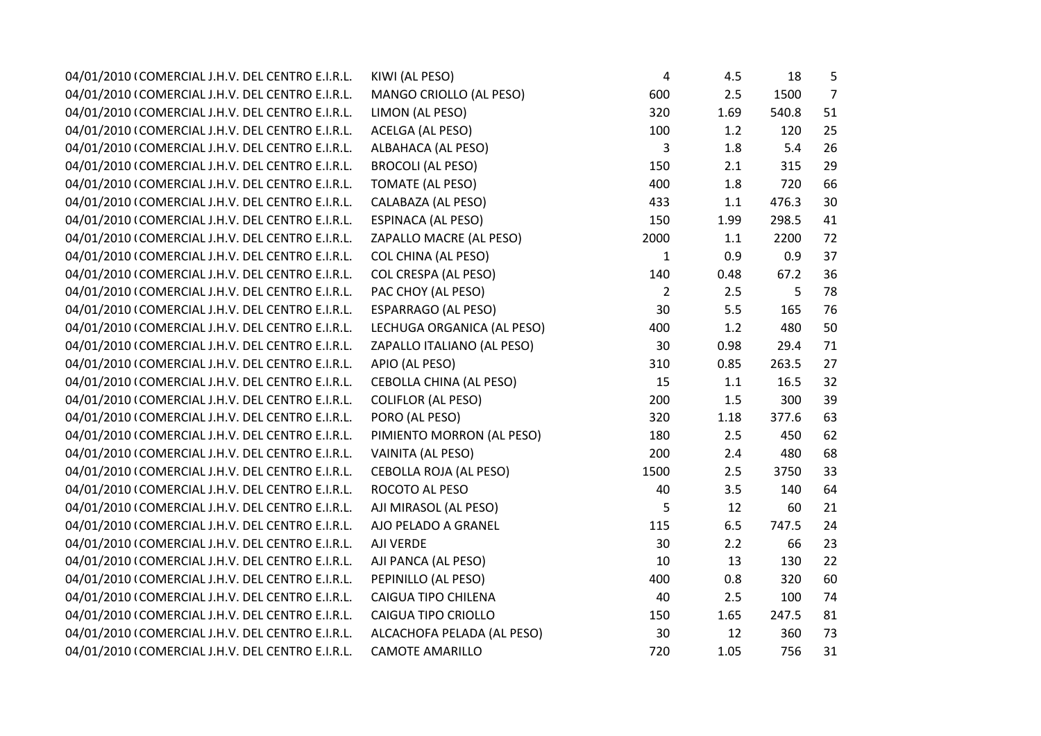| 04/01/2010 (COMERCIAL J.H.V. DEL CENTRO E.I.R.L. | KIWI (AL PESO)                 | 4              | 4.5     | 18    | 5              |
|--------------------------------------------------|--------------------------------|----------------|---------|-------|----------------|
| 04/01/2010 (COMERCIAL J.H.V. DEL CENTRO E.I.R.L. | MANGO CRIOLLO (AL PESO)        | 600            | 2.5     | 1500  | $\overline{7}$ |
| 04/01/2010 (COMERCIAL J.H.V. DEL CENTRO E.I.R.L. | LIMON (AL PESO)                | 320            | 1.69    | 540.8 | 51             |
| 04/01/2010 (COMERCIAL J.H.V. DEL CENTRO E.I.R.L. | ACELGA (AL PESO)               | 100            | 1.2     | 120   | 25             |
| 04/01/2010 (COMERCIAL J.H.V. DEL CENTRO E.I.R.L. | <b>ALBAHACA (AL PESO)</b>      | 3              | 1.8     | 5.4   | 26             |
| 04/01/2010 (COMERCIAL J.H.V. DEL CENTRO E.I.R.L. | <b>BROCOLI (AL PESO)</b>       | 150            | 2.1     | 315   | 29             |
| 04/01/2010 (COMERCIAL J.H.V. DEL CENTRO E.I.R.L. | <b>TOMATE (AL PESO)</b>        | 400            | 1.8     | 720   | 66             |
| 04/01/2010 (COMERCIAL J.H.V. DEL CENTRO E.I.R.L. | CALABAZA (AL PESO)             | 433            | $1.1\,$ | 476.3 | 30             |
| 04/01/2010 (COMERCIAL J.H.V. DEL CENTRO E.I.R.L. | ESPINACA (AL PESO)             | 150            | 1.99    | 298.5 | 41             |
| 04/01/2010 (COMERCIAL J.H.V. DEL CENTRO E.I.R.L. | ZAPALLO MACRE (AL PESO)        | 2000           | 1.1     | 2200  | 72             |
| 04/01/2010 (COMERCIAL J.H.V. DEL CENTRO E.I.R.L. | <b>COL CHINA (AL PESO)</b>     | $\mathbf{1}$   | 0.9     | 0.9   | 37             |
| 04/01/2010 (COMERCIAL J.H.V. DEL CENTRO E.I.R.L. | <b>COL CRESPA (AL PESO)</b>    | 140            | 0.48    | 67.2  | 36             |
| 04/01/2010 (COMERCIAL J.H.V. DEL CENTRO E.I.R.L. | PAC CHOY (AL PESO)             | $\overline{2}$ | 2.5     | 5     | 78             |
| 04/01/2010 (COMERCIAL J.H.V. DEL CENTRO E.I.R.L. | <b>ESPARRAGO (AL PESO)</b>     | 30             | 5.5     | 165   | 76             |
| 04/01/2010 (COMERCIAL J.H.V. DEL CENTRO E.I.R.L. | LECHUGA ORGANICA (AL PESO)     | 400            | 1.2     | 480   | 50             |
| 04/01/2010 (COMERCIAL J.H.V. DEL CENTRO E.I.R.L. | ZAPALLO ITALIANO (AL PESO)     | 30             | 0.98    | 29.4  | 71             |
| 04/01/2010 (COMERCIAL J.H.V. DEL CENTRO E.I.R.L. | APIO (AL PESO)                 | 310            | 0.85    | 263.5 | 27             |
| 04/01/2010 (COMERCIAL J.H.V. DEL CENTRO E.I.R.L. | <b>CEBOLLA CHINA (AL PESO)</b> | 15             | 1.1     | 16.5  | 32             |
| 04/01/2010 (COMERCIAL J.H.V. DEL CENTRO E.I.R.L. | <b>COLIFLOR (AL PESO)</b>      | 200            | 1.5     | 300   | 39             |
| 04/01/2010 (COMERCIAL J.H.V. DEL CENTRO E.I.R.L. | PORO (AL PESO)                 | 320            | 1.18    | 377.6 | 63             |
| 04/01/2010 (COMERCIAL J.H.V. DEL CENTRO E.I.R.L. | PIMIENTO MORRON (AL PESO)      | 180            | 2.5     | 450   | 62             |
| 04/01/2010 (COMERCIAL J.H.V. DEL CENTRO E.I.R.L. | VAINITA (AL PESO)              | 200            | 2.4     | 480   | 68             |
| 04/01/2010 (COMERCIAL J.H.V. DEL CENTRO E.I.R.L. | <b>CEBOLLA ROJA (AL PESO)</b>  | 1500           | 2.5     | 3750  | 33             |
| 04/01/2010 (COMERCIAL J.H.V. DEL CENTRO E.I.R.L. | ROCOTO AL PESO                 | 40             | 3.5     | 140   | 64             |
| 04/01/2010 (COMERCIAL J.H.V. DEL CENTRO E.I.R.L. | AJI MIRASOL (AL PESO)          | 5              | 12      | 60    | 21             |
| 04/01/2010 (COMERCIAL J.H.V. DEL CENTRO E.I.R.L. | AJO PELADO A GRANEL            | 115            | 6.5     | 747.5 | 24             |
| 04/01/2010 (COMERCIAL J.H.V. DEL CENTRO E.I.R.L. | AJI VERDE                      | 30             | 2.2     | 66    | 23             |
| 04/01/2010 (COMERCIAL J.H.V. DEL CENTRO E.I.R.L. | AJI PANCA (AL PESO)            | 10             | 13      | 130   | 22             |
| 04/01/2010 (COMERCIAL J.H.V. DEL CENTRO E.I.R.L. | PEPINILLO (AL PESO)            | 400            | 0.8     | 320   | 60             |
| 04/01/2010 (COMERCIAL J.H.V. DEL CENTRO E.I.R.L. | CAIGUA TIPO CHILENA            | 40             | 2.5     | 100   | 74             |
| 04/01/2010 (COMERCIAL J.H.V. DEL CENTRO E.I.R.L. | CAIGUA TIPO CRIOLLO            | 150            | 1.65    | 247.5 | 81             |
| 04/01/2010 (COMERCIAL J.H.V. DEL CENTRO E.I.R.L. | ALCACHOFA PELADA (AL PESO)     | 30             | 12      | 360   | 73             |
| 04/01/2010 (COMERCIAL J.H.V. DEL CENTRO E.I.R.L. | <b>CAMOTE AMARILLO</b>         | 720            | 1.05    | 756   | 31             |
|                                                  |                                |                |         |       |                |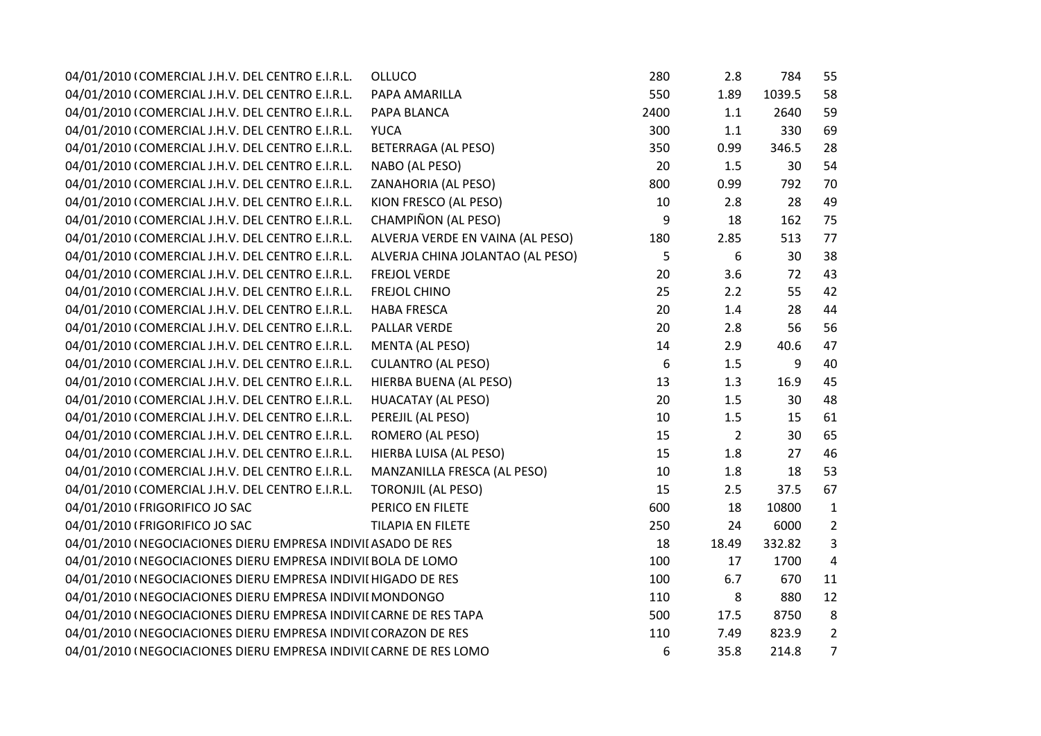| 04/01/2010 (COMERCIAL J.H.V. DEL CENTRO E.I.R.L.                  | <b>OLLUCO</b>                    | 280  | 2.8            | 784    | 55             |
|-------------------------------------------------------------------|----------------------------------|------|----------------|--------|----------------|
| 04/01/2010 (COMERCIAL J.H.V. DEL CENTRO E.I.R.L.                  | PAPA AMARILLA                    | 550  | 1.89           | 1039.5 | 58             |
| 04/01/2010 (COMERCIAL J.H.V. DEL CENTRO E.I.R.L.                  | PAPA BLANCA                      | 2400 | 1.1            | 2640   | 59             |
| 04/01/2010 (COMERCIAL J.H.V. DEL CENTRO E.I.R.L.                  | <b>YUCA</b>                      | 300  | 1.1            | 330    | 69             |
| 04/01/2010 (COMERCIAL J.H.V. DEL CENTRO E.I.R.L.                  | BETERRAGA (AL PESO)              | 350  | 0.99           | 346.5  | 28             |
| 04/01/2010 (COMERCIAL J.H.V. DEL CENTRO E.I.R.L.                  | NABO (AL PESO)                   | 20   | 1.5            | 30     | 54             |
| 04/01/2010 (COMERCIAL J.H.V. DEL CENTRO E.I.R.L.                  | ZANAHORIA (AL PESO)              | 800  | 0.99           | 792    | 70             |
| 04/01/2010 (COMERCIAL J.H.V. DEL CENTRO E.I.R.L.                  | KION FRESCO (AL PESO)            | 10   | 2.8            | 28     | 49             |
| 04/01/2010 (COMERCIAL J.H.V. DEL CENTRO E.I.R.L.                  | CHAMPIÑON (AL PESO)              | 9    | 18             | 162    | 75             |
| 04/01/2010 (COMERCIAL J.H.V. DEL CENTRO E.I.R.L.                  | ALVERJA VERDE EN VAINA (AL PESO) | 180  | 2.85           | 513    | 77             |
| 04/01/2010 (COMERCIAL J.H.V. DEL CENTRO E.I.R.L.                  | ALVERJA CHINA JOLANTAO (AL PESO) | 5    | 6              | 30     | 38             |
| 04/01/2010 (COMERCIAL J.H.V. DEL CENTRO E.I.R.L.                  | <b>FREJOL VERDE</b>              | 20   | 3.6            | 72     | 43             |
| 04/01/2010 (COMERCIAL J.H.V. DEL CENTRO E.I.R.L.                  | <b>FREJOL CHINO</b>              | 25   | 2.2            | 55     | 42             |
| 04/01/2010 (COMERCIAL J.H.V. DEL CENTRO E.I.R.L.                  | <b>HABA FRESCA</b>               | 20   | 1.4            | 28     | 44             |
| 04/01/2010 (COMERCIAL J.H.V. DEL CENTRO E.I.R.L.                  | PALLAR VERDE                     | 20   | 2.8            | 56     | 56             |
| 04/01/2010 (COMERCIAL J.H.V. DEL CENTRO E.I.R.L.                  | <b>MENTA (AL PESO)</b>           | 14   | 2.9            | 40.6   | 47             |
| 04/01/2010 (COMERCIAL J.H.V. DEL CENTRO E.I.R.L.                  | <b>CULANTRO (AL PESO)</b>        | 6    | 1.5            | 9      | 40             |
| 04/01/2010 (COMERCIAL J.H.V. DEL CENTRO E.I.R.L.                  | HIERBA BUENA (AL PESO)           | 13   | 1.3            | 16.9   | 45             |
| 04/01/2010 (COMERCIAL J.H.V. DEL CENTRO E.I.R.L.                  | <b>HUACATAY (AL PESO)</b>        | 20   | 1.5            | 30     | 48             |
| 04/01/2010 (COMERCIAL J.H.V. DEL CENTRO E.I.R.L.                  | PEREJIL (AL PESO)                | 10   | 1.5            | 15     | 61             |
| 04/01/2010 (COMERCIAL J.H.V. DEL CENTRO E.I.R.L.                  | ROMERO (AL PESO)                 | 15   | $\overline{2}$ | 30     | 65             |
| 04/01/2010 (COMERCIAL J.H.V. DEL CENTRO E.I.R.L.                  | HIERBA LUISA (AL PESO)           | 15   | 1.8            | 27     | 46             |
| 04/01/2010 (COMERCIAL J.H.V. DEL CENTRO E.I.R.L.                  | MANZANILLA FRESCA (AL PESO)      | 10   | 1.8            | 18     | 53             |
| 04/01/2010 (COMERCIAL J.H.V. DEL CENTRO E.I.R.L.                  | <b>TORONJIL (AL PESO)</b>        | 15   | 2.5            | 37.5   | 67             |
| 04/01/2010 (FRIGORIFICO JO SAC                                    | PERICO EN FILETE                 | 600  | 18             | 10800  | $\mathbf{1}$   |
| 04/01/2010 (FRIGORIFICO JO SAC                                    | <b>TILAPIA EN FILETE</b>         | 250  | 24             | 6000   | $\overline{2}$ |
| 04/01/2010 (NEGOCIACIONES DIERU EMPRESA INDIVII ASADO DE RES      |                                  | 18   | 18.49          | 332.82 | 3              |
| 04/01/2010 (NEGOCIACIONES DIERU EMPRESA INDIVII BOLA DE LOMO      |                                  | 100  | 17             | 1700   | $\pmb{4}$      |
| 04/01/2010 (NEGOCIACIONES DIERU EMPRESA INDIVII HIGADO DE RES     |                                  | 100  | 6.7            | 670    | 11             |
| 04/01/2010 (NEGOCIACIONES DIERU EMPRESA INDIVII MONDONGO          |                                  | 110  | 8              | 880    | 12             |
| 04/01/2010 (NEGOCIACIONES DIERU EMPRESA INDIVII CARNE DE RES TAPA |                                  | 500  | 17.5           | 8750   | 8              |
| 04/01/2010 (NEGOCIACIONES DIERU EMPRESA INDIVII CORAZON DE RES    |                                  | 110  | 7.49           | 823.9  | $\overline{2}$ |
| 04/01/2010 (NEGOCIACIONES DIERU EMPRESA INDIVII CARNE DE RES LOMO |                                  | 6    | 35.8           | 214.8  | $\overline{7}$ |
|                                                                   |                                  |      |                |        |                |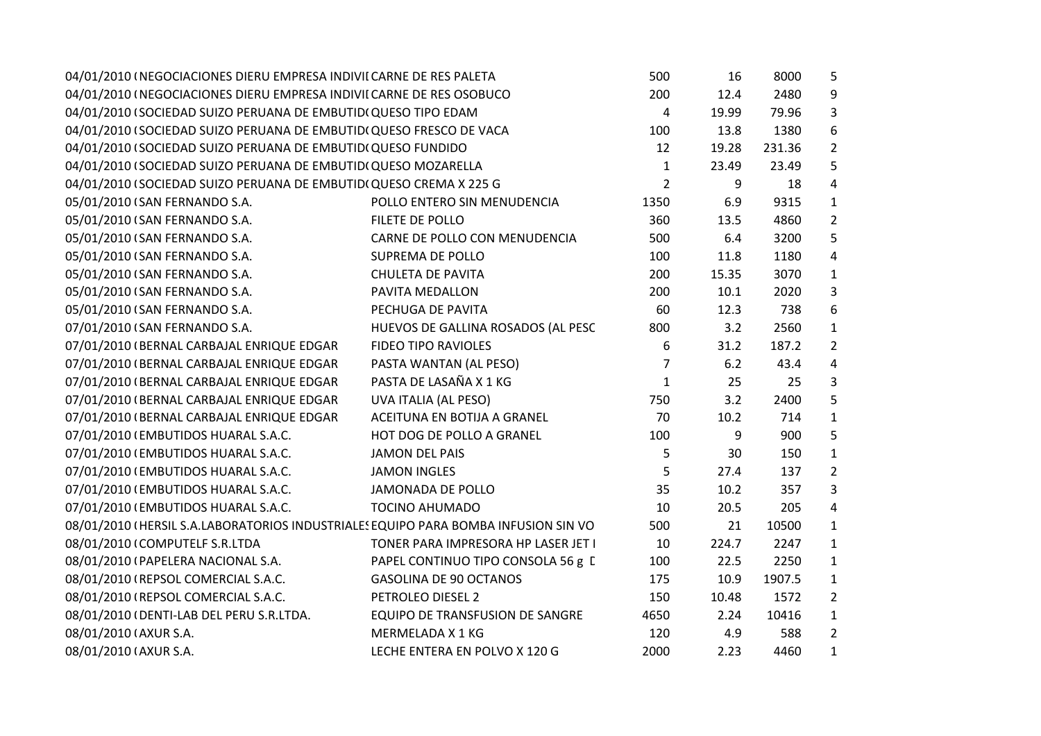| 04/01/2010 (NEGOCIACIONES DIERU EMPRESA INDIVII CARNE DE RES PALETA                |                                     | 500            | 16    | 8000   | 5              |
|------------------------------------------------------------------------------------|-------------------------------------|----------------|-------|--------|----------------|
| 04/01/2010 (NEGOCIACIONES DIERU EMPRESA INDIVII CARNE DE RES OSOBUCO               |                                     | 200            | 12.4  | 2480   | 9              |
| 04/01/2010 (SOCIEDAD SUIZO PERUANA DE EMBUTIDI QUESO TIPO EDAM                     |                                     | 4              | 19.99 | 79.96  | 3              |
| 04/01/2010 (SOCIEDAD SUIZO PERUANA DE EMBUTID(QUESO FRESCO DE VACA                 |                                     | 100            | 13.8  | 1380   | 6              |
| 04/01/2010 (SOCIEDAD SUIZO PERUANA DE EMBUTIDI QUESO FUNDIDO                       |                                     | 12             | 19.28 | 231.36 | $\overline{2}$ |
| 04/01/2010 (SOCIEDAD SUIZO PERUANA DE EMBUTIDI QUESO MOZARELLA                     |                                     | $\mathbf{1}$   | 23.49 | 23.49  | 5              |
| 04/01/2010 (SOCIEDAD SUIZO PERUANA DE EMBUTID(QUESO CREMA X 225 G                  |                                     | $\overline{2}$ | 9     | 18     | 4              |
| 05/01/2010 (SAN FERNANDO S.A.                                                      | POLLO ENTERO SIN MENUDENCIA         | 1350           | 6.9   | 9315   | $\mathbf{1}$   |
| 05/01/2010 (SAN FERNANDO S.A.                                                      | FILETE DE POLLO                     | 360            | 13.5  | 4860   | $\overline{2}$ |
| 05/01/2010 (SAN FERNANDO S.A.                                                      | CARNE DE POLLO CON MENUDENCIA       | 500            | 6.4   | 3200   | 5              |
| 05/01/2010 (SAN FERNANDO S.A.                                                      | SUPREMA DE POLLO                    | 100            | 11.8  | 1180   | 4              |
| 05/01/2010 (SAN FERNANDO S.A.                                                      | <b>CHULETA DE PAVITA</b>            | 200            | 15.35 | 3070   | $\mathbf{1}$   |
| 05/01/2010 (SAN FERNANDO S.A.                                                      | PAVITA MEDALLON                     | 200            | 10.1  | 2020   | 3              |
| 05/01/2010 (SAN FERNANDO S.A.                                                      | PECHUGA DE PAVITA                   | 60             | 12.3  | 738    | 6              |
| 07/01/2010 (SAN FERNANDO S.A.                                                      | HUEVOS DE GALLINA ROSADOS (AL PESC  | 800            | 3.2   | 2560   | $\mathbf{1}$   |
| 07/01/2010 (BERNAL CARBAJAL ENRIQUE EDGAR                                          | <b>FIDEO TIPO RAVIOLES</b>          | 6              | 31.2  | 187.2  | $\overline{2}$ |
| 07/01/2010 (BERNAL CARBAJAL ENRIQUE EDGAR                                          | $\overline{7}$                      | 6.2            | 43.4  | 4      |                |
| 07/01/2010 (BERNAL CARBAJAL ENRIQUE EDGAR                                          | PASTA DE LASAÑA X 1 KG              | $\mathbf{1}$   | 25    | 25     | $\overline{3}$ |
| 07/01/2010 (BERNAL CARBAJAL ENRIQUE EDGAR                                          | UVA ITALIA (AL PESO)                | 750            | 3.2   | 2400   | 5              |
| 07/01/2010 (BERNAL CARBAJAL ENRIQUE EDGAR                                          | ACEITUNA EN BOTIJA A GRANEL         | 70             | 10.2  | 714    | $\mathbf{1}$   |
| 07/01/2010 (EMBUTIDOS HUARAL S.A.C.                                                | HOT DOG DE POLLO A GRANEL           | 100            | 9     | 900    | 5              |
| 07/01/2010 (EMBUTIDOS HUARAL S.A.C.                                                | <b>JAMON DEL PAIS</b>               | 5              | 30    | 150    | $\mathbf{1}$   |
| 07/01/2010 (EMBUTIDOS HUARAL S.A.C.                                                | <b>JAMON INGLES</b>                 | 5              | 27.4  | 137    | $\overline{2}$ |
| 07/01/2010 (EMBUTIDOS HUARAL S.A.C.                                                | <b>JAMONADA DE POLLO</b>            | 35             | 10.2  | 357    | $\overline{3}$ |
| 07/01/2010 (EMBUTIDOS HUARAL S.A.C.                                                | <b>TOCINO AHUMADO</b>               | 10             | 20.5  | 205    | 4              |
| 08/01/2010 (HERSIL S.A.LABORATORIOS INDUSTRIALES EQUIPO PARA BOMBA INFUSION SIN VO |                                     | 500            | 21    | 10500  | $\mathbf{1}$   |
| 08/01/2010 (COMPUTELF S.R.LTDA                                                     | TONER PARA IMPRESORA HP LASER JET I | 10             | 224.7 | 2247   | $\mathbf{1}$   |
| 08/01/2010 (PAPELERA NACIONAL S.A.                                                 | PAPEL CONTINUO TIPO CONSOLA 56 g [  | 100            | 22.5  | 2250   | $\mathbf{1}$   |
| 08/01/2010 (REPSOL COMERCIAL S.A.C.                                                | <b>GASOLINA DE 90 OCTANOS</b>       | 175            | 10.9  | 1907.5 | $\mathbf{1}$   |
| 08/01/2010 (REPSOL COMERCIAL S.A.C.                                                | PETROLEO DIESEL 2                   | 150            | 10.48 | 1572   | $\overline{2}$ |
| 08/01/2010 (DENTI-LAB DEL PERU S.R.LTDA.                                           | EQUIPO DE TRANSFUSION DE SANGRE     | 4650           | 2.24  | 10416  | $\mathbf{1}$   |
| 08/01/2010 (AXUR S.A.                                                              | MERMELADA X 1 KG                    | 120            | 4.9   | 588    | $\overline{2}$ |
| 08/01/2010 (AXUR S.A.                                                              | LECHE ENTERA EN POLVO X 120 G       | 2000           | 2.23  | 4460   | $\mathbf{1}$   |
|                                                                                    |                                     |                |       |        |                |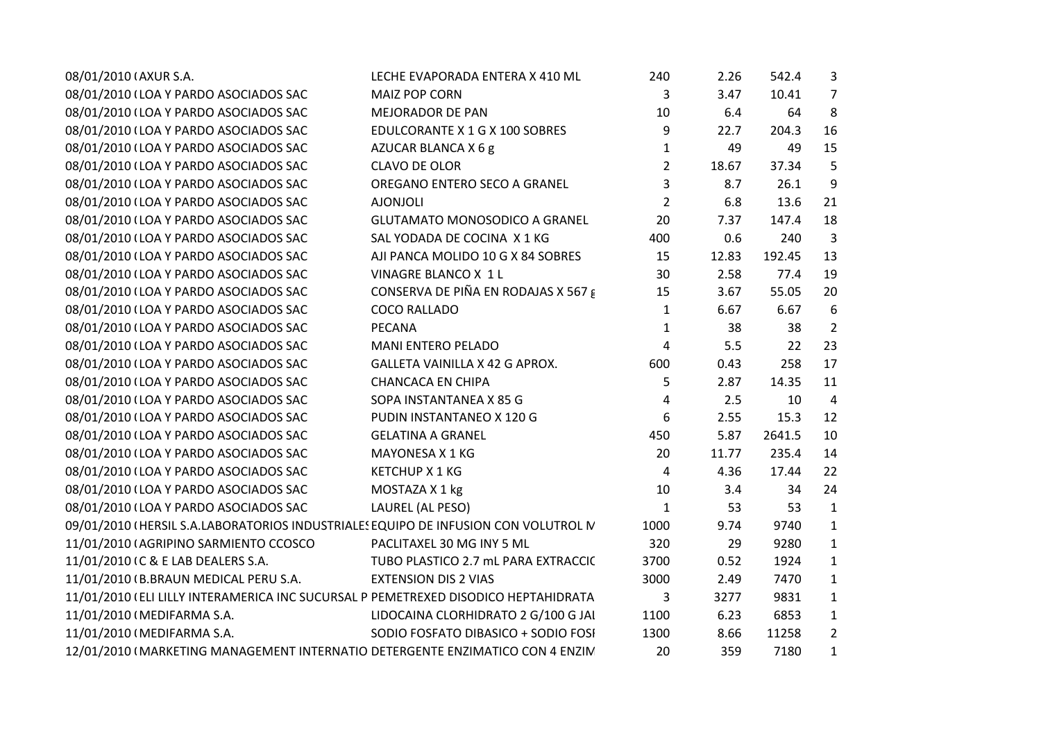| 08/01/2010 (AXUR S.A.                                                               | LECHE EVAPORADA ENTERA X 410 ML      | 240            | 2.26  | 542.4  | $\overline{3}$ |  |
|-------------------------------------------------------------------------------------|--------------------------------------|----------------|-------|--------|----------------|--|
| 08/01/2010 (LOA Y PARDO ASOCIADOS SAC                                               | <b>MAIZ POP CORN</b>                 | 3              | 3.47  | 10.41  | 7              |  |
| 08/01/2010 (LOA Y PARDO ASOCIADOS SAC                                               | <b>MEJORADOR DE PAN</b>              | 10             | 6.4   | 64     | 8              |  |
| 08/01/2010 (LOA Y PARDO ASOCIADOS SAC                                               | EDULCORANTE X 1 G X 100 SOBRES       | 9              | 22.7  | 204.3  | 16             |  |
| 08/01/2010 (LOA Y PARDO ASOCIADOS SAC                                               | AZUCAR BLANCA X 6 g                  | $\mathbf{1}$   | 49    | 49     | 15             |  |
| 08/01/2010 (LOA Y PARDO ASOCIADOS SAC                                               | <b>CLAVO DE OLOR</b>                 | $\overline{2}$ | 18.67 | 37.34  | 5              |  |
| 08/01/2010 (LOA Y PARDO ASOCIADOS SAC                                               | OREGANO ENTERO SECO A GRANEL         | 3              | 8.7   | 26.1   | 9              |  |
| 08/01/2010 (LOA Y PARDO ASOCIADOS SAC                                               | <b>AJONJOLI</b>                      | $\overline{2}$ | 6.8   | 13.6   | 21             |  |
| 08/01/2010 (LOA Y PARDO ASOCIADOS SAC                                               | <b>GLUTAMATO MONOSODICO A GRANEL</b> | 20             | 7.37  | 147.4  | 18             |  |
| 08/01/2010 (LOA Y PARDO ASOCIADOS SAC                                               | SAL YODADA DE COCINA X 1 KG          | 400            | 0.6   | 240    | 3              |  |
| 08/01/2010 (LOA Y PARDO ASOCIADOS SAC                                               | AJI PANCA MOLIDO 10 G X 84 SOBRES    | 15             | 12.83 | 192.45 | 13             |  |
| 08/01/2010 (LOA Y PARDO ASOCIADOS SAC                                               | VINAGRE BLANCO X 1 L                 | 30             | 2.58  | 77.4   | 19             |  |
| 08/01/2010 (LOA Y PARDO ASOCIADOS SAC                                               | CONSERVA DE PIÑA EN RODAJAS X 567 g  | 15             | 3.67  | 55.05  | 20             |  |
| 08/01/2010 (LOA Y PARDO ASOCIADOS SAC                                               | <b>COCO RALLADO</b>                  | $\mathbf{1}$   | 6.67  | 6.67   | 6              |  |
| 08/01/2010 (LOA Y PARDO ASOCIADOS SAC                                               | <b>PECANA</b>                        | $\mathbf{1}$   | 38    | 38     | $\overline{2}$ |  |
| 08/01/2010 (LOA Y PARDO ASOCIADOS SAC                                               | MANI ENTERO PELADO                   | $\overline{4}$ | 5.5   | 22     | 23             |  |
| 08/01/2010 (LOA Y PARDO ASOCIADOS SAC                                               | GALLETA VAINILLA X 42 G APROX.       | 600            | 0.43  | 258    | 17             |  |
| 08/01/2010 (LOA Y PARDO ASOCIADOS SAC                                               | <b>CHANCACA EN CHIPA</b>             | 5              | 2.87  | 14.35  | 11             |  |
| 08/01/2010 (LOA Y PARDO ASOCIADOS SAC                                               | SOPA INSTANTANEA X 85 G              | 4              | 2.5   | 10     | $\overline{4}$ |  |
| 08/01/2010 (LOA Y PARDO ASOCIADOS SAC                                               | PUDIN INSTANTANEO X 120 G            | 6              | 2.55  | 15.3   | 12             |  |
| 08/01/2010 (LOA Y PARDO ASOCIADOS SAC                                               | <b>GELATINA A GRANEL</b>             | 450            | 5.87  | 2641.5 | 10             |  |
| 08/01/2010 (LOA Y PARDO ASOCIADOS SAC                                               | MAYONESA X 1 KG                      | 20             | 11.77 | 235.4  | 14             |  |
| 08/01/2010 (LOA Y PARDO ASOCIADOS SAC                                               | <b>KETCHUP X 1 KG</b>                | $\overline{4}$ | 4.36  | 17.44  | 22             |  |
| 08/01/2010 (LOA Y PARDO ASOCIADOS SAC                                               | MOSTAZA X 1 kg                       | 10             | 3.4   | 34     | 24             |  |
| 08/01/2010 (LOA Y PARDO ASOCIADOS SAC                                               | LAUREL (AL PESO)                     | $\mathbf{1}$   | 53    | 53     | $\mathbf{1}$   |  |
| 09/01/2010 (HERSIL S.A.LABORATORIOS INDUSTRIALES EQUIPO DE INFUSION CON VOLUTROL IV |                                      | 1000           | 9.74  | 9740   | $\mathbf{1}$   |  |
| 11/01/2010 (AGRIPINO SARMIENTO CCOSCO                                               | PACLITAXEL 30 MG INY 5 ML            | 320            | 29    | 9280   | $\mathbf{1}$   |  |
| 11/01/2010 IC & E LAB DEALERS S.A.                                                  | TUBO PLASTICO 2.7 mL PARA EXTRACCIC  | 3700           | 0.52  | 1924   | $\mathbf{1}$   |  |
| 11/01/2010 (B.BRAUN MEDICAL PERU S.A.                                               | <b>EXTENSION DIS 2 VIAS</b>          | 3000           | 2.49  | 7470   | $\mathbf{1}$   |  |
| 11/01/2010 (ELI LILLY INTERAMERICA INC SUCURSAL P PEMETREXED DISODICO HEPTAHIDRATA  |                                      | 3              | 3277  | 9831   | $\mathbf{1}$   |  |
| 11/01/2010 (MEDIFARMA S.A.                                                          | LIDOCAINA CLORHIDRATO 2 G/100 G JAI  | 1100           | 6.23  | 6853   | $\mathbf{1}$   |  |
| 11/01/2010 (MEDIFARMA S.A.                                                          | SODIO FOSFATO DIBASICO + SODIO FOSI  | 1300           | 8.66  | 11258  | $\overline{2}$ |  |
| 12/01/2010 (MARKETING MANAGEMENT INTERNATIO DETERGENTE ENZIMATICO CON 4 ENZIN       |                                      | 20             | 359   | 7180   | $\mathbf{1}$   |  |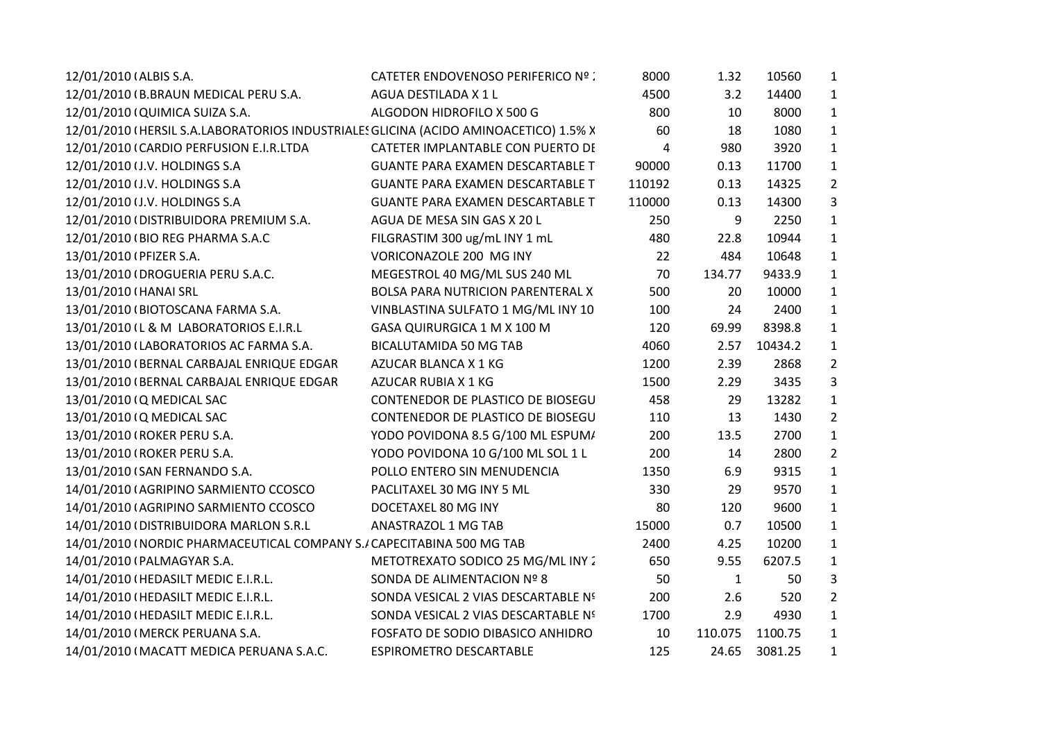| 12/01/2010 (ALBIS S.A.                                                               | CATETER ENDOVENOSO PERIFERICO Nº :      | 8000   | 1.32         | 10560   | $\mathbf{1}$   |
|--------------------------------------------------------------------------------------|-----------------------------------------|--------|--------------|---------|----------------|
| 12/01/2010 (B.BRAUN MEDICAL PERU S.A.                                                | AGUA DESTILADA X 1 L                    | 4500   | 3.2          | 14400   | $\mathbf{1}$   |
| 12/01/2010 (QUIMICA SUIZA S.A.                                                       | ALGODON HIDROFILO X 500 G               | 800    | 10           | 8000    | $\mathbf{1}$   |
| 12/01/2010 (HERSIL S.A.LABORATORIOS INDUSTRIALES GLICINA (ACIDO AMINOACETICO) 1.5% X |                                         | 60     | 18           | 1080    | $\mathbf{1}$   |
| 12/01/2010 (CARDIO PERFUSION E.I.R.LTDA                                              | CATETER IMPLANTABLE CON PUERTO DI       | 4      | 980          | 3920    | $\mathbf{1}$   |
| 12/01/2010 (J.V. HOLDINGS S.A                                                        | <b>GUANTE PARA EXAMEN DESCARTABLE T</b> | 90000  | 0.13         | 11700   | $\mathbf{1}$   |
| 12/01/2010 (J.V. HOLDINGS S.A                                                        | <b>GUANTE PARA EXAMEN DESCARTABLE T</b> | 110192 | 0.13         | 14325   | $\overline{2}$ |
| 12/01/2010 (J.V. HOLDINGS S.A                                                        | <b>GUANTE PARA EXAMEN DESCARTABLE T</b> | 110000 | 0.13         | 14300   | $\overline{3}$ |
| 12/01/2010 (DISTRIBUIDORA PREMIUM S.A.                                               | AGUA DE MESA SIN GAS X 20 L             | 250    | 9            | 2250    | $\mathbf{1}$   |
| 12/01/2010 (BIO REG PHARMA S.A.C                                                     | FILGRASTIM 300 ug/mL INY 1 mL           | 480    | 22.8         | 10944   | $\mathbf{1}$   |
| 13/01/2010 (PFIZER S.A.                                                              | VORICONAZOLE 200 MG INY                 | 22     | 484          | 10648   | $\mathbf{1}$   |
| 13/01/2010 (DROGUERIA PERU S.A.C.                                                    | MEGESTROL 40 MG/ML SUS 240 ML           | 70     | 134.77       | 9433.9  | $\mathbf{1}$   |
| 13/01/2010 (HANAI SRL                                                                | BOLSA PARA NUTRICION PARENTERAL X       | 500    | 20           | 10000   | $\mathbf{1}$   |
| 13/01/2010 (BIOTOSCANA FARMA S.A.                                                    | VINBLASTINA SULFATO 1 MG/ML INY 10      | 100    | 24           | 2400    | $\mathbf{1}$   |
| 13/01/2010 (L & M LABORATORIOS E.I.R.L                                               | GASA QUIRURGICA 1 M X 100 M             | 120    | 69.99        | 8398.8  | $\mathbf{1}$   |
| 13/01/2010 (LABORATORIOS AC FARMA S.A.                                               | <b>BICALUTAMIDA 50 MG TAB</b>           | 4060   | 2.57         | 10434.2 | $\mathbf{1}$   |
| 13/01/2010 (BERNAL CARBAJAL ENRIQUE EDGAR                                            | AZUCAR BLANCA X 1 KG                    | 1200   | 2.39         | 2868    | $\overline{2}$ |
| 13/01/2010 (BERNAL CARBAJAL ENRIQUE EDGAR                                            | AZUCAR RUBIA X 1 KG                     | 1500   | 2.29         | 3435    | $\mathbf{3}$   |
| 13/01/2010 (Q MEDICAL SAC                                                            | CONTENEDOR DE PLASTICO DE BIOSEGU       | 458    | 29           | 13282   | $\mathbf{1}$   |
| 13/01/2010 (Q MEDICAL SAC                                                            | CONTENEDOR DE PLASTICO DE BIOSEGU       | 110    | 13           | 1430    | $\overline{2}$ |
| 13/01/2010 (ROKER PERU S.A.                                                          | YODO POVIDONA 8.5 G/100 ML ESPUM/       | 200    | 13.5         | 2700    | $\mathbf{1}$   |
| 13/01/2010 (ROKER PERU S.A.                                                          | YODO POVIDONA 10 G/100 ML SOL 1 L       | 200    | 14           | 2800    | $\overline{2}$ |
| 13/01/2010 (SAN FERNANDO S.A.                                                        | POLLO ENTERO SIN MENUDENCIA             | 1350   | 6.9          | 9315    | $\mathbf{1}$   |
| 14/01/2010 (AGRIPINO SARMIENTO CCOSCO                                                | PACLITAXEL 30 MG INY 5 ML               | 330    | 29           | 9570    | $\mathbf{1}$   |
| 14/01/2010 (AGRIPINO SARMIENTO CCOSCO                                                | DOCETAXEL 80 MG INY                     | 80     | 120          | 9600    | $\mathbf{1}$   |
| 14/01/2010 (DISTRIBUIDORA MARLON S.R.L                                               | <b>ANASTRAZOL 1 MG TAB</b>              | 15000  | 0.7          | 10500   | $\mathbf{1}$   |
| 14/01/2010 (NORDIC PHARMACEUTICAL COMPANY S./ CAPECITABINA 500 MG TAB                |                                         | 2400   | 4.25         | 10200   | $\mathbf{1}$   |
| 14/01/2010 (PALMAGYAR S.A.                                                           | METOTREXATO SODICO 25 MG/ML INY 2       | 650    | 9.55         | 6207.5  | $\mathbf{1}$   |
| 14/01/2010 (HEDASILT MEDIC E.I.R.L.                                                  | SONDA DE ALIMENTACION Nº 8              | 50     | $\mathbf{1}$ | 50      | $\mathbf{3}$   |
| 14/01/2010 (HEDASILT MEDIC E.I.R.L.                                                  | SONDA VESICAL 2 VIAS DESCARTABLE Nº     | 200    | 2.6          | 520     | $\overline{2}$ |
| 14/01/2010 (HEDASILT MEDIC E.I.R.L.                                                  | SONDA VESICAL 2 VIAS DESCARTABLE Nº     | 1700   | 2.9          | 4930    | $\mathbf{1}$   |
| 14/01/2010 (MERCK PERUANA S.A.                                                       | FOSFATO DE SODIO DIBASICO ANHIDRO       | 10     | 110.075      | 1100.75 | $\mathbf{1}$   |
| 14/01/2010 (MACATT MEDICA PERUANA S.A.C.                                             | <b>ESPIROMETRO DESCARTABLE</b>          | 125    | 24.65        | 3081.25 | $\mathbf{1}$   |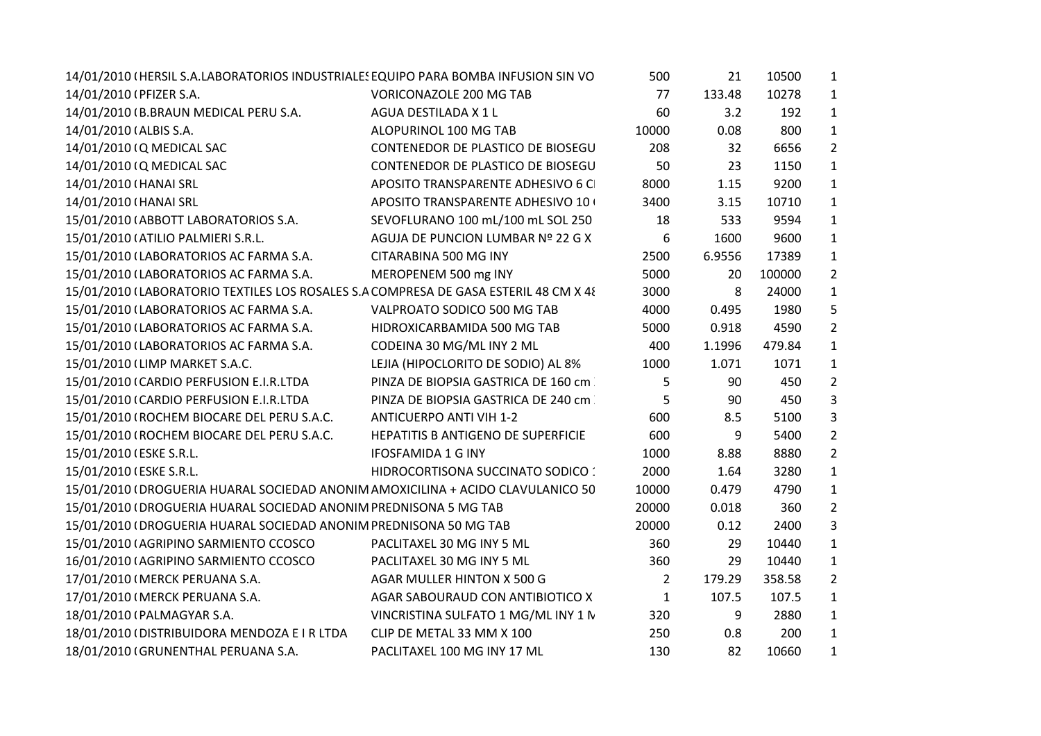| 14/01/2010 (HERSIL S.A.LABORATORIOS INDUSTRIALES EQUIPO PARA BOMBA INFUSION SIN VO   |                                     | 500            | 21     | 10500  | $\mathbf{1}$   |  |
|--------------------------------------------------------------------------------------|-------------------------------------|----------------|--------|--------|----------------|--|
| 14/01/2010 (PFIZER S.A.                                                              | <b>VORICONAZOLE 200 MG TAB</b>      | 77             | 133.48 | 10278  | 1              |  |
| 14/01/2010 (B.BRAUN MEDICAL PERU S.A.                                                | AGUA DESTILADA X 1 L                | 60             | 3.2    | 192    | $\mathbf{1}$   |  |
| 14/01/2010 (ALBIS S.A.                                                               | ALOPURINOL 100 MG TAB               | 10000          | 0.08   | 800    | $\mathbf{1}$   |  |
| 14/01/2010 (Q MEDICAL SAC                                                            | CONTENEDOR DE PLASTICO DE BIOSEGU   | 208            | 32     | 6656   | $\overline{2}$ |  |
| 14/01/2010 (Q MEDICAL SAC                                                            | CONTENEDOR DE PLASTICO DE BIOSEGU   | 50             | 23     | 1150   | $\mathbf{1}$   |  |
| 14/01/2010 (HANAI SRL                                                                | APOSITO TRANSPARENTE ADHESIVO 6 C   | 8000           | 1.15   | 9200   | $\mathbf{1}$   |  |
| 14/01/2010 (HANAI SRL                                                                | APOSITO TRANSPARENTE ADHESIVO 10+   | 3400           | 3.15   | 10710  | $\mathbf{1}$   |  |
| 15/01/2010 (ABBOTT LABORATORIOS S.A.                                                 | SEVOFLURANO 100 mL/100 mL SOL 250   | 18             | 533    | 9594   | $\mathbf{1}$   |  |
| 15/01/2010 (ATILIO PALMIERI S.R.L.                                                   | AGUJA DE PUNCION LUMBAR Nº 22 G X   | 6              | 1600   | 9600   | $\mathbf{1}$   |  |
| 15/01/2010 (LABORATORIOS AC FARMA S.A.                                               | CITARABINA 500 MG INY               | 2500           | 6.9556 | 17389  | $\mathbf{1}$   |  |
| 15/01/2010 (LABORATORIOS AC FARMA S.A.                                               | MEROPENEM 500 mg INY                | 5000           | 20     | 100000 | $\overline{2}$ |  |
| 15/01/2010 (LABORATORIO TEXTILES LOS ROSALES S.A COMPRESA DE GASA ESTERIL 48 CM X 48 |                                     | 3000           | 8      | 24000  | $\mathbf{1}$   |  |
| 15/01/2010 (LABORATORIOS AC FARMA S.A.                                               | VALPROATO SODICO 500 MG TAB         | 4000           | 0.495  | 1980   | 5              |  |
| 15/01/2010 (LABORATORIOS AC FARMA S.A.                                               | HIDROXICARBAMIDA 500 MG TAB         | 5000           | 0.918  | 4590   | $\overline{2}$ |  |
| 15/01/2010 (LABORATORIOS AC FARMA S.A.                                               | CODEINA 30 MG/ML INY 2 ML           | 400            | 1.1996 | 479.84 | $\mathbf{1}$   |  |
| 15/01/2010 (LIMP MARKET S.A.C.                                                       | LEJIA (HIPOCLORITO DE SODIO) AL 8%  | 1000           | 1.071  | 1071   | $\mathbf{1}$   |  |
| 15/01/2010 (CARDIO PERFUSION E.I.R.LTDA                                              | PINZA DE BIOPSIA GASTRICA DE 160 cm | 5              | 90     | 450    | $\overline{2}$ |  |
| 15/01/2010 (CARDIO PERFUSION E.I.R.LTDA                                              | PINZA DE BIOPSIA GASTRICA DE 240 cm | 5              | 90     | 450    | 3              |  |
| 15/01/2010 (ROCHEM BIOCARE DEL PERU S.A.C.                                           | <b>ANTICUERPO ANTI VIH 1-2</b>      | 600            | 8.5    | 5100   | 3              |  |
| 15/01/2010 (ROCHEM BIOCARE DEL PERU S.A.C.                                           | HEPATITIS B ANTIGENO DE SUPERFICIE  | 600            | 9      | 5400   | $\overline{2}$ |  |
| 15/01/2010 (ESKE S.R.L.                                                              | <b>IFOSFAMIDA 1 G INY</b>           | 1000           | 8.88   | 8880   | $\overline{2}$ |  |
| 15/01/2010 (ESKE S.R.L.                                                              | HIDROCORTISONA SUCCINATO SODICO :   | 2000           | 1.64   | 3280   | $\mathbf{1}$   |  |
| 15/01/2010 (DROGUERIA HUARAL SOCIEDAD ANONIM AMOXICILINA + ACIDO CLAVULANICO 50      |                                     | 10000          | 0.479  | 4790   | $\mathbf{1}$   |  |
| 15/01/2010 (DROGUERIA HUARAL SOCIEDAD ANONIM PREDNISONA 5 MG TAB                     |                                     | 20000          | 0.018  | 360    | $\overline{2}$ |  |
| 15/01/2010 (DROGUERIA HUARAL SOCIEDAD ANONIM PREDNISONA 50 MG TAB                    |                                     | 20000          | 0.12   | 2400   | 3              |  |
| 15/01/2010 (AGRIPINO SARMIENTO CCOSCO                                                | PACLITAXEL 30 MG INY 5 ML           | 360            | 29     | 10440  | $\mathbf{1}$   |  |
| 16/01/2010 (AGRIPINO SARMIENTO CCOSCO                                                | PACLITAXEL 30 MG INY 5 ML           | 360            | 29     | 10440  | $\mathbf{1}$   |  |
| 17/01/2010 (MERCK PERUANA S.A.                                                       | AGAR MULLER HINTON X 500 G          | $\overline{2}$ | 179.29 | 358.58 | $\overline{2}$ |  |
| 17/01/2010 (MERCK PERUANA S.A.                                                       | AGAR SABOURAUD CON ANTIBIOTICO X    | $\mathbf{1}$   | 107.5  | 107.5  | 1              |  |
| 18/01/2010 (PALMAGYAR S.A.                                                           | VINCRISTINA SULFATO 1 MG/ML INY 1 N | 320            | 9      | 2880   | $\mathbf{1}$   |  |
| 18/01/2010 (DISTRIBUIDORA MENDOZA E I R LTDA                                         | CLIP DE METAL 33 MM X 100           | 250            | 0.8    | 200    | $\mathbf{1}$   |  |
| 18/01/2010 (GRUNENTHAL PERUANA S.A.                                                  | PACLITAXEL 100 MG INY 17 ML         | 130            | 82     | 10660  | $\mathbf{1}$   |  |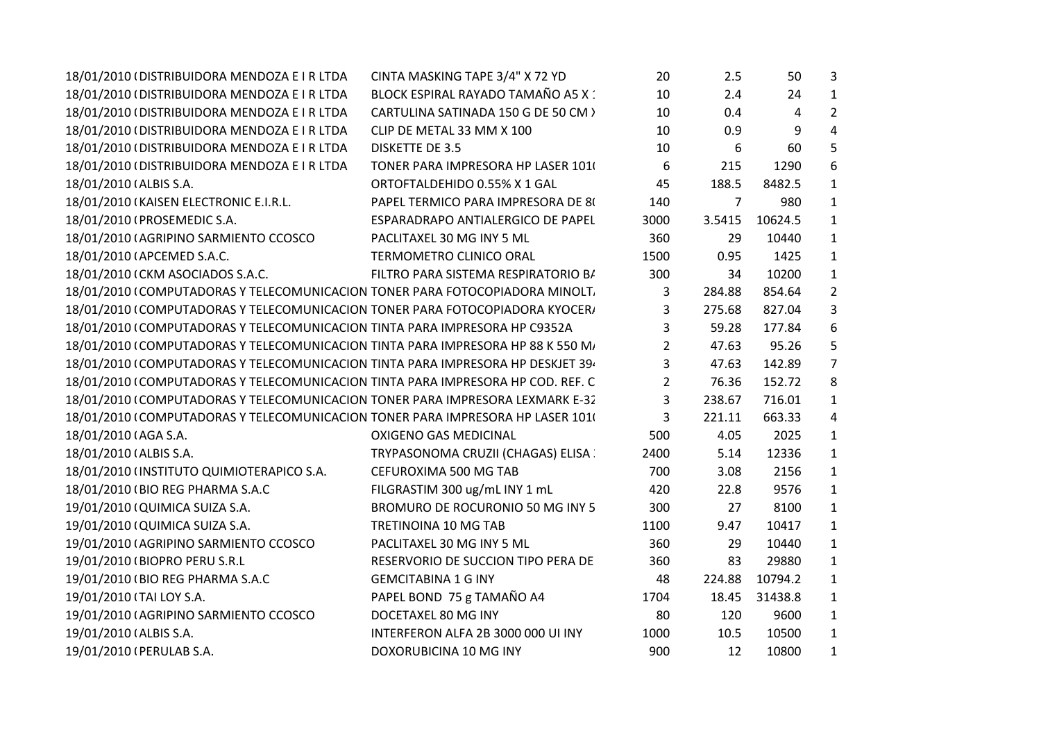| 18/01/2010 (DISTRIBUIDORA MENDOZA E I R LTDA                                    | CINTA MASKING TAPE 3/4" X 72 YD     | 20             | 2.5    | 50      | 3              |
|---------------------------------------------------------------------------------|-------------------------------------|----------------|--------|---------|----------------|
| 18/01/2010 (DISTRIBUIDORA MENDOZA E I R LTDA                                    | BLOCK ESPIRAL RAYADO TAMAÑO A5 X :  | 10             | 2.4    | 24      | $\mathbf{1}$   |
| 18/01/2010 (DISTRIBUIDORA MENDOZA E I R LTDA                                    | CARTULINA SATINADA 150 G DE 50 CM > | 10             | 0.4    | 4       | $\overline{2}$ |
| 18/01/2010 (DISTRIBUIDORA MENDOZA E I R LTDA                                    | CLIP DE METAL 33 MM X 100           | 10             | 0.9    | 9       | $\overline{4}$ |
| 18/01/2010 (DISTRIBUIDORA MENDOZA E I R LTDA                                    | <b>DISKETTE DE 3.5</b>              | 10             | 6      | 60      | 5              |
| 18/01/2010 (DISTRIBUIDORA MENDOZA E I R LTDA                                    | TONER PARA IMPRESORA HP LASER 101   | 6              | 215    | 1290    | 6              |
| 18/01/2010 (ALBIS S.A.                                                          | ORTOFTALDEHIDO 0.55% X 1 GAL        | 45             | 188.5  | 8482.5  | $\mathbf{1}$   |
| 18/01/2010 (KAISEN ELECTRONIC E.I.R.L.                                          | PAPEL TERMICO PARA IMPRESORA DE 80  | 140            | 7      | 980     | $\mathbf{1}$   |
| 18/01/2010 (PROSEMEDIC S.A.                                                     | ESPARADRAPO ANTIALERGICO DE PAPEL   | 3000           | 3.5415 | 10624.5 | $\mathbf{1}$   |
| 18/01/2010 (AGRIPINO SARMIENTO CCOSCO                                           | PACLITAXEL 30 MG INY 5 ML           | 360            | 29     | 10440   | $\mathbf{1}$   |
| 18/01/2010 (APCEMED S.A.C.                                                      | TERMOMETRO CLINICO ORAL             | 1500           | 0.95   | 1425    | $\mathbf{1}$   |
| 18/01/2010 (CKM ASOCIADOS S.A.C.                                                | FILTRO PARA SISTEMA RESPIRATORIO B/ | 300            | 34     | 10200   | $\mathbf{1}$   |
| 18/01/2010 (COMPUTADORAS Y TELECOMUNICACION TONER PARA FOTOCOPIADORA MINOLT.    |                                     | 3              | 284.88 | 854.64  | $\overline{2}$ |
| 18/01/2010 (COMPUTADORAS Y TELECOMUNICACION TONER PARA FOTOCOPIADORA KYOCER/    |                                     | 3              | 275.68 | 827.04  | 3              |
| 18/01/2010 (COMPUTADORAS Y TELECOMUNICACION TINTA PARA IMPRESORA HP C9352A      |                                     | 3              | 59.28  | 177.84  | 6              |
| 18/01/2010 (COMPUTADORAS Y TELECOMUNICACION TINTA PARA IMPRESORA HP 88 K 550 M/ |                                     | 2              | 47.63  | 95.26   | 5              |
| 18/01/2010 (COMPUTADORAS Y TELECOMUNICACION TINTA PARA IMPRESORA HP DESKJET 39  |                                     | 3              | 47.63  | 142.89  | $\overline{7}$ |
| 18/01/2010 (COMPUTADORAS Y TELECOMUNICACION TINTA PARA IMPRESORA HP COD. REF. C |                                     | $\overline{2}$ | 76.36  | 152.72  | 8              |
| 18/01/2010 (COMPUTADORAS Y TELECOMUNICACION TONER PARA IMPRESORA LEXMARK E-32   |                                     | 3              | 238.67 | 716.01  | $\mathbf{1}$   |
| 18/01/2010 (COMPUTADORAS Y TELECOMUNICACION TONER PARA IMPRESORA HP LASER 101)  |                                     | 3              | 221.11 | 663.33  | 4              |
| 18/01/2010 (AGA S.A.                                                            | <b>OXIGENO GAS MEDICINAL</b>        | 500            | 4.05   | 2025    | $\mathbf{1}$   |
| 18/01/2010 (ALBIS S.A.                                                          | TRYPASONOMA CRUZII (CHAGAS) ELISA   | 2400           | 5.14   | 12336   | $\mathbf{1}$   |
| 18/01/2010 (INSTITUTO QUIMIOTERAPICO S.A.                                       | CEFUROXIMA 500 MG TAB               | 700            | 3.08   | 2156    | $\mathbf{1}$   |
| 18/01/2010 (BIO REG PHARMA S.A.C                                                | FILGRASTIM 300 ug/mL INY 1 mL       | 420            | 22.8   | 9576    | $\mathbf{1}$   |
| 19/01/2010 (QUIMICA SUIZA S.A.                                                  | BROMURO DE ROCURONIO 50 MG INY 5    | 300            | 27     | 8100    | $\mathbf{1}$   |
| 19/01/2010 (QUIMICA SUIZA S.A.                                                  | TRETINOINA 10 MG TAB                | 1100           | 9.47   | 10417   | $\mathbf{1}$   |
| 19/01/2010 (AGRIPINO SARMIENTO CCOSCO                                           | PACLITAXEL 30 MG INY 5 ML           | 360            | 29     | 10440   | $\mathbf{1}$   |
| 19/01/2010 (BIOPRO PERU S.R.L                                                   | RESERVORIO DE SUCCION TIPO PERA DE  | 360            | 83     | 29880   | $\mathbf{1}$   |
| 19/01/2010 (BIO REG PHARMA S.A.C                                                | <b>GEMCITABINA 1 G INY</b>          | 48             | 224.88 | 10794.2 | $\mathbf{1}$   |
| 19/01/2010 (TAI LOY S.A.                                                        | PAPEL BOND 75 g TAMAÑO A4           | 1704           | 18.45  | 31438.8 | $\mathbf{1}$   |
| 19/01/2010 (AGRIPINO SARMIENTO CCOSCO                                           | DOCETAXEL 80 MG INY                 | 80             | 120    | 9600    | $\mathbf{1}$   |
| 19/01/2010 (ALBIS S.A.                                                          | INTERFERON ALFA 2B 3000 000 UI INY  | 1000           | 10.5   | 10500   | $\mathbf{1}$   |
| 19/01/2010 (PERULAB S.A.                                                        | DOXORUBICINA 10 MG INY              | 900            | 12     | 10800   | $\mathbf{1}$   |
|                                                                                 |                                     |                |        |         |                |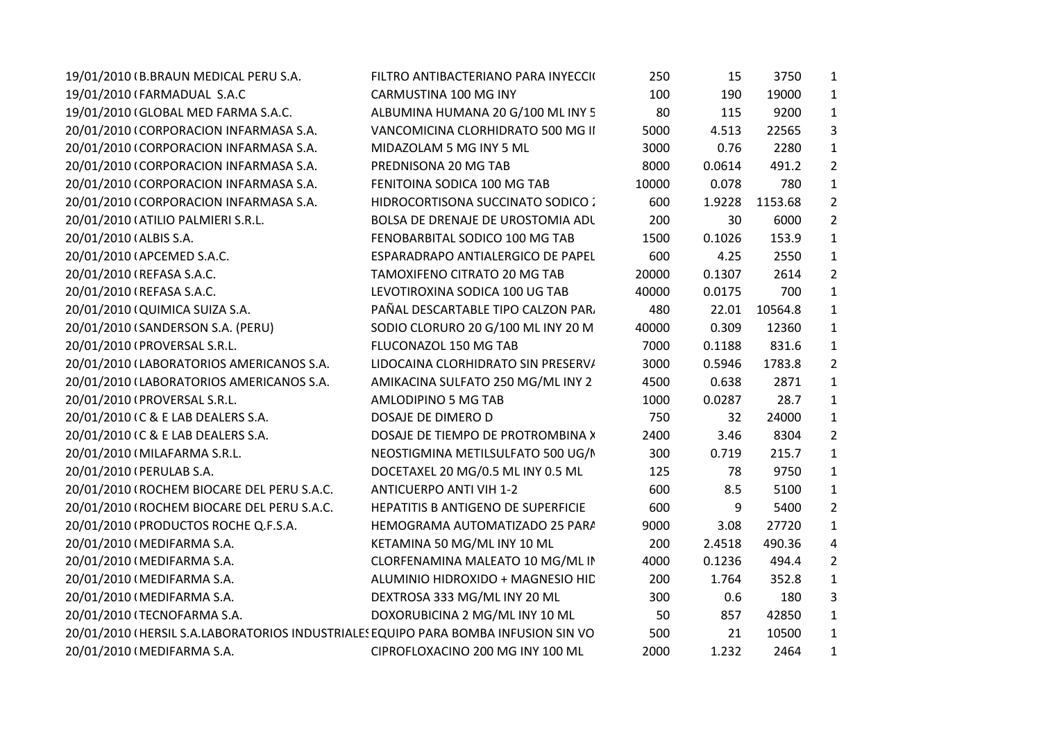| 19/01/2010 (B.BRAUN MEDICAL PERU S.A.                                              | FILTRO ANTIBACTERIANO PARA INYECCIO | 250   | 15     | 3750    | $\mathbf{1}$   |
|------------------------------------------------------------------------------------|-------------------------------------|-------|--------|---------|----------------|
| 19/01/2010 (FARMADUAL S.A.C                                                        | CARMUSTINA 100 MG INY               | 100   | 190    | 19000   | $\mathbf{1}$   |
| 19/01/2010 (GLOBAL MED FARMA S.A.C.                                                | ALBUMINA HUMANA 20 G/100 ML INY 5   | 80    | 115    | 9200    | $\mathbf{1}$   |
| 20/01/2010 (CORPORACION INFARMASA S.A.                                             | VANCOMICINA CLORHIDRATO 500 MG II   | 5000  | 4.513  | 22565   | 3              |
| 20/01/2010 (CORPORACION INFARMASA S.A.                                             | MIDAZOLAM 5 MG INY 5 ML             | 3000  | 0.76   | 2280    | $\mathbf{1}$   |
| 20/01/2010 (CORPORACION INFARMASA S.A.                                             | PREDNISONA 20 MG TAB                | 8000  | 0.0614 | 491.2   | $\overline{2}$ |
| 20/01/2010 (CORPORACION INFARMASA S.A.                                             | FENITOINA SODICA 100 MG TAB         | 10000 | 0.078  | 780     | $\mathbf{1}$   |
| 20/01/2010 (CORPORACION INFARMASA S.A.                                             | HIDROCORTISONA SUCCINATO SODICO :   | 600   | 1.9228 | 1153.68 | $\overline{2}$ |
| 20/01/2010 (ATILIO PALMIERI S.R.L.                                                 | BOLSA DE DRENAJE DE UROSTOMIA ADL   | 200   | 30     | 6000    | $\overline{2}$ |
| 20/01/2010 (ALBIS S.A.                                                             | FENOBARBITAL SODICO 100 MG TAB      | 1500  | 0.1026 | 153.9   | $\mathbf{1}$   |
| 20/01/2010 (APCEMED S.A.C.                                                         | ESPARADRAPO ANTIALERGICO DE PAPEL   | 600   | 4.25   | 2550    | $\mathbf{1}$   |
| 20/01/2010 (REFASA S.A.C.                                                          | TAMOXIFENO CITRATO 20 MG TAB        | 20000 | 0.1307 | 2614    | $\overline{2}$ |
| 20/01/2010 (REFASA S.A.C.                                                          | LEVOTIROXINA SODICA 100 UG TAB      | 40000 | 0.0175 | 700     | $\mathbf{1}$   |
| 20/01/2010 (QUIMICA SUIZA S.A.                                                     | PAÑAL DESCARTABLE TIPO CALZON PAR.  | 480   | 22.01  | 10564.8 | $\mathbf{1}$   |
| 20/01/2010 (SANDERSON S.A. (PERU)                                                  | SODIO CLORURO 20 G/100 ML INY 20 M  | 40000 | 0.309  | 12360   | 1              |
| 20/01/2010 (PROVERSAL S.R.L.                                                       | FLUCONAZOL 150 MG TAB               | 7000  | 0.1188 | 831.6   | $\mathbf{1}$   |
| 20/01/2010 (LABORATORIOS AMERICANOS S.A.                                           | LIDOCAINA CLORHIDRATO SIN PRESERV/  | 3000  | 0.5946 | 1783.8  | $\overline{2}$ |
| 20/01/2010 (LABORATORIOS AMERICANOS S.A.                                           | AMIKACINA SULFATO 250 MG/ML INY 2   | 4500  | 0.638  | 2871    | $\mathbf{1}$   |
| 20/01/2010 (PROVERSAL S.R.L.                                                       | AMLODIPINO 5 MG TAB                 | 1000  | 0.0287 | 28.7    | $\mathbf{1}$   |
| 20/01/2010 IC & E LAB DEALERS S.A.                                                 | DOSAJE DE DIMERO D                  | 750   | 32     | 24000   | $\mathbf{1}$   |
| 20/01/2010 (C & E LAB DEALERS S.A.                                                 | DOSAJE DE TIEMPO DE PROTROMBINA >   | 2400  | 3.46   | 8304    | $\overline{2}$ |
| 20/01/2010 (MILAFARMA S.R.L.                                                       | NEOSTIGMINA METILSULFATO 500 UG/I   | 300   | 0.719  | 215.7   | $\mathbf{1}$   |
| 20/01/2010 (PERULAB S.A.                                                           | DOCETAXEL 20 MG/0.5 ML INY 0.5 ML   | 125   | 78     | 9750    | $\mathbf{1}$   |
| 20/01/2010 (ROCHEM BIOCARE DEL PERU S.A.C.                                         | <b>ANTICUERPO ANTI VIH 1-2</b>      | 600   | 8.5    | 5100    | $\mathbf{1}$   |
| 20/01/2010 (ROCHEM BIOCARE DEL PERU S.A.C.                                         | HEPATITIS B ANTIGENO DE SUPERFICIE  | 600   | 9      | 5400    | $2^{\circ}$    |
| 20/01/2010 (PRODUCTOS ROCHE Q.F.S.A.                                               | HEMOGRAMA AUTOMATIZADO 25 PAR/      | 9000  | 3.08   | 27720   | $\mathbf{1}$   |
| 20/01/2010 (MEDIFARMA S.A.                                                         | KETAMINA 50 MG/ML INY 10 ML         | 200   | 2.4518 | 490.36  | 4              |
| 20/01/2010 (MEDIFARMA S.A.                                                         | CLORFENAMINA MALEATO 10 MG/ML IN    | 4000  | 0.1236 | 494.4   | $\overline{2}$ |
| 20/01/2010 (MEDIFARMA S.A.                                                         | ALUMINIO HIDROXIDO + MAGNESIO HID   | 200   | 1.764  | 352.8   | $\mathbf{1}$   |
| 20/01/2010 (MEDIFARMA S.A.                                                         | DEXTROSA 333 MG/ML INY 20 ML        | 300   | 0.6    | 180     | 3              |
| 20/01/2010 (TECNOFARMA S.A.                                                        | DOXORUBICINA 2 MG/ML INY 10 ML      | 50    | 857    | 42850   | $\mathbf{1}$   |
| 20/01/2010 (HERSIL S.A.LABORATORIOS INDUSTRIALES EQUIPO PARA BOMBA INFUSION SIN VO |                                     | 500   | 21     | 10500   | $\mathbf{1}$   |
| 20/01/2010 (MEDIFARMA S.A.                                                         | CIPROFLOXACINO 200 MG INY 100 ML    | 2000  | 1.232  | 2464    | $\mathbf{1}$   |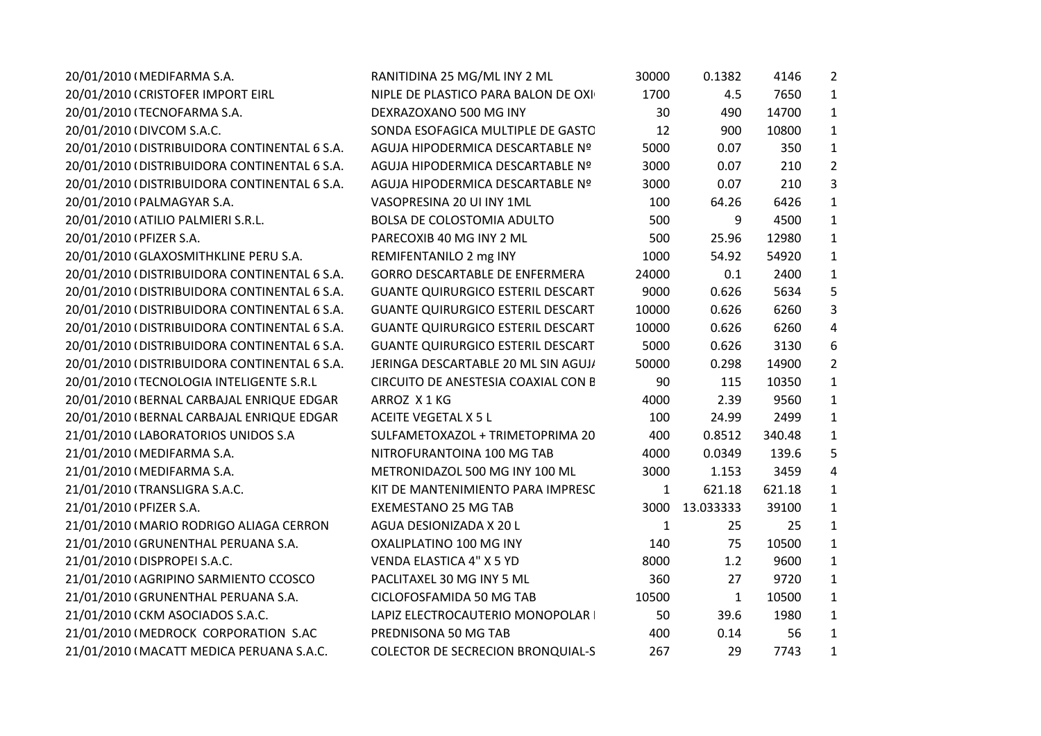| RANITIDINA 25 MG/ML INY 2 ML             | 30000        | 0.1382       | 4146   | $\overline{2}$ |
|------------------------------------------|--------------|--------------|--------|----------------|
| NIPLE DE PLASTICO PARA BALON DE OXI      | 1700         | 4.5          | 7650   | $\mathbf{1}$   |
| DEXRAZOXANO 500 MG INY                   | 30           | 490          | 14700  | $\mathbf{1}$   |
| SONDA ESOFAGICA MULTIPLE DE GASTC        | 12           | 900          | 10800  | $\mathbf{1}$   |
| AGUJA HIPODERMICA DESCARTABLE Nº         | 5000         | 0.07         | 350    | 1              |
| AGUJA HIPODERMICA DESCARTABLE Nº         | 3000         | 0.07         | 210    | $\overline{2}$ |
| AGUJA HIPODERMICA DESCARTABLE Nº         | 3000         | 0.07         | 210    | 3              |
| VASOPRESINA 20 UI INY 1ML                | 100          | 64.26        | 6426   | $\mathbf{1}$   |
| BOLSA DE COLOSTOMIA ADULTO               | 500          | 9            | 4500   | $\mathbf{1}$   |
| PARECOXIB 40 MG INY 2 ML                 | 500          | 25.96        | 12980  | $\mathbf{1}$   |
| REMIFENTANILO 2 mg INY                   | 1000         | 54.92        | 54920  | 1              |
| GORRO DESCARTABLE DE ENFERMERA           | 24000        | 0.1          | 2400   | 1              |
| <b>GUANTE QUIRURGICO ESTERIL DESCART</b> | 9000         | 0.626        | 5634   | 5              |
| <b>GUANTE QUIRURGICO ESTERIL DESCART</b> | 10000        | 0.626        | 6260   | 3              |
| <b>GUANTE QUIRURGICO ESTERIL DESCART</b> | 10000        | 0.626        | 6260   | 4              |
| <b>GUANTE QUIRURGICO ESTERIL DESCART</b> | 5000         | 0.626        | 3130   | 6              |
| JERINGA DESCARTABLE 20 ML SIN AGUJ/      | 50000        | 0.298        | 14900  | $\overline{2}$ |
| CIRCUITO DE ANESTESIA COAXIAL CON E      | 90           | 115          | 10350  | $\mathbf{1}$   |
| ARROZ X1KG                               | 4000         | 2.39         | 9560   | $\mathbf{1}$   |
| <b>ACEITE VEGETAL X 5 L</b>              | 100          | 24.99        | 2499   | $\mathbf{1}$   |
| SULFAMETOXAZOL + TRIMETOPRIMA 20         | 400          | 0.8512       | 340.48 | $\mathbf{1}$   |
| NITROFURANTOINA 100 MG TAB               | 4000         | 0.0349       | 139.6  | 5              |
| METRONIDAZOL 500 MG INY 100 ML           | 3000         | 1.153        | 3459   | 4              |
| KIT DE MANTENIMIENTO PARA IMPRESC        | $\mathbf{1}$ | 621.18       | 621.18 | $\mathbf{1}$   |
| <b>EXEMESTANO 25 MG TAB</b>              | 3000         | 13.033333    | 39100  | $\mathbf{1}$   |
| AGUA DESIONIZADA X 20 L                  | 1            | 25           | 25     | $\mathbf{1}$   |
| OXALIPLATINO 100 MG INY                  | 140          | 75           | 10500  | $\mathbf{1}$   |
| <b>VENDA ELASTICA 4" X 5 YD</b>          | 8000         | 1.2          | 9600   | 1              |
| PACLITAXEL 30 MG INY 5 ML                | 360          | 27           | 9720   | $\mathbf{1}$   |
| CICLOFOSFAMIDA 50 MG TAB                 | 10500        | $\mathbf{1}$ | 10500  | 1              |
| LAPIZ ELECTROCAUTERIO MONOPOLAR          | 50           | 39.6         | 1980   | $\mathbf{1}$   |
| PREDNISONA 50 MG TAB                     | 400          | 0.14         | 56     | $\mathbf{1}$   |
| <b>COLECTOR DE SECRECION BRONQUIAL-S</b> | 267          | 29           | 7743   | $\mathbf{1}$   |
|                                          |              |              |        |                |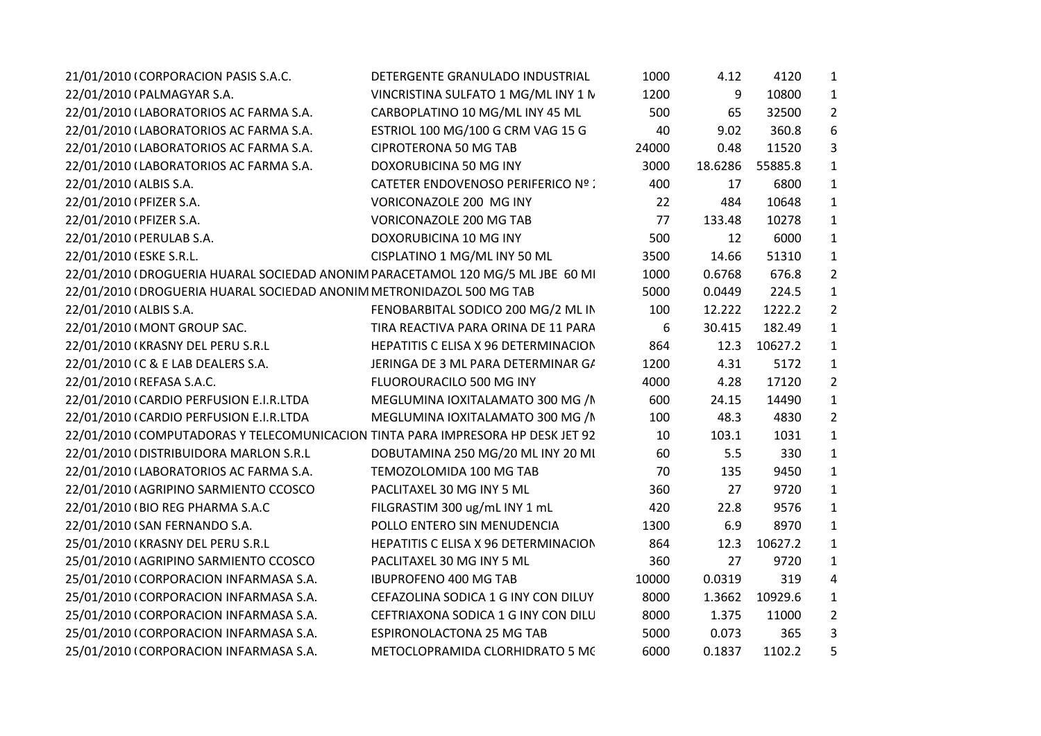| 21/01/2010 (CORPORACION PASIS S.A.C.                                            | DETERGENTE GRANULADO INDUSTRIAL      | 1000  | 4.12    | 4120    | $\mathbf{1}$   |  |
|---------------------------------------------------------------------------------|--------------------------------------|-------|---------|---------|----------------|--|
| 22/01/2010 (PALMAGYAR S.A.                                                      | VINCRISTINA SULFATO 1 MG/ML INY 1 N  | 1200  | 9       | 10800   | $\mathbf{1}$   |  |
| 22/01/2010 (LABORATORIOS AC FARMA S.A.                                          | CARBOPLATINO 10 MG/ML INY 45 ML      | 500   | 65      | 32500   | $\overline{2}$ |  |
| 22/01/2010 (LABORATORIOS AC FARMA S.A.                                          | ESTRIOL 100 MG/100 G CRM VAG 15 G    | 40    | 9.02    | 360.8   | 6              |  |
| 22/01/2010 (LABORATORIOS AC FARMA S.A.                                          | <b>CIPROTERONA 50 MG TAB</b>         | 24000 | 0.48    | 11520   | 3              |  |
| 22/01/2010 (LABORATORIOS AC FARMA S.A.                                          | DOXORUBICINA 50 MG INY               | 3000  | 18.6286 | 55885.8 | $\mathbf{1}$   |  |
| 22/01/2010 (ALBIS S.A.                                                          | CATETER ENDOVENOSO PERIFERICO Nº :   | 400   | 17      | 6800    | $\mathbf{1}$   |  |
| 22/01/2010 (PFIZER S.A.                                                         | VORICONAZOLE 200 MG INY              | 22    | 484     | 10648   | $\mathbf{1}$   |  |
| 22/01/2010 (PFIZER S.A.                                                         | <b>VORICONAZOLE 200 MG TAB</b>       | 77    | 133.48  | 10278   | $\mathbf{1}$   |  |
| 22/01/2010 (PERULAB S.A.                                                        | DOXORUBICINA 10 MG INY               | 500   | 12      | 6000    | $\mathbf{1}$   |  |
| 22/01/2010 (ESKE S.R.L.                                                         | CISPLATINO 1 MG/ML INY 50 ML         | 3500  | 14.66   | 51310   | $\mathbf{1}$   |  |
| 22/01/2010 (DROGUERIA HUARAL SOCIEDAD ANONIM PARACETAMOL 120 MG/5 ML JBE 60 MI  |                                      | 1000  | 0.6768  | 676.8   | $\overline{2}$ |  |
| 22/01/2010 (DROGUERIA HUARAL SOCIEDAD ANONIM METRONIDAZOL 500 MG TAB            |                                      | 5000  | 0.0449  | 224.5   | 1              |  |
| 22/01/2010 (ALBIS S.A.                                                          | FENOBARBITAL SODICO 200 MG/2 ML IN   | 100   | 12.222  | 1222.2  | $\overline{2}$ |  |
| 22/01/2010 (MONT GROUP SAC.                                                     | TIRA REACTIVA PARA ORINA DE 11 PARA  | 6     | 30.415  | 182.49  | $\mathbf{1}$   |  |
| 22/01/2010 (KRASNY DEL PERU S.R.L                                               | HEPATITIS C ELISA X 96 DETERMINACION | 864   | 12.3    | 10627.2 | $\mathbf{1}$   |  |
| 22/01/2010 (C & E LAB DEALERS S.A.                                              | JERINGA DE 3 ML PARA DETERMINAR G/   | 1200  | 4.31    | 5172    | $\mathbf{1}$   |  |
| 22/01/2010 (REFASA S.A.C.                                                       | FLUOROURACILO 500 MG INY             | 4000  | 4.28    | 17120   | $\overline{2}$ |  |
| 22/01/2010 (CARDIO PERFUSION E.I.R.LTDA                                         | MEGLUMINA IOXITALAMATO 300 MG /N     | 600   | 24.15   | 14490   | $\mathbf{1}$   |  |
| 22/01/2010 (CARDIO PERFUSION E.I.R.LTDA                                         | MEGLUMINA IOXITALAMATO 300 MG /N     | 100   | 48.3    | 4830    | $\overline{2}$ |  |
| 22/01/2010 (COMPUTADORAS Y TELECOMUNICACION TINTA PARA IMPRESORA HP DESK JET 92 |                                      | 10    | 103.1   | 1031    | $\mathbf{1}$   |  |
| 22/01/2010 (DISTRIBUIDORA MARLON S.R.L                                          | DOBUTAMINA 250 MG/20 ML INY 20 MI    | 60    | 5.5     | 330     | $\mathbf{1}$   |  |
| 22/01/2010 (LABORATORIOS AC FARMA S.A.                                          | TEMOZOLOMIDA 100 MG TAB              | 70    | 135     | 9450    | $\mathbf{1}$   |  |
| 22/01/2010 (AGRIPINO SARMIENTO CCOSCO                                           | PACLITAXEL 30 MG INY 5 ML            | 360   | 27      | 9720    | $\mathbf{1}$   |  |
| 22/01/2010 (BIO REG PHARMA S.A.C                                                | FILGRASTIM 300 ug/mL INY 1 mL        | 420   | 22.8    | 9576    | $\mathbf{1}$   |  |
| 22/01/2010 (SAN FERNANDO S.A.                                                   | POLLO ENTERO SIN MENUDENCIA          | 1300  | 6.9     | 8970    | $\mathbf{1}$   |  |
| 25/01/2010 (KRASNY DEL PERU S.R.L                                               | HEPATITIS C ELISA X 96 DETERMINACION | 864   | 12.3    | 10627.2 | $\mathbf{1}$   |  |
| 25/01/2010 (AGRIPINO SARMIENTO CCOSCO                                           | PACLITAXEL 30 MG INY 5 ML            | 360   | 27      | 9720    | $\mathbf{1}$   |  |
| 25/01/2010 (CORPORACION INFARMASA S.A.                                          | <b>IBUPROFENO 400 MG TAB</b>         | 10000 | 0.0319  | 319     | 4              |  |
| 25/01/2010 (CORPORACION INFARMASA S.A.                                          | CEFAZOLINA SODICA 1 G INY CON DILUY  | 8000  | 1.3662  | 10929.6 | $\mathbf{1}$   |  |
| 25/01/2010 (CORPORACION INFARMASA S.A.                                          | CEFTRIAXONA SODICA 1 G INY CON DILU  | 8000  | 1.375   | 11000   | $\overline{2}$ |  |
| 25/01/2010 (CORPORACION INFARMASA S.A.                                          | <b>ESPIRONOLACTONA 25 MG TAB</b>     | 5000  | 0.073   | 365     | 3              |  |
| 25/01/2010 (CORPORACION INFARMASA S.A.                                          | METOCLOPRAMIDA CLORHIDRATO 5 MC      | 6000  | 0.1837  | 1102.2  | 5              |  |
|                                                                                 |                                      |       |         |         |                |  |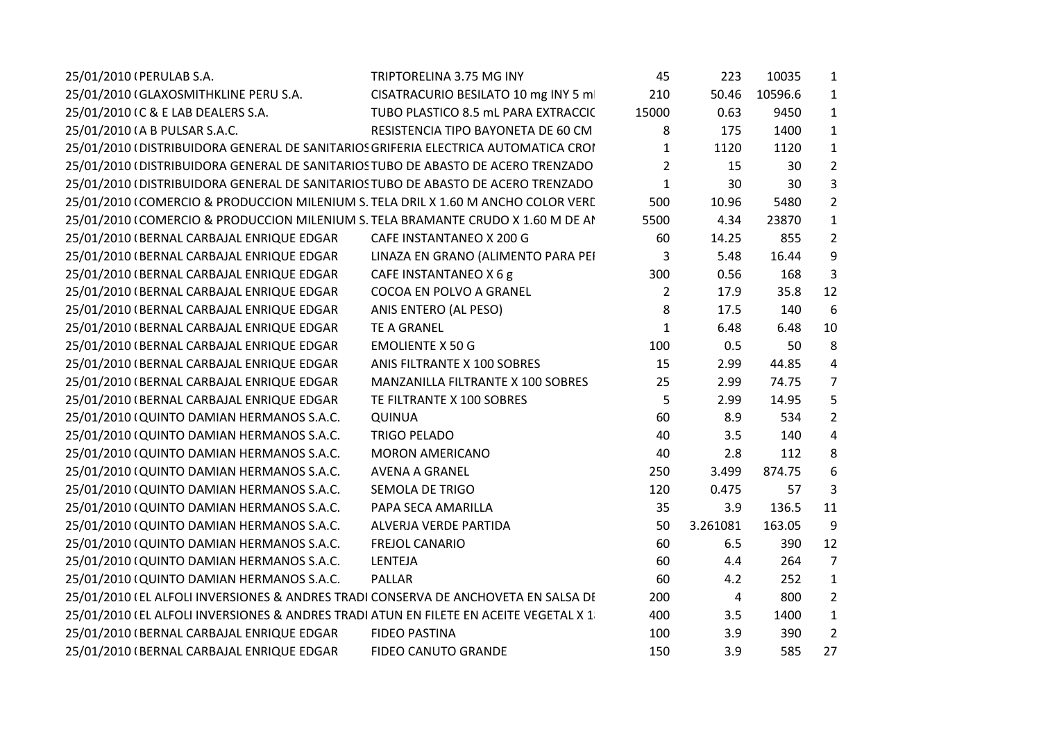| 25/01/2010 (PERULAB S.A.                                                              | TRIPTORELINA 3.75 MG INY            | 45             | 223            | 10035   | 1              |
|---------------------------------------------------------------------------------------|-------------------------------------|----------------|----------------|---------|----------------|
| 25/01/2010 (GLAXOSMITHKLINE PERU S.A.                                                 | CISATRACURIO BESILATO 10 mg INY 5 m | 210            | 50.46          | 10596.6 | $\mathbf{1}$   |
| 25/01/2010 IC & E LAB DEALERS S.A.                                                    | TUBO PLASTICO 8.5 mL PARA EXTRACCIC | 15000          | 0.63           | 9450    | 1              |
| 25/01/2010 (A B PULSAR S.A.C.                                                         | RESISTENCIA TIPO BAYONETA DE 60 CM  | 8              | 175            | 1400    | $\mathbf{1}$   |
| 25/01/2010 (DISTRIBUIDORA GENERAL DE SANITARIOS GRIFERIA ELECTRICA AUTOMATICA CROI    |                                     | $\mathbf{1}$   | 1120           | 1120    | $\mathbf{1}$   |
| 25/01/2010 (DISTRIBUIDORA GENERAL DE SANITARIOS TUBO DE ABASTO DE ACERO TRENZADO      |                                     | $\overline{2}$ | 15             | 30      | $\overline{2}$ |
| 25/01/2010 (DISTRIBUIDORA GENERAL DE SANITARIOS TUBO DE ABASTO DE ACERO TRENZADO      |                                     | 1              | 30             | 30      | 3              |
| 25/01/2010 (COMERCIO & PRODUCCION MILENIUM S. TELA DRIL X 1.60 M ANCHO COLOR VERE     |                                     | 500            | 10.96          | 5480    | $\overline{2}$ |
| 25/01/2010 (COMERCIO & PRODUCCION MILENIUM S. TELA BRAMANTE CRUDO X 1.60 M DE AI      |                                     | 5500           | 4.34           | 23870   | $\mathbf{1}$   |
| 25/01/2010 (BERNAL CARBAJAL ENRIQUE EDGAR                                             | CAFE INSTANTANEO X 200 G            | 60             | 14.25          | 855     | $\overline{2}$ |
| 25/01/2010 (BERNAL CARBAJAL ENRIQUE EDGAR                                             | LINAZA EN GRANO (ALIMENTO PARA PEI  | 3              | 5.48           | 16.44   | 9              |
| 25/01/2010 (BERNAL CARBAJAL ENRIQUE EDGAR                                             | CAFE INSTANTANEO X 6 g              | 300            | 0.56           | 168     | 3              |
| 25/01/2010 (BERNAL CARBAJAL ENRIQUE EDGAR                                             | COCOA EN POLVO A GRANEL             | $\overline{2}$ | 17.9           | 35.8    | 12             |
| 25/01/2010 (BERNAL CARBAJAL ENRIQUE EDGAR                                             | ANIS ENTERO (AL PESO)               | 8              | 17.5           | 140     | 6              |
| 25/01/2010 (BERNAL CARBAJAL ENRIQUE EDGAR                                             | <b>TE A GRANEL</b>                  | 1              | 6.48           | 6.48    | 10             |
| 25/01/2010 (BERNAL CARBAJAL ENRIQUE EDGAR                                             | <b>EMOLIENTE X 50 G</b>             | 100            | 0.5            | 50      | 8              |
| 25/01/2010 (BERNAL CARBAJAL ENRIQUE EDGAR                                             | ANIS FILTRANTE X 100 SOBRES         | 15             | 2.99           | 44.85   | 4              |
| 25/01/2010 (BERNAL CARBAJAL ENRIQUE EDGAR                                             | MANZANILLA FILTRANTE X 100 SOBRES   | 25             | 2.99           | 74.75   | $\overline{7}$ |
| 25/01/2010 (BERNAL CARBAJAL ENRIQUE EDGAR                                             | TE FILTRANTE X 100 SOBRES           | 5              | 2.99           | 14.95   | 5              |
| 25/01/2010 (QUINTO DAMIAN HERMANOS S.A.C.                                             | <b>QUINUA</b>                       | 60             | 8.9            | 534     | $\overline{2}$ |
| 25/01/2010 (QUINTO DAMIAN HERMANOS S.A.C.                                             | <b>TRIGO PELADO</b>                 | 40             | 3.5            | 140     | 4              |
| 25/01/2010 (QUINTO DAMIAN HERMANOS S.A.C.                                             | <b>MORON AMERICANO</b>              | 40             | 2.8            | 112     | 8              |
| 25/01/2010 (QUINTO DAMIAN HERMANOS S.A.C.                                             | <b>AVENA A GRANEL</b>               | 250            | 3.499          | 874.75  | 6              |
| 25/01/2010 (QUINTO DAMIAN HERMANOS S.A.C.                                             | <b>SEMOLA DE TRIGO</b>              | 120            | 0.475          | 57      | 3              |
| 25/01/2010 (QUINTO DAMIAN HERMANOS S.A.C.                                             | PAPA SECA AMARILLA                  | 35             | 3.9            | 136.5   | 11             |
| 25/01/2010 (QUINTO DAMIAN HERMANOS S.A.C.                                             | ALVERJA VERDE PARTIDA               | 50             | 3.261081       | 163.05  | 9              |
| 25/01/2010 (QUINTO DAMIAN HERMANOS S.A.C.                                             | <b>FREJOL CANARIO</b>               | 60             | 6.5            | 390     | 12             |
| 25/01/2010 (QUINTO DAMIAN HERMANOS S.A.C.                                             | LENTEJA                             | 60             | 4.4            | 264     | $\overline{7}$ |
| 25/01/2010 (QUINTO DAMIAN HERMANOS S.A.C.                                             | <b>PALLAR</b>                       | 60             | 4.2            | 252     | $\mathbf{1}$   |
| 25/01/2010 (EL ALFOLI INVERSIONES & ANDRES TRADI CONSERVA DE ANCHOVETA EN SALSA DI    |                                     | 200            | $\overline{4}$ | 800     | $\overline{2}$ |
| 25/01/2010 (EL ALFOLI INVERSIONES & ANDRES TRADI ATUN EN FILETE EN ACEITE VEGETAL X 1 |                                     | 400            | 3.5            | 1400    | $\mathbf{1}$   |
| 25/01/2010 (BERNAL CARBAJAL ENRIQUE EDGAR                                             | <b>FIDEO PASTINA</b>                | 100            | 3.9            | 390     | $\overline{2}$ |
| 25/01/2010 (BERNAL CARBAJAL ENRIQUE EDGAR                                             | <b>FIDEO CANUTO GRANDE</b>          | 150            | 3.9            | 585     | 27             |
|                                                                                       |                                     |                |                |         |                |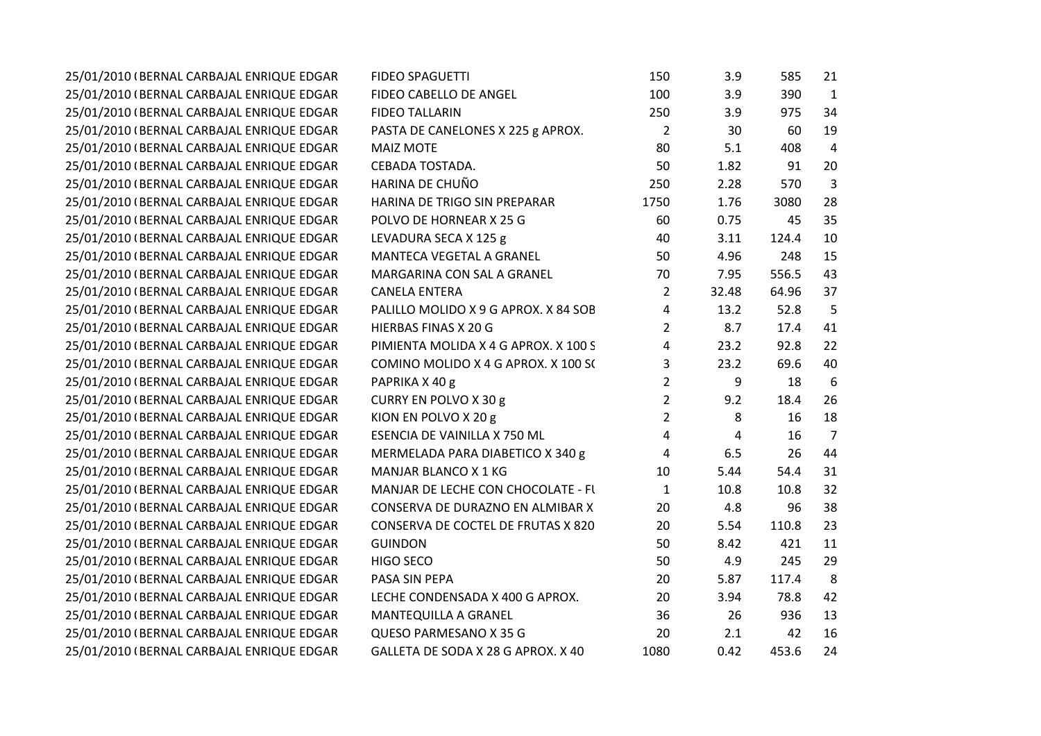| 25/01/2010 (BERNAL CARBAJAL ENRIQUE EDGAR | <b>FIDEO SPAGUETTI</b>               | 150            | 3.9   | 585   | 21             |  |
|-------------------------------------------|--------------------------------------|----------------|-------|-------|----------------|--|
| 25/01/2010 (BERNAL CARBAJAL ENRIQUE EDGAR | FIDEO CABELLO DE ANGEL               | 100            | 3.9   | 390   | $\mathbf{1}$   |  |
| 25/01/2010 (BERNAL CARBAJAL ENRIQUE EDGAR | <b>FIDEO TALLARIN</b>                | 250            | 3.9   | 975   | 34             |  |
| 25/01/2010 (BERNAL CARBAJAL ENRIQUE EDGAR | PASTA DE CANELONES X 225 g APROX.    | $\overline{2}$ | 30    | 60    | 19             |  |
| 25/01/2010 (BERNAL CARBAJAL ENRIQUE EDGAR | <b>MAIZ MOTE</b>                     | 80             | 5.1   | 408   | $\overline{4}$ |  |
| 25/01/2010 (BERNAL CARBAJAL ENRIQUE EDGAR | CEBADA TOSTADA.                      | 50             | 1.82  | 91    | 20             |  |
| 25/01/2010 (BERNAL CARBAJAL ENRIQUE EDGAR | HARINA DE CHUÑO                      | 250            | 2.28  | 570   | 3              |  |
| 25/01/2010 (BERNAL CARBAJAL ENRIQUE EDGAR | HARINA DE TRIGO SIN PREPARAR         | 1750           | 1.76  | 3080  | 28             |  |
| 25/01/2010 (BERNAL CARBAJAL ENRIQUE EDGAR | POLVO DE HORNEAR X 25 G              | 60             | 0.75  | 45    | 35             |  |
| 25/01/2010 (BERNAL CARBAJAL ENRIQUE EDGAR | LEVADURA SECA X 125 g                | 40             | 3.11  | 124.4 | 10             |  |
| 25/01/2010 (BERNAL CARBAJAL ENRIQUE EDGAR | MANTECA VEGETAL A GRANEL             | 50             | 4.96  | 248   | 15             |  |
| 25/01/2010 (BERNAL CARBAJAL ENRIQUE EDGAR | MARGARINA CON SAL A GRANEL           | 70             | 7.95  | 556.5 | 43             |  |
| 25/01/2010 (BERNAL CARBAJAL ENRIQUE EDGAR | <b>CANELA ENTERA</b>                 | $\overline{2}$ | 32.48 | 64.96 | 37             |  |
| 25/01/2010 (BERNAL CARBAJAL ENRIQUE EDGAR | PALILLO MOLIDO X 9 G APROX. X 84 SOB | 4              | 13.2  | 52.8  | 5              |  |
| 25/01/2010 (BERNAL CARBAJAL ENRIQUE EDGAR | HIERBAS FINAS X 20 G                 | $\overline{2}$ | 8.7   | 17.4  | 41             |  |
| 25/01/2010 (BERNAL CARBAJAL ENRIQUE EDGAR | PIMIENTA MOLIDA X 4 G APROX. X 100 S | 4              | 23.2  | 92.8  | 22             |  |
| 25/01/2010 (BERNAL CARBAJAL ENRIQUE EDGAR | COMINO MOLIDO X 4 G APROX. X 100 S(  | 3              | 23.2  | 69.6  | 40             |  |
| 25/01/2010 (BERNAL CARBAJAL ENRIQUE EDGAR | PAPRIKA X 40 g                       | $\overline{2}$ | 9     | 18    | 6              |  |
| 25/01/2010 (BERNAL CARBAJAL ENRIQUE EDGAR | CURRY EN POLVO X 30 g                | $\overline{2}$ | 9.2   | 18.4  | 26             |  |
| 25/01/2010 (BERNAL CARBAJAL ENRIQUE EDGAR | KION EN POLVO X 20 g                 | $\overline{2}$ | 8     | 16    | 18             |  |
| 25/01/2010 (BERNAL CARBAJAL ENRIQUE EDGAR | ESENCIA DE VAINILLA X 750 ML         | 4              | 4     | 16    | 7              |  |
| 25/01/2010 (BERNAL CARBAJAL ENRIQUE EDGAR | MERMELADA PARA DIABETICO X 340 g     | 4              | 6.5   | 26    | 44             |  |
| 25/01/2010 (BERNAL CARBAJAL ENRIQUE EDGAR | <b>MANJAR BLANCO X 1 KG</b>          | 10             | 5.44  | 54.4  | 31             |  |
| 25/01/2010 (BERNAL CARBAJAL ENRIQUE EDGAR | MANJAR DE LECHE CON CHOCOLATE - FI   | $\mathbf{1}$   | 10.8  | 10.8  | 32             |  |
| 25/01/2010 (BERNAL CARBAJAL ENRIQUE EDGAR | CONSERVA DE DURAZNO EN ALMIBAR X     | 20             | 4.8   | 96    | 38             |  |
| 25/01/2010 (BERNAL CARBAJAL ENRIQUE EDGAR | CONSERVA DE COCTEL DE FRUTAS X 820   | 20             | 5.54  | 110.8 | 23             |  |
| 25/01/2010 (BERNAL CARBAJAL ENRIQUE EDGAR | <b>GUINDON</b>                       | 50             | 8.42  | 421   | 11             |  |
| 25/01/2010 (BERNAL CARBAJAL ENRIQUE EDGAR | HIGO SECO                            | 50             | 4.9   | 245   | 29             |  |
| 25/01/2010 (BERNAL CARBAJAL ENRIQUE EDGAR | PASA SIN PEPA                        | 20             | 5.87  | 117.4 | 8              |  |
| 25/01/2010 (BERNAL CARBAJAL ENRIQUE EDGAR | LECHE CONDENSADA X 400 G APROX.      | 20             | 3.94  | 78.8  | 42             |  |
| 25/01/2010 (BERNAL CARBAJAL ENRIQUE EDGAR | MANTEQUILLA A GRANEL                 | 36             | 26    | 936   | 13             |  |
| 25/01/2010 (BERNAL CARBAJAL ENRIQUE EDGAR | QUESO PARMESANO X 35 G               | 20             | 2.1   | 42    | 16             |  |
| 25/01/2010 (BERNAL CARBAJAL ENRIQUE EDGAR | GALLETA DE SODA X 28 G APROX. X 40   | 1080           | 0.42  | 453.6 | 24             |  |
|                                           |                                      |                |       |       |                |  |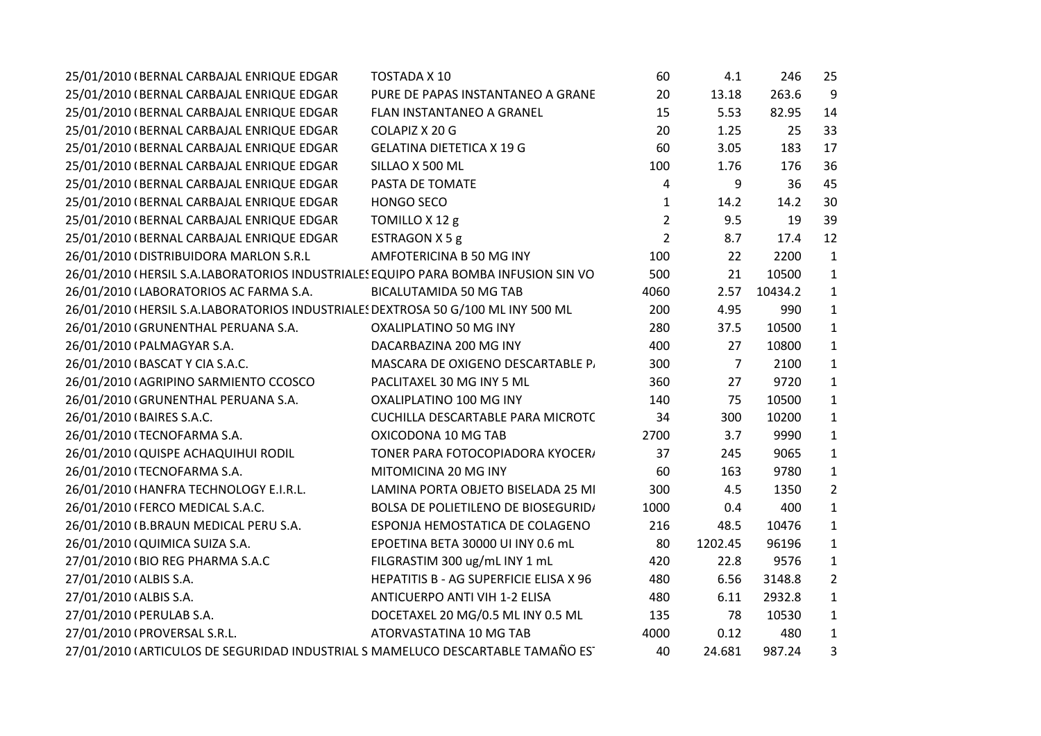| 25/01/2010 (BERNAL CARBAJAL ENRIQUE EDGAR                                          | TOSTADA X 10                               | 60             | 4.1     | 246     | 25             |
|------------------------------------------------------------------------------------|--------------------------------------------|----------------|---------|---------|----------------|
| 25/01/2010 (BERNAL CARBAJAL ENRIQUE EDGAR                                          | PURE DE PAPAS INSTANTANEO A GRANE          | 20             | 13.18   | 263.6   | 9              |
| 25/01/2010 (BERNAL CARBAJAL ENRIQUE EDGAR                                          | FLAN INSTANTANEO A GRANEL                  | 15             | 5.53    | 82.95   | 14             |
| 25/01/2010 (BERNAL CARBAJAL ENRIQUE EDGAR                                          | COLAPIZ X 20 G                             | 20             | 1.25    | 25      | 33             |
| 25/01/2010 (BERNAL CARBAJAL ENRIQUE EDGAR                                          | <b>GELATINA DIETETICA X 19 G</b>           | 60             | 3.05    | 183     | 17             |
| 25/01/2010 (BERNAL CARBAJAL ENRIQUE EDGAR                                          | SILLAO X 500 ML                            | 100            | 1.76    | 176     | 36             |
| 25/01/2010 (BERNAL CARBAJAL ENRIQUE EDGAR                                          | PASTA DE TOMATE                            | 4              | 9       | 36      | 45             |
| 25/01/2010 (BERNAL CARBAJAL ENRIQUE EDGAR                                          | <b>HONGO SECO</b>                          | 1              | 14.2    | 14.2    | 30             |
| 25/01/2010 (BERNAL CARBAJAL ENRIQUE EDGAR                                          | TOMILLO X 12 g                             | $\overline{2}$ | 9.5     | 19      | 39             |
| 25/01/2010 (BERNAL CARBAJAL ENRIQUE EDGAR                                          | ESTRAGON X 5 g                             | $\overline{2}$ | 8.7     | 17.4    | 12             |
| 26/01/2010 (DISTRIBUIDORA MARLON S.R.L                                             | AMFOTERICINA B 50 MG INY                   | 100            | 22      | 2200    | $\mathbf{1}$   |
| 26/01/2010 (HERSIL S.A.LABORATORIOS INDUSTRIALES EQUIPO PARA BOMBA INFUSION SIN VO |                                            | 500            | 21      | 10500   | $\mathbf{1}$   |
| 26/01/2010 (LABORATORIOS AC FARMA S.A.                                             | <b>BICALUTAMIDA 50 MG TAB</b>              | 4060           | 2.57    | 10434.2 | $\mathbf{1}$   |
| 26/01/2010 (HERSIL S.A.LABORATORIOS INDUSTRIALES DEXTROSA 50 G/100 ML INY 500 ML   |                                            | 200            | 4.95    | 990     | $\mathbf{1}$   |
| 26/01/2010 (GRUNENTHAL PERUANA S.A.                                                | OXALIPLATINO 50 MG INY                     | 280            | 37.5    | 10500   | $\mathbf{1}$   |
| 26/01/2010 (PALMAGYAR S.A.                                                         | DACARBAZINA 200 MG INY                     | 400            | 27      | 10800   | $\mathbf{1}$   |
| 26/01/2010 (BASCAT Y CIA S.A.C.                                                    | MASCARA DE OXIGENO DESCARTABLE P.          | 300            | 7       | 2100    | $\mathbf{1}$   |
| 26/01/2010 (AGRIPINO SARMIENTO CCOSCO                                              | PACLITAXEL 30 MG INY 5 ML                  | 360            | 27      | 9720    | $\mathbf{1}$   |
| 26/01/2010 (GRUNENTHAL PERUANA S.A.                                                | OXALIPLATINO 100 MG INY                    | 140            | 75      | 10500   | $\mathbf{1}$   |
| 26/01/2010 (BAIRES S.A.C.                                                          | CUCHILLA DESCARTABLE PARA MICROTO          | 34             | 300     | 10200   | $\mathbf{1}$   |
| 26/01/2010 (TECNOFARMA S.A.                                                        | OXICODONA 10 MG TAB                        | 2700           | 3.7     | 9990    | $\mathbf{1}$   |
| 26/01/2010 (QUISPE ACHAQUIHUI RODIL                                                | TONER PARA FOTOCOPIADORA KYOCER/           | 37             | 245     | 9065    | $\mathbf{1}$   |
| 26/01/2010 (TECNOFARMA S.A.                                                        | MITOMICINA 20 MG INY                       | 60             | 163     | 9780    | $\mathbf{1}$   |
| 26/01/2010 (HANFRA TECHNOLOGY E.I.R.L.                                             | LAMINA PORTA OBJETO BISELADA 25 MI         | 300            | 4.5     | 1350    | $\overline{2}$ |
| 26/01/2010 (FERCO MEDICAL S.A.C.                                                   | <b>BOLSA DE POLIETILENO DE BIOSEGURID/</b> | 1000           | 0.4     | 400     | $\mathbf{1}$   |
| 26/01/2010 (B.BRAUN MEDICAL PERU S.A.                                              | ESPONJA HEMOSTATICA DE COLAGENO            | 216            | 48.5    | 10476   | $\mathbf{1}$   |
| 26/01/2010 (QUIMICA SUIZA S.A.                                                     | EPOETINA BETA 30000 UI INY 0.6 mL          | 80             | 1202.45 | 96196   | $\mathbf{1}$   |
| 27/01/2010 (BIO REG PHARMA S.A.C                                                   | FILGRASTIM 300 ug/mL INY 1 mL              | 420            | 22.8    | 9576    | $\mathbf{1}$   |
| 27/01/2010 (ALBIS S.A.                                                             | HEPATITIS B - AG SUPERFICIE ELISA X 96     | 480            | 6.56    | 3148.8  | $\overline{2}$ |
| 27/01/2010 (ALBIS S.A.                                                             | <b>ANTICUERPO ANTI VIH 1-2 ELISA</b>       | 480            | 6.11    | 2932.8  | $\mathbf{1}$   |
| 27/01/2010 (PERULAB S.A.                                                           | DOCETAXEL 20 MG/0.5 ML INY 0.5 ML          | 135            | 78      | 10530   | $\mathbf{1}$   |
| 27/01/2010 (PROVERSAL S.R.L.                                                       | ATORVASTATINA 10 MG TAB                    | 4000           | 0.12    | 480     | $\mathbf{1}$   |
| 27/01/2010 (ARTICULOS DE SEGURIDAD INDUSTRIAL S MAMELUCO DESCARTABLE TAMAÑO ES'    |                                            | 40             | 24.681  | 987.24  | 3              |
|                                                                                    |                                            |                |         |         |                |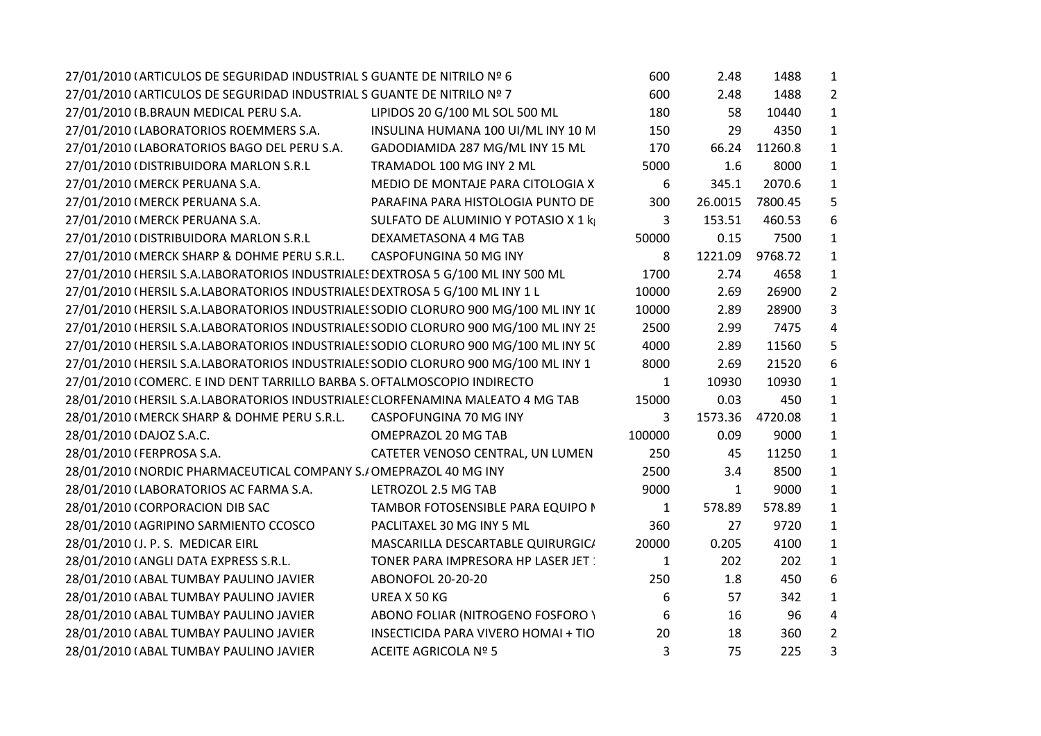| 27/01/2010 (ARTICULOS DE SEGURIDAD INDUSTRIAL S GUANTE DE NITRILO Nº 6              |                                            | 600          | 2.48         | 1488    | $\mathbf{1}$   |
|-------------------------------------------------------------------------------------|--------------------------------------------|--------------|--------------|---------|----------------|
| 27/01/2010 (ARTICULOS DE SEGURIDAD INDUSTRIAL S GUANTE DE NITRILO Nº 7              |                                            | 600          | 2.48         | 1488    | $\overline{2}$ |
| 27/01/2010 (B.BRAUN MEDICAL PERU S.A.                                               | LIPIDOS 20 G/100 ML SOL 500 ML             | 180          | 58           | 10440   | $\mathbf{1}$   |
| 27/01/2010 (LABORATORIOS ROEMMERS S.A.                                              | INSULINA HUMANA 100 UI/ML INY 10 M         | 150          | 29           | 4350    | $\mathbf{1}$   |
| 27/01/2010 (LABORATORIOS BAGO DEL PERU S.A.                                         | GADODIAMIDA 287 MG/ML INY 15 ML            | 170          | 66.24        | 11260.8 | $\mathbf{1}$   |
| 27/01/2010 (DISTRIBUIDORA MARLON S.R.L                                              | TRAMADOL 100 MG INY 2 ML                   | 5000         | 1.6          | 8000    | $\mathbf{1}$   |
| 27/01/2010 (MERCK PERUANA S.A.                                                      | MEDIO DE MONTAJE PARA CITOLOGIA X          | 6            | 345.1        | 2070.6  | $\mathbf{1}$   |
| 27/01/2010 (MERCK PERUANA S.A.                                                      | PARAFINA PARA HISTOLOGIA PUNTO DE          | 300          | 26.0015      | 7800.45 | 5              |
| 27/01/2010 (MERCK PERUANA S.A.                                                      | SULFATO DE ALUMINIO Y POTASIO X 1 k        | 3            | 153.51       | 460.53  | 6              |
| 27/01/2010 (DISTRIBUIDORA MARLON S.R.L                                              | DEXAMETASONA 4 MG TAB                      | 50000        | 0.15         | 7500    | $\mathbf{1}$   |
| 27/01/2010 (MERCK SHARP & DOHME PERU S.R.L.                                         | CASPOFUNGINA 50 MG INY                     | 8            | 1221.09      | 9768.72 | $\mathbf{1}$   |
| 27/01/2010 (HERSIL S.A.LABORATORIOS INDUSTRIALE! DEXTROSA 5 G/100 ML INY 500 ML     |                                            | 1700         | 2.74         | 4658    | $\mathbf{1}$   |
| 27/01/2010 (HERSIL S.A.LABORATORIOS INDUSTRIALE: DEXTROSA 5 G/100 ML INY 1 L        |                                            | 10000        | 2.69         | 26900   | $\overline{2}$ |
| 27/01/2010 (HERSIL S.A.LABORATORIOS INDUSTRIALES SODIO CLORURO 900 MG/100 ML INY 1( |                                            | 10000        | 2.89         | 28900   | 3              |
| 27/01/2010 (HERSIL S.A.LABORATORIOS INDUSTRIALES SODIO CLORURO 900 MG/100 ML INY 25 |                                            | 2500         | 2.99         | 7475    | 4              |
| 27/01/2010 (HERSIL S.A.LABORATORIOS INDUSTRIALES SODIO CLORURO 900 MG/100 ML INY 5( |                                            | 4000         | 2.89         | 11560   | 5              |
| 27/01/2010 (HERSIL S.A.LABORATORIOS INDUSTRIALES SODIO CLORURO 900 MG/100 ML INY 1  |                                            | 8000         | 2.69         | 21520   | 6              |
| 27/01/2010 (COMERC. E IND DENT TARRILLO BARBA S. OFTALMOSCOPIO INDIRECTO            |                                            | 1            | 10930        | 10930   | $\mathbf{1}$   |
| 28/01/2010 (HERSIL S.A.LABORATORIOS INDUSTRIALES CLORFENAMINA MALEATO 4 MG TAB      |                                            | 15000        | 0.03         | 450     | $\mathbf{1}$   |
| 28/01/2010 (MERCK SHARP & DOHME PERU S.R.L. CASPOFUNGINA 70 MG INY                  |                                            | 3            | 1573.36      | 4720.08 | $\mathbf{1}$   |
| 28/01/2010 (DAJOZ S.A.C.                                                            | OMEPRAZOL 20 MG TAB                        | 100000       | 0.09         | 9000    | $\mathbf{1}$   |
| 28/01/2010 (FERPROSA S.A.                                                           | CATETER VENOSO CENTRAL, UN LUMEN           | 250          | 45           | 11250   | $\mathbf{1}$   |
| 28/01/2010 (NORDIC PHARMACEUTICAL COMPANY S./OMEPRAZOL 40 MG INY                    |                                            | 2500         | 3.4          | 8500    | $\mathbf{1}$   |
| 28/01/2010 (LABORATORIOS AC FARMA S.A.                                              | LETROZOL 2.5 MG TAB                        | 9000         | $\mathbf{1}$ | 9000    | $\mathbf{1}$   |
| 28/01/2010 (CORPORACION DIB SAC                                                     | TAMBOR FOTOSENSIBLE PARA EQUIPO I          | 1            | 578.89       | 578.89  | $\mathbf{1}$   |
| 28/01/2010 (AGRIPINO SARMIENTO CCOSCO                                               | PACLITAXEL 30 MG INY 5 ML                  | 360          | 27           | 9720    | $\mathbf{1}$   |
| 28/01/2010 (J. P. S. MEDICAR EIRL                                                   | MASCARILLA DESCARTABLE QUIRURGIC/          | 20000        | 0.205        | 4100    | $\mathbf{1}$   |
| 28/01/2010 (ANGLI DATA EXPRESS S.R.L.                                               | TONER PARA IMPRESORA HP LASER JET          | $\mathbf{1}$ | 202          | 202     | $\mathbf{1}$   |
| 28/01/2010 (ABAL TUMBAY PAULINO JAVIER                                              | ABONOFOL 20-20-20                          | 250          | 1.8          | 450     | 6              |
| 28/01/2010 (ABAL TUMBAY PAULINO JAVIER                                              | UREA X 50 KG                               | 6            | 57           | 342     | $\mathbf{1}$   |
| 28/01/2010 (ABAL TUMBAY PAULINO JAVIER                                              | ABONO FOLIAR (NITROGENO FOSFORO )          | 6            | 16           | 96      | 4              |
| 28/01/2010 (ABAL TUMBAY PAULINO JAVIER                                              | <b>INSECTICIDA PARA VIVERO HOMAI + TIO</b> | 20           | 18           | 360     | $\overline{2}$ |
| 28/01/2010 (ABAL TUMBAY PAULINO JAVIER                                              | ACEITE AGRICOLA Nº 5                       | 3            | 75           | 225     | 3              |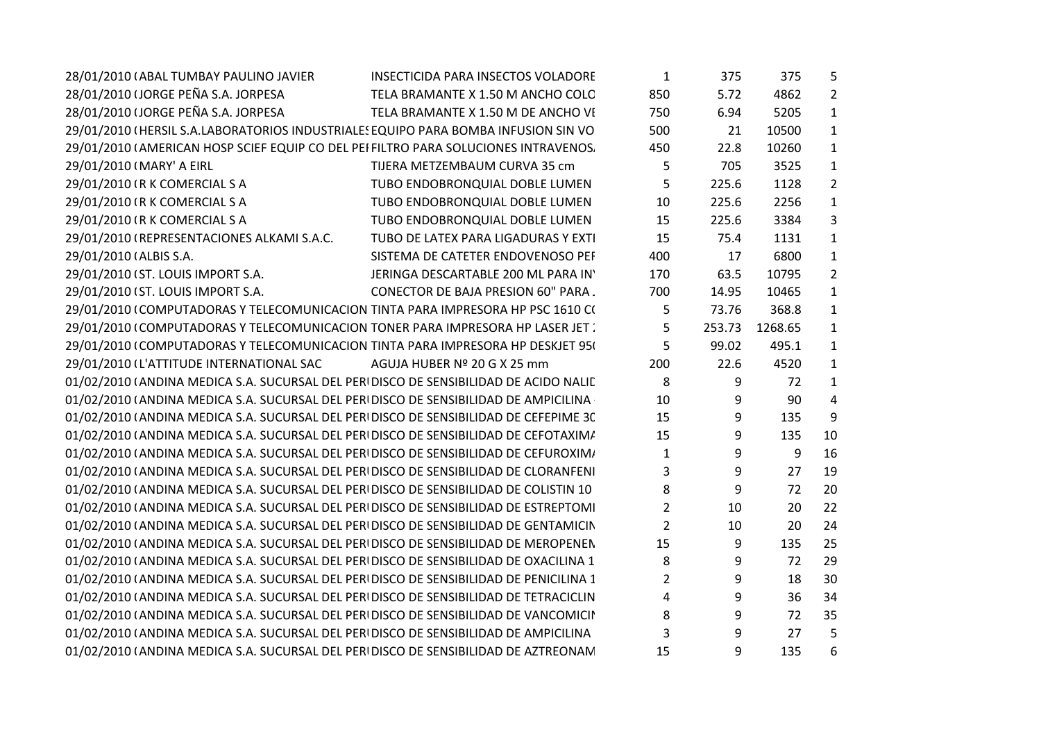| 28/01/2010 (ABAL TUMBAY PAULINO JAVIER                                                 | <b>INSECTICIDA PARA INSECTOS VOLADORE</b> | $\mathbf{1}$            | 375    | 375     | 5              |  |
|----------------------------------------------------------------------------------------|-------------------------------------------|-------------------------|--------|---------|----------------|--|
| 28/01/2010 (JORGE PEÑA S.A. JORPESA                                                    | TELA BRAMANTE X 1.50 M ANCHO COLC         | 850                     | 5.72   | 4862    | $\overline{2}$ |  |
| 28/01/2010 (JORGE PEÑA S.A. JORPESA                                                    | TELA BRAMANTE X 1.50 M DE ANCHO VI        | 750                     | 6.94   | 5205    | $\mathbf{1}$   |  |
| 29/01/2010 (HERSIL S.A.LABORATORIOS INDUSTRIALES EQUIPO PARA BOMBA INFUSION SIN VO     |                                           | 500                     | 21     | 10500   | $\mathbf{1}$   |  |
| 29/01/2010 (AMERICAN HOSP SCIEF EQUIP CO DEL PEI FILTRO PARA SOLUCIONES INTRAVENOS.    |                                           | 450                     | 22.8   | 10260   | $\mathbf{1}$   |  |
| 29/01/2010 (MARY' A EIRL                                                               | TIJERA METZEMBAUM CURVA 35 cm             | 5                       | 705    | 3525    | $\mathbf{1}$   |  |
| 29/01/2010 (R K COMERCIAL S A                                                          | TUBO ENDOBRONQUIAL DOBLE LUMEN            | 5                       | 225.6  | 1128    | $\overline{2}$ |  |
| 29/01/2010 (R K COMERCIAL S A                                                          | TUBO ENDOBRONQUIAL DOBLE LUMEN            | 10                      | 225.6  | 2256    | $\mathbf{1}$   |  |
| 29/01/2010 (R K COMERCIAL S A                                                          | TUBO ENDOBRONQUIAL DOBLE LUMEN            | 15                      | 225.6  | 3384    | $\overline{3}$ |  |
| 29/01/2010 (REPRESENTACIONES ALKAMI S.A.C.                                             | TUBO DE LATEX PARA LIGADURAS Y EXTI       | 15                      | 75.4   | 1131    | $\mathbf{1}$   |  |
| 29/01/2010 (ALBIS S.A.                                                                 | SISTEMA DE CATETER ENDOVENOSO PEI         | 400                     | 17     | 6800    | $\mathbf{1}$   |  |
| 29/01/2010 (ST. LOUIS IMPORT S.A.                                                      | JERINGA DESCARTABLE 200 ML PARA IN'       | 170                     | 63.5   | 10795   | $\overline{2}$ |  |
| 29/01/2010 (ST. LOUIS IMPORT S.A.                                                      | <b>CONECTOR DE BAJA PRESION 60" PARA.</b> | 700                     | 14.95  | 10465   | $\mathbf{1}$   |  |
| 29/01/2010 (COMPUTADORAS Y TELECOMUNICACION TINTA PARA IMPRESORA HP PSC 1610 C(        |                                           | 5                       | 73.76  | 368.8   | $\mathbf{1}$   |  |
| 29/01/2010 (COMPUTADORAS Y TELECOMUNICACION TONER PARA IMPRESORA HP LASER JET.         |                                           | 5                       | 253.73 | 1268.65 | $\mathbf{1}$   |  |
| 29/01/2010 (COMPUTADORAS Y TELECOMUNICACION TINTA PARA IMPRESORA HP DESKJET 95)        |                                           | 5                       | 99.02  | 495.1   | $\mathbf{1}$   |  |
| 29/01/2010 (L'ATTITUDE INTERNATIONAL SAC                                               | AGUJA HUBER Nº 20 G X 25 mm               | 200                     | 22.6   | 4520    | $\mathbf{1}$   |  |
| 01/02/2010 (ANDINA MEDICA S.A. SUCURSAL DEL PERI DISCO DE SENSIBILIDAD DE ACIDO NALIL  |                                           | 8                       | 9      | 72      | $\mathbf{1}$   |  |
| 01/02/2010 (ANDINA MEDICA S.A. SUCURSAL DEL PERIDISCO DE SENSIBILIDAD DE AMPICILINA    |                                           | 10                      | 9      | 90      | 4              |  |
| 01/02/2010 (ANDINA MEDICA S.A. SUCURSAL DEL PERIDISCO DE SENSIBILIDAD DE CEFEPIME 3C   |                                           | 15                      | 9      | 135     | 9              |  |
| 01/02/2010 (ANDINA MEDICA S.A. SUCURSAL DEL PERIDISCO DE SENSIBILIDAD DE CEFOTAXIM/    |                                           | 15                      | 9      | 135     | 10             |  |
| 01/02/2010 (ANDINA MEDICA S.A. SUCURSAL DEL PERIDISCO DE SENSIBILIDAD DE CEFUROXIM/    |                                           | $\mathbf{1}$            | 9      | 9       | 16             |  |
| 01/02/2010 (ANDINA MEDICA S.A. SUCURSAL DEL PERIDISCO DE SENSIBILIDAD DE CLORANFENI    |                                           | 3                       | 9      | 27      | 19             |  |
| 01/02/2010 (ANDINA MEDICA S.A. SUCURSAL DEL PERIDISCO DE SENSIBILIDAD DE COLISTIN 10   |                                           | 8                       | 9      | 72      | 20             |  |
| 01/02/2010 (ANDINA MEDICA S.A. SUCURSAL DEL PERI DISCO DE SENSIBILIDAD DE ESTREPTOMI   |                                           | $2^{\circ}$             | 10     | 20      | 22             |  |
| 01/02/2010 (ANDINA MEDICA S.A. SUCURSAL DEL PERI DISCO DE SENSIBILIDAD DE GENTAMICIN   |                                           | $\overline{2}$          | 10     | 20      | 24             |  |
| 01/02/2010 (ANDINA MEDICA S.A. SUCURSAL DEL PERI DISCO DE SENSIBILIDAD DE MEROPENEN    |                                           | 15                      | 9      | 135     | 25             |  |
| 01/02/2010 (ANDINA MEDICA S.A. SUCURSAL DEL PERIDISCO DE SENSIBILIDAD DE OXACILINA 1   |                                           | 8                       | 9      | 72      | 29             |  |
| 01/02/2010 (ANDINA MEDICA S.A. SUCURSAL DEL PERI DISCO DE SENSIBILIDAD DE PENICILINA 1 |                                           | $\overline{2}$          | 9      | 18      | 30             |  |
| 01/02/2010 (ANDINA MEDICA S.A. SUCURSAL DEL PERI DISCO DE SENSIBILIDAD DE TETRACICLIN  |                                           | $\overline{\mathbf{4}}$ | 9      | 36      | 34             |  |
| 01/02/2010 (ANDINA MEDICA S.A. SUCURSAL DEL PERIDISCO DE SENSIBILIDAD DE VANCOMICII    |                                           | 8                       | 9      | 72      | 35             |  |
| 01/02/2010 (ANDINA MEDICA S.A. SUCURSAL DEL PERIDISCO DE SENSIBILIDAD DE AMPICILINA    |                                           | 3                       | 9      | 27      | 5              |  |
| 01/02/2010 (ANDINA MEDICA S.A. SUCURSAL DEL PERIDISCO DE SENSIBILIDAD DE AZTREONAN     |                                           | 15                      | 9      | 135     | 6              |  |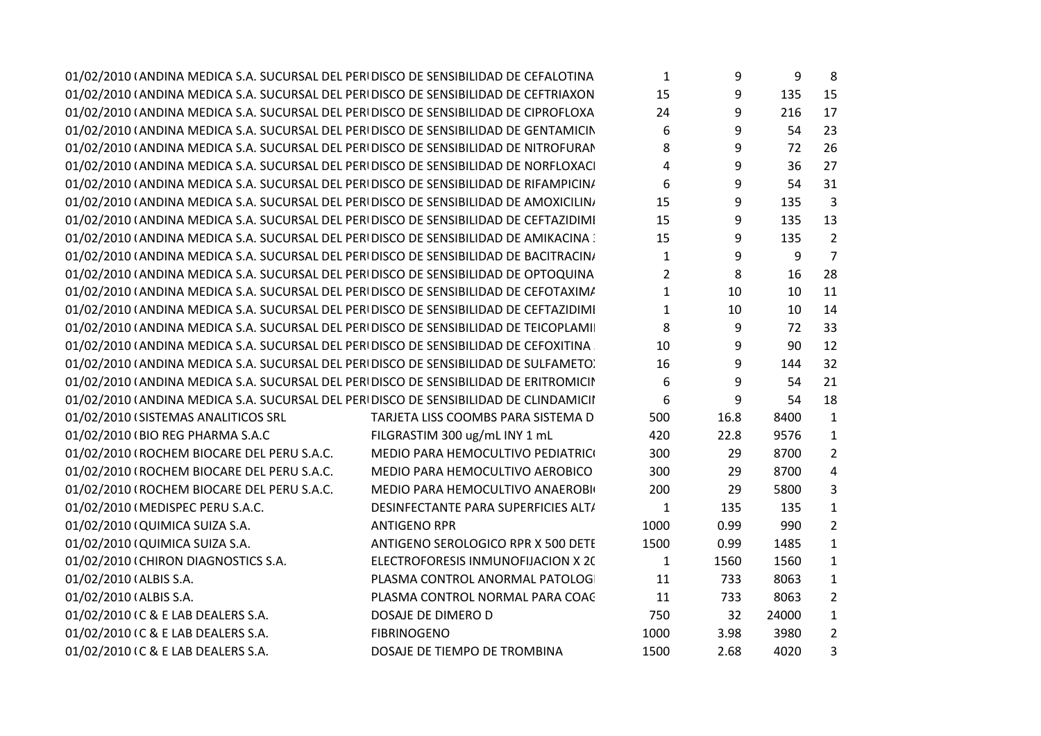| 01/02/2010 (ANDINA MEDICA S.A. SUCURSAL DEL PERIDISCO DE SENSIBILIDAD DE CEFALOTINA  |                                     | 1              | 9                | 9     | 8              |  |
|--------------------------------------------------------------------------------------|-------------------------------------|----------------|------------------|-------|----------------|--|
| 01/02/2010 (ANDINA MEDICA S.A. SUCURSAL DEL PERIDISCO DE SENSIBILIDAD DE CEFTRIAXON  |                                     | 15             | 9                | 135   | 15             |  |
| 01/02/2010 (ANDINA MEDICA S.A. SUCURSAL DEL PERIDISCO DE SENSIBILIDAD DE CIPROFLOXA  |                                     | 24             | 9                | 216   | 17             |  |
| 01/02/2010 (ANDINA MEDICA S.A. SUCURSAL DEL PERIDISCO DE SENSIBILIDAD DE GENTAMICIN  |                                     | 6              | 9                | 54    | 23             |  |
| 01/02/2010 (ANDINA MEDICA S.A. SUCURSAL DEL PERIDISCO DE SENSIBILIDAD DE NITROFURAN  |                                     | 8              | 9                | 72    | 26             |  |
| 01/02/2010 (ANDINA MEDICA S.A. SUCURSAL DEL PERIDISCO DE SENSIBILIDAD DE NORFLOXACI  |                                     | 4              | 9                | 36    | 27             |  |
| 01/02/2010 (ANDINA MEDICA S.A. SUCURSAL DEL PERIDISCO DE SENSIBILIDAD DE RIFAMPICIN/ |                                     | 6              | 9                | 54    | 31             |  |
| 01/02/2010 (ANDINA MEDICA S.A. SUCURSAL DEL PERIDISCO DE SENSIBILIDAD DE AMOXICILIN/ |                                     | 15             | 9                | 135   | $\overline{3}$ |  |
| 01/02/2010 (ANDINA MEDICA S.A. SUCURSAL DEL PERIDISCO DE SENSIBILIDAD DE CEFTAZIDIMI |                                     | 15             | 9                | 135   | 13             |  |
| 01/02/2010 (ANDINA MEDICA S.A. SUCURSAL DEL PERIDISCO DE SENSIBILIDAD DE AMIKACINA : |                                     | 15             | 9                | 135   | $\overline{2}$ |  |
| 01/02/2010 (ANDINA MEDICA S.A. SUCURSAL DEL PERIDISCO DE SENSIBILIDAD DE BACITRACIN) |                                     | $\mathbf{1}$   | 9                | 9     | $\overline{7}$ |  |
| 01/02/2010 (ANDINA MEDICA S.A. SUCURSAL DEL PERIDISCO DE SENSIBILIDAD DE OPTOQUINA   |                                     | $\overline{2}$ | 8                | 16    | 28             |  |
| 01/02/2010 (ANDINA MEDICA S.A. SUCURSAL DEL PERIDISCO DE SENSIBILIDAD DE CEFOTAXIM/  |                                     | $\mathbf{1}$   | 10               | 10    | 11             |  |
| 01/02/2010 (ANDINA MEDICA S.A. SUCURSAL DEL PERIDISCO DE SENSIBILIDAD DE CEFTAZIDIMI |                                     | $\mathbf{1}$   | 10               | 10    | 14             |  |
| 01/02/2010 (ANDINA MEDICA S.A. SUCURSAL DEL PERIDISCO DE SENSIBILIDAD DE TEICOPLAMI  |                                     | 8              | $\boldsymbol{9}$ | 72    | 33             |  |
| 01/02/2010 (ANDINA MEDICA S.A. SUCURSAL DEL PERI DISCO DE SENSIBILIDAD DE CEFOXITINA |                                     | 10             | 9                | 90    | 12             |  |
| 01/02/2010 (ANDINA MEDICA S.A. SUCURSAL DEL PERIDISCO DE SENSIBILIDAD DE SULFAMETO)  |                                     | 16             | 9                | 144   | 32             |  |
| 01/02/2010 (ANDINA MEDICA S.A. SUCURSAL DEL PERIDISCO DE SENSIBILIDAD DE ERITROMICII |                                     | 6              | 9                | 54    | 21             |  |
| 01/02/2010 (ANDINA MEDICA S.A. SUCURSAL DEL PERIDISCO DE SENSIBILIDAD DE CLINDAMICII |                                     | 6              | 9                | 54    | 18             |  |
| 01/02/2010 (SISTEMAS ANALITICOS SRL                                                  | TARJETA LISS COOMBS PARA SISTEMA D  | 500            | 16.8             | 8400  | $\mathbf{1}$   |  |
| 01/02/2010 (BIO REG PHARMA S.A.C                                                     | FILGRASTIM 300 ug/mL INY 1 mL       | 420            | 22.8             | 9576  | 1              |  |
| 01/02/2010 (ROCHEM BIOCARE DEL PERU S.A.C.                                           | MEDIO PARA HEMOCULTIVO PEDIATRICI   | 300            | 29               | 8700  | 2              |  |
| 01/02/2010 (ROCHEM BIOCARE DEL PERU S.A.C.                                           | MEDIO PARA HEMOCULTIVO AEROBICO     | 300            | 29               | 8700  | $\overline{4}$ |  |
| 01/02/2010 (ROCHEM BIOCARE DEL PERU S.A.C.                                           | MEDIO PARA HEMOCULTIVO ANAEROBI     | 200            | 29               | 5800  | 3              |  |
| 01/02/2010 (MEDISPEC PERU S.A.C.                                                     | DESINFECTANTE PARA SUPERFICIES ALT/ | $\mathbf{1}$   | 135              | 135   | $\mathbf{1}$   |  |
| 01/02/2010 (QUIMICA SUIZA S.A.                                                       | <b>ANTIGENO RPR</b>                 | 1000           | 0.99             | 990   | $\overline{2}$ |  |
| 01/02/2010 (QUIMICA SUIZA S.A.                                                       | ANTIGENO SEROLOGICO RPR X 500 DETE  | 1500           | 0.99             | 1485  | $1\,$          |  |
| 01/02/2010 (CHIRON DIAGNOSTICS S.A.                                                  | ELECTROFORESIS INMUNOFIJACION X 20  | $\mathbf{1}$   | 1560             | 1560  | $\mathbf{1}$   |  |
| 01/02/2010 (ALBIS S.A.                                                               | PLASMA CONTROL ANORMAL PATOLOG      | 11             | 733              | 8063  | $\mathbf{1}$   |  |
| 01/02/2010 (ALBIS S.A.                                                               | PLASMA CONTROL NORMAL PARA COAC     | 11             | 733              | 8063  | $\overline{2}$ |  |
| 01/02/2010 (C & E LAB DEALERS S.A.                                                   | DOSAJE DE DIMERO D                  | 750            | 32               | 24000 | $1\,$          |  |
| 01/02/2010 (C & E LAB DEALERS S.A.                                                   | <b>FIBRINOGENO</b>                  | 1000           | 3.98             | 3980  | $\overline{2}$ |  |
| 01/02/2010 (C & E LAB DEALERS S.A.                                                   | DOSAJE DE TIEMPO DE TROMBINA        | 1500           | 2.68             | 4020  | 3              |  |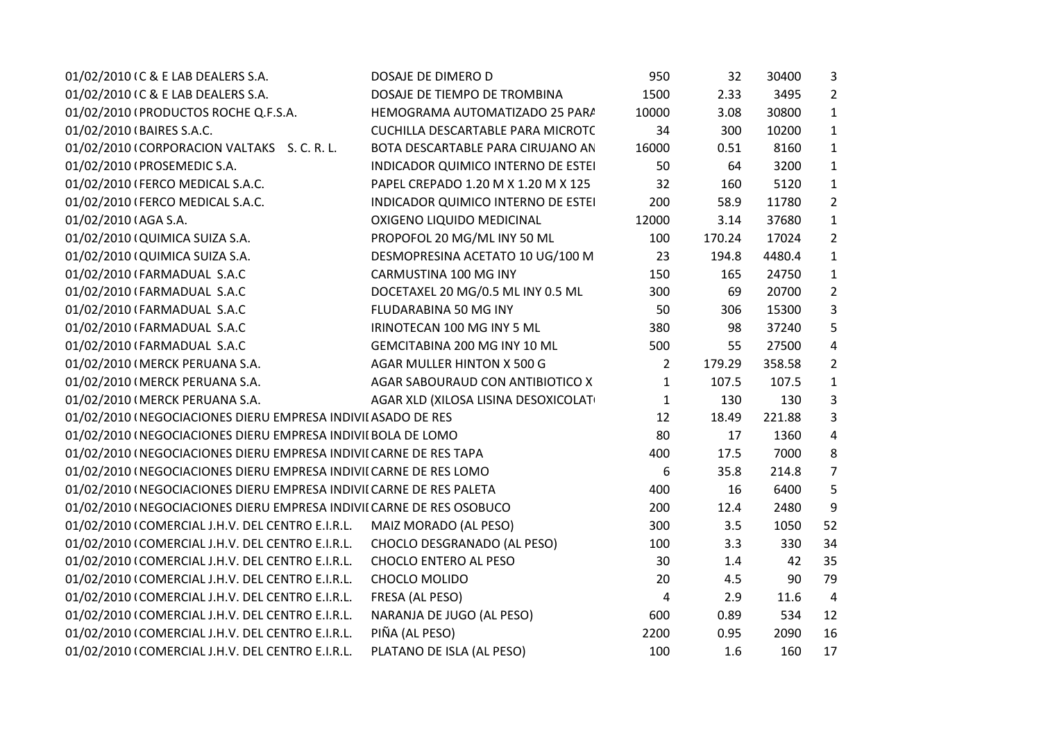| 01/02/2010 (C & E LAB DEALERS S.A.                                   | DOSAJE DE DIMERO D                  | 950            | 32     | 30400  | $\mathbf{3}$   |
|----------------------------------------------------------------------|-------------------------------------|----------------|--------|--------|----------------|
| 01/02/2010 (C & E LAB DEALERS S.A.                                   | DOSAJE DE TIEMPO DE TROMBINA        | 1500           | 2.33   | 3495   | $\overline{2}$ |
| 01/02/2010 (PRODUCTOS ROCHE Q.F.S.A.                                 | HEMOGRAMA AUTOMATIZADO 25 PARA      | 10000          | 3.08   | 30800  | $\mathbf{1}$   |
| 01/02/2010 (BAIRES S.A.C.                                            | CUCHILLA DESCARTABLE PARA MICROTC   | 34             | 300    | 10200  | $\mathbf{1}$   |
| 01/02/2010 (CORPORACION VALTAKS S.C.R.L.                             | BOTA DESCARTABLE PARA CIRUJANO AN   | 16000          | 0.51   | 8160   | $\mathbf{1}$   |
| 01/02/2010 (PROSEMEDIC S.A.                                          | INDICADOR QUIMICO INTERNO DE ESTEI  | 50             | 64     | 3200   | $\mathbf{1}$   |
| 01/02/2010 (FERCO MEDICAL S.A.C.                                     | PAPEL CREPADO 1.20 M X 1.20 M X 125 | 32             | 160    | 5120   | $\mathbf{1}$   |
| 01/02/2010 (FERCO MEDICAL S.A.C.                                     | INDICADOR QUIMICO INTERNO DE ESTEI  | 200            | 58.9   | 11780  | $\overline{2}$ |
| 01/02/2010 (AGA S.A.                                                 | OXIGENO LIQUIDO MEDICINAL           | 12000          | 3.14   | 37680  | $\mathbf{1}$   |
| 01/02/2010 (QUIMICA SUIZA S.A.                                       | PROPOFOL 20 MG/ML INY 50 ML         | 100            | 170.24 | 17024  | $\overline{2}$ |
| 01/02/2010 (QUIMICA SUIZA S.A.                                       | DESMOPRESINA ACETATO 10 UG/100 M    | 23             | 194.8  | 4480.4 | $\mathbf{1}$   |
| 01/02/2010 (FARMADUAL S.A.C                                          | CARMUSTINA 100 MG INY               | 150            | 165    | 24750  | $\mathbf{1}$   |
| 01/02/2010 (FARMADUAL S.A.C                                          | DOCETAXEL 20 MG/0.5 ML INY 0.5 ML   | 300            | 69     | 20700  | $\overline{2}$ |
| 01/02/2010 (FARMADUAL S.A.C                                          | FLUDARABINA 50 MG INY               | 50             | 306    | 15300  | 3              |
| 01/02/2010 (FARMADUAL S.A.C                                          | IRINOTECAN 100 MG INY 5 ML          | 380            | 98     | 37240  | 5              |
| 01/02/2010 (FARMADUAL S.A.C                                          | GEMCITABINA 200 MG INY 10 ML        | 500            | 55     | 27500  | 4              |
| 01/02/2010 (MERCK PERUANA S.A.                                       | AGAR MULLER HINTON X 500 G          | $\overline{2}$ | 179.29 | 358.58 | $\overline{2}$ |
| 01/02/2010 (MERCK PERUANA S.A.                                       | AGAR SABOURAUD CON ANTIBIOTICO X    | 1              | 107.5  | 107.5  | $\mathbf{1}$   |
| 01/02/2010 (MERCK PERUANA S.A.                                       | AGAR XLD (XILOSA LISINA DESOXICOLAT | $\mathbf{1}$   | 130    | 130    | $\overline{3}$ |
| 01/02/2010 (NEGOCIACIONES DIERU EMPRESA INDIVII ASADO DE RES         |                                     | 12             | 18.49  | 221.88 | $\mathbf{3}$   |
| 01/02/2010 (NEGOCIACIONES DIERU EMPRESA INDIVII BOLA DE LOMO         |                                     | 80             | 17     | 1360   | 4              |
| 01/02/2010 (NEGOCIACIONES DIERU EMPRESA INDIVII CARNE DE RES TAPA    |                                     | 400            | 17.5   | 7000   | 8              |
| 01/02/2010 (NEGOCIACIONES DIERU EMPRESA INDIVII CARNE DE RES LOMO    |                                     | 6              | 35.8   | 214.8  | $\overline{7}$ |
| 01/02/2010 (NEGOCIACIONES DIERU EMPRESA INDIVII CARNE DE RES PALETA  |                                     | 400            | 16     | 6400   | 5              |
| 01/02/2010 (NEGOCIACIONES DIERU EMPRESA INDIVII CARNE DE RES OSOBUCO |                                     | 200            | 12.4   | 2480   | 9              |
| 01/02/2010 (COMERCIAL J.H.V. DEL CENTRO E.I.R.L.                     | MAIZ MORADO (AL PESO)               | 300            | 3.5    | 1050   | 52             |
| 01/02/2010 (COMERCIAL J.H.V. DEL CENTRO E.I.R.L.                     | CHOCLO DESGRANADO (AL PESO)         | 100            | 3.3    | 330    | 34             |
| 01/02/2010 (COMERCIAL J.H.V. DEL CENTRO E.I.R.L.                     | CHOCLO ENTERO AL PESO               | 30             | 1.4    | 42     | 35             |
| 01/02/2010 (COMERCIAL J.H.V. DEL CENTRO E.I.R.L.                     | CHOCLO MOLIDO                       | 20             | 4.5    | 90     | 79             |
| 01/02/2010 (COMERCIAL J.H.V. DEL CENTRO E.I.R.L.                     | FRESA (AL PESO)                     | 4              | 2.9    | 11.6   | $\overline{4}$ |
| 01/02/2010 (COMERCIAL J.H.V. DEL CENTRO E.I.R.L.                     | NARANJA DE JUGO (AL PESO)           | 600            | 0.89   | 534    | 12             |
| 01/02/2010 (COMERCIAL J.H.V. DEL CENTRO E.I.R.L.                     | PIÑA (AL PESO)                      | 2200           | 0.95   | 2090   | 16             |
| 01/02/2010 (COMERCIAL J.H.V. DEL CENTRO E.I.R.L.                     | PLATANO DE ISLA (AL PESO)           | 100            | 1.6    | 160    | 17             |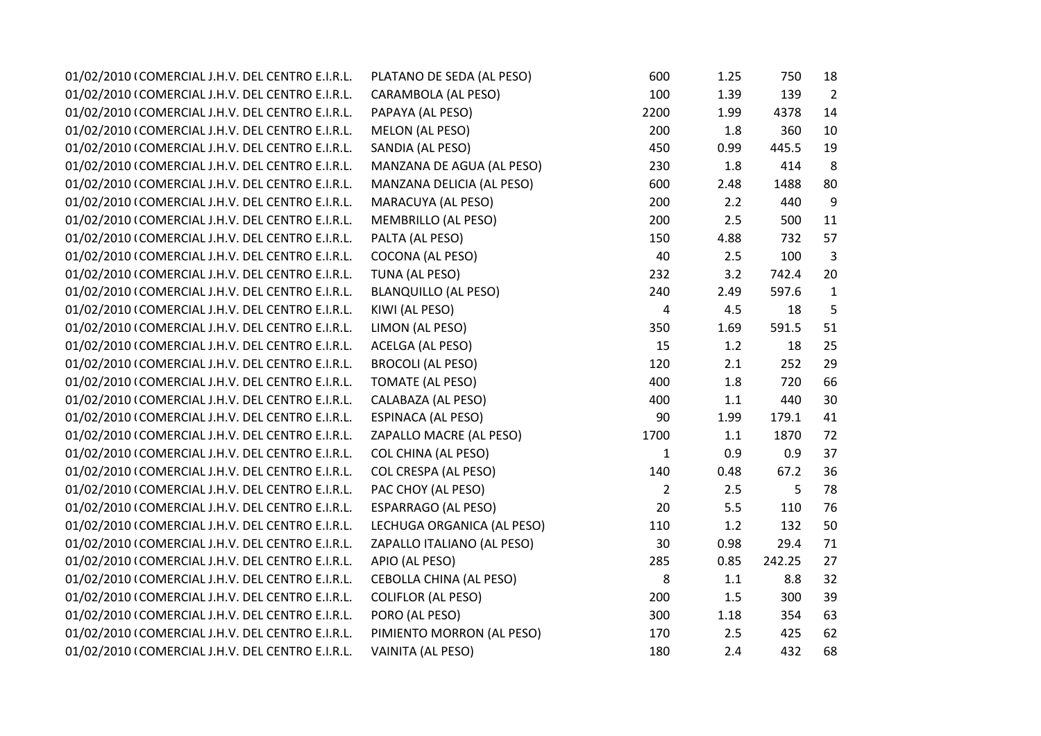| 01/02/2010 (COMERCIAL J.H.V. DEL CENTRO E.I.R.L. | PLATANO DE SEDA (AL PESO)      | 600            | 1.25 | 750    | 18             |  |
|--------------------------------------------------|--------------------------------|----------------|------|--------|----------------|--|
| 01/02/2010 (COMERCIAL J.H.V. DEL CENTRO E.I.R.L. | CARAMBOLA (AL PESO)            | 100            | 1.39 | 139    | $\overline{2}$ |  |
| 01/02/2010 (COMERCIAL J.H.V. DEL CENTRO E.I.R.L. | PAPAYA (AL PESO)               | 2200           | 1.99 | 4378   | 14             |  |
| 01/02/2010 (COMERCIAL J.H.V. DEL CENTRO E.I.R.L. | <b>MELON (AL PESO)</b>         | 200            | 1.8  | 360    | 10             |  |
| 01/02/2010 (COMERCIAL J.H.V. DEL CENTRO E.I.R.L. | SANDIA (AL PESO)               | 450            | 0.99 | 445.5  | 19             |  |
| 01/02/2010 (COMERCIAL J.H.V. DEL CENTRO E.I.R.L. | MANZANA DE AGUA (AL PESO)      | 230            | 1.8  | 414    | 8              |  |
| 01/02/2010 (COMERCIAL J.H.V. DEL CENTRO E.I.R.L. | MANZANA DELICIA (AL PESO)      | 600            | 2.48 | 1488   | 80             |  |
| 01/02/2010 (COMERCIAL J.H.V. DEL CENTRO E.I.R.L. | MARACUYA (AL PESO)             | 200            | 2.2  | 440    | 9              |  |
| 01/02/2010 (COMERCIAL J.H.V. DEL CENTRO E.I.R.L. | <b>MEMBRILLO (AL PESO)</b>     | 200            | 2.5  | 500    | 11             |  |
| 01/02/2010 (COMERCIAL J.H.V. DEL CENTRO E.I.R.L. | PALTA (AL PESO)                | 150            | 4.88 | 732    | 57             |  |
| 01/02/2010 (COMERCIAL J.H.V. DEL CENTRO E.I.R.L. | <b>COCONA (AL PESO)</b>        | 40             | 2.5  | 100    | 3              |  |
| 01/02/2010 (COMERCIAL J.H.V. DEL CENTRO E.I.R.L. | TUNA (AL PESO)                 | 232            | 3.2  | 742.4  | 20             |  |
| 01/02/2010 (COMERCIAL J.H.V. DEL CENTRO E.I.R.L. | <b>BLANQUILLO (AL PESO)</b>    | 240            | 2.49 | 597.6  | $\mathbf{1}$   |  |
| 01/02/2010 (COMERCIAL J.H.V. DEL CENTRO E.I.R.L. | KIWI (AL PESO)                 | 4              | 4.5  | 18     | 5              |  |
| 01/02/2010 (COMERCIAL J.H.V. DEL CENTRO E.I.R.L. | LIMON (AL PESO)                | 350            | 1.69 | 591.5  | 51             |  |
| 01/02/2010 (COMERCIAL J.H.V. DEL CENTRO E.I.R.L. | ACELGA (AL PESO)               | 15             | 1.2  | 18     | 25             |  |
| 01/02/2010 (COMERCIAL J.H.V. DEL CENTRO E.I.R.L. | <b>BROCOLI (AL PESO)</b>       | 120            | 2.1  | 252    | 29             |  |
| 01/02/2010 (COMERCIAL J.H.V. DEL CENTRO E.I.R.L. | <b>TOMATE (AL PESO)</b>        | 400            | 1.8  | 720    | 66             |  |
| 01/02/2010 (COMERCIAL J.H.V. DEL CENTRO E.I.R.L. | CALABAZA (AL PESO)             | 400            | 1.1  | 440    | 30             |  |
| 01/02/2010 (COMERCIAL J.H.V. DEL CENTRO E.I.R.L. | <b>ESPINACA (AL PESO)</b>      | 90             | 1.99 | 179.1  | 41             |  |
| 01/02/2010 (COMERCIAL J.H.V. DEL CENTRO E.I.R.L. | ZAPALLO MACRE (AL PESO)        | 1700           | 1.1  | 1870   | 72             |  |
| 01/02/2010 (COMERCIAL J.H.V. DEL CENTRO E.I.R.L. | <b>COL CHINA (AL PESO)</b>     | $\mathbf{1}$   | 0.9  | 0.9    | 37             |  |
| 01/02/2010 (COMERCIAL J.H.V. DEL CENTRO E.I.R.L. | <b>COL CRESPA (AL PESO)</b>    | 140            | 0.48 | 67.2   | 36             |  |
| 01/02/2010 (COMERCIAL J.H.V. DEL CENTRO E.I.R.L. | PAC CHOY (AL PESO)             | $\overline{2}$ | 2.5  | 5      | 78             |  |
| 01/02/2010 (COMERCIAL J.H.V. DEL CENTRO E.I.R.L. | <b>ESPARRAGO (AL PESO)</b>     | 20             | 5.5  | 110    | 76             |  |
| 01/02/2010 (COMERCIAL J.H.V. DEL CENTRO E.I.R.L. | LECHUGA ORGANICA (AL PESO)     | 110            | 1.2  | 132    | 50             |  |
| 01/02/2010 (COMERCIAL J.H.V. DEL CENTRO E.I.R.L. | ZAPALLO ITALIANO (AL PESO)     | 30             | 0.98 | 29.4   | 71             |  |
| 01/02/2010 (COMERCIAL J.H.V. DEL CENTRO E.I.R.L. | APIO (AL PESO)                 | 285            | 0.85 | 242.25 | 27             |  |
| 01/02/2010 (COMERCIAL J.H.V. DEL CENTRO E.I.R.L. | <b>CEBOLLA CHINA (AL PESO)</b> | 8              | 1.1  | 8.8    | 32             |  |
| 01/02/2010 (COMERCIAL J.H.V. DEL CENTRO E.I.R.L. | <b>COLIFLOR (AL PESO)</b>      | 200            | 1.5  | 300    | 39             |  |
| 01/02/2010 (COMERCIAL J.H.V. DEL CENTRO E.I.R.L. | PORO (AL PESO)                 | 300            | 1.18 | 354    | 63             |  |
| 01/02/2010 (COMERCIAL J.H.V. DEL CENTRO E.I.R.L. | PIMIENTO MORRON (AL PESO)      | 170            | 2.5  | 425    | 62             |  |
| 01/02/2010 (COMERCIAL J.H.V. DEL CENTRO E.I.R.L. | VAINITA (AL PESO)              | 180            | 2.4  | 432    | 68             |  |
|                                                  |                                |                |      |        |                |  |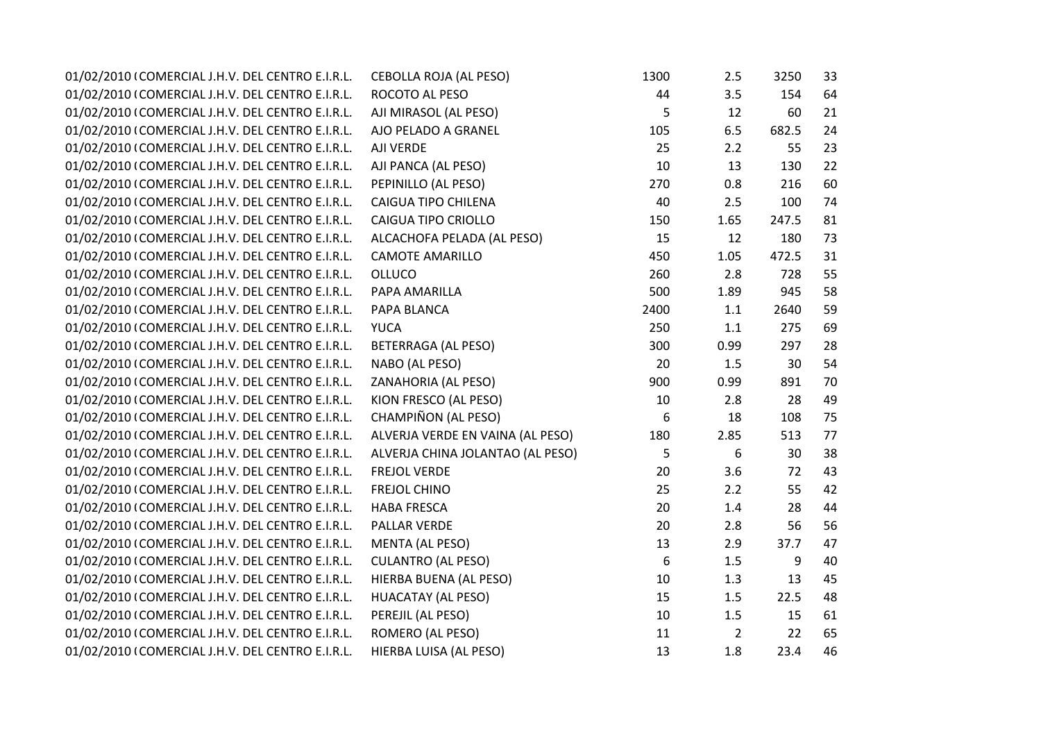| 01/02/2010 (COMERCIAL J.H.V. DEL CENTRO E.I.R.L. | <b>CEBOLLA ROJA (AL PESO)</b>    | 1300 | 2.5            | 3250  | 33 |
|--------------------------------------------------|----------------------------------|------|----------------|-------|----|
| 01/02/2010 (COMERCIAL J.H.V. DEL CENTRO E.I.R.L. | ROCOTO AL PESO                   | 44   | 3.5            | 154   | 64 |
| 01/02/2010 (COMERCIAL J.H.V. DEL CENTRO E.I.R.L. | AJI MIRASOL (AL PESO)            | 5    | 12             | 60    | 21 |
| 01/02/2010 (COMERCIAL J.H.V. DEL CENTRO E.I.R.L. | AJO PELADO A GRANEL              | 105  | 6.5            | 682.5 | 24 |
| 01/02/2010 (COMERCIAL J.H.V. DEL CENTRO E.I.R.L. | AJI VERDE                        | 25   | 2.2            | 55    | 23 |
| 01/02/2010 (COMERCIAL J.H.V. DEL CENTRO E.I.R.L. | AJI PANCA (AL PESO)              | 10   | 13             | 130   | 22 |
| 01/02/2010 (COMERCIAL J.H.V. DEL CENTRO E.I.R.L. | PEPINILLO (AL PESO)              | 270  | 0.8            | 216   | 60 |
| 01/02/2010 (COMERCIAL J.H.V. DEL CENTRO E.I.R.L. | <b>CAIGUA TIPO CHILENA</b>       | 40   | 2.5            | 100   | 74 |
| 01/02/2010 (COMERCIAL J.H.V. DEL CENTRO E.I.R.L. | CAIGUA TIPO CRIOLLO              | 150  | 1.65           | 247.5 | 81 |
| 01/02/2010 (COMERCIAL J.H.V. DEL CENTRO E.I.R.L. | ALCACHOFA PELADA (AL PESO)       | 15   | 12             | 180   | 73 |
| 01/02/2010 (COMERCIAL J.H.V. DEL CENTRO E.I.R.L. | <b>CAMOTE AMARILLO</b>           | 450  | 1.05           | 472.5 | 31 |
| 01/02/2010 (COMERCIAL J.H.V. DEL CENTRO E.I.R.L. | <b>OLLUCO</b>                    | 260  | 2.8            | 728   | 55 |
| 01/02/2010 (COMERCIAL J.H.V. DEL CENTRO E.I.R.L. | PAPA AMARILLA                    | 500  | 1.89           | 945   | 58 |
| 01/02/2010 (COMERCIAL J.H.V. DEL CENTRO E.I.R.L. | PAPA BLANCA                      | 2400 | $1.1\,$        | 2640  | 59 |
| 01/02/2010 (COMERCIAL J.H.V. DEL CENTRO E.I.R.L. | <b>YUCA</b>                      | 250  | 1.1            | 275   | 69 |
| 01/02/2010 (COMERCIAL J.H.V. DEL CENTRO E.I.R.L. | BETERRAGA (AL PESO)              | 300  | 0.99           | 297   | 28 |
| 01/02/2010 (COMERCIAL J.H.V. DEL CENTRO E.I.R.L. | NABO (AL PESO)                   | 20   | 1.5            | 30    | 54 |
| 01/02/2010 (COMERCIAL J.H.V. DEL CENTRO E.I.R.L. | ZANAHORIA (AL PESO)              | 900  | 0.99           | 891   | 70 |
| 01/02/2010 (COMERCIAL J.H.V. DEL CENTRO E.I.R.L. | KION FRESCO (AL PESO)            | 10   | 2.8            | 28    | 49 |
| 01/02/2010 (COMERCIAL J.H.V. DEL CENTRO E.I.R.L. | CHAMPIÑON (AL PESO)              | 6    | 18             | 108   | 75 |
| 01/02/2010 (COMERCIAL J.H.V. DEL CENTRO E.I.R.L. | ALVERJA VERDE EN VAINA (AL PESO) | 180  | 2.85           | 513   | 77 |
| 01/02/2010 (COMERCIAL J.H.V. DEL CENTRO E.I.R.L. | ALVERJA CHINA JOLANTAO (AL PESO) | 5    | 6              | 30    | 38 |
| 01/02/2010 (COMERCIAL J.H.V. DEL CENTRO E.I.R.L. | <b>FREJOL VERDE</b>              | 20   | 3.6            | 72    | 43 |
| 01/02/2010 (COMERCIAL J.H.V. DEL CENTRO E.I.R.L. | <b>FREJOL CHINO</b>              | 25   | 2.2            | 55    | 42 |
| 01/02/2010 (COMERCIAL J.H.V. DEL CENTRO E.I.R.L. | <b>HABA FRESCA</b>               | 20   | 1.4            | 28    | 44 |
| 01/02/2010 (COMERCIAL J.H.V. DEL CENTRO E.I.R.L. | PALLAR VERDE                     | 20   | 2.8            | 56    | 56 |
| 01/02/2010 (COMERCIAL J.H.V. DEL CENTRO E.I.R.L. | <b>MENTA (AL PESO)</b>           | 13   | 2.9            | 37.7  | 47 |
| 01/02/2010 (COMERCIAL J.H.V. DEL CENTRO E.I.R.L. | <b>CULANTRO (AL PESO)</b>        | 6    | 1.5            | 9     | 40 |
| 01/02/2010 (COMERCIAL J.H.V. DEL CENTRO E.I.R.L. | HIERBA BUENA (AL PESO)           | 10   | 1.3            | 13    | 45 |
| 01/02/2010 (COMERCIAL J.H.V. DEL CENTRO E.I.R.L. | <b>HUACATAY (AL PESO)</b>        | 15   | 1.5            | 22.5  | 48 |
| 01/02/2010 (COMERCIAL J.H.V. DEL CENTRO E.I.R.L. | PEREJIL (AL PESO)                | 10   | $1.5\,$        | 15    | 61 |
| 01/02/2010 (COMERCIAL J.H.V. DEL CENTRO E.I.R.L. | ROMERO (AL PESO)                 | 11   | $\overline{2}$ | 22    | 65 |
| 01/02/2010 (COMERCIAL J.H.V. DEL CENTRO E.I.R.L. | HIERBA LUISA (AL PESO)           | 13   | 1.8            | 23.4  | 46 |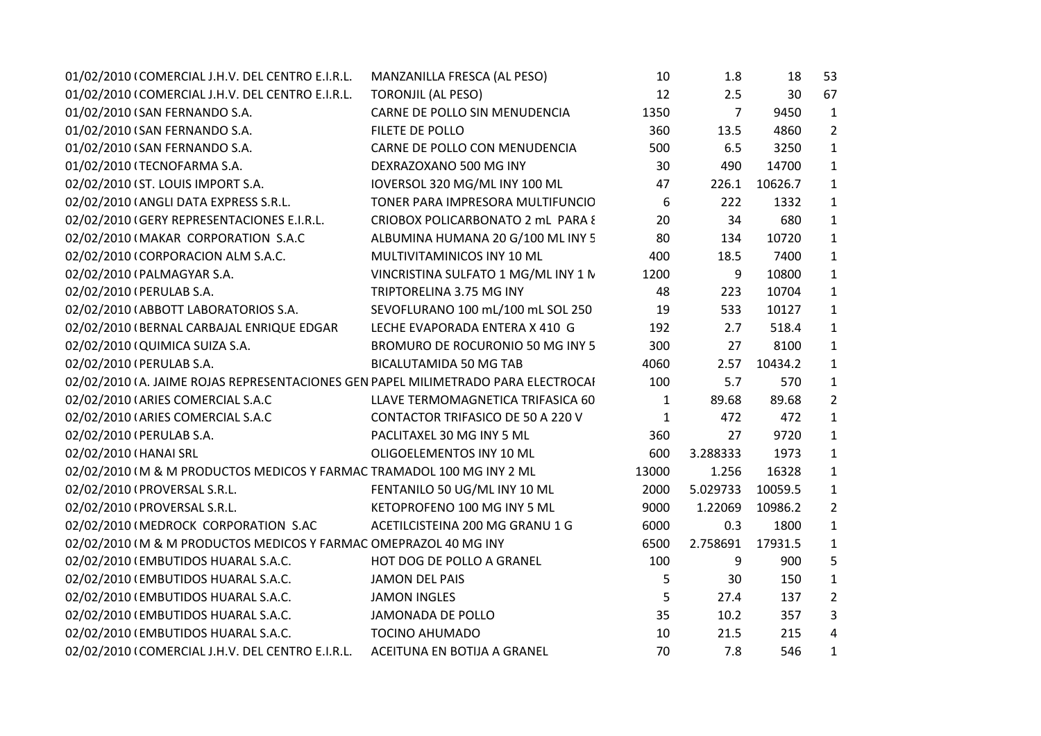| 01/02/2010 (COMERCIAL J.H.V. DEL CENTRO E.I.R.L.                                  | MANZANILLA FRESCA (AL PESO)         | 10           | 1.8            | 18      | 53             |  |
|-----------------------------------------------------------------------------------|-------------------------------------|--------------|----------------|---------|----------------|--|
| 01/02/2010 (COMERCIAL J.H.V. DEL CENTRO E.I.R.L.                                  | <b>TORONJIL (AL PESO)</b>           | 12           | 2.5            | 30      | 67             |  |
| 01/02/2010 (SAN FERNANDO S.A.                                                     | CARNE DE POLLO SIN MENUDENCIA       | 1350         | $\overline{7}$ | 9450    | $\mathbf{1}$   |  |
| 01/02/2010 (SAN FERNANDO S.A.                                                     | FILETE DE POLLO                     | 360          | 13.5           | 4860    | $\overline{2}$ |  |
| 01/02/2010 (SAN FERNANDO S.A.                                                     | CARNE DE POLLO CON MENUDENCIA       | 500          | 6.5            | 3250    | $\mathbf{1}$   |  |
| 01/02/2010 (TECNOFARMA S.A.                                                       | DEXRAZOXANO 500 MG INY              | 30           | 490            | 14700   | $\mathbf{1}$   |  |
| 02/02/2010 (ST. LOUIS IMPORT S.A.                                                 | IOVERSOL 320 MG/ML INY 100 ML       | 47           | 226.1          | 10626.7 | $\mathbf{1}$   |  |
| 02/02/2010 (ANGLI DATA EXPRESS S.R.L.                                             | TONER PARA IMPRESORA MULTIFUNCIO    | 6            | 222            | 1332    | $\mathbf{1}$   |  |
| 02/02/2010 (GERY REPRESENTACIONES E.I.R.L.                                        | CRIOBOX POLICARBONATO 2 mL PARA {   | 20           | 34             | 680     | $\mathbf{1}$   |  |
| 02/02/2010 (MAKAR CORPORATION S.A.C                                               | ALBUMINA HUMANA 20 G/100 ML INY 5   | 80           | 134            | 10720   | $\mathbf{1}$   |  |
| 02/02/2010 (CORPORACION ALM S.A.C.                                                | MULTIVITAMINICOS INY 10 ML          | 400          | 18.5           | 7400    | $\mathbf{1}$   |  |
| 02/02/2010 (PALMAGYAR S.A.                                                        | VINCRISTINA SULFATO 1 MG/ML INY 1 N | 1200         | 9              | 10800   | $\mathbf{1}$   |  |
| 02/02/2010 (PERULAB S.A.                                                          | TRIPTORELINA 3.75 MG INY            | 48           | 223            | 10704   | $\mathbf{1}$   |  |
| 02/02/2010 (ABBOTT LABORATORIOS S.A.                                              | SEVOFLURANO 100 mL/100 mL SOL 250   | 19           | 533            | 10127   | $\mathbf{1}$   |  |
| 02/02/2010 (BERNAL CARBAJAL ENRIQUE EDGAR                                         | LECHE EVAPORADA ENTERA X 410 G      | 192          | 2.7            | 518.4   | $\mathbf{1}$   |  |
| 02/02/2010 (QUIMICA SUIZA S.A.                                                    | BROMURO DE ROCURONIO 50 MG INY 5    | 300          | 27             | 8100    | $\mathbf{1}$   |  |
| 02/02/2010 (PERULAB S.A.                                                          | <b>BICALUTAMIDA 50 MG TAB</b>       | 4060         | 2.57           | 10434.2 | $\mathbf{1}$   |  |
| 02/02/2010 (A. JAIME ROJAS REPRESENTACIONES GEN PAPEL MILIMETRADO PARA ELECTROCAI |                                     | 100          | 5.7            | 570     | $\mathbf{1}$   |  |
| 02/02/2010 (ARIES COMERCIAL S.A.C                                                 | LLAVE TERMOMAGNETICA TRIFASICA 60   | $\mathbf{1}$ | 89.68          | 89.68   | $\overline{2}$ |  |
| 02/02/2010 (ARIES COMERCIAL S.A.C                                                 | CONTACTOR TRIFASICO DE 50 A 220 V   | $\mathbf{1}$ | 472            | 472     | $\mathbf{1}$   |  |
| 02/02/2010 (PERULAB S.A.                                                          | PACLITAXEL 30 MG INY 5 ML           | 360          | 27             | 9720    | $\mathbf{1}$   |  |
| 02/02/2010 (HANAI SRL                                                             | OLIGOELEMENTOS INY 10 ML            | 600          | 3.288333       | 1973    | $\mathbf{1}$   |  |
| 02/02/2010 IM & M PRODUCTOS MEDICOS Y FARMAC TRAMADOL 100 MG INY 2 ML             |                                     | 13000        | 1.256          | 16328   | $\mathbf{1}$   |  |
| 02/02/2010 (PROVERSAL S.R.L.                                                      | FENTANILO 50 UG/ML INY 10 ML        | 2000         | 5.029733       | 10059.5 | $\mathbf{1}$   |  |
| 02/02/2010 (PROVERSAL S.R.L.                                                      | KETOPROFENO 100 MG INY 5 ML         | 9000         | 1.22069        | 10986.2 | $\overline{2}$ |  |
| 02/02/2010 (MEDROCK CORPORATION S.AC                                              | ACETILCISTEINA 200 MG GRANU 1 G     | 6000         | 0.3            | 1800    | $\mathbf{1}$   |  |
| 02/02/2010 (M & M PRODUCTOS MEDICOS Y FARMAC OMEPRAZOL 40 MG INY                  |                                     | 6500         | 2.758691       | 17931.5 | $\mathbf{1}$   |  |
| 02/02/2010 (EMBUTIDOS HUARAL S.A.C.                                               | HOT DOG DE POLLO A GRANEL           | 100          | 9              | 900     | 5              |  |
| 02/02/2010 (EMBUTIDOS HUARAL S.A.C.                                               | <b>JAMON DEL PAIS</b>               | 5            | 30             | 150     | $\mathbf{1}$   |  |
| 02/02/2010 (EMBUTIDOS HUARAL S.A.C.                                               | <b>JAMON INGLES</b>                 | 5            | 27.4           | 137     | $\overline{2}$ |  |
| 02/02/2010 (EMBUTIDOS HUARAL S.A.C.                                               | JAMONADA DE POLLO                   | 35           | 10.2           | 357     | 3              |  |
| 02/02/2010 (EMBUTIDOS HUARAL S.A.C.                                               | <b>TOCINO AHUMADO</b>               | 10           | 21.5           | 215     | 4              |  |
| 02/02/2010 (COMERCIAL J.H.V. DEL CENTRO E.I.R.L.                                  | ACEITUNA EN BOTIJA A GRANEL         | 70           | 7.8            | 546     | $\mathbf{1}$   |  |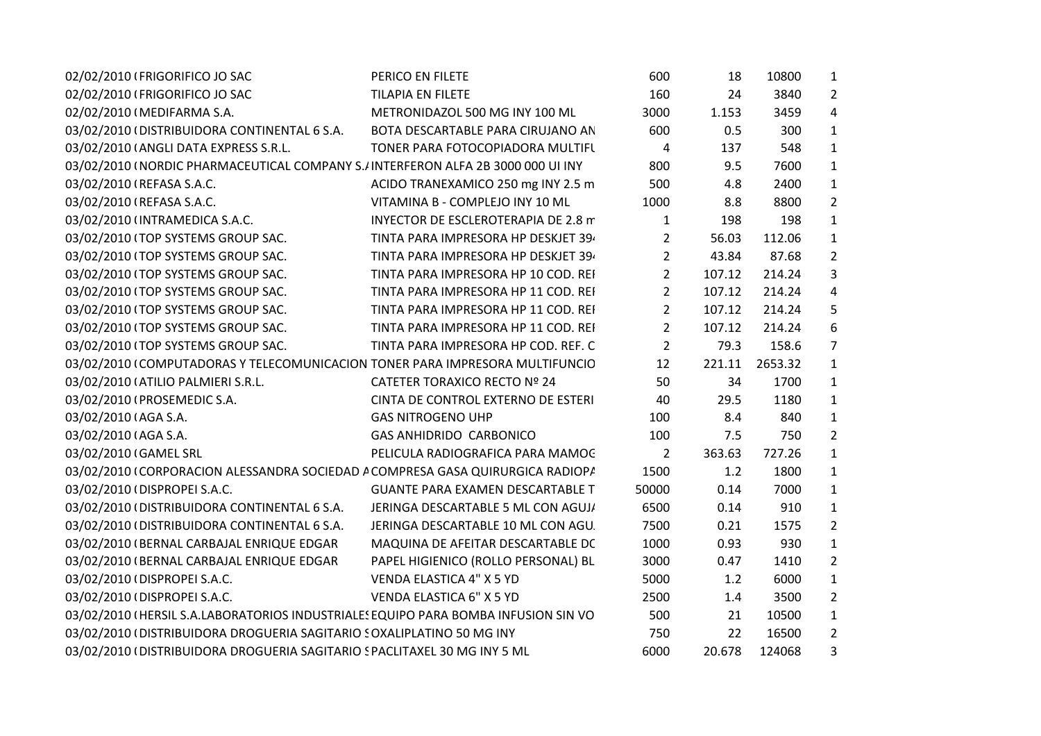| 02/02/2010 (FRIGORIFICO JO SAC                                                     | PERICO EN FILETE                        | 600            | 18     | 10800   | $\mathbf{1}$   |  |
|------------------------------------------------------------------------------------|-----------------------------------------|----------------|--------|---------|----------------|--|
| 02/02/2010 (FRIGORIFICO JO SAC                                                     | <b>TILAPIA EN FILETE</b>                | 160            | 24     | 3840    | $\overline{2}$ |  |
| 02/02/2010 (MEDIFARMA S.A.                                                         | METRONIDAZOL 500 MG INY 100 ML          | 3000           | 1.153  | 3459    | 4              |  |
| 03/02/2010 (DISTRIBUIDORA CONTINENTAL 6 S.A.                                       | BOTA DESCARTABLE PARA CIRUJANO AN       | 600            | 0.5    | 300     | $\mathbf{1}$   |  |
| 03/02/2010 (ANGLI DATA EXPRESS S.R.L.                                              | TONER PARA FOTOCOPIADORA MULTIFU        | $\overline{4}$ | 137    | 548     | $\mathbf{1}$   |  |
| 03/02/2010 I NORDIC PHARMACEUTICAL COMPANY S.IINTERFERON ALFA 2B 3000 000 UI INY   |                                         | 800            | 9.5    | 7600    | $\mathbf{1}$   |  |
| 03/02/2010 (REFASA S.A.C.                                                          | ACIDO TRANEXAMICO 250 mg INY 2.5 m      | 500            | 4.8    | 2400    | $\mathbf{1}$   |  |
| 03/02/2010 (REFASA S.A.C.                                                          | VITAMINA B - COMPLEJO INY 10 ML         | 1000           | 8.8    | 8800    | $\overline{2}$ |  |
| 03/02/2010 (INTRAMEDICA S.A.C.                                                     | INYECTOR DE ESCLEROTERAPIA DE 2.8 m     | $\mathbf{1}$   | 198    | 198     | $\mathbf{1}$   |  |
| 03/02/2010 (TOP SYSTEMS GROUP SAC.                                                 | TINTA PARA IMPRESORA HP DESKJET 39.     | $\overline{2}$ | 56.03  | 112.06  | $\mathbf{1}$   |  |
| 03/02/2010 (TOP SYSTEMS GROUP SAC.                                                 | TINTA PARA IMPRESORA HP DESKJET 39.     | $\overline{2}$ | 43.84  | 87.68   | $\overline{2}$ |  |
| 03/02/2010 (TOP SYSTEMS GROUP SAC.                                                 | TINTA PARA IMPRESORA HP 10 COD. REI     | $2^{1}$        | 107.12 | 214.24  | 3              |  |
| 03/02/2010 (TOP SYSTEMS GROUP SAC.                                                 | TINTA PARA IMPRESORA HP 11 COD. REI     | $\overline{2}$ | 107.12 | 214.24  | $\overline{4}$ |  |
| 03/02/2010 (TOP SYSTEMS GROUP SAC.                                                 | TINTA PARA IMPRESORA HP 11 COD. REI     | $\overline{2}$ | 107.12 | 214.24  | 5              |  |
| 03/02/2010 (TOP SYSTEMS GROUP SAC.                                                 | TINTA PARA IMPRESORA HP 11 COD. REI     | $2^{\circ}$    | 107.12 | 214.24  | 6              |  |
| 03/02/2010 (TOP SYSTEMS GROUP SAC.                                                 | TINTA PARA IMPRESORA HP COD. REF. C     | $\overline{2}$ | 79.3   | 158.6   | 7              |  |
| 03/02/2010 (COMPUTADORAS Y TELECOMUNICACION TONER PARA IMPRESORA MULTIFUNCIO       |                                         | 12             | 221.11 | 2653.32 | $\mathbf{1}$   |  |
| 03/02/2010 (ATILIO PALMIERI S.R.L.                                                 | CATETER TORAXICO RECTO Nº 24            | 50             | 34     | 1700    | $\mathbf{1}$   |  |
| 03/02/2010 (PROSEMEDIC S.A.                                                        | CINTA DE CONTROL EXTERNO DE ESTERI      | 40             | 29.5   | 1180    | $\mathbf{1}$   |  |
| 03/02/2010 (AGA S.A.                                                               | <b>GAS NITROGENO UHP</b>                | 100            | 8.4    | 840     | $\mathbf{1}$   |  |
| 03/02/2010 (AGA S.A.                                                               | <b>GAS ANHIDRIDO CARBONICO</b>          | 100            | 7.5    | 750     | $\overline{2}$ |  |
| 03/02/2010 (GAMEL SRL                                                              | PELICULA RADIOGRAFICA PARA MAMOC        | $\overline{2}$ | 363.63 | 727.26  | $\mathbf{1}$   |  |
| 03/02/2010 (CORPORACION ALESSANDRA SOCIEDAD A COMPRESA GASA QUIRURGICA RADIOPA     |                                         | 1500           | 1.2    | 1800    | $\mathbf{1}$   |  |
| 03/02/2010 (DISPROPEI S.A.C.                                                       | <b>GUANTE PARA EXAMEN DESCARTABLE T</b> | 50000          | 0.14   | 7000    | $\mathbf{1}$   |  |
| 03/02/2010 (DISTRIBUIDORA CONTINENTAL 6 S.A.                                       | JERINGA DESCARTABLE 5 ML CON AGUJ/      | 6500           | 0.14   | 910     | $\mathbf{1}$   |  |
| 03/02/2010 (DISTRIBUIDORA CONTINENTAL 6 S.A.                                       | JERINGA DESCARTABLE 10 ML CON AGU.      | 7500           | 0.21   | 1575    | $\overline{2}$ |  |
| 03/02/2010 (BERNAL CARBAJAL ENRIQUE EDGAR                                          | MAQUINA DE AFEITAR DESCARTABLE DC       | 1000           | 0.93   | 930     | $\mathbf{1}$   |  |
| 03/02/2010 (BERNAL CARBAJAL ENRIQUE EDGAR                                          | PAPEL HIGIENICO (ROLLO PERSONAL) BL     | 3000           | 0.47   | 1410    | $\overline{2}$ |  |
| 03/02/2010 (DISPROPEI S.A.C.                                                       | VENDA ELASTICA 4" X 5 YD                | 5000           | 1.2    | 6000    | $\mathbf{1}$   |  |
| 03/02/2010 (DISPROPEI S.A.C.                                                       | VENDA ELASTICA 6" X 5 YD                | 2500           | 1.4    | 3500    | $\overline{2}$ |  |
| 03/02/2010 (HERSIL S.A.LABORATORIOS INDUSTRIALES EQUIPO PARA BOMBA INFUSION SIN VO |                                         | 500            | 21     | 10500   | $\mathbf{1}$   |  |
| 03/02/2010 (DISTRIBUIDORA DROGUERIA SAGITARIO SOXALIPLATINO 50 MG INY              |                                         | 750            | 22     | 16500   | $\overline{2}$ |  |
| 03/02/2010 (DISTRIBUIDORA DROGUERIA SAGITARIO SPACLITAXEL 30 MG INY 5 ML           |                                         | 6000           | 20.678 | 124068  | 3              |  |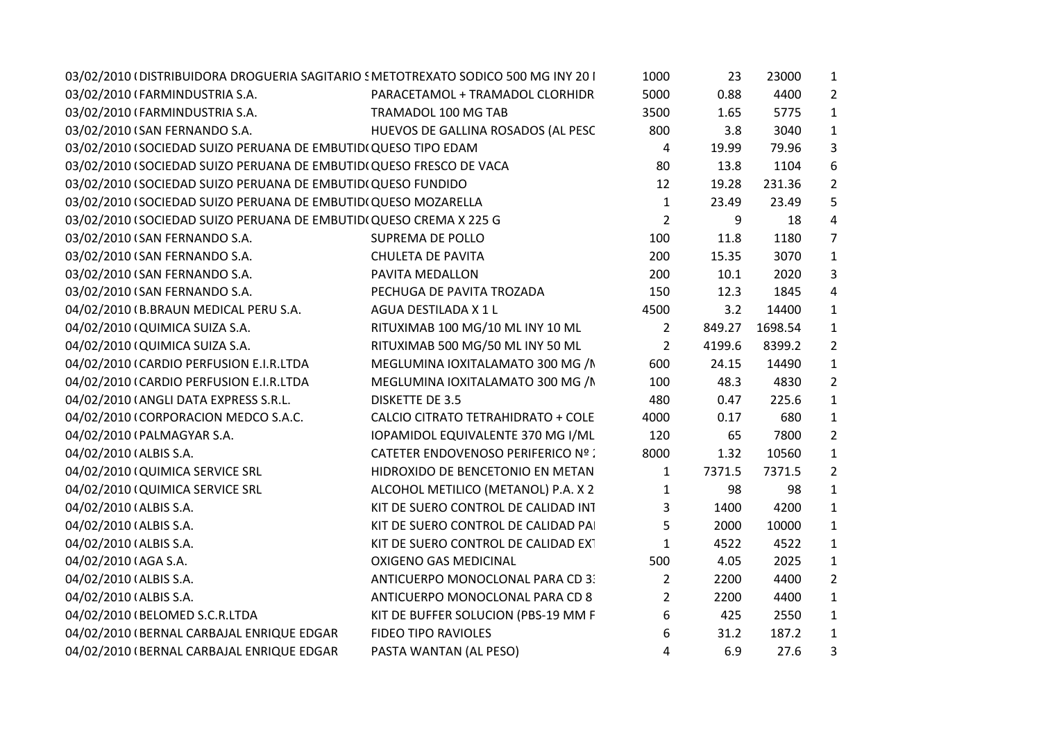| 03/02/2010 (DISTRIBUIDORA DROGUERIA SAGITARIO SMETOTREXATO SODICO 500 MG INY 201 |                                     | 1000           | 23     | 23000   | $\mathbf{1}$   |
|----------------------------------------------------------------------------------|-------------------------------------|----------------|--------|---------|----------------|
| 03/02/2010 (FARMINDUSTRIA S.A.                                                   | PARACETAMOL + TRAMADOL CLORHIDR     | 5000           | 0.88   | 4400    | $\overline{2}$ |
| 03/02/2010 (FARMINDUSTRIA S.A.                                                   | TRAMADOL 100 MG TAB                 | 3500           | 1.65   | 5775    | $\mathbf{1}$   |
| 03/02/2010 (SAN FERNANDO S.A.                                                    | HUEVOS DE GALLINA ROSADOS (AL PESC  | 800            | 3.8    | 3040    | $\mathbf{1}$   |
| 03/02/2010 (SOCIEDAD SUIZO PERUANA DE EMBUTID(QUESO TIPO EDAM                    |                                     | 4              | 19.99  | 79.96   | 3              |
| 03/02/2010 (SOCIEDAD SUIZO PERUANA DE EMBUTID(QUESO FRESCO DE VACA               |                                     | 80             | 13.8   | 1104    | 6              |
| 03/02/2010 (SOCIEDAD SUIZO PERUANA DE EMBUTIDI QUESO FUNDIDO                     |                                     | 12             | 19.28  | 231.36  | $\overline{2}$ |
| 03/02/2010 (SOCIEDAD SUIZO PERUANA DE EMBUTIDI QUESO MOZARELLA                   |                                     | $\mathbf{1}$   | 23.49  | 23.49   | 5              |
| 03/02/2010 (SOCIEDAD SUIZO PERUANA DE EMBUTIDI QUESO CREMA X 225 G               |                                     | $\overline{2}$ | 9      | 18      | 4              |
| 03/02/2010 (SAN FERNANDO S.A.                                                    | SUPREMA DE POLLO                    | 100            | 11.8   | 1180    | 7              |
| 03/02/2010 (SAN FERNANDO S.A.                                                    | <b>CHULETA DE PAVITA</b>            | 200            | 15.35  | 3070    | $\mathbf 1$    |
| 03/02/2010 (SAN FERNANDO S.A.                                                    | PAVITA MEDALLON                     | 200            | 10.1   | 2020    | 3              |
| 03/02/2010 (SAN FERNANDO S.A.                                                    | PECHUGA DE PAVITA TROZADA           | 150            | 12.3   | 1845    | 4              |
| 04/02/2010 (B.BRAUN MEDICAL PERU S.A.                                            | AGUA DESTILADA X 1 L                | 4500           | 3.2    | 14400   | 1              |
| 04/02/2010 (QUIMICA SUIZA S.A.                                                   | RITUXIMAB 100 MG/10 ML INY 10 ML    | $\overline{2}$ | 849.27 | 1698.54 | $\mathbf{1}$   |
| 04/02/2010 (QUIMICA SUIZA S.A.                                                   | RITUXIMAB 500 MG/50 ML INY 50 ML    | $\overline{2}$ | 4199.6 | 8399.2  | 2              |
| 04/02/2010 (CARDIO PERFUSION E.I.R.LTDA                                          | MEGLUMINA IOXITALAMATO 300 MG /N    | 600            | 24.15  | 14490   | $\mathbf{1}$   |
| 04/02/2010 (CARDIO PERFUSION E.I.R.LTDA                                          | MEGLUMINA IOXITALAMATO 300 MG / N   | 100            | 48.3   | 4830    | $\overline{2}$ |
| 04/02/2010 (ANGLI DATA EXPRESS S.R.L.                                            | <b>DISKETTE DE 3.5</b>              | 480            | 0.47   | 225.6   | $\mathbf{1}$   |
| 04/02/2010 (CORPORACION MEDCO S.A.C.                                             | CALCIO CITRATO TETRAHIDRATO + COLE  | 4000           | 0.17   | 680     | $\mathbf 1$    |
| 04/02/2010 (PALMAGYAR S.A.                                                       | IOPAMIDOL EQUIVALENTE 370 MG I/ML   | 120            | 65     | 7800    | $\overline{2}$ |
| 04/02/2010 (ALBIS S.A.                                                           | CATETER ENDOVENOSO PERIFERICO Nº :  | 8000           | 1.32   | 10560   | $\mathbf 1$    |
| 04/02/2010 (QUIMICA SERVICE SRL                                                  | HIDROXIDO DE BENCETONIO EN METAN    | $\mathbf{1}$   | 7371.5 | 7371.5  | $\overline{2}$ |
| 04/02/2010 (QUIMICA SERVICE SRL                                                  | ALCOHOL METILICO (METANOL) P.A. X 2 | $\mathbf{1}$   | 98     | 98      | $\mathbf{1}$   |
| 04/02/2010 (ALBIS S.A.                                                           | KIT DE SUERO CONTROL DE CALIDAD INT | 3              | 1400   | 4200    | $\mathbf{1}$   |
| 04/02/2010 (ALBIS S.A.                                                           | KIT DE SUERO CONTROL DE CALIDAD PA  | 5              | 2000   | 10000   | $\mathbf{1}$   |
| 04/02/2010 (ALBIS S.A.                                                           | KIT DE SUERO CONTROL DE CALIDAD EXT | $\mathbf{1}$   | 4522   | 4522    | $\mathbf{1}$   |
| 04/02/2010 (AGA S.A.                                                             | <b>OXIGENO GAS MEDICINAL</b>        | 500            | 4.05   | 2025    | $\mathbf{1}$   |
| 04/02/2010 (ALBIS S.A.                                                           | ANTICUERPO MONOCLONAL PARA CD 3:    | $\overline{2}$ | 2200   | 4400    | $\overline{2}$ |
| 04/02/2010 (ALBIS S.A.                                                           | ANTICUERPO MONOCLONAL PARA CD 8     | $\overline{2}$ | 2200   | 4400    | $\mathbf{1}$   |
| 04/02/2010 (BELOMED S.C.R.LTDA                                                   | KIT DE BUFFER SOLUCION (PBS-19 MM F | 6              | 425    | 2550    | $\mathbf{1}$   |
| 04/02/2010 (BERNAL CARBAJAL ENRIQUE EDGAR                                        | FIDEO TIPO RAVIOLES                 | 6              | 31.2   | 187.2   | $\mathbf{1}$   |
| 04/02/2010 (BERNAL CARBAJAL ENRIQUE EDGAR                                        | PASTA WANTAN (AL PESO)              | $\overline{4}$ | 6.9    | 27.6    | 3              |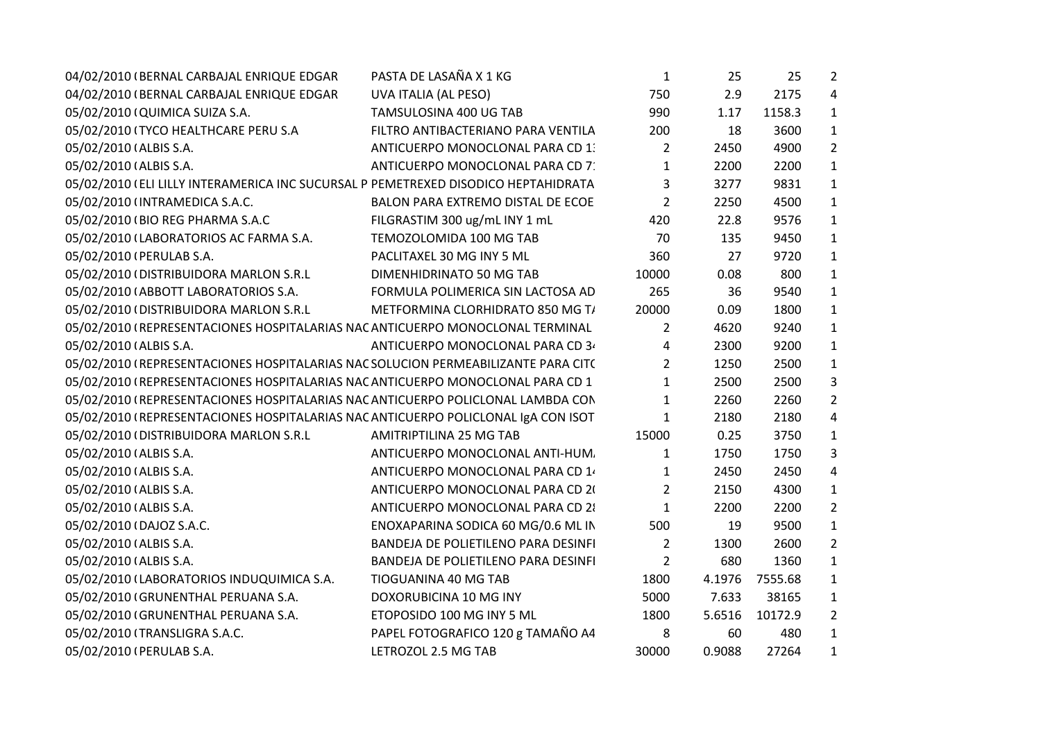| 04/02/2010 (BERNAL CARBAJAL ENRIQUE EDGAR                                          | PASTA DE LASAÑA X 1 KG              | $\mathbf{1}$   | 25     | 25      | $\overline{2}$ |
|------------------------------------------------------------------------------------|-------------------------------------|----------------|--------|---------|----------------|
| 04/02/2010 (BERNAL CARBAJAL ENRIQUE EDGAR                                          | UVA ITALIA (AL PESO)                | 750            | 2.9    | 2175    | 4              |
| 05/02/2010 (QUIMICA SUIZA S.A.                                                     | TAMSULOSINA 400 UG TAB              | 990            | 1.17   | 1158.3  | $\mathbf{1}$   |
| 05/02/2010 (TYCO HEALTHCARE PERU S.A                                               | FILTRO ANTIBACTERIANO PARA VENTILA  | 200            | 18     | 3600    | $\mathbf{1}$   |
| 05/02/2010 (ALBIS S.A.                                                             | ANTICUERPO MONOCLONAL PARA CD 1.    | 2              | 2450   | 4900    | $\overline{2}$ |
| 05/02/2010 (ALBIS S.A.                                                             | ANTICUERPO MONOCLONAL PARA CD 7:    | 1              | 2200   | 2200    | $\mathbf{1}$   |
| 05/02/2010 (ELI LILLY INTERAMERICA INC SUCURSAL P PEMETREXED DISODICO HEPTAHIDRATA |                                     | 3              | 3277   | 9831    | $\mathbf{1}$   |
| 05/02/2010 (INTRAMEDICA S.A.C.                                                     | BALON PARA EXTREMO DISTAL DE ECOE   | $\overline{2}$ | 2250   | 4500    | $\mathbf{1}$   |
| 05/02/2010 (BIO REG PHARMA S.A.C                                                   | FILGRASTIM 300 ug/mL INY 1 mL       | 420            | 22.8   | 9576    | $\mathbf{1}$   |
| 05/02/2010 (LABORATORIOS AC FARMA S.A.                                             | TEMOZOLOMIDA 100 MG TAB             | 70             | 135    | 9450    | $\mathbf{1}$   |
| 05/02/2010 (PERULAB S.A.                                                           | PACLITAXEL 30 MG INY 5 ML           | 360            | 27     | 9720    | $\mathbf{1}$   |
| 05/02/2010 (DISTRIBUIDORA MARLON S.R.L                                             | DIMENHIDRINATO 50 MG TAB            | 10000          | 0.08   | 800     | $\mathbf{1}$   |
| 05/02/2010 (ABBOTT LABORATORIOS S.A.                                               | FORMULA POLIMERICA SIN LACTOSA AD   | 265            | 36     | 9540    | $\mathbf{1}$   |
| 05/02/2010 (DISTRIBUIDORA MARLON S.R.L                                             | METFORMINA CLORHIDRATO 850 MG T/    | 20000          | 0.09   | 1800    | $\mathbf{1}$   |
| 05/02/2010 (REPRESENTACIONES HOSPITALARIAS NAC ANTICUERPO MONOCLONAL TERMINAL      |                                     | 2              | 4620   | 9240    | $\mathbf{1}$   |
| 05/02/2010 (ALBIS S.A.                                                             | ANTICUERPO MONOCLONAL PARA CD 3     | 4              | 2300   | 9200    | $\mathbf{1}$   |
| 05/02/2010 (REPRESENTACIONES HOSPITALARIAS NAC SOLUCION PERMEABILIZANTE PARA CIT(  |                                     | $\overline{2}$ | 1250   | 2500    | $\mathbf{1}$   |
| 05/02/2010 (REPRESENTACIONES HOSPITALARIAS NAC ANTICUERPO MONOCLONAL PARA CD 1     |                                     | 1              | 2500   | 2500    | 3              |
| 05/02/2010 (REPRESENTACIONES HOSPITALARIAS NAC ANTICUERPO POLICLONAL LAMBDA CON    |                                     | $\mathbf{1}$   | 2260   | 2260    | $\overline{2}$ |
| 05/02/2010 (REPRESENTACIONES HOSPITALARIAS NAC ANTICUERPO POLICLONAL IgA CON ISOT  |                                     | 1              | 2180   | 2180    | 4              |
| 05/02/2010 (DISTRIBUIDORA MARLON S.R.L                                             | AMITRIPTILINA 25 MG TAB             | 15000          | 0.25   | 3750    | $\mathbf{1}$   |
| 05/02/2010 (ALBIS S.A.                                                             | ANTICUERPO MONOCLONAL ANTI-HUM.     | 1              | 1750   | 1750    | 3              |
| 05/02/2010 (ALBIS S.A.                                                             | ANTICUERPO MONOCLONAL PARA CD 1.    | 1              | 2450   | 2450    | 4              |
| 05/02/2010 (ALBIS S.A.                                                             | ANTICUERPO MONOCLONAL PARA CD 20    | 2              | 2150   | 4300    | $\mathbf{1}$   |
| 05/02/2010 (ALBIS S.A.                                                             | ANTICUERPO MONOCLONAL PARA CD 21    | $\mathbf{1}$   | 2200   | 2200    | $\overline{2}$ |
| 05/02/2010 (DAJOZ S.A.C.                                                           | ENOXAPARINA SODICA 60 MG/0.6 ML IN  | 500            | 19     | 9500    | $\mathbf{1}$   |
| 05/02/2010 (ALBIS S.A.                                                             | BANDEJA DE POLIETILENO PARA DESINFI | $\overline{2}$ | 1300   | 2600    | $\overline{2}$ |
| 05/02/2010 (ALBIS S.A.                                                             | BANDEJA DE POLIETILENO PARA DESINFI | $\overline{2}$ | 680    | 1360    | $\mathbf{1}$   |
| 05/02/2010 (LABORATORIOS INDUQUIMICA S.A.                                          | TIOGUANINA 40 MG TAB                | 1800           | 4.1976 | 7555.68 | $\mathbf{1}$   |
| 05/02/2010 (GRUNENTHAL PERUANA S.A.                                                | DOXORUBICINA 10 MG INY              | 5000           | 7.633  | 38165   | $\mathbf{1}$   |
| 05/02/2010 (GRUNENTHAL PERUANA S.A.                                                | ETOPOSIDO 100 MG INY 5 ML           | 1800           | 5.6516 | 10172.9 | $\overline{2}$ |
| 05/02/2010 (TRANSLIGRA S.A.C.                                                      | PAPEL FOTOGRAFICO 120 g TAMAÑO A4   | 8              | 60     | 480     | $\mathbf{1}$   |
| 05/02/2010 (PERULAB S.A.                                                           | LETROZOL 2.5 MG TAB                 | 30000          | 0.9088 | 27264   | $\mathbf{1}$   |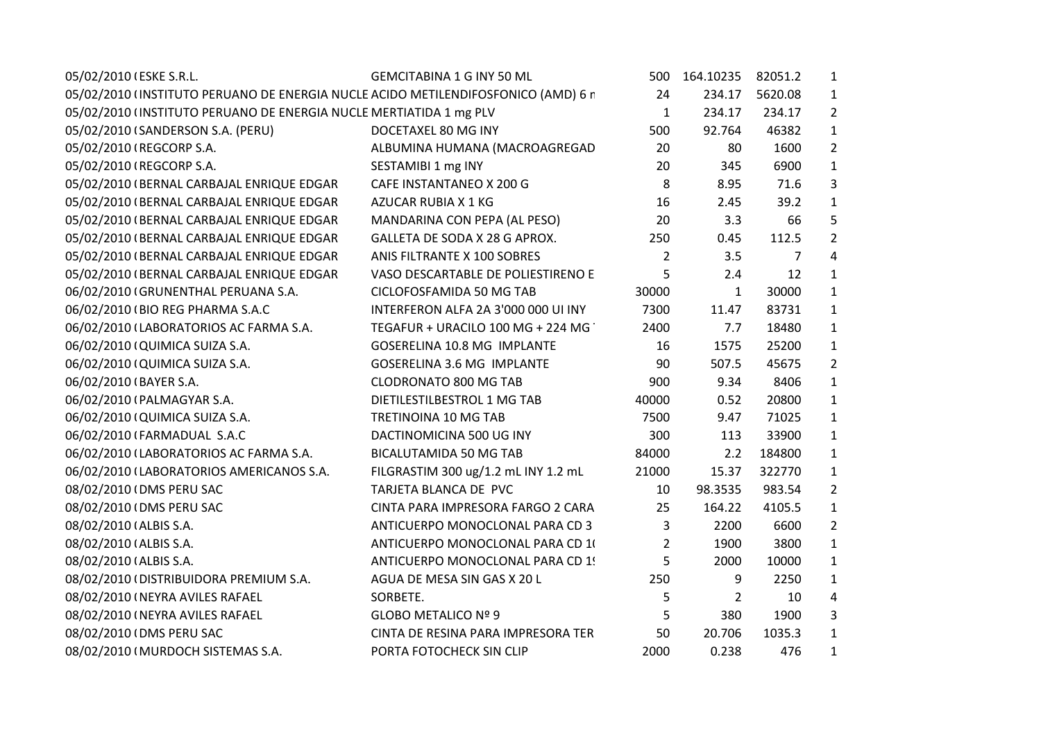| 05/02/2010 (ESKE S.R.L.                                                           | <b>GEMCITABINA 1 G INY 50 ML</b>    | 500            | 164.10235      | 82051.2        | $\mathbf{1}$   |
|-----------------------------------------------------------------------------------|-------------------------------------|----------------|----------------|----------------|----------------|
| 05/02/2010 (INSTITUTO PERUANO DE ENERGIA NUCLE ACIDO METILENDIFOSFONICO (AMD) 6 r |                                     | 24             | 234.17         | 5620.08        | $\mathbf{1}$   |
| 05/02/2010 (INSTITUTO PERUANO DE ENERGIA NUCLE MERTIATIDA 1 mg PLV                |                                     | $\mathbf{1}$   | 234.17         | 234.17         | $\overline{2}$ |
| 05/02/2010 (SANDERSON S.A. (PERU)                                                 | DOCETAXEL 80 MG INY                 | 500            | 92.764         | 46382          | $\mathbf{1}$   |
| 05/02/2010 (REGCORP S.A.                                                          | ALBUMINA HUMANA (MACROAGREGAD       | 20             | 80             | 1600           | $\overline{2}$ |
| 05/02/2010 (REGCORP S.A.                                                          | SESTAMIBI 1 mg INY                  | 20             | 345            | 6900           | $\mathbf{1}$   |
| 05/02/2010 (BERNAL CARBAJAL ENRIQUE EDGAR                                         | CAFE INSTANTANEO X 200 G            | 8              | 8.95           | 71.6           | 3              |
| 05/02/2010 (BERNAL CARBAJAL ENRIQUE EDGAR                                         | AZUCAR RUBIA X 1 KG                 | 16             | 2.45           | 39.2           | $\mathbf{1}$   |
| 05/02/2010 (BERNAL CARBAJAL ENRIQUE EDGAR                                         | MANDARINA CON PEPA (AL PESO)        | 20             | 3.3            | 66             | 5              |
| 05/02/2010 (BERNAL CARBAJAL ENRIQUE EDGAR                                         | GALLETA DE SODA X 28 G APROX.       | 250            | 0.45           | 112.5          | $\overline{2}$ |
| 05/02/2010 (BERNAL CARBAJAL ENRIQUE EDGAR                                         | ANIS FILTRANTE X 100 SOBRES         | $\overline{2}$ | 3.5            | $\overline{7}$ | 4              |
| 05/02/2010 (BERNAL CARBAJAL ENRIQUE EDGAR                                         | VASO DESCARTABLE DE POLIESTIRENO E  | 5              | 2.4            | 12             | $\mathbf{1}$   |
| 06/02/2010 (GRUNENTHAL PERUANA S.A.                                               | CICLOFOSFAMIDA 50 MG TAB            | 30000          | 1              | 30000          | $\mathbf{1}$   |
| 06/02/2010 (BIO REG PHARMA S.A.C                                                  | INTERFERON ALFA 2A 3'000 000 UI INY | 7300           | 11.47          | 83731          | $\mathbf 1$    |
| 06/02/2010 (LABORATORIOS AC FARMA S.A.                                            | TEGAFUR + URACILO 100 MG + 224 MG   | 2400           | 7.7            | 18480          | $\mathbf{1}$   |
| 06/02/2010 (QUIMICA SUIZA S.A.                                                    | GOSERELINA 10.8 MG IMPLANTE         | 16             | 1575           | 25200          | $\mathbf{1}$   |
| 06/02/2010 (QUIMICA SUIZA S.A.                                                    | <b>GOSERELINA 3.6 MG IMPLANTE</b>   | 90             | 507.5          | 45675          | $\overline{2}$ |
| 06/02/2010 (BAYER S.A.                                                            | <b>CLODRONATO 800 MG TAB</b>        | 900            | 9.34           | 8406           | $\mathbf 1$    |
| 06/02/2010 (PALMAGYAR S.A.                                                        | DIETILESTILBESTROL 1 MG TAB         | 40000          | 0.52           | 20800          | $\mathbf{1}$   |
| 06/02/2010 (QUIMICA SUIZA S.A.                                                    | TRETINOINA 10 MG TAB                | 7500           | 9.47           | 71025          | $\mathbf{1}$   |
| 06/02/2010 (FARMADUAL S.A.C                                                       | DACTINOMICINA 500 UG INY            | 300            | 113            | 33900          | $\mathbf{1}$   |
| 06/02/2010 (LABORATORIOS AC FARMA S.A.                                            | <b>BICALUTAMIDA 50 MG TAB</b>       | 84000          | 2.2            | 184800         | $\mathbf{1}$   |
| 06/02/2010 (LABORATORIOS AMERICANOS S.A.                                          | FILGRASTIM 300 ug/1.2 mL INY 1.2 mL | 21000          | 15.37          | 322770         | $\mathbf{1}$   |
| 08/02/2010 (DMS PERU SAC                                                          | TARJETA BLANCA DE PVC               | 10             | 98.3535        | 983.54         | $\overline{2}$ |
| 08/02/2010 (DMS PERU SAC                                                          | CINTA PARA IMPRESORA FARGO 2 CARA   | 25             | 164.22         | 4105.5         | $\mathbf{1}$   |
| 08/02/2010 (ALBIS S.A.                                                            | ANTICUERPO MONOCLONAL PARA CD 3     | 3              | 2200           | 6600           | $\overline{2}$ |
| 08/02/2010 (ALBIS S.A.                                                            | ANTICUERPO MONOCLONAL PARA CD 10    | $\overline{2}$ | 1900           | 3800           | $\mathbf{1}$   |
| 08/02/2010 (ALBIS S.A.                                                            | ANTICUERPO MONOCLONAL PARA CD 1!    | 5              | 2000           | 10000          | $\mathbf{1}$   |
| 08/02/2010 (DISTRIBUIDORA PREMIUM S.A.                                            | AGUA DE MESA SIN GAS X 20 L         | 250            | 9              | 2250           | $\mathbf{1}$   |
| 08/02/2010 (NEYRA AVILES RAFAEL                                                   | SORBETE.                            | 5              | $\overline{2}$ | 10             | 4              |
| 08/02/2010 (NEYRA AVILES RAFAEL                                                   | GLOBO METALICO Nº 9                 | 5              | 380            | 1900           | 3              |
| 08/02/2010 (DMS PERU SAC                                                          | CINTA DE RESINA PARA IMPRESORA TER  | 50             | 20.706         | 1035.3         | $\mathbf{1}$   |
| 08/02/2010 (MURDOCH SISTEMAS S.A.                                                 | PORTA FOTOCHECK SIN CLIP            | 2000           | 0.238          | 476            | $\mathbf{1}$   |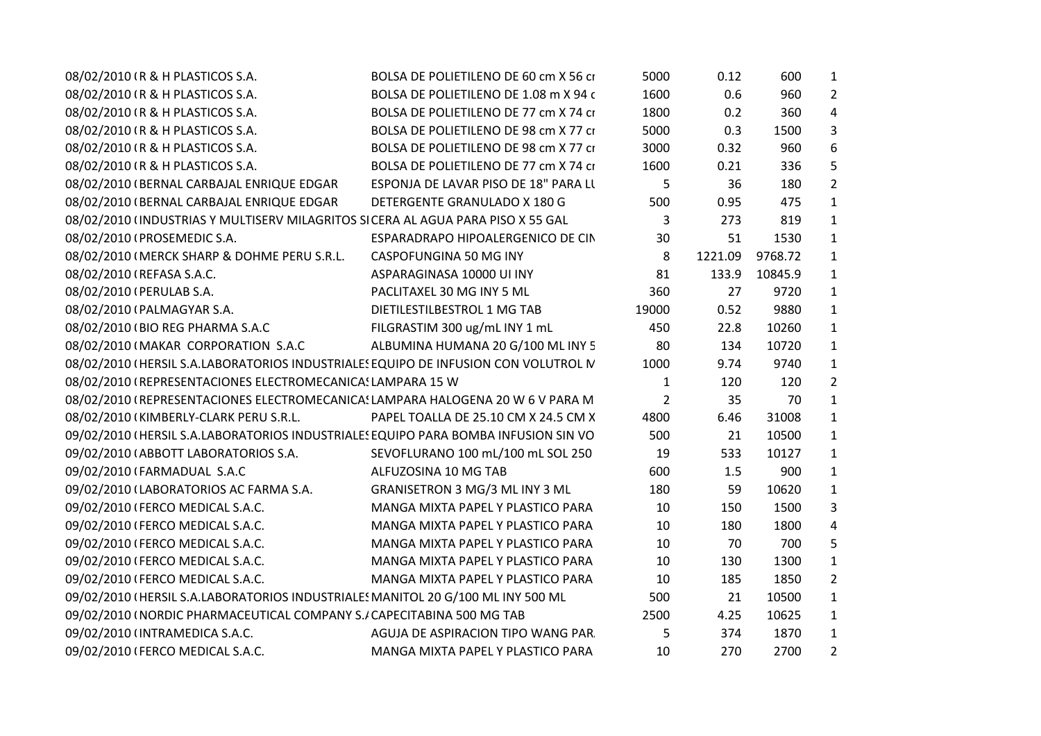| 08/02/2010 (R & H PLASTICOS S.A.                                                    | BOLSA DE POLIETILENO DE 60 cm X 56 ci | 5000           | 0.12    | 600     | $\mathbf{1}$   |  |
|-------------------------------------------------------------------------------------|---------------------------------------|----------------|---------|---------|----------------|--|
| 08/02/2010 (R & H PLASTICOS S.A.                                                    | BOLSA DE POLIETILENO DE 1.08 m X 94 c | 1600           | 0.6     | 960     | $\overline{2}$ |  |
| 08/02/2010 (R & H PLASTICOS S.A.                                                    | BOLSA DE POLIETILENO DE 77 cm X 74 ci | 1800           | 0.2     | 360     | 4              |  |
| 08/02/2010 (R & H PLASTICOS S.A.                                                    | BOLSA DE POLIETILENO DE 98 cm X 77 ci | 5000           | 0.3     | 1500    | 3              |  |
| 08/02/2010 (R & H PLASTICOS S.A.                                                    | BOLSA DE POLIETILENO DE 98 cm X 77 ci | 3000           | 0.32    | 960     | 6              |  |
| 08/02/2010 (R & H PLASTICOS S.A.                                                    | BOLSA DE POLIETILENO DE 77 cm X 74 ci | 1600           | 0.21    | 336     | 5              |  |
| 08/02/2010 (BERNAL CARBAJAL ENRIQUE EDGAR                                           | ESPONJA DE LAVAR PISO DE 18" PARA LI  | 5              | 36      | 180     | $\overline{2}$ |  |
| 08/02/2010 (BERNAL CARBAJAL ENRIQUE EDGAR                                           | DETERGENTE GRANULADO X 180 G          | 500            | 0.95    | 475     | $\mathbf{1}$   |  |
| 08/02/2010 (INDUSTRIAS Y MULTISERV MILAGRITOS SICERA AL AGUA PARA PISO X 55 GAL     |                                       | 3              | 273     | 819     | $\mathbf{1}$   |  |
| 08/02/2010 (PROSEMEDIC S.A.                                                         | ESPARADRAPO HIPOALERGENICO DE CIN     | 30             | 51      | 1530    | $\mathbf{1}$   |  |
| 08/02/2010 (MERCK SHARP & DOHME PERU S.R.L.                                         | CASPOFUNGINA 50 MG INY                | 8              | 1221.09 | 9768.72 | $\mathbf{1}$   |  |
| 08/02/2010 (REFASA S.A.C.                                                           | ASPARAGINASA 10000 UI INY             | 81             | 133.9   | 10845.9 | $\mathbf{1}$   |  |
| 08/02/2010 (PERULAB S.A.                                                            | PACLITAXEL 30 MG INY 5 ML             | 360            | 27      | 9720    | $\mathbf{1}$   |  |
| 08/02/2010 (PALMAGYAR S.A.                                                          | DIETILESTILBESTROL 1 MG TAB           | 19000          | 0.52    | 9880    | $\mathbf{1}$   |  |
| 08/02/2010 (BIO REG PHARMA S.A.C                                                    | FILGRASTIM 300 ug/mL INY 1 mL         | 450            | 22.8    | 10260   | $\mathbf{1}$   |  |
| 08/02/2010 (MAKAR CORPORATION S.A.C                                                 | ALBUMINA HUMANA 20 G/100 ML INY 5     | 80             | 134     | 10720   | $\mathbf{1}$   |  |
| 08/02/2010 (HERSIL S.A.LABORATORIOS INDUSTRIALES EQUIPO DE INFUSION CON VOLUTROL IV |                                       | 1000           | 9.74    | 9740    | $\mathbf{1}$   |  |
| 08/02/2010 (REPRESENTACIONES ELECTROMECANICA: LAMPARA 15 W                          |                                       | $\mathbf{1}$   | 120     | 120     | $\overline{2}$ |  |
| 08/02/2010 (REPRESENTACIONES ELECTROMECANICA: LAMPARA HALOGENA 20 W 6 V PARA M      |                                       | $\overline{2}$ | 35      | 70      | $\mathbf{1}$   |  |
| 08/02/2010 (KIMBERLY-CLARK PERU S.R.L.                                              | PAPEL TOALLA DE 25.10 CM X 24.5 CM X  | 4800           | 6.46    | 31008   | $\mathbf{1}$   |  |
| 09/02/2010 (HERSIL S.A.LABORATORIOS INDUSTRIALES EQUIPO PARA BOMBA INFUSION SIN VO  |                                       | 500            | 21      | 10500   | $\mathbf{1}$   |  |
| 09/02/2010 (ABBOTT LABORATORIOS S.A.                                                | SEVOFLURANO 100 mL/100 mL SOL 250     | 19             | 533     | 10127   | $\mathbf{1}$   |  |
| 09/02/2010 (FARMADUAL S.A.C                                                         | ALFUZOSINA 10 MG TAB                  | 600            | 1.5     | 900     | $\mathbf{1}$   |  |
| 09/02/2010 (LABORATORIOS AC FARMA S.A.                                              | GRANISETRON 3 MG/3 ML INY 3 ML        | 180            | 59      | 10620   | $\mathbf{1}$   |  |
| 09/02/2010 (FERCO MEDICAL S.A.C.                                                    | MANGA MIXTA PAPEL Y PLASTICO PARA     | 10             | 150     | 1500    | 3              |  |
| 09/02/2010 (FERCO MEDICAL S.A.C.                                                    | MANGA MIXTA PAPEL Y PLASTICO PARA     | 10             | 180     | 1800    | 4              |  |
| 09/02/2010 (FERCO MEDICAL S.A.C.                                                    | MANGA MIXTA PAPEL Y PLASTICO PARA     | 10             | 70      | 700     | 5              |  |
| 09/02/2010 (FERCO MEDICAL S.A.C.                                                    | MANGA MIXTA PAPEL Y PLASTICO PARA     | 10             | 130     | 1300    | $\mathbf{1}$   |  |
| 09/02/2010 (FERCO MEDICAL S.A.C.                                                    | MANGA MIXTA PAPEL Y PLASTICO PARA     | 10             | 185     | 1850    | $\overline{2}$ |  |
| 09/02/2010 (HERSIL S.A.LABORATORIOS INDUSTRIALES MANITOL 20 G/100 ML INY 500 ML     |                                       | 500            | 21      | 10500   | $\mathbf{1}$   |  |
| 09/02/2010 (NORDIC PHARMACEUTICAL COMPANY S./ CAPECITABINA 500 MG TAB               |                                       | 2500           | 4.25    | 10625   | $\mathbf{1}$   |  |
| 09/02/2010 (INTRAMEDICA S.A.C.                                                      | AGUJA DE ASPIRACION TIPO WANG PAR     | 5              | 374     | 1870    | $\mathbf{1}$   |  |
| 09/02/2010 (FERCO MEDICAL S.A.C.                                                    | MANGA MIXTA PAPEL Y PLASTICO PARA     | 10             | 270     | 2700    | $\overline{2}$ |  |
|                                                                                     |                                       |                |         |         |                |  |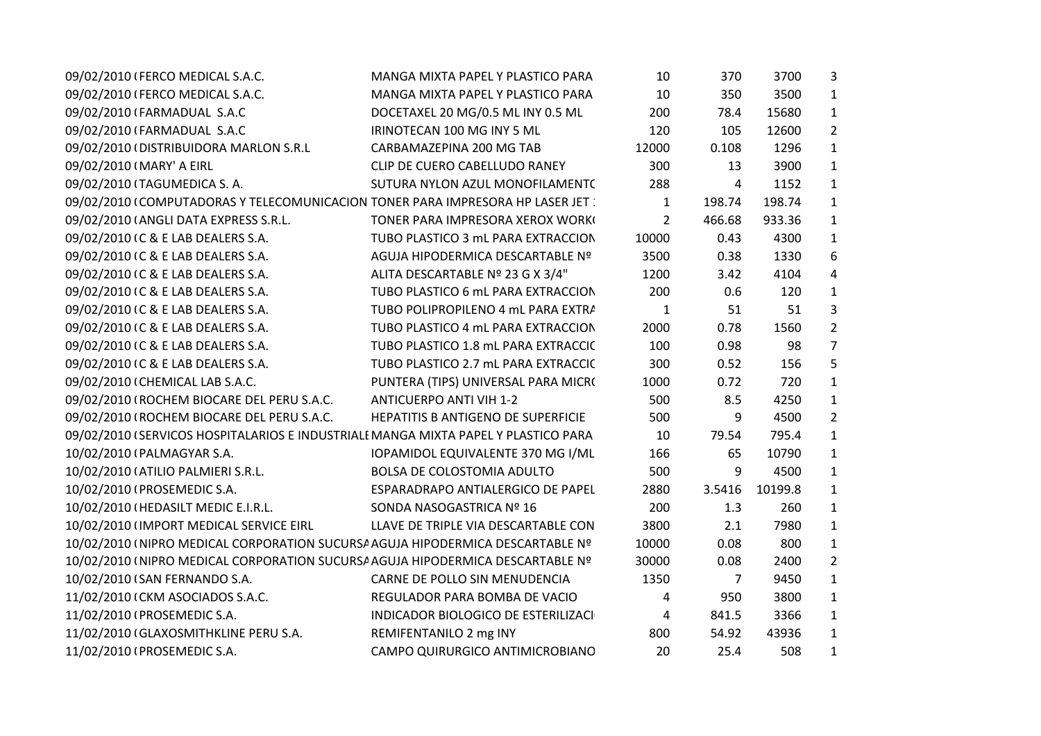| 09/02/2010 (FERCO MEDICAL S.A.C.                                                   | MANGA MIXTA PAPEL Y PLASTICO PARA   | 10           | 370    | 3700    | 3              |  |
|------------------------------------------------------------------------------------|-------------------------------------|--------------|--------|---------|----------------|--|
| 09/02/2010 (FERCO MEDICAL S.A.C.                                                   | MANGA MIXTA PAPEL Y PLASTICO PARA   | 10           | 350    | 3500    | $\mathbf{1}$   |  |
| 09/02/2010 (FARMADUAL S.A.C                                                        | DOCETAXEL 20 MG/0.5 ML INY 0.5 ML   | 200          | 78.4   | 15680   | $\mathbf{1}$   |  |
| 09/02/2010 (FARMADUAL S.A.C                                                        | IRINOTECAN 100 MG INY 5 ML          | 120          | 105    | 12600   | $\overline{2}$ |  |
| 09/02/2010 (DISTRIBUIDORA MARLON S.R.L                                             | CARBAMAZEPINA 200 MG TAB            | 12000        | 0.108  | 1296    | $\mathbf{1}$   |  |
| 09/02/2010 (MARY' A EIRL                                                           | CLIP DE CUERO CABELLUDO RANEY       | 300          | 13     | 3900    | $\mathbf{1}$   |  |
| 09/02/2010 (TAGUMEDICA S.A.                                                        | SUTURA NYLON AZUL MONOFILAMENT(     | 288          | 4      | 1152    | $\mathbf{1}$   |  |
| 09/02/2010 (COMPUTADORAS Y TELECOMUNICACION TONER PARA IMPRESORA HP LASER JET:     |                                     | $\mathbf{1}$ | 198.74 | 198.74  | $\mathbf{1}$   |  |
| 09/02/2010 (ANGLI DATA EXPRESS S.R.L.                                              | TONER PARA IMPRESORA XEROX WORK     | 2            | 466.68 | 933.36  | $\mathbf{1}$   |  |
| 09/02/2010 (C & E LAB DEALERS S.A.                                                 | TUBO PLASTICO 3 mL PARA EXTRACCION  | 10000        | 0.43   | 4300    | $\mathbf{1}$   |  |
| 09/02/2010 (C & E LAB DEALERS S.A.                                                 | AGUJA HIPODERMICA DESCARTABLE Nº    | 3500         | 0.38   | 1330    | 6              |  |
| 09/02/2010 (C & E LAB DEALERS S.A.                                                 | ALITA DESCARTABLE Nº 23 G X 3/4"    | 1200         | 3.42   | 4104    | 4              |  |
| 09/02/2010 (C & E LAB DEALERS S.A.                                                 | TUBO PLASTICO 6 mL PARA EXTRACCION  | 200          | 0.6    | 120     | $\mathbf{1}$   |  |
| 09/02/2010 (C & E LAB DEALERS S.A.                                                 | TUBO POLIPROPILENO 4 mL PARA EXTRA  | $\mathbf{1}$ | 51     | 51      | 3              |  |
| 09/02/2010 (C & E LAB DEALERS S.A.                                                 | TUBO PLASTICO 4 mL PARA EXTRACCION  | 2000         | 0.78   | 1560    | $\overline{2}$ |  |
| 09/02/2010 (C & E LAB DEALERS S.A.                                                 | TUBO PLASTICO 1.8 mL PARA EXTRACCIC | 100          | 0.98   | 98      | $\overline{7}$ |  |
| 09/02/2010 (C & E LAB DEALERS S.A.                                                 | TUBO PLASTICO 2.7 mL PARA EXTRACCIC | 300          | 0.52   | 156     | 5              |  |
| 09/02/2010 (CHEMICAL LAB S.A.C.                                                    | PUNTERA (TIPS) UNIVERSAL PARA MICR( | 1000         | 0.72   | 720     | $\mathbf{1}$   |  |
| 09/02/2010 (ROCHEM BIOCARE DEL PERU S.A.C.                                         | <b>ANTICUERPO ANTI VIH 1-2</b>      | 500          | 8.5    | 4250    | $\mathbf{1}$   |  |
| 09/02/2010 (ROCHEM BIOCARE DEL PERU S.A.C.                                         | HEPATITIS B ANTIGENO DE SUPERFICIE  | 500          | 9      | 4500    | $\overline{2}$ |  |
| 09/02/2010 (SERVICOS HOSPITALARIOS E INDUSTRIALE MANGA MIXTA PAPEL Y PLASTICO PARA |                                     | 10           | 79.54  | 795.4   | $\mathbf{1}$   |  |
| 10/02/2010 (PALMAGYAR S.A.                                                         | IOPAMIDOL EQUIVALENTE 370 MG I/ML   | 166          | 65     | 10790   | $\mathbf{1}$   |  |
| 10/02/2010 (ATILIO PALMIERI S.R.L.                                                 | <b>BOLSA DE COLOSTOMIA ADULTO</b>   | 500          | 9      | 4500    | $\mathbf{1}$   |  |
| 10/02/2010 (PROSEMEDIC S.A.                                                        | ESPARADRAPO ANTIALERGICO DE PAPEL   | 2880         | 3.5416 | 10199.8 | $\mathbf{1}$   |  |
| 10/02/2010 (HEDASILT MEDIC E.I.R.L.                                                | SONDA NASOGASTRICA Nº 16            | 200          | 1.3    | 260     | $\mathbf{1}$   |  |
| 10/02/2010 (IMPORT MEDICAL SERVICE EIRL                                            | LLAVE DE TRIPLE VIA DESCARTABLE CON | 3800         | 2.1    | 7980    | $\mathbf{1}$   |  |
| 10/02/2010 (NIPRO MEDICAL CORPORATION SUCURSA AGUJA HIPODERMICA DESCARTABLE Nº     |                                     | 10000        | 0.08   | 800     | $\mathbf{1}$   |  |
| 10/02/2010 (NIPRO MEDICAL CORPORATION SUCURSA AGUJA HIPODERMICA DESCARTABLE Nº     |                                     | 30000        | 0.08   | 2400    | $\overline{2}$ |  |
| 10/02/2010 (SAN FERNANDO S.A.                                                      | CARNE DE POLLO SIN MENUDENCIA       | 1350         | 7      | 9450    | $\mathbf{1}$   |  |
| 11/02/2010 (CKM ASOCIADOS S.A.C.                                                   | REGULADOR PARA BOMBA DE VACIO       | 4            | 950    | 3800    | $\mathbf{1}$   |  |
| 11/02/2010 (PROSEMEDIC S.A.                                                        | INDICADOR BIOLOGICO DE ESTERILIZACI | 4            | 841.5  | 3366    | $\mathbf{1}$   |  |
| 11/02/2010 (GLAXOSMITHKLINE PERU S.A.                                              | REMIFENTANILO 2 mg INY              | 800          | 54.92  | 43936   | $\mathbf{1}$   |  |
| 11/02/2010 (PROSEMEDIC S.A.                                                        | CAMPO QUIRURGICO ANTIMICROBIANO     | 20           | 25.4   | 508     | $\mathbf{1}$   |  |
|                                                                                    |                                     |              |        |         |                |  |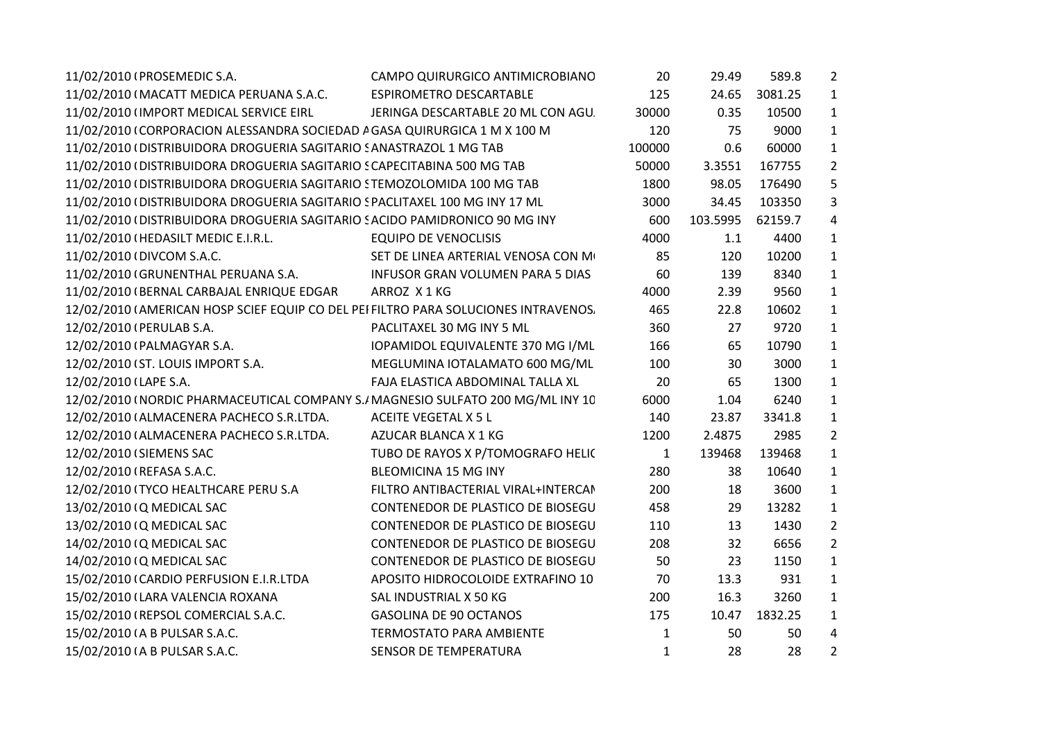| 11/02/2010 (PROSEMEDIC S.A.                                                         | CAMPO QUIRURGICO ANTIMICROBIANO     | 20           | 29.49    | 589.8         | $\overline{2}$ |
|-------------------------------------------------------------------------------------|-------------------------------------|--------------|----------|---------------|----------------|
| 11/02/2010 (MACATT MEDICA PERUANA S.A.C.                                            | ESPIROMETRO DESCARTABLE             | 125          |          | 24.65 3081.25 | 1              |
| 11/02/2010 (IMPORT MEDICAL SERVICE EIRL                                             | JERINGA DESCARTABLE 20 ML CON AGU   | 30000        | 0.35     | 10500         | $\mathbf{1}$   |
| 11/02/2010 (CORPORACION ALESSANDRA SOCIEDAD A GASA QUIRURGICA 1 M X 100 M           |                                     | 120          | 75       | 9000          | $\mathbf{1}$   |
| 11/02/2010 (DISTRIBUIDORA DROGUERIA SAGITARIO SANASTRAZOL 1 MG TAB                  |                                     | 100000       | 0.6      | 60000         | $\mathbf{1}$   |
| 11/02/2010 (DISTRIBUIDORA DROGUERIA SAGITARIO SCAPECITABINA 500 MG TAB              |                                     | 50000        | 3.3551   | 167755        | $\overline{2}$ |
| 11/02/2010 (DISTRIBUIDORA DROGUERIA SAGITARIO STEMOZOLOMIDA 100 MG TAB              |                                     | 1800         | 98.05    | 176490        | 5              |
| 11/02/2010 (DISTRIBUIDORA DROGUERIA SAGITARIO SPACLITAXEL 100 MG INY 17 ML          |                                     | 3000         | 34.45    | 103350        | 3              |
| 11/02/2010 (DISTRIBUIDORA DROGUERIA SAGITARIO SACIDO PAMIDRONICO 90 MG INY          |                                     | 600          | 103.5995 | 62159.7       | 4              |
| 11/02/2010 (HEDASILT MEDIC E.I.R.L.                                                 | <b>EQUIPO DE VENOCLISIS</b>         | 4000         | 1.1      | 4400          | $\mathbf{1}$   |
| 11/02/2010 (DIVCOM S.A.C.                                                           | SET DE LINEA ARTERIAL VENOSA CON M  | 85           | 120      | 10200         | $\mathbf{1}$   |
| 11/02/2010 (GRUNENTHAL PERUANA S.A. INFUSOR GRAN VOLUMEN PARA 5 DIAS                |                                     | 60           | 139      | 8340          | $\mathbf{1}$   |
| 11/02/2010 (BERNAL CARBAJAL ENRIQUE EDGAR ARROZ X 1 KG                              |                                     | 4000         | 2.39     | 9560          | $\mathbf{1}$   |
| 12/02/2010 (AMERICAN HOSP SCIEF EQUIP CO DEL PEI FILTRO PARA SOLUCIONES INTRAVENOS. |                                     | 465          | 22.8     | 10602         | $\mathbf{1}$   |
| 12/02/2010 (PERULAB S.A.                                                            | PACLITAXEL 30 MG INY 5 ML           | 360          | 27       | 9720          | $\mathbf{1}$   |
| 12/02/2010 (PALMAGYAR S.A.                                                          | IOPAMIDOL EQUIVALENTE 370 MG I/ML   | 166          | 65       | 10790         | $\mathbf{1}$   |
| 12/02/2010 (ST. LOUIS IMPORT S.A.                                                   | MEGLUMINA IOTALAMATO 600 MG/ML      | 100          | 30       | 3000          | $\mathbf{1}$   |
| 12/02/2010 (LAPE S.A.                                                               | FAJA ELASTICA ABDOMINAL TALLA XL    | 20           | 65       | 1300          | $\mathbf{1}$   |
| 12/02/2010 I NORDIC PHARMACEUTICAL COMPANY S.I MAGNESIO SULFATO 200 MG/ML INY 1C    |                                     | 6000         | 1.04     | 6240          | $\mathbf{1}$   |
| 12/02/2010 (ALMACENERA PACHECO S.R.LTDA.                                            | ACEITE VEGETAL X 5 L                | 140          | 23.87    | 3341.8        | $\mathbf{1}$   |
| 12/02/2010 (ALMACENERA PACHECO S.R.LTDA.                                            | AZUCAR BLANCA X 1 KG                | 1200         | 2.4875   | 2985          | $\overline{2}$ |
| 12/02/2010 (SIEMENS SAC                                                             | TUBO DE RAYOS X P/TOMOGRAFO HELIC   | $\mathbf{1}$ | 139468   | 139468        | $\mathbf{1}$   |
| 12/02/2010 (REFASA S.A.C.                                                           | BLEOMICINA 15 MG INY                | 280          | 38       | 10640         | $\mathbf{1}$   |
| 12/02/2010 ITYCO HEALTHCARE PERU S.A                                                | FILTRO ANTIBACTERIAL VIRAL+INTERCAN | 200          | 18       | 3600          | $\mathbf{1}$   |
| 13/02/2010 (Q MEDICAL SAC                                                           | CONTENEDOR DE PLASTICO DE BIOSEGU   | 458          | 29       | 13282         | $\mathbf{1}$   |
| 13/02/2010 (Q MEDICAL SAC                                                           | CONTENEDOR DE PLASTICO DE BIOSEGU   | 110          | 13       | 1430          | $\overline{2}$ |
| 14/02/2010 (Q MEDICAL SAC                                                           | CONTENEDOR DE PLASTICO DE BIOSEGU   | 208          | 32       | 6656          | $\overline{2}$ |
| 14/02/2010 (Q MEDICAL SAC                                                           | CONTENEDOR DE PLASTICO DE BIOSEGU   | 50           | 23       | 1150          | $\mathbf{1}$   |
| 15/02/2010 (CARDIO PERFUSION E.I.R.LTDA                                             | APOSITO HIDROCOLOIDE EXTRAFINO 10   | 70           | 13.3     | 931           | $\mathbf{1}$   |
| 15/02/2010 (LARA VALENCIA ROXANA                                                    | SAL INDUSTRIAL X 50 KG              | 200          | 16.3     | 3260          | $\mathbf{1}$   |
| 15/02/2010 (REPSOL COMERCIAL S.A.C.                                                 | <b>GASOLINA DE 90 OCTANOS</b>       | 175          |          | 10.47 1832.25 | $\mathbf{1}$   |
| 15/02/2010 (A B PULSAR S.A.C.                                                       | TERMOSTATO PARA AMBIENTE            | $\mathbf{1}$ | 50       | 50            | 4              |
| 15/02/2010 (A B PULSAR S.A.C.                                                       | SENSOR DE TEMPERATURA               | $\mathbf{1}$ | 28       | 28            | $\overline{2}$ |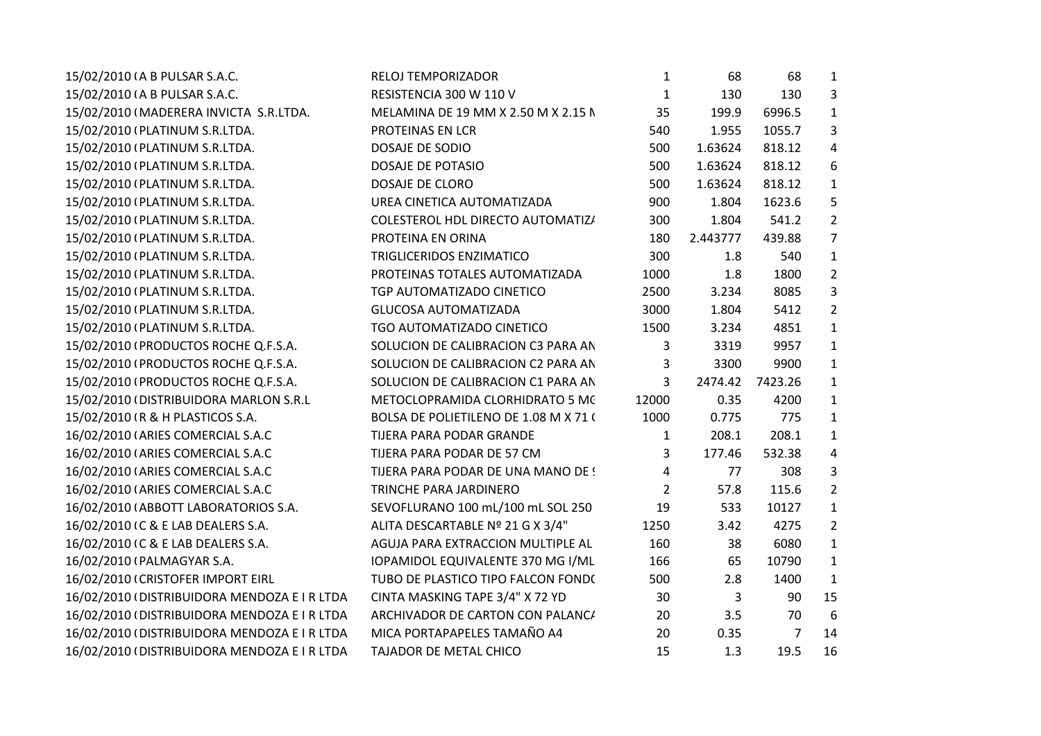| 15/02/2010 (A B PULSAR S.A.C.                | RELOJ TEMPORIZADOR                    | 1              | 68       | 68             | 1               |
|----------------------------------------------|---------------------------------------|----------------|----------|----------------|-----------------|
| 15/02/2010 (A B PULSAR S.A.C.                | RESISTENCIA 300 W 110 V               | $\mathbf{1}$   | 130      | 130            | 3               |
| 15/02/2010 (MADERERA INVICTA S.R.LTDA.       | MELAMINA DE 19 MM X 2.50 M X 2.15 N   | 35             | 199.9    | 6996.5         | 1               |
| 15/02/2010 (PLATINUM S.R.LTDA.               | PROTEINAS EN LCR                      | 540            | 1.955    | 1055.7         | 3               |
| 15/02/2010 (PLATINUM S.R.LTDA.               | DOSAJE DE SODIO                       | 500            | 1.63624  | 818.12         | 4               |
| 15/02/2010 (PLATINUM S.R.LTDA.               | DOSAJE DE POTASIO                     | 500            | 1.63624  | 818.12         | 6               |
| 15/02/2010 (PLATINUM S.R.LTDA.               | <b>DOSAJE DE CLORO</b>                | 500            | 1.63624  | 818.12         | $\mathbf{1}$    |
| 15/02/2010 (PLATINUM S.R.LTDA.               | UREA CINETICA AUTOMATIZADA            | 900            | 1.804    | 1623.6         | 5               |
| 15/02/2010 (PLATINUM S.R.LTDA.               | COLESTEROL HDL DIRECTO AUTOMATIZ/     | 300            | 1.804    | 541.2          | $\overline{2}$  |
| 15/02/2010 (PLATINUM S.R.LTDA.               | PROTEINA EN ORINA                     | 180            | 2.443777 | 439.88         | $\overline{7}$  |
| 15/02/2010 (PLATINUM S.R.LTDA.               | <b>TRIGLICERIDOS ENZIMATICO</b>       | 300            | 1.8      | 540            | 1               |
| 15/02/2010 (PLATINUM S.R.LTDA.               | PROTEINAS TOTALES AUTOMATIZADA        | 1000           | 1.8      | 1800           | $\overline{2}$  |
| 15/02/2010 (PLATINUM S.R.LTDA.               | TGP AUTOMATIZADO CINETICO             | 2500           | 3.234    | 8085           | 3               |
| 15/02/2010 (PLATINUM S.R.LTDA.               | <b>GLUCOSA AUTOMATIZADA</b>           | 3000           | 1.804    | 5412           | $\overline{2}$  |
| 15/02/2010 (PLATINUM S.R.LTDA.               | TGO AUTOMATIZADO CINETICO             | 1500           | 3.234    | 4851           | $\mathbf{1}$    |
| 15/02/2010 (PRODUCTOS ROCHE Q.F.S.A.         | SOLUCION DE CALIBRACION C3 PARA AN    | 3              | 3319     | 9957           | 1               |
| 15/02/2010 (PRODUCTOS ROCHE Q.F.S.A.         | SOLUCION DE CALIBRACION C2 PARA AN    | 3              | 3300     | 9900           | 1               |
| 15/02/2010 (PRODUCTOS ROCHE Q.F.S.A.         | SOLUCION DE CALIBRACION C1 PARA AN    | 3              | 2474.42  | 7423.26        | 1               |
| 15/02/2010 (DISTRIBUIDORA MARLON S.R.L       | METOCLOPRAMIDA CLORHIDRATO 5 MC       | 12000          | 0.35     | 4200           | 1               |
| 15/02/2010 (R & H PLASTICOS S.A.             | BOLSA DE POLIETILENO DE 1.08 M X 71 ( | 1000           | 0.775    | 775            | $\mathbf{1}$    |
| 16/02/2010 (ARIES COMERCIAL S.A.C            | TIJERA PARA PODAR GRANDE              | $\mathbf{1}$   | 208.1    | 208.1          | 1               |
| 16/02/2010 (ARIES COMERCIAL S.A.C            | TIJERA PARA PODAR DE 57 CM            | 3              | 177.46   | 532.38         | 4               |
| 16/02/2010 (ARIES COMERCIAL S.A.C            | TIJERA PARA PODAR DE UNA MANO DE !    | 4              | 77       | 308            | 3               |
| 16/02/2010 (ARIES COMERCIAL S.A.C            | <b>TRINCHE PARA JARDINERO</b>         | $\overline{2}$ | 57.8     | 115.6          | $\overline{2}$  |
| 16/02/2010 (ABBOTT LABORATORIOS S.A.         | SEVOFLURANO 100 mL/100 mL SOL 250     | 19             | 533      | 10127          | 1               |
| 16/02/2010 IC & E LAB DEALERS S.A.           | ALITA DESCARTABLE Nº 21 G X 3/4"      | 1250           | 3.42     | 4275           | $\overline{2}$  |
| 16/02/2010 IC & E LAB DEALERS S.A.           | AGUJA PARA EXTRACCION MULTIPLE AL     | 160            | 38       | 6080           | 1               |
| 16/02/2010 (PALMAGYAR S.A.                   | IOPAMIDOL EQUIVALENTE 370 MG I/ML     | 166            | 65       | 10790          | 1               |
| 16/02/2010 (CRISTOFER IMPORT EIRL            | TUBO DE PLASTICO TIPO FALCON FOND(    | 500            | 2.8      | 1400           | 1               |
| 16/02/2010 (DISTRIBUIDORA MENDOZA E I R LTDA | CINTA MASKING TAPE 3/4" X 72 YD       | 30             | 3        | 90             | 15              |
| 16/02/2010 (DISTRIBUIDORA MENDOZA E I R LTDA | ARCHIVADOR DE CARTON CON PALANC/      | 20             | 3.5      | 70             | $6\phantom{1}6$ |
| 16/02/2010 (DISTRIBUIDORA MENDOZA E I R LTDA | MICA PORTAPAPELES TAMAÑO A4           | 20             | 0.35     | $\overline{7}$ | 14              |
| 16/02/2010 (DISTRIBUIDORA MENDOZA E I R LTDA | TAJADOR DE METAL CHICO                | 15             | 1.3      | 19.5           | 16              |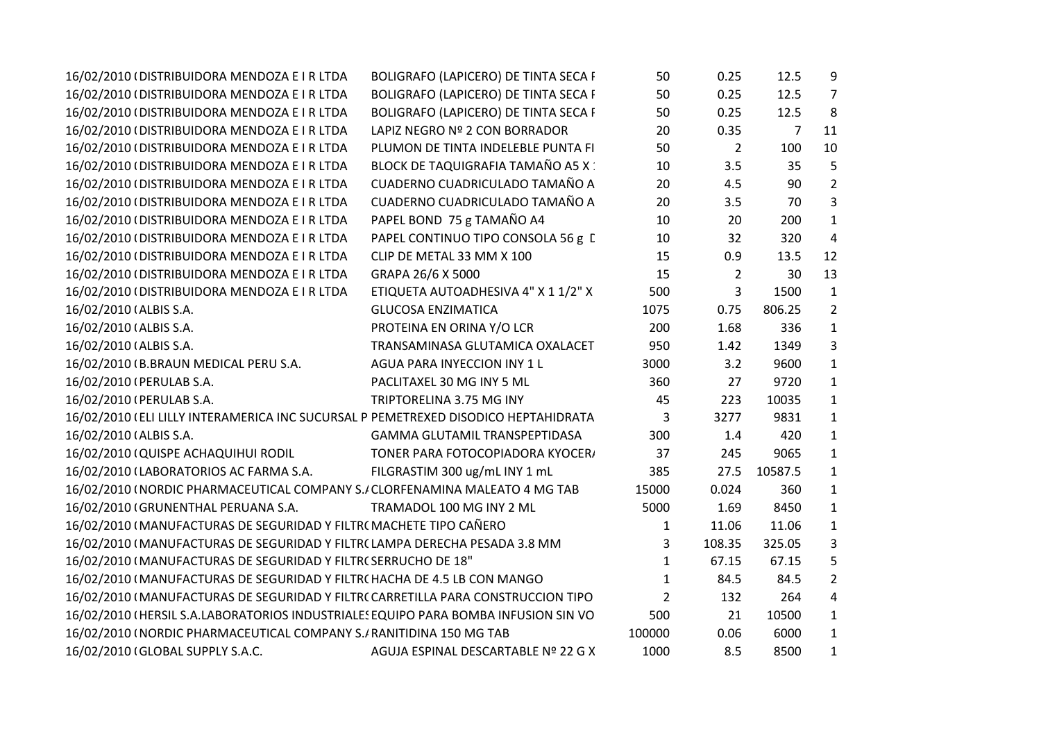| 16/02/2010 (DISTRIBUIDORA MENDOZA E I R LTDA                                       | BOLIGRAFO (LAPICERO) DE TINTA SECA I        | 50             | 0.25           | 12.5    | 9              |
|------------------------------------------------------------------------------------|---------------------------------------------|----------------|----------------|---------|----------------|
| 16/02/2010 (DISTRIBUIDORA MENDOZA E I R LTDA                                       | <b>BOLIGRAFO (LAPICERO) DE TINTA SECA I</b> | 50             | 0.25           | 12.5    | $\overline{7}$ |
| 16/02/2010 (DISTRIBUIDORA MENDOZA E I R LTDA                                       | BOLIGRAFO (LAPICERO) DE TINTA SECA I        | 50             | 0.25           | 12.5    | 8              |
| 16/02/2010 (DISTRIBUIDORA MENDOZA E I R LTDA                                       | LAPIZ NEGRO Nº 2 CON BORRADOR               | 20             | 0.35           | 7       | 11             |
| 16/02/2010 (DISTRIBUIDORA MENDOZA E I R LTDA                                       | PLUMON DE TINTA INDELEBLE PUNTA FI          | 50             | $\overline{2}$ | 100     | 10             |
| 16/02/2010 (DISTRIBUIDORA MENDOZA E I R LTDA                                       | BLOCK DE TAQUIGRAFIA TAMAÑO A5 X :          | 10             | 3.5            | 35      | 5              |
| 16/02/2010 (DISTRIBUIDORA MENDOZA E I R LTDA                                       | CUADERNO CUADRICULADO TAMAÑO A              | 20             | 4.5            | 90      | $\overline{2}$ |
| 16/02/2010 (DISTRIBUIDORA MENDOZA E I R LTDA                                       | CUADERNO CUADRICULADO TAMAÑO A              | 20             | 3.5            | 70      | 3              |
| 16/02/2010 (DISTRIBUIDORA MENDOZA E I R LTDA                                       | PAPEL BOND 75 g TAMAÑO A4                   | 10             | 20             | 200     | $\mathbf{1}$   |
| 16/02/2010 (DISTRIBUIDORA MENDOZA E I R LTDA                                       | PAPEL CONTINUO TIPO CONSOLA 56 g [          | 10             | 32             | 320     | $\overline{4}$ |
| 16/02/2010 (DISTRIBUIDORA MENDOZA E I R LTDA                                       | CLIP DE METAL 33 MM X 100                   | 15             | 0.9            | 13.5    | 12             |
| 16/02/2010 (DISTRIBUIDORA MENDOZA E I R LTDA                                       | GRAPA 26/6 X 5000                           | 15             | 2              | 30      | 13             |
| 16/02/2010 (DISTRIBUIDORA MENDOZA E I R LTDA                                       | ETIQUETA AUTOADHESIVA 4" X 1 1/2" X         | 500            | 3              | 1500    | $\mathbf{1}$   |
| 16/02/2010 (ALBIS S.A.                                                             | <b>GLUCOSA ENZIMATICA</b>                   | 1075           | 0.75           | 806.25  | $\overline{2}$ |
| 16/02/2010 (ALBIS S.A.                                                             | PROTEINA EN ORINA Y/O LCR                   | 200            | 1.68           | 336     | $\mathbf{1}$   |
| 16/02/2010 (ALBIS S.A.                                                             | TRANSAMINASA GLUTAMICA OXALACET             | 950            | 1.42           | 1349    | 3              |
| 16/02/2010 (B.BRAUN MEDICAL PERU S.A.                                              | AGUA PARA INYECCION INY 1 L                 | 3000           | 3.2            | 9600    | $\mathbf{1}$   |
| 16/02/2010 (PERULAB S.A.                                                           | PACLITAXEL 30 MG INY 5 ML                   | 360            | 27             | 9720    | $\mathbf{1}$   |
| 16/02/2010 (PERULAB S.A.                                                           | TRIPTORELINA 3.75 MG INY                    | 45             | 223            | 10035   | $\mathbf{1}$   |
| 16/02/2010 (ELI LILLY INTERAMERICA INC SUCURSAL P PEMETREXED DISODICO HEPTAHIDRATA |                                             | 3              | 3277           | 9831    | $\mathbf{1}$   |
| 16/02/2010 (ALBIS S.A.                                                             | GAMMA GLUTAMIL TRANSPEPTIDASA               | 300            | 1.4            | 420     | $\mathbf{1}$   |
| 16/02/2010 (QUISPE ACHAQUIHUI RODIL                                                | TONER PARA FOTOCOPIADORA KYOCER/            | 37             | 245            | 9065    | $\mathbf{1}$   |
| 16/02/2010 (LABORATORIOS AC FARMA S.A.                                             | FILGRASTIM 300 ug/mL INY 1 mL               | 385            | 27.5           | 10587.5 | 1              |
| 16/02/2010 (NORDIC PHARMACEUTICAL COMPANY S./CLORFENAMINA MALEATO 4 MG TAB         |                                             | 15000          | 0.024          | 360     | $\mathbf{1}$   |
| 16/02/2010 (GRUNENTHAL PERUANA S.A.                                                | TRAMADOL 100 MG INY 2 ML                    | 5000           | 1.69           | 8450    | $\mathbf{1}$   |
| 16/02/2010 (MANUFACTURAS DE SEGURIDAD Y FILTR( MACHETE TIPO CAÑERO                 |                                             | 1              | 11.06          | 11.06   | $\mathbf{1}$   |
| 16/02/2010 I MANUFACTURAS DE SEGURIDAD Y FILTR(LAMPA DERECHA PESADA 3.8 MM         |                                             | 3              | 108.35         | 325.05  | 3              |
| 16/02/2010 (MANUFACTURAS DE SEGURIDAD Y FILTR(SERRUCHO DE 18"                      |                                             | 1              | 67.15          | 67.15   | 5              |
| 16/02/2010 (MANUFACTURAS DE SEGURIDAD Y FILTR(HACHA DE 4.5 LB CON MANGO            |                                             | $\mathbf{1}$   | 84.5           | 84.5    | $\overline{2}$ |
| 16/02/2010 (MANUFACTURAS DE SEGURIDAD Y FILTR(CARRETILLA PARA CONSTRUCCION TIPO    |                                             | $\overline{2}$ | 132            | 264     | 4              |
| 16/02/2010 (HERSIL S.A.LABORATORIOS INDUSTRIALES EQUIPO PARA BOMBA INFUSION SIN VO |                                             | 500            | 21             | 10500   | $\mathbf{1}$   |
| 16/02/2010 (NORDIC PHARMACEUTICAL COMPANY S./ RANITIDINA 150 MG TAB                |                                             | 100000         | 0.06           | 6000    | $\mathbf{1}$   |
| 16/02/2010 (GLOBAL SUPPLY S.A.C.                                                   | AGUJA ESPINAL DESCARTABLE Nº 22 G X         | 1000           | 8.5            | 8500    | $\mathbf{1}$   |
|                                                                                    |                                             |                |                |         |                |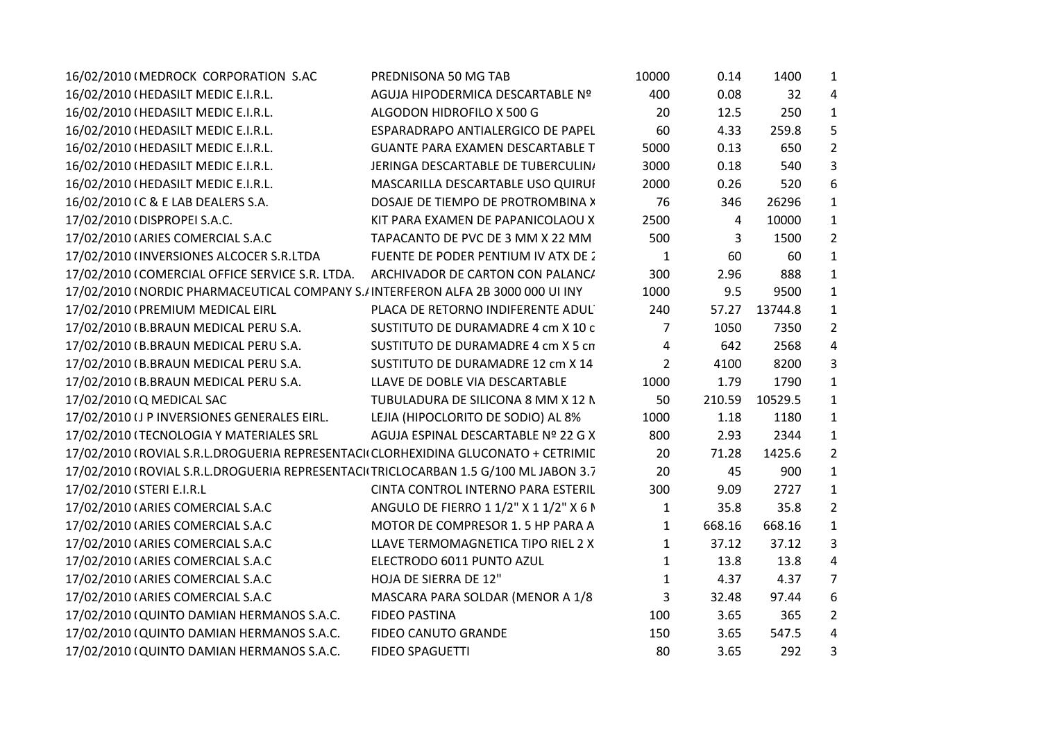| 16/02/2010 (MEDROCK CORPORATION S.AC                                                | PREDNISONA 50 MG TAB                    | 10000          | 0.14   | 1400    | $\mathbf{1}$   |
|-------------------------------------------------------------------------------------|-----------------------------------------|----------------|--------|---------|----------------|
| 16/02/2010 (HEDASILT MEDIC E.I.R.L.                                                 | AGUJA HIPODERMICA DESCARTABLE Nº        | 400            | 0.08   | 32      | $\overline{4}$ |
| 16/02/2010 (HEDASILT MEDIC E.I.R.L.                                                 | ALGODON HIDROFILO X 500 G               | 20             | 12.5   | 250     | $\mathbf{1}$   |
| 16/02/2010 (HEDASILT MEDIC E.I.R.L.                                                 | ESPARADRAPO ANTIALERGICO DE PAPEL       | 60             | 4.33   | 259.8   | 5              |
| 16/02/2010 (HEDASILT MEDIC E.I.R.L.                                                 | <b>GUANTE PARA EXAMEN DESCARTABLE T</b> | 5000           | 0.13   | 650     | $\overline{2}$ |
| 16/02/2010 (HEDASILT MEDIC E.I.R.L.                                                 | JERINGA DESCARTABLE DE TUBERCULIN,      | 3000           | 0.18   | 540     | $\overline{3}$ |
| 16/02/2010 (HEDASILT MEDIC E.I.R.L.                                                 | MASCARILLA DESCARTABLE USO QUIRUI       | 2000           | 0.26   | 520     | 6              |
| 16/02/2010 IC & E LAB DEALERS S.A.                                                  | DOSAJE DE TIEMPO DE PROTROMBINA >       | 76             | 346    | 26296   | $\mathbf{1}$   |
| 17/02/2010 (DISPROPEI S.A.C.                                                        | KIT PARA EXAMEN DE PAPANICOLAOU X       | 2500           | 4      | 10000   | $\mathbf{1}$   |
| 17/02/2010 (ARIES COMERCIAL S.A.C                                                   | TAPACANTO DE PVC DE 3 MM X 22 MM        | 500            | 3      | 1500    | $\overline{2}$ |
| 17/02/2010 (INVERSIONES ALCOCER S.R.LTDA                                            | FUENTE DE PODER PENTIUM IV ATX DE 2     | $\mathbf{1}$   | 60     | 60      | $\mathbf{1}$   |
| 17/02/2010 (COMERCIAL OFFICE SERVICE S.R. LTDA.                                     | ARCHIVADOR DE CARTON CON PALANC/        | 300            | 2.96   | 888     | $\mathbf{1}$   |
| 17/02/2010 (NORDIC PHARMACEUTICAL COMPANY S./INTERFERON ALFA 2B 3000 000 UI INY     |                                         | 1000           | 9.5    | 9500    | $\mathbf{1}$   |
| 17/02/2010 (PREMIUM MEDICAL EIRL                                                    | PLACA DE RETORNO INDIFERENTE ADUL       | 240            | 57.27  | 13744.8 | $\mathbf{1}$   |
| 17/02/2010 (B.BRAUN MEDICAL PERU S.A.                                               | SUSTITUTO DE DURAMADRE 4 cm X 10 c      | 7              | 1050   | 7350    | $\overline{2}$ |
| 17/02/2010 (B.BRAUN MEDICAL PERU S.A.                                               | SUSTITUTO DE DURAMADRE 4 cm X 5 cn      | 4              | 642    | 2568    | $\overline{a}$ |
| 17/02/2010 (B.BRAUN MEDICAL PERU S.A.                                               | SUSTITUTO DE DURAMADRE 12 cm X 14       | $\overline{2}$ | 4100   | 8200    | $\overline{3}$ |
| 17/02/2010 (B.BRAUN MEDICAL PERU S.A.                                               | LLAVE DE DOBLE VIA DESCARTABLE          | 1000           | 1.79   | 1790    | $\mathbf{1}$   |
| 17/02/2010 (Q MEDICAL SAC                                                           | TUBULADURA DE SILICONA 8 MM X 12 N      | 50             | 210.59 | 10529.5 | $\mathbf{1}$   |
| 17/02/2010 (J P INVERSIONES GENERALES EIRL.                                         | LEJIA (HIPOCLORITO DE SODIO) AL 8%      | 1000           | 1.18   | 1180    | $\mathbf{1}$   |
| 17/02/2010 (TECNOLOGIA Y MATERIALES SRL                                             | AGUJA ESPINAL DESCARTABLE Nº 22 G X     | 800            | 2.93   | 2344    | $\mathbf{1}$   |
| 17/02/2010 (ROVIAL S.R.L.DROGUERIA REPRESENTACI(CLORHEXIDINA GLUCONATO + CETRIMIL   |                                         | 20             | 71.28  | 1425.6  | $\overline{2}$ |
| 17/02/2010 (ROVIAL S.R.L.DROGUERIA REPRESENTACI(TRICLOCARBAN 1.5 G/100 ML JABON 3.7 |                                         | 20             | 45     | 900     | $\mathbf{1}$   |
| 17/02/2010 (STERI E.I.R.L                                                           | CINTA CONTROL INTERNO PARA ESTERIL      | 300            | 9.09   | 2727    | $\mathbf{1}$   |
| 17/02/2010 (ARIES COMERCIAL S.A.C                                                   | ANGULO DE FIERRO 1 1/2" X 1 1/2" X 6 I  | $\mathbf{1}$   | 35.8   | 35.8    | $\overline{2}$ |
| 17/02/2010 (ARIES COMERCIAL S.A.C                                                   | MOTOR DE COMPRESOR 1.5 HP PARA A        | 1              | 668.16 | 668.16  | $\mathbf{1}$   |
| 17/02/2010 (ARIES COMERCIAL S.A.C                                                   | LLAVE TERMOMAGNETICA TIPO RIEL 2 X      | $\mathbf{1}$   | 37.12  | 37.12   | $\mathbf{3}$   |
| 17/02/2010 (ARIES COMERCIAL S.A.C                                                   | ELECTRODO 6011 PUNTO AZUL               | 1              | 13.8   | 13.8    | $\overline{4}$ |
| 17/02/2010 (ARIES COMERCIAL S.A.C                                                   | HOJA DE SIERRA DE 12"                   | $\mathbf{1}$   | 4.37   | 4.37    | $\overline{7}$ |
| 17/02/2010 (ARIES COMERCIAL S.A.C                                                   | MASCARA PARA SOLDAR (MENOR A 1/8        | 3              | 32.48  | 97.44   | 6              |
| 17/02/2010 (QUINTO DAMIAN HERMANOS S.A.C.                                           | <b>FIDEO PASTINA</b>                    | 100            | 3.65   | 365     | $\overline{2}$ |
| 17/02/2010 (QUINTO DAMIAN HERMANOS S.A.C.                                           | <b>FIDEO CANUTO GRANDE</b>              | 150            | 3.65   | 547.5   | $\overline{4}$ |
| 17/02/2010 (QUINTO DAMIAN HERMANOS S.A.C.                                           | <b>FIDEO SPAGUETTI</b>                  | 80             | 3.65   | 292     | 3              |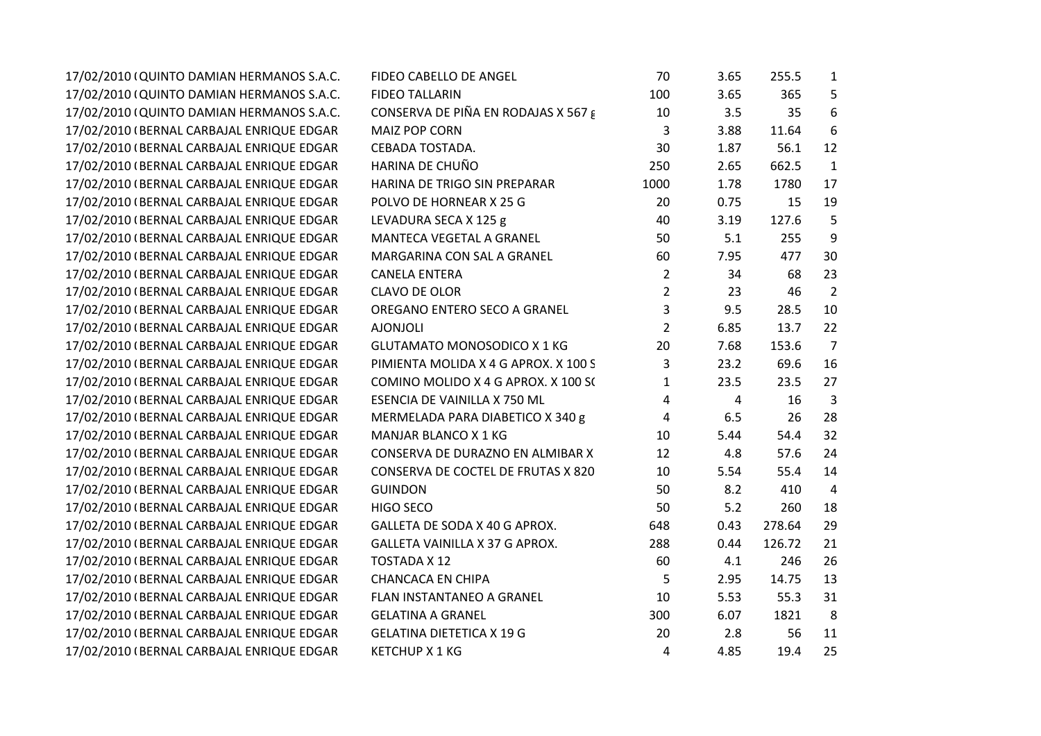| 17/02/2010 (QUINTO DAMIAN HERMANOS S.A.C. | FIDEO CABELLO DE ANGEL               | 70             | 3.65 | 255.5  | 1              |  |
|-------------------------------------------|--------------------------------------|----------------|------|--------|----------------|--|
| 17/02/2010 (QUINTO DAMIAN HERMANOS S.A.C. | <b>FIDEO TALLARIN</b>                | 100            | 3.65 | 365    | 5              |  |
| 17/02/2010 (QUINTO DAMIAN HERMANOS S.A.C. | CONSERVA DE PIÑA EN RODAJAS X 567 g  | 10             | 3.5  | 35     | 6              |  |
| 17/02/2010 (BERNAL CARBAJAL ENRIQUE EDGAR | MAIZ POP CORN                        | 3              | 3.88 | 11.64  | 6              |  |
| 17/02/2010 (BERNAL CARBAJAL ENRIQUE EDGAR | CEBADA TOSTADA.                      | 30             | 1.87 | 56.1   | 12             |  |
| 17/02/2010 (BERNAL CARBAJAL ENRIQUE EDGAR | HARINA DE CHUÑO                      | 250            | 2.65 | 662.5  | $\mathbf{1}$   |  |
| 17/02/2010 (BERNAL CARBAJAL ENRIQUE EDGAR | HARINA DE TRIGO SIN PREPARAR         | 1000           | 1.78 | 1780   | 17             |  |
| 17/02/2010 (BERNAL CARBAJAL ENRIQUE EDGAR | POLVO DE HORNEAR X 25 G              | 20             | 0.75 | 15     | 19             |  |
| 17/02/2010 (BERNAL CARBAJAL ENRIQUE EDGAR | LEVADURA SECA X 125 g                | 40             | 3.19 | 127.6  | 5              |  |
| 17/02/2010 (BERNAL CARBAJAL ENRIQUE EDGAR | MANTECA VEGETAL A GRANEL             | 50             | 5.1  | 255    | 9              |  |
| 17/02/2010 (BERNAL CARBAJAL ENRIQUE EDGAR | MARGARINA CON SAL A GRANEL           | 60             | 7.95 | 477    | 30             |  |
| 17/02/2010 (BERNAL CARBAJAL ENRIQUE EDGAR | <b>CANELA ENTERA</b>                 | $\overline{2}$ | 34   | 68     | 23             |  |
| 17/02/2010 (BERNAL CARBAJAL ENRIQUE EDGAR | <b>CLAVO DE OLOR</b>                 | $\overline{2}$ | 23   | 46     | $\overline{2}$ |  |
| 17/02/2010 (BERNAL CARBAJAL ENRIQUE EDGAR | OREGANO ENTERO SECO A GRANEL         | 3              | 9.5  | 28.5   | 10             |  |
| 17/02/2010 (BERNAL CARBAJAL ENRIQUE EDGAR | <b>AJONJOLI</b>                      | $\overline{2}$ | 6.85 | 13.7   | 22             |  |
| 17/02/2010 (BERNAL CARBAJAL ENRIQUE EDGAR | <b>GLUTAMATO MONOSODICO X 1 KG</b>   | 20             | 7.68 | 153.6  | $\overline{7}$ |  |
| 17/02/2010 (BERNAL CARBAJAL ENRIQUE EDGAR | PIMIENTA MOLIDA X 4 G APROX. X 100 S | 3              | 23.2 | 69.6   | 16             |  |
| 17/02/2010 (BERNAL CARBAJAL ENRIQUE EDGAR | COMINO MOLIDO X 4 G APROX. X 100 S(  | $\mathbf{1}$   | 23.5 | 23.5   | 27             |  |
| 17/02/2010 (BERNAL CARBAJAL ENRIQUE EDGAR | ESENCIA DE VAINILLA X 750 ML         | 4              | 4    | 16     | 3              |  |
| 17/02/2010 (BERNAL CARBAJAL ENRIQUE EDGAR | MERMELADA PARA DIABETICO X 340 g     | 4              | 6.5  | 26     | 28             |  |
| 17/02/2010 (BERNAL CARBAJAL ENRIQUE EDGAR | MANJAR BLANCO X 1 KG                 | 10             | 5.44 | 54.4   | 32             |  |
| 17/02/2010 (BERNAL CARBAJAL ENRIQUE EDGAR | CONSERVA DE DURAZNO EN ALMIBAR X     | 12             | 4.8  | 57.6   | 24             |  |
| 17/02/2010 (BERNAL CARBAJAL ENRIQUE EDGAR | CONSERVA DE COCTEL DE FRUTAS X 820   | 10             | 5.54 | 55.4   | 14             |  |
| 17/02/2010 (BERNAL CARBAJAL ENRIQUE EDGAR | <b>GUINDON</b>                       | 50             | 8.2  | 410    | $\overline{4}$ |  |
| 17/02/2010 (BERNAL CARBAJAL ENRIQUE EDGAR | HIGO SECO                            | 50             | 5.2  | 260    | 18             |  |
| 17/02/2010 (BERNAL CARBAJAL ENRIQUE EDGAR | GALLETA DE SODA X 40 G APROX.        | 648            | 0.43 | 278.64 | 29             |  |
| 17/02/2010 (BERNAL CARBAJAL ENRIQUE EDGAR | GALLETA VAINILLA X 37 G APROX.       | 288            | 0.44 | 126.72 | 21             |  |
| 17/02/2010 (BERNAL CARBAJAL ENRIQUE EDGAR | TOSTADA X 12                         | 60             | 4.1  | 246    | 26             |  |
| 17/02/2010 (BERNAL CARBAJAL ENRIQUE EDGAR | <b>CHANCACA EN CHIPA</b>             | 5              | 2.95 | 14.75  | 13             |  |
| 17/02/2010 (BERNAL CARBAJAL ENRIQUE EDGAR | FLAN INSTANTANEO A GRANEL            | 10             | 5.53 | 55.3   | 31             |  |
| 17/02/2010 (BERNAL CARBAJAL ENRIQUE EDGAR | <b>GELATINA A GRANEL</b>             | 300            | 6.07 | 1821   | 8              |  |
| 17/02/2010 (BERNAL CARBAJAL ENRIQUE EDGAR | <b>GELATINA DIETETICA X 19 G</b>     | 20             | 2.8  | 56     | 11             |  |
| 17/02/2010 (BERNAL CARBAJAL ENRIQUE EDGAR | <b>KETCHUP X 1 KG</b>                | 4              | 4.85 | 19.4   | 25             |  |
|                                           |                                      |                |      |        |                |  |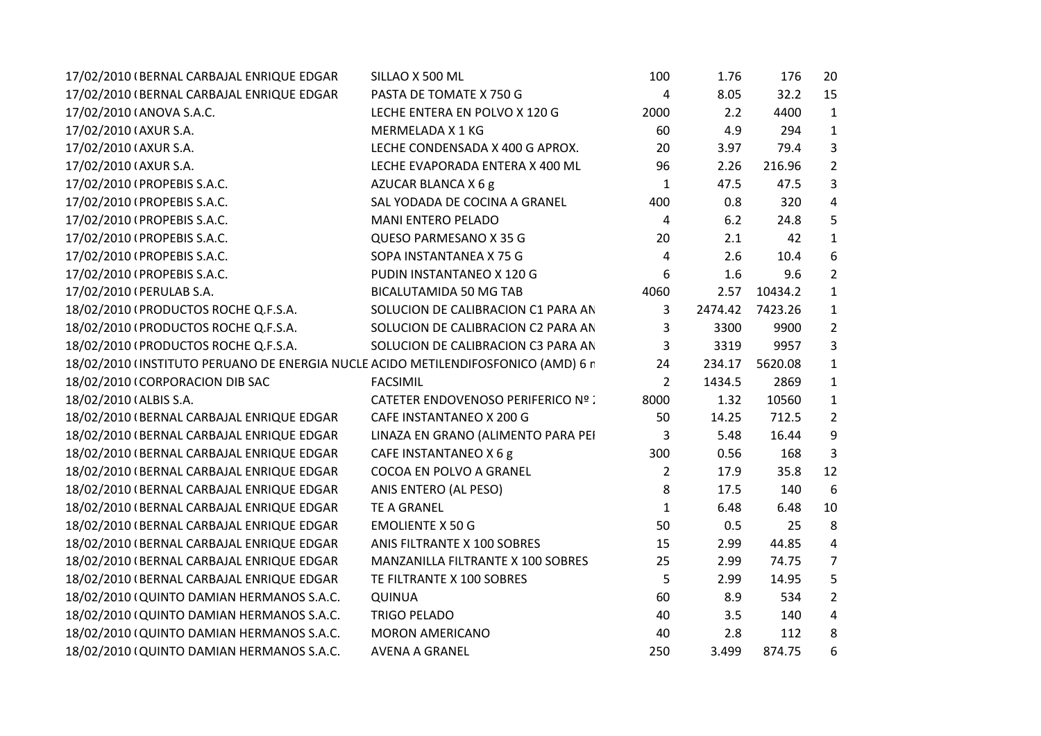| 17/02/2010 (BERNAL CARBAJAL ENRIQUE EDGAR                                         | SILLAO X 500 ML                           | 100            | 1.76    | 176     | 20             |
|-----------------------------------------------------------------------------------|-------------------------------------------|----------------|---------|---------|----------------|
| 17/02/2010 (BERNAL CARBAJAL ENRIQUE EDGAR                                         | PASTA DE TOMATE X 750 G                   | 4              | 8.05    | 32.2    | 15             |
| 17/02/2010 (ANOVA S.A.C.                                                          | LECHE ENTERA EN POLVO X 120 G             | 2000           | 2.2     | 4400    | 1              |
| 17/02/2010 (AXUR S.A.                                                             | MERMELADA X 1 KG                          | 60             | 4.9     | 294     | 1              |
| 17/02/2010 (AXUR S.A.                                                             | LECHE CONDENSADA X 400 G APROX.           | 20             | 3.97    | 79.4    | 3              |
| 17/02/2010 (AXUR S.A.                                                             | LECHE EVAPORADA ENTERA X 400 ML           | 96             | 2.26    | 216.96  | $\overline{2}$ |
| 17/02/2010 (PROPEBIS S.A.C.                                                       | AZUCAR BLANCA X 6 g                       | $\mathbf 1$    | 47.5    | 47.5    | 3              |
| 17/02/2010 (PROPEBIS S.A.C.                                                       | SAL YODADA DE COCINA A GRANEL             | 400            | 0.8     | 320     | 4              |
| 17/02/2010 (PROPEBIS S.A.C.                                                       | <b>MANI ENTERO PELADO</b>                 | 4              | 6.2     | 24.8    | 5              |
| 17/02/2010 (PROPEBIS S.A.C.                                                       | QUESO PARMESANO X 35 G                    | 20             | 2.1     | 42      | 1              |
| 17/02/2010 (PROPEBIS S.A.C.                                                       | SOPA INSTANTANEA X 75 G                   | 4              | 2.6     | 10.4    | 6              |
| 17/02/2010 (PROPEBIS S.A.C.                                                       | PUDIN INSTANTANEO X 120 G                 | 6              | 1.6     | 9.6     | $\overline{2}$ |
| 17/02/2010 (PERULAB S.A.                                                          | <b>BICALUTAMIDA 50 MG TAB</b>             | 4060           | 2.57    | 10434.2 | 1              |
| 18/02/2010 (PRODUCTOS ROCHE Q.F.S.A.                                              | SOLUCION DE CALIBRACION C1 PARA AN        | 3              | 2474.42 | 7423.26 | 1              |
| 18/02/2010 (PRODUCTOS ROCHE Q.F.S.A.                                              | SOLUCION DE CALIBRACION C2 PARA AN        | 3              | 3300    | 9900    | $\overline{2}$ |
| 18/02/2010 (PRODUCTOS ROCHE Q.F.S.A.                                              | SOLUCION DE CALIBRACION C3 PARA AN        | 3              | 3319    | 9957    | 3              |
| 18/02/2010 (INSTITUTO PERUANO DE ENERGIA NUCLE ACIDO METILENDIFOSFONICO (AMD) 6 r |                                           | 24             | 234.17  | 5620.08 | 1              |
| 18/02/2010 (CORPORACION DIB SAC                                                   | <b>FACSIMIL</b>                           | $\overline{2}$ | 1434.5  | 2869    | 1              |
| 18/02/2010 (ALBIS S.A.                                                            | <b>CATETER ENDOVENOSO PERIFERICO Nº :</b> | 8000           | 1.32    | 10560   | $\mathbf{1}$   |
| 18/02/2010 (BERNAL CARBAJAL ENRIQUE EDGAR                                         | CAFE INSTANTANEO X 200 G                  | 50             | 14.25   | 712.5   | $\overline{2}$ |
| 18/02/2010 (BERNAL CARBAJAL ENRIQUE EDGAR                                         | LINAZA EN GRANO (ALIMENTO PARA PEI        | 3              | 5.48    | 16.44   | 9              |
| 18/02/2010 (BERNAL CARBAJAL ENRIQUE EDGAR                                         | CAFE INSTANTANEO X 6 g                    | 300            | 0.56    | 168     | 3              |
| 18/02/2010 (BERNAL CARBAJAL ENRIQUE EDGAR                                         | COCOA EN POLVO A GRANEL                   | $\overline{2}$ | 17.9    | 35.8    | 12             |
| 18/02/2010 (BERNAL CARBAJAL ENRIQUE EDGAR                                         | ANIS ENTERO (AL PESO)                     | 8              | 17.5    | 140     | 6              |
| 18/02/2010 (BERNAL CARBAJAL ENRIQUE EDGAR                                         | <b>TE A GRANEL</b>                        | $\mathbf{1}$   | 6.48    | 6.48    | 10             |
| 18/02/2010 (BERNAL CARBAJAL ENRIQUE EDGAR                                         | <b>EMOLIENTE X 50 G</b>                   | 50             | 0.5     | 25      | 8              |
| 18/02/2010 (BERNAL CARBAJAL ENRIQUE EDGAR                                         | ANIS FILTRANTE X 100 SOBRES               | 15             | 2.99    | 44.85   | $\pmb{4}$      |
| 18/02/2010 (BERNAL CARBAJAL ENRIQUE EDGAR                                         | MANZANILLA FILTRANTE X 100 SOBRES         | 25             | 2.99    | 74.75   | 7              |
| 18/02/2010 (BERNAL CARBAJAL ENRIQUE EDGAR                                         | TE FILTRANTE X 100 SOBRES                 | 5              | 2.99    | 14.95   | 5              |
| 18/02/2010 (QUINTO DAMIAN HERMANOS S.A.C.                                         | <b>QUINUA</b>                             | 60             | 8.9     | 534     | $\overline{2}$ |
| 18/02/2010 (QUINTO DAMIAN HERMANOS S.A.C.                                         | <b>TRIGO PELADO</b>                       | 40             | 3.5     | 140     | 4              |
| 18/02/2010 (QUINTO DAMIAN HERMANOS S.A.C.                                         | <b>MORON AMERICANO</b>                    | 40             | 2.8     | 112     | 8              |
| 18/02/2010 (QUINTO DAMIAN HERMANOS S.A.C.                                         | <b>AVENA A GRANEL</b>                     | 250            | 3.499   | 874.75  | 6              |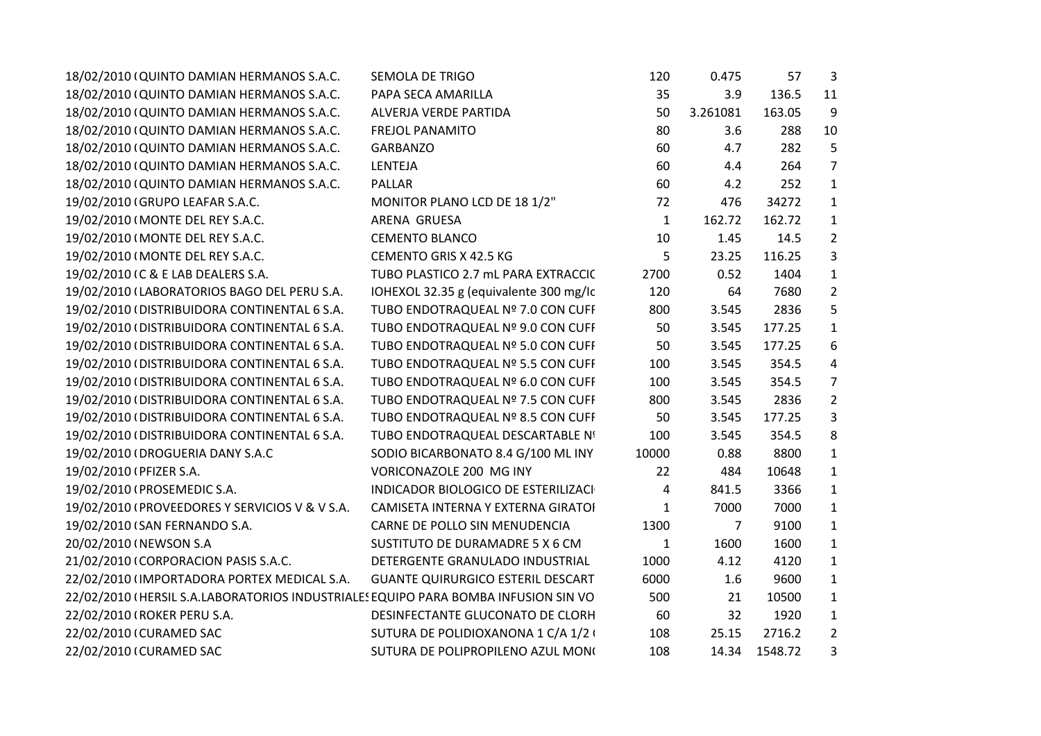| 18/02/2010 (QUINTO DAMIAN HERMANOS S.A.C.                                          | <b>SEMOLA DE TRIGO</b>                   | 120          | 0.475    | 57      | $\mathbf{3}$   |
|------------------------------------------------------------------------------------|------------------------------------------|--------------|----------|---------|----------------|
| 18/02/2010 (QUINTO DAMIAN HERMANOS S.A.C.                                          | PAPA SECA AMARILLA                       | 35           | 3.9      | 136.5   | 11             |
| 18/02/2010 (QUINTO DAMIAN HERMANOS S.A.C.                                          | ALVERJA VERDE PARTIDA                    | 50           | 3.261081 | 163.05  | 9              |
| 18/02/2010 (QUINTO DAMIAN HERMANOS S.A.C.                                          | <b>FREJOL PANAMITO</b>                   | 80           | 3.6      | 288     | 10             |
| 18/02/2010 (QUINTO DAMIAN HERMANOS S.A.C.                                          | GARBANZO                                 | 60           | 4.7      | 282     | 5              |
| 18/02/2010 (QUINTO DAMIAN HERMANOS S.A.C.                                          | LENTEJA                                  | 60           | 4.4      | 264     | $\overline{7}$ |
| 18/02/2010 (QUINTO DAMIAN HERMANOS S.A.C.                                          | <b>PALLAR</b>                            | 60           | 4.2      | 252     | $\mathbf{1}$   |
| 19/02/2010 (GRUPO LEAFAR S.A.C.                                                    | MONITOR PLANO LCD DE 18 1/2"             | 72           | 476      | 34272   | $\mathbf{1}$   |
| 19/02/2010 (MONTE DEL REY S.A.C.                                                   | ARENA GRUESA                             | $\mathbf{1}$ | 162.72   | 162.72  | $\mathbf{1}$   |
| 19/02/2010 (MONTE DEL REY S.A.C.                                                   | <b>CEMENTO BLANCO</b>                    | 10           | 1.45     | 14.5    | $\overline{2}$ |
| 19/02/2010 (MONTE DEL REY S.A.C.                                                   | CEMENTO GRIS X 42.5 KG                   | 5            | 23.25    | 116.25  | 3              |
| 19/02/2010 (C & E LAB DEALERS S.A.                                                 | TUBO PLASTICO 2.7 mL PARA EXTRACCIC      | 2700         | 0.52     | 1404    | $\mathbf{1}$   |
| 19/02/2010 (LABORATORIOS BAGO DEL PERU S.A.                                        | IOHEXOL 32.35 g (equivalente 300 mg/lc)  | 120          | 64       | 7680    | $\overline{2}$ |
| 19/02/2010 (DISTRIBUIDORA CONTINENTAL 6 S.A.                                       | TUBO ENDOTRAQUEAL Nº 7.0 CON CUFF        | 800          | 3.545    | 2836    | 5              |
| 19/02/2010 (DISTRIBUIDORA CONTINENTAL 6 S.A.                                       | TUBO ENDOTRAQUEAL Nº 9.0 CON CUFF        | 50           | 3.545    | 177.25  | $\mathbf{1}$   |
| 19/02/2010 (DISTRIBUIDORA CONTINENTAL 6 S.A.                                       | TUBO ENDOTRAQUEAL Nº 5.0 CON CUFF        | 50           | 3.545    | 177.25  | 6              |
| 19/02/2010 (DISTRIBUIDORA CONTINENTAL 6 S.A.                                       | TUBO ENDOTRAQUEAL Nº 5.5 CON CUFF        | 100          | 3.545    | 354.5   | 4              |
| 19/02/2010 (DISTRIBUIDORA CONTINENTAL 6 S.A.                                       | TUBO ENDOTRAQUEAL Nº 6.0 CON CUFF        | 100          | 3.545    | 354.5   | $\overline{7}$ |
| 19/02/2010 (DISTRIBUIDORA CONTINENTAL 6 S.A.                                       | TUBO ENDOTRAQUEAL Nº 7.5 CON CUFF        | 800          | 3.545    | 2836    | $\overline{2}$ |
| 19/02/2010 (DISTRIBUIDORA CONTINENTAL 6 S.A.                                       | TUBO ENDOTRAQUEAL Nº 8.5 CON CUFF        | 50           | 3.545    | 177.25  | $\mathbf{3}$   |
| 19/02/2010 (DISTRIBUIDORA CONTINENTAL 6 S.A.                                       | TUBO ENDOTRAQUEAL DESCARTABLE Nº         | 100          | 3.545    | 354.5   | 8              |
| 19/02/2010 (DROGUERIA DANY S.A.C                                                   | SODIO BICARBONATO 8.4 G/100 ML INY       | 10000        | 0.88     | 8800    | $\mathbf{1}$   |
| 19/02/2010 (PFIZER S.A.                                                            | VORICONAZOLE 200 MG INY                  | 22           | 484      | 10648   | $\mathbf{1}$   |
| 19/02/2010 (PROSEMEDIC S.A.                                                        | INDICADOR BIOLOGICO DE ESTERILIZACI      | 4            | 841.5    | 3366    | $\mathbf{1}$   |
| 19/02/2010 (PROVEEDORES Y SERVICIOS V & V S.A.                                     | CAMISETA INTERNA Y EXTERNA GIRATOI       | 1            | 7000     | 7000    | $\mathbf{1}$   |
| 19/02/2010 (SAN FERNANDO S.A.                                                      | CARNE DE POLLO SIN MENUDENCIA            | 1300         | 7        | 9100    | $\mathbf{1}$   |
| 20/02/2010 (NEWSON S.A                                                             | SUSTITUTO DE DURAMADRE 5 X 6 CM          | 1            | 1600     | 1600    | $\mathbf{1}$   |
| 21/02/2010 (CORPORACION PASIS S.A.C.                                               | DETERGENTE GRANULADO INDUSTRIAL          | 1000         | 4.12     | 4120    | $\mathbf{1}$   |
| 22/02/2010 (IMPORTADORA PORTEX MEDICAL S.A.                                        | <b>GUANTE QUIRURGICO ESTERIL DESCART</b> | 6000         | 1.6      | 9600    | $\mathbf{1}$   |
| 22/02/2010 (HERSIL S.A.LABORATORIOS INDUSTRIALES EQUIPO PARA BOMBA INFUSION SIN VO |                                          | 500          | 21       | 10500   | $\mathbf{1}$   |
| 22/02/2010 (ROKER PERU S.A.                                                        | DESINFECTANTE GLUCONATO DE CLORH         | 60           | 32       | 1920    | $\mathbf{1}$   |
| 22/02/2010 (CURAMED SAC                                                            | SUTURA DE POLIDIOXANONA 1 C/A 1/2 (      | 108          | 25.15    | 2716.2  | $\overline{2}$ |
| 22/02/2010 (CURAMED SAC                                                            | SUTURA DE POLIPROPILENO AZUL MONO        | 108          | 14.34    | 1548.72 | 3              |
|                                                                                    |                                          |              |          |         |                |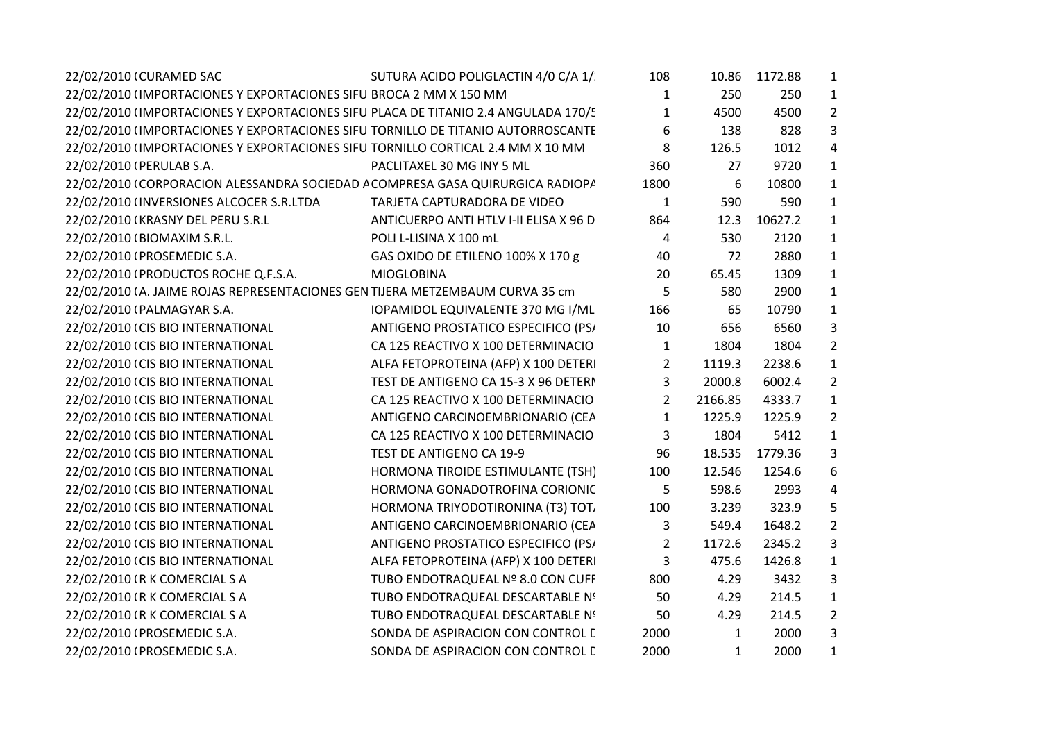| 22/02/2010 (CURAMED SAC                                                            | SUTURA ACIDO POLIGLACTIN 4/0 C/A 1/    | 108              |              | 10.86 1172.88 | $\mathbf{1}$   |
|------------------------------------------------------------------------------------|----------------------------------------|------------------|--------------|---------------|----------------|
| 22/02/2010 (IMPORTACIONES Y EXPORTACIONES SIFU BROCA 2 MM X 150 MM                 |                                        | 1                | 250          | 250           | $\mathbf{1}$   |
| 22/02/2010 (IMPORTACIONES Y EXPORTACIONES SIFU PLACA DE TITANIO 2.4 ANGULADA 170/! |                                        | $\mathbf{1}$     | 4500         | 4500          | $\overline{2}$ |
| 22/02/2010 (IMPORTACIONES Y EXPORTACIONES SIFU TORNILLO DE TITANIO AUTORROSCANTE   |                                        | $\boldsymbol{6}$ | 138          | 828           | 3              |
| 22/02/2010 (IMPORTACIONES Y EXPORTACIONES SIFU TORNILLO CORTICAL 2.4 MM X 10 MM    |                                        | 8                | 126.5        | 1012          | $\overline{4}$ |
| 22/02/2010 (PERULAB S.A.                                                           | PACLITAXEL 30 MG INY 5 ML              | 360              | 27           | 9720          | $\mathbf{1}$   |
| 22/02/2010 (CORPORACION ALESSANDRA SOCIEDAD A COMPRESA GASA QUIRURGICA RADIOP/     |                                        | 1800             | 6            | 10800         | $\mathbf{1}$   |
| 22/02/2010 (INVERSIONES ALCOCER S.R.LTDA                                           | TARJETA CAPTURADORA DE VIDEO           | $\mathbf{1}$     | 590          | 590           | $\mathbf{1}$   |
| 22/02/2010 (KRASNY DEL PERU S.R.L                                                  | ANTICUERPO ANTI HTLV I-II ELISA X 96 D | 864              | 12.3         | 10627.2       | $\mathbf{1}$   |
| 22/02/2010 (BIOMAXIM S.R.L.                                                        | POLI L-LISINA X 100 mL                 | 4                | 530          | 2120          | $\mathbf{1}$   |
| 22/02/2010 (PROSEMEDIC S.A.                                                        | GAS OXIDO DE ETILENO 100% X 170 g      | 40               | 72           | 2880          | $\mathbf{1}$   |
| 22/02/2010 (PRODUCTOS ROCHE Q.F.S.A.                                               | <b>MIOGLOBINA</b>                      | 20               | 65.45        | 1309          | $\mathbf{1}$   |
| 22/02/2010 (A. JAIME ROJAS REPRESENTACIONES GEN TIJERA METZEMBAUM CURVA 35 cm      |                                        | 5                | 580          | 2900          | $\mathbf{1}$   |
| 22/02/2010 (PALMAGYAR S.A.                                                         | IOPAMIDOL EQUIVALENTE 370 MG I/ML      | 166              | 65           | 10790         | $\mathbf{1}$   |
| 22/02/2010 (CIS BIO INTERNATIONAL                                                  | ANTIGENO PROSTATICO ESPECIFICO (PS/    | 10               | 656          | 6560          | 3              |
| 22/02/2010 (CIS BIO INTERNATIONAL                                                  | CA 125 REACTIVO X 100 DETERMINACIO     | $\mathbf{1}$     | 1804         | 1804          | $\overline{2}$ |
| 22/02/2010 (CIS BIO INTERNATIONAL                                                  | ALFA FETOPROTEINA (AFP) X 100 DETER    | $\overline{2}$   | 1119.3       | 2238.6        | $\mathbf{1}$   |
| 22/02/2010 (CIS BIO INTERNATIONAL                                                  | TEST DE ANTIGENO CA 15-3 X 96 DETERI   | 3                | 2000.8       | 6002.4        | $\overline{2}$ |
| 22/02/2010 (CIS BIO INTERNATIONAL                                                  | CA 125 REACTIVO X 100 DETERMINACIO     | $\overline{2}$   | 2166.85      | 4333.7        | $\mathbf{1}$   |
| 22/02/2010 (CIS BIO INTERNATIONAL                                                  | ANTIGENO CARCINOEMBRIONARIO (CEA       | $\mathbf{1}$     | 1225.9       | 1225.9        | $\overline{2}$ |
| 22/02/2010 (CIS BIO INTERNATIONAL                                                  | CA 125 REACTIVO X 100 DETERMINACIO     | $\mathbf{3}$     | 1804         | 5412          | $\mathbf{1}$   |
| 22/02/2010 (CIS BIO INTERNATIONAL                                                  | TEST DE ANTIGENO CA 19-9               | 96               | 18.535       | 1779.36       | 3              |
| 22/02/2010 (CIS BIO INTERNATIONAL                                                  | HORMONA TIROIDE ESTIMULANTE (TSH)      | 100              | 12.546       | 1254.6        | 6              |
| 22/02/2010 (CIS BIO INTERNATIONAL                                                  | HORMONA GONADOTROFINA CORIONIC         | 5                | 598.6        | 2993          | 4              |
| 22/02/2010 (CIS BIO INTERNATIONAL                                                  | HORMONA TRIYODOTIRONINA (T3) TOT.      | 100              | 3.239        | 323.9         | 5              |
| 22/02/2010 (CIS BIO INTERNATIONAL                                                  | ANTIGENO CARCINOEMBRIONARIO (CEA       | 3                | 549.4        | 1648.2        | $\overline{2}$ |
| 22/02/2010 (CIS BIO INTERNATIONAL                                                  | ANTIGENO PROSTATICO ESPECIFICO (PS/    | $\overline{2}$   | 1172.6       | 2345.2        | 3              |
| 22/02/2010 (CIS BIO INTERNATIONAL                                                  | ALFA FETOPROTEINA (AFP) X 100 DETER    | $\mathbf{3}$     | 475.6        | 1426.8        | $\mathbf{1}$   |
| 22/02/2010 (R K COMERCIAL S A                                                      | TUBO ENDOTRAQUEAL Nº 8.0 CON CUFF      | 800              | 4.29         | 3432          | 3              |
| 22/02/2010 (R K COMERCIAL S A                                                      | TUBO ENDOTRAQUEAL DESCARTABLE Nº       | 50               | 4.29         | 214.5         | $\mathbf{1}$   |
| 22/02/2010 (R K COMERCIAL S A                                                      | TUBO ENDOTRAQUEAL DESCARTABLE Nº       | 50               | 4.29         | 214.5         | $\overline{2}$ |
| 22/02/2010 (PROSEMEDIC S.A.                                                        | SONDA DE ASPIRACION CON CONTROL I      | 2000             | $\mathbf{1}$ | 2000          | 3              |
| 22/02/2010 (PROSEMEDIC S.A.                                                        | SONDA DE ASPIRACION CON CONTROL I      | 2000             | $\mathbf{1}$ | 2000          | $\mathbf{1}$   |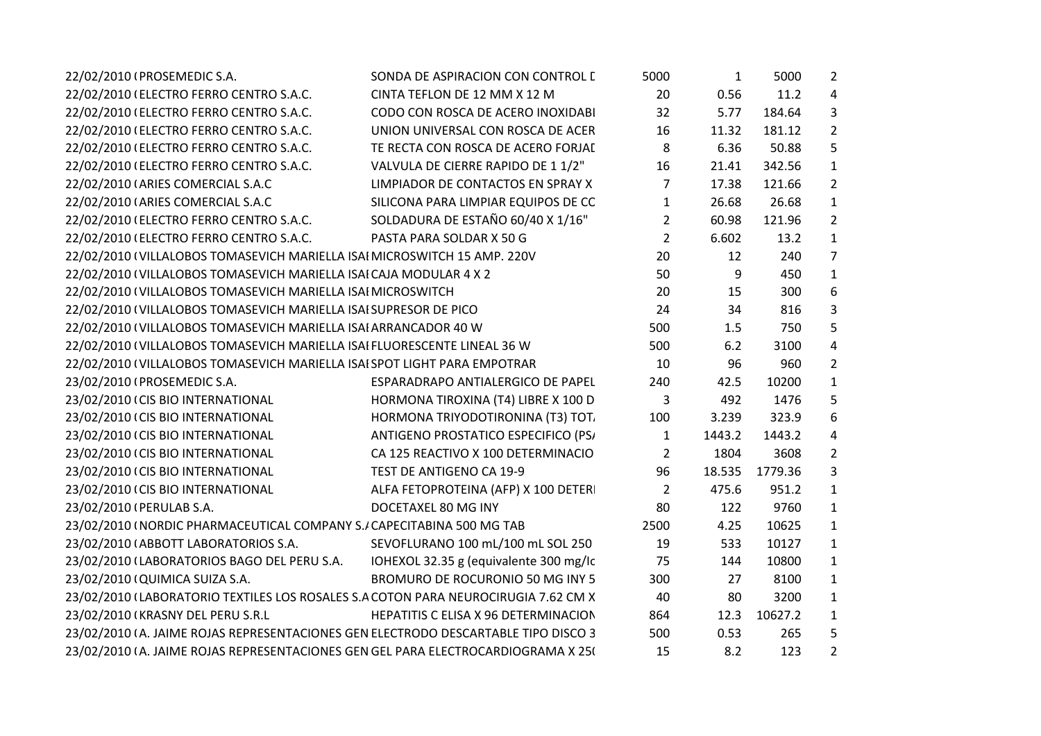| SONDA DE ASPIRACION CON CONTROL I                                                  | 5000           | $\mathbf{1}$ | 5000    | $\overline{2}$ |  |
|------------------------------------------------------------------------------------|----------------|--------------|---------|----------------|--|
| CINTA TEFLON DE 12 MM X 12 M                                                       | 20             | 0.56         | 11.2    | $\overline{a}$ |  |
| CODO CON ROSCA DE ACERO INOXIDABI                                                  | 32             | 5.77         | 184.64  | 3              |  |
| UNION UNIVERSAL CON ROSCA DE ACER                                                  | 16             | 11.32        | 181.12  | $\overline{2}$ |  |
| TE RECTA CON ROSCA DE ACERO FORJAI                                                 | 8              | 6.36         | 50.88   | 5              |  |
| VALVULA DE CIERRE RAPIDO DE 1 1/2"                                                 | 16             | 21.41        | 342.56  | $\mathbf{1}$   |  |
| LIMPIADOR DE CONTACTOS EN SPRAY X                                                  | 7              | 17.38        | 121.66  | $2^{\circ}$    |  |
| SILICONA PARA LIMPIAR EQUIPOS DE CC                                                | $\mathbf{1}$   | 26.68        | 26.68   | $\mathbf 1$    |  |
| SOLDADURA DE ESTAÑO 60/40 X 1/16"                                                  | $\overline{2}$ | 60.98        | 121.96  | $\overline{2}$ |  |
| PASTA PARA SOLDAR X 50 G                                                           | $\overline{2}$ | 6.602        | 13.2    | $\mathbf{1}$   |  |
| 22/02/2010 (VILLALOBOS TOMASEVICH MARIELLA ISAI MICROSWITCH 15 AMP. 220V           | 20             | 12           | 240     | $\overline{7}$ |  |
| 22/02/2010 (VILLALOBOS TOMASEVICH MARIELLA ISAI CAJA MODULAR 4 X 2                 | 50             | 9            | 450     | $\mathbf{1}$   |  |
| 22/02/2010 (VILLALOBOS TOMASEVICH MARIELLA ISAI MICROSWITCH                        | 20             | 15           | 300     | 6              |  |
| 22/02/2010 (VILLALOBOS TOMASEVICH MARIELLA ISAI SUPRESOR DE PICO                   | 24             | 34           | 816     | 3              |  |
| 22/02/2010 (VILLALOBOS TOMASEVICH MARIELLA ISAI ARRANCADOR 40 W                    | 500            | 1.5          | 750     | 5              |  |
| 22/02/2010 (VILLALOBOS TOMASEVICH MARIELLA ISAI FLUORESCENTE LINEAL 36 W           | 500            | 6.2          | 3100    | $\overline{4}$ |  |
| 22/02/2010 (VILLALOBOS TOMASEVICH MARIELLA ISAI SPOT LIGHT PARA EMPOTRAR           | 10             | 96           | 960     | $2^{\circ}$    |  |
| ESPARADRAPO ANTIALERGICO DE PAPEL                                                  | 240            | 42.5         | 10200   | $\mathbf{1}$   |  |
| HORMONA TIROXINA (T4) LIBRE X 100 D                                                | 3              | 492          | 1476    | 5              |  |
| HORMONA TRIYODOTIRONINA (T3) TOT.                                                  | 100            | 3.239        | 323.9   | 6              |  |
| ANTIGENO PROSTATICO ESPECIFICO (PS/                                                | $\mathbf{1}$   | 1443.2       | 1443.2  | 4              |  |
| CA 125 REACTIVO X 100 DETERMINACIO                                                 | $\overline{2}$ | 1804         | 3608    | $2^{\circ}$    |  |
| TEST DE ANTIGENO CA 19-9                                                           | 96             | 18.535       | 1779.36 | 3              |  |
| ALFA FETOPROTEINA (AFP) X 100 DETER                                                | $\overline{2}$ | 475.6        | 951.2   | $\mathbf{1}$   |  |
| DOCETAXEL 80 MG INY                                                                | 80             | 122          | 9760    | $\mathbf{1}$   |  |
| 23/02/2010 (NORDIC PHARMACEUTICAL COMPANY S./ CAPECITABINA 500 MG TAB              | 2500           | 4.25         | 10625   | $\mathbf{1}$   |  |
| SEVOFLURANO 100 mL/100 mL SOL 250                                                  | 19             | 533          | 10127   | $\mathbf{1}$   |  |
| IOHEXOL 32.35 g (equivalente 300 mg/lc                                             | 75             | 144          | 10800   | $\mathbf{1}$   |  |
| BROMURO DE ROCURONIO 50 MG INY 5                                                   | 300            | 27           | 8100    | $\mathbf{1}$   |  |
| 23/02/2010 (LABORATORIO TEXTILES LOS ROSALES S.A COTON PARA NEUROCIRUGIA 7.62 CM X | 40             | 80           | 3200    | $\mathbf{1}$   |  |
| HEPATITIS C ELISA X 96 DETERMINACION                                               | 864            | 12.3         | 10627.2 | $\mathbf{1}$   |  |
| 23/02/2010 (A. JAIME ROJAS REPRESENTACIONES GEN ELECTRODO DESCARTABLE TIPO DISCO 3 | 500            | 0.53         | 265     | 5              |  |
| 23/02/2010 (A. JAIME ROJAS REPRESENTACIONES GEN GEL PARA ELECTROCARDIOGRAMA X 25(  | 15             | 8.2          | 123     | $\overline{2}$ |  |
|                                                                                    |                |              |         |                |  |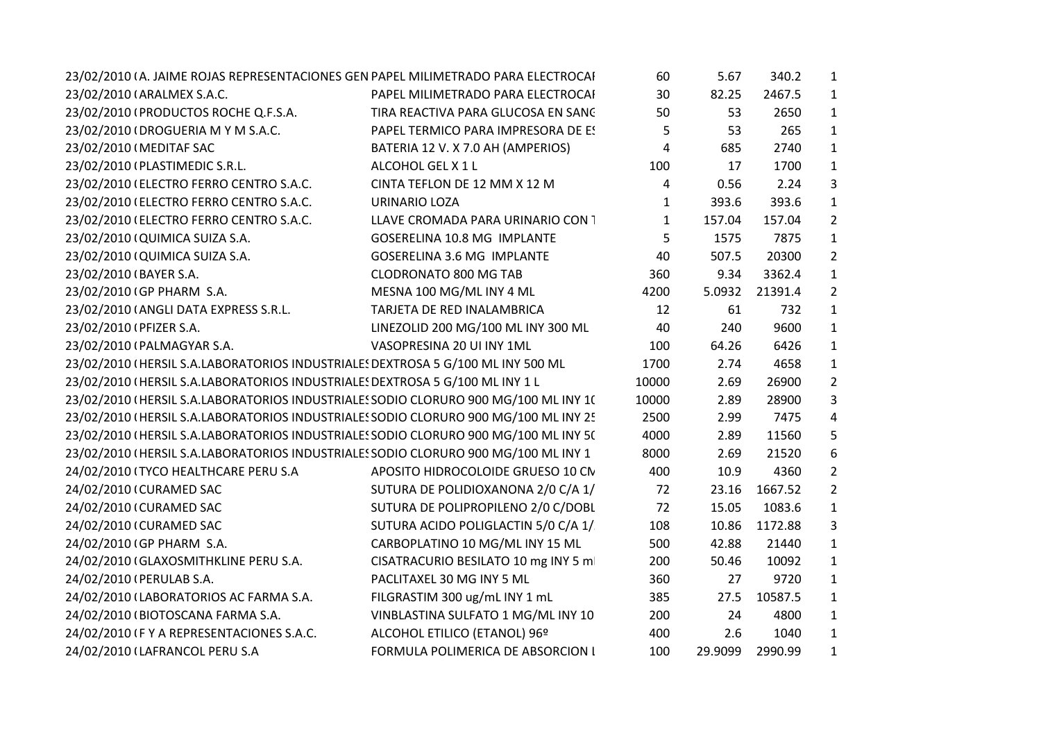| 23/02/2010 (A. JAIME ROJAS REPRESENTACIONES GEN PAPEL MILIMETRADO PARA ELECTROCAI   |                                     | 60           | 5.67    | 340.2   | $\mathbf{1}$   |  |
|-------------------------------------------------------------------------------------|-------------------------------------|--------------|---------|---------|----------------|--|
| 23/02/2010 (ARALMEX S.A.C.                                                          | PAPEL MILIMETRADO PARA ELECTROCAI   | 30           | 82.25   | 2467.5  | $\mathbf{1}$   |  |
| 23/02/2010 (PRODUCTOS ROCHE Q.F.S.A.                                                | TIRA REACTIVA PARA GLUCOSA EN SANC  | 50           | 53      | 2650    | $\mathbf{1}$   |  |
| 23/02/2010 (DROGUERIA M Y M S.A.C.                                                  | PAPEL TERMICO PARA IMPRESORA DE ES  | 5            | 53      | 265     | $\mathbf{1}$   |  |
| 23/02/2010 (MEDITAF SAC                                                             | BATERIA 12 V. X 7.0 AH (AMPERIOS)   | 4            | 685     | 2740    | $\mathbf{1}$   |  |
| 23/02/2010 (PLASTIMEDIC S.R.L.                                                      | ALCOHOL GEL X 1 L                   | 100          | 17      | 1700    | $\mathbf{1}$   |  |
| 23/02/2010 (ELECTRO FERRO CENTRO S.A.C.                                             | CINTA TEFLON DE 12 MM X 12 M        | 4            | 0.56    | 2.24    | 3              |  |
| 23/02/2010 (ELECTRO FERRO CENTRO S.A.C.                                             | <b>URINARIO LOZA</b>                | $\mathbf{1}$ | 393.6   | 393.6   | $\mathbf{1}$   |  |
| 23/02/2010 (ELECTRO FERRO CENTRO S.A.C.                                             | LLAVE CROMADA PARA URINARIO CON 1   | 1            | 157.04  | 157.04  | $\overline{2}$ |  |
| 23/02/2010 (QUIMICA SUIZA S.A.                                                      | GOSERELINA 10.8 MG IMPLANTE         | 5            | 1575    | 7875    | $\mathbf{1}$   |  |
| 23/02/2010 (QUIMICA SUIZA S.A.                                                      | <b>GOSERELINA 3.6 MG IMPLANTE</b>   | 40           | 507.5   | 20300   | $\overline{2}$ |  |
| 23/02/2010 (BAYER S.A.                                                              | <b>CLODRONATO 800 MG TAB</b>        | 360          | 9.34    | 3362.4  | $\mathbf{1}$   |  |
| 23/02/2010 (GP PHARM S.A.                                                           | MESNA 100 MG/ML INY 4 ML            | 4200         | 5.0932  | 21391.4 | $\overline{2}$ |  |
| 23/02/2010 (ANGLI DATA EXPRESS S.R.L.                                               | TARJETA DE RED INALAMBRICA          | 12           | 61      | 732     | 1              |  |
| 23/02/2010 (PFIZER S.A.                                                             | LINEZOLID 200 MG/100 ML INY 300 ML  | 40           | 240     | 9600    | $\mathbf{1}$   |  |
| 23/02/2010 (PALMAGYAR S.A.                                                          | VASOPRESINA 20 UI INY 1ML           | 100          | 64.26   | 6426    | $\mathbf{1}$   |  |
| 23/02/2010 (HERSIL S.A.LABORATORIOS INDUSTRIALE! DEXTROSA 5 G/100 ML INY 500 ML     |                                     | 1700         | 2.74    | 4658    | $\mathbf{1}$   |  |
| 23/02/2010 (HERSIL S.A.LABORATORIOS INDUSTRIALES DEXTROSA 5 G/100 ML INY 1 L        |                                     | 10000        | 2.69    | 26900   | $\overline{2}$ |  |
| 23/02/2010 (HERSIL S.A.LABORATORIOS INDUSTRIALES SODIO CLORURO 900 MG/100 ML INY 1( |                                     | 10000        | 2.89    | 28900   | 3              |  |
| 23/02/2010 (HERSIL S.A.LABORATORIOS INDUSTRIALES SODIO CLORURO 900 MG/100 ML INY 25 |                                     | 2500         | 2.99    | 7475    | 4              |  |
| 23/02/2010 (HERSIL S.A.LABORATORIOS INDUSTRIALES SODIO CLORURO 900 MG/100 ML INY 5( |                                     | 4000         | 2.89    | 11560   | 5              |  |
| 23/02/2010 (HERSIL S.A.LABORATORIOS INDUSTRIALES SODIO CLORURO 900 MG/100 ML INY 1  |                                     | 8000         | 2.69    | 21520   | 6              |  |
| 24/02/2010 (TYCO HEALTHCARE PERU S.A                                                | APOSITO HIDROCOLOIDE GRUESO 10 CN   | 400          | 10.9    | 4360    | $\overline{2}$ |  |
| 24/02/2010 (CURAMED SAC                                                             | SUTURA DE POLIDIOXANONA 2/0 C/A 1/  | 72           | 23.16   | 1667.52 | $\overline{2}$ |  |
| 24/02/2010 (CURAMED SAC                                                             | SUTURA DE POLIPROPILENO 2/0 C/DOBL  | 72           | 15.05   | 1083.6  | $\mathbf{1}$   |  |
| 24/02/2010 (CURAMED SAC                                                             | SUTURA ACIDO POLIGLACTIN 5/0 C/A 1/ | 108          | 10.86   | 1172.88 | 3              |  |
| 24/02/2010 (GP PHARM S.A.                                                           | CARBOPLATINO 10 MG/ML INY 15 ML     | 500          | 42.88   | 21440   | $\mathbf{1}$   |  |
| 24/02/2010 (GLAXOSMITHKLINE PERU S.A.                                               | CISATRACURIO BESILATO 10 mg INY 5 m | 200          | 50.46   | 10092   | $\mathbf{1}$   |  |
| 24/02/2010 (PERULAB S.A.                                                            | PACLITAXEL 30 MG INY 5 ML           | 360          | 27      | 9720    | $\mathbf{1}$   |  |
| 24/02/2010 (LABORATORIOS AC FARMA S.A.                                              | FILGRASTIM 300 ug/mL INY 1 mL       | 385          | 27.5    | 10587.5 | $\mathbf{1}$   |  |
| 24/02/2010 (BIOTOSCANA FARMA S.A.                                                   | VINBLASTINA SULFATO 1 MG/ML INY 10  | 200          | 24      | 4800    | $\mathbf{1}$   |  |
| 24/02/2010 IF Y A REPRESENTACIONES S.A.C.                                           | ALCOHOL ETILICO (ETANOL) 96º        | 400          | 2.6     | 1040    | $\mathbf{1}$   |  |
| 24/02/2010 (LAFRANCOL PERU S.A                                                      | FORMULA POLIMERICA DE ABSORCION I   | 100          | 29.9099 | 2990.99 | $\mathbf{1}$   |  |
|                                                                                     |                                     |              |         |         |                |  |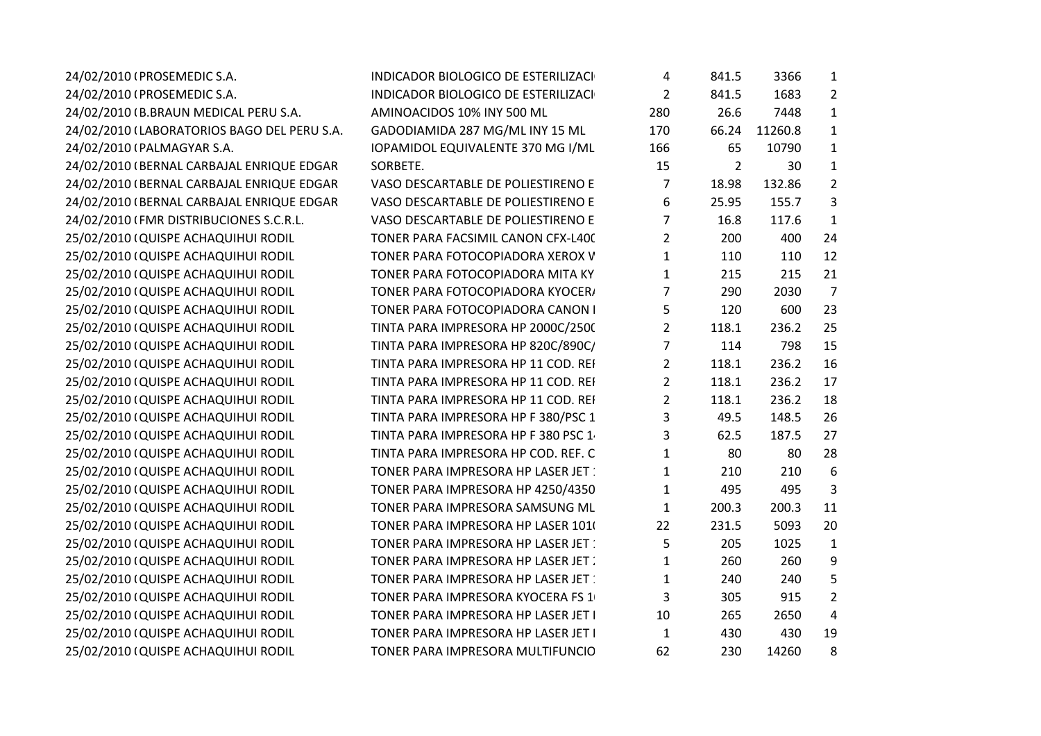| 24/02/2010 (PROSEMEDIC S.A.                 | <b>INDICADOR BIOLOGICO DE ESTERILIZACI</b> | 4              | 841.5          | 3366    | $\mathbf{1}$   |  |
|---------------------------------------------|--------------------------------------------|----------------|----------------|---------|----------------|--|
| 24/02/2010 (PROSEMEDIC S.A.                 | <b>INDICADOR BIOLOGICO DE ESTERILIZACI</b> | $\overline{2}$ | 841.5          | 1683    | $\overline{2}$ |  |
| 24/02/2010 (B.BRAUN MEDICAL PERU S.A.       | AMINOACIDOS 10% INY 500 ML                 | 280            | 26.6           | 7448    | $\mathbf{1}$   |  |
| 24/02/2010 (LABORATORIOS BAGO DEL PERU S.A. | GADODIAMIDA 287 MG/ML INY 15 ML            | 170            | 66.24          | 11260.8 | $\mathbf{1}$   |  |
| 24/02/2010 (PALMAGYAR S.A.                  | IOPAMIDOL EQUIVALENTE 370 MG I/ML          | 166            | 65             | 10790   | $\mathbf{1}$   |  |
| 24/02/2010 (BERNAL CARBAJAL ENRIQUE EDGAR   | SORBETE.                                   | 15             | $\overline{2}$ | 30      | $\mathbf{1}$   |  |
| 24/02/2010 (BERNAL CARBAJAL ENRIQUE EDGAR   | VASO DESCARTABLE DE POLIESTIRENO E         | 7              | 18.98          | 132.86  | $\overline{2}$ |  |
| 24/02/2010 (BERNAL CARBAJAL ENRIQUE EDGAR   | VASO DESCARTABLE DE POLIESTIRENO E         | 6              | 25.95          | 155.7   | 3              |  |
| 24/02/2010 (FMR DISTRIBUCIONES S.C.R.L.     | VASO DESCARTABLE DE POLIESTIRENO E         | $\overline{7}$ | 16.8           | 117.6   | $\mathbf{1}$   |  |
| 25/02/2010 (QUISPE ACHAQUIHUI RODIL         | TONER PARA FACSIMIL CANON CFX-L400         | $\overline{2}$ | 200            | 400     | 24             |  |
| 25/02/2010 (QUISPE ACHAQUIHUI RODIL         | TONER PARA FOTOCOPIADORA XEROX V           | $\mathbf{1}$   | 110            | 110     | 12             |  |
| 25/02/2010 (QUISPE ACHAQUIHUI RODIL         | TONER PARA FOTOCOPIADORA MITA KY           | $\mathbf{1}$   | 215            | 215     | 21             |  |
| 25/02/2010 (QUISPE ACHAQUIHUI RODIL         | TONER PARA FOTOCOPIADORA KYOCER/           | 7              | 290            | 2030    | $\overline{7}$ |  |
| 25/02/2010 (QUISPE ACHAQUIHUI RODIL         | TONER PARA FOTOCOPIADORA CANON I           | 5              | 120            | 600     | 23             |  |
| 25/02/2010 (QUISPE ACHAQUIHUI RODIL         | TINTA PARA IMPRESORA HP 2000C/2500         | $\overline{2}$ | 118.1          | 236.2   | 25             |  |
| 25/02/2010 (QUISPE ACHAQUIHUI RODIL         | TINTA PARA IMPRESORA HP 820C/890C/         | 7              | 114            | 798     | 15             |  |
| 25/02/2010 (QUISPE ACHAQUIHUI RODIL         | TINTA PARA IMPRESORA HP 11 COD. REI        | $\overline{2}$ | 118.1          | 236.2   | 16             |  |
| 25/02/2010 (QUISPE ACHAQUIHUI RODIL         | TINTA PARA IMPRESORA HP 11 COD. REI        | $\overline{2}$ | 118.1          | 236.2   | 17             |  |
| 25/02/2010 (QUISPE ACHAQUIHUI RODIL         | TINTA PARA IMPRESORA HP 11 COD. REI        | 2              | 118.1          | 236.2   | 18             |  |
| 25/02/2010 (QUISPE ACHAQUIHUI RODIL         | TINTA PARA IMPRESORA HP F 380/PSC 1        | 3              | 49.5           | 148.5   | 26             |  |
| 25/02/2010 (QUISPE ACHAQUIHUI RODIL         | TINTA PARA IMPRESORA HP F 380 PSC 1        | 3              | 62.5           | 187.5   | 27             |  |
| 25/02/2010 (QUISPE ACHAQUIHUI RODIL         | TINTA PARA IMPRESORA HP COD. REF. C        | $\mathbf{1}$   | 80             | 80      | 28             |  |
| 25/02/2010 (QUISPE ACHAQUIHUI RODIL         | TONER PARA IMPRESORA HP LASER JET          | 1              | 210            | 210     | 6              |  |
| 25/02/2010 (QUISPE ACHAQUIHUI RODIL         | TONER PARA IMPRESORA HP 4250/4350          | $\mathbf 1$    | 495            | 495     | 3              |  |
| 25/02/2010 (QUISPE ACHAQUIHUI RODIL         | TONER PARA IMPRESORA SAMSUNG ML            | $\mathbf{1}$   | 200.3          | 200.3   | 11             |  |
| 25/02/2010 (QUISPE ACHAQUIHUI RODIL         | TONER PARA IMPRESORA HP LASER 101          | 22             | 231.5          | 5093    | 20             |  |
| 25/02/2010 (QUISPE ACHAQUIHUI RODIL         | TONER PARA IMPRESORA HP LASER JET          | 5              | 205            | 1025    | $\mathbf{1}$   |  |
| 25/02/2010 (QUISPE ACHAQUIHUI RODIL         | TONER PARA IMPRESORA HP LASER JET          | 1              | 260            | 260     | 9              |  |
| 25/02/2010 (QUISPE ACHAQUIHUI RODIL         | TONER PARA IMPRESORA HP LASER JET:         | 1              | 240            | 240     | 5              |  |
| 25/02/2010 (QUISPE ACHAQUIHUI RODIL         | TONER PARA IMPRESORA KYOCERA FS 1          | 3              | 305            | 915     | $\overline{2}$ |  |
| 25/02/2010 (QUISPE ACHAQUIHUI RODIL         | TONER PARA IMPRESORA HP LASER JET I        | 10             | 265            | 2650    | 4              |  |
| 25/02/2010 (QUISPE ACHAQUIHUI RODIL         | TONER PARA IMPRESORA HP LASER JET I        | $\mathbf{1}$   | 430            | 430     | 19             |  |
| 25/02/2010 (QUISPE ACHAQUIHUI RODIL         | TONER PARA IMPRESORA MULTIFUNCIO           | 62             | 230            | 14260   | 8              |  |
|                                             |                                            |                |                |         |                |  |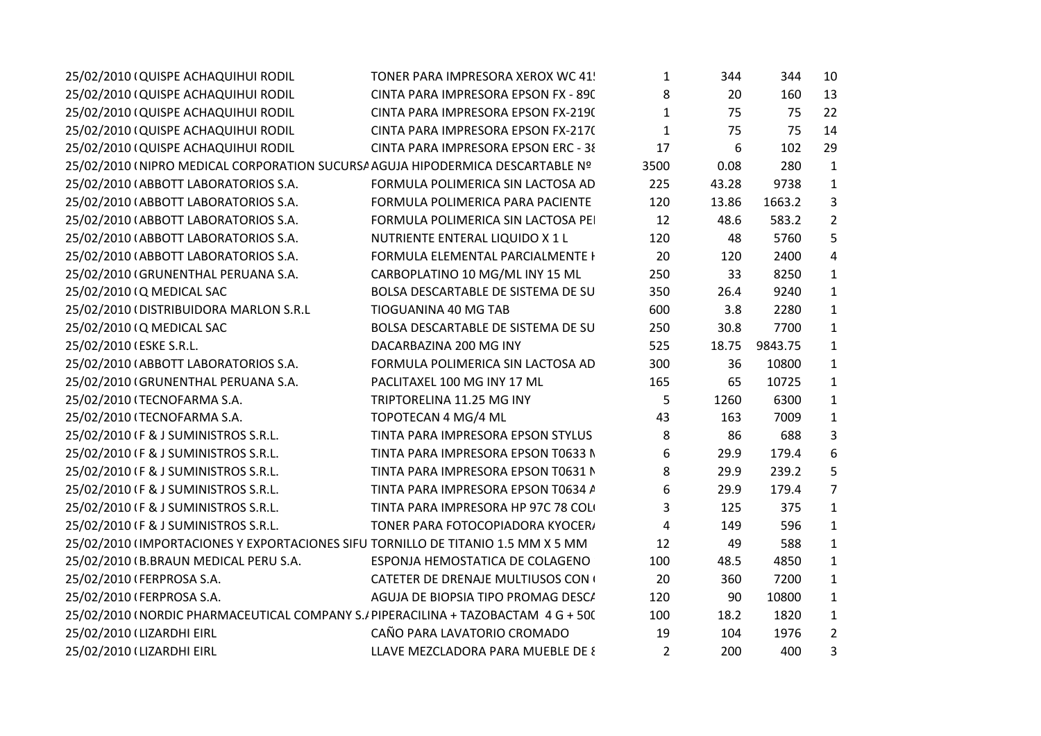| 25/02/2010 (QUISPE ACHAQUIHUI RODIL                                              | TONER PARA IMPRESORA XEROX WC 41!   | $\mathbf{1}$   | 344   | 344     | 10             |  |
|----------------------------------------------------------------------------------|-------------------------------------|----------------|-------|---------|----------------|--|
| 25/02/2010 (QUISPE ACHAQUIHUI RODIL                                              | CINTA PARA IMPRESORA EPSON FX - 890 | 8              | 20    | 160     | 13             |  |
| 25/02/2010 (QUISPE ACHAQUIHUI RODIL                                              | CINTA PARA IMPRESORA EPSON FX-219(  | $\mathbf{1}$   | 75    | 75      | 22             |  |
| 25/02/2010 (QUISPE ACHAQUIHUI RODIL                                              | CINTA PARA IMPRESORA EPSON FX-217(  | $\mathbf{1}$   | 75    | 75      | 14             |  |
| 25/02/2010 (QUISPE ACHAQUIHUI RODIL                                              | CINTA PARA IMPRESORA EPSON ERC - 38 | 17             | 6     | 102     | 29             |  |
| 25/02/2010 (NIPRO MEDICAL CORPORATION SUCURSA AGUJA HIPODERMICA DESCARTABLE Nº   |                                     | 3500           | 0.08  | 280     | $\mathbf{1}$   |  |
| 25/02/2010 (ABBOTT LABORATORIOS S.A.                                             | FORMULA POLIMERICA SIN LACTOSA AD   | 225            | 43.28 | 9738    | $\mathbf{1}$   |  |
| 25/02/2010 (ABBOTT LABORATORIOS S.A.                                             | FORMULA POLIMERICA PARA PACIENTE    | 120            | 13.86 | 1663.2  | 3              |  |
| 25/02/2010 (ABBOTT LABORATORIOS S.A.                                             | FORMULA POLIMERICA SIN LACTOSA PEI  | 12             | 48.6  | 583.2   | $\overline{2}$ |  |
| 25/02/2010 (ABBOTT LABORATORIOS S.A.                                             | NUTRIENTE ENTERAL LIQUIDO X 1 L     | 120            | 48    | 5760    | 5              |  |
| 25/02/2010 (ABBOTT LABORATORIOS S.A.                                             | FORMULA ELEMENTAL PARCIALMENTE I    | 20             | 120   | 2400    | $\overline{4}$ |  |
| 25/02/2010 (GRUNENTHAL PERUANA S.A.                                              | CARBOPLATINO 10 MG/ML INY 15 ML     | 250            | 33    | 8250    | $\mathbf{1}$   |  |
| 25/02/2010 (Q MEDICAL SAC                                                        | BOLSA DESCARTABLE DE SISTEMA DE SU  | 350            | 26.4  | 9240    | $\mathbf{1}$   |  |
| 25/02/2010 (DISTRIBUIDORA MARLON S.R.L                                           | TIOGUANINA 40 MG TAB                | 600            | 3.8   | 2280    | $\mathbf{1}$   |  |
| 25/02/2010 (Q MEDICAL SAC                                                        | BOLSA DESCARTABLE DE SISTEMA DE SU  | 250            | 30.8  | 7700    | $\mathbf{1}$   |  |
| 25/02/2010 (ESKE S.R.L.                                                          | DACARBAZINA 200 MG INY              | 525            | 18.75 | 9843.75 | $\mathbf{1}$   |  |
| 25/02/2010 (ABBOTT LABORATORIOS S.A.                                             | FORMULA POLIMERICA SIN LACTOSA AD   | 300            | 36    | 10800   | $\mathbf{1}$   |  |
| 25/02/2010 (GRUNENTHAL PERUANA S.A.                                              | PACLITAXEL 100 MG INY 17 ML         | 165            | 65    | 10725   | $\mathbf{1}$   |  |
| 25/02/2010 (TECNOFARMA S.A.                                                      | TRIPTORELINA 11.25 MG INY           | 5              | 1260  | 6300    | $\mathbf{1}$   |  |
| 25/02/2010 (TECNOFARMA S.A.                                                      | TOPOTECAN 4 MG/4 ML                 | 43             | 163   | 7009    | $\mathbf{1}$   |  |
| 25/02/2010 (F & J SUMINISTROS S.R.L.                                             | TINTA PARA IMPRESORA EPSON STYLUS   | 8              | 86    | 688     | $\overline{3}$ |  |
| 25/02/2010 (F & J SUMINISTROS S.R.L.                                             | TINTA PARA IMPRESORA EPSON T0633 N  | 6              | 29.9  | 179.4   | 6              |  |
| 25/02/2010 (F & J SUMINISTROS S.R.L.                                             | TINTA PARA IMPRESORA EPSON T0631 N  | 8              | 29.9  | 239.2   | 5              |  |
| 25/02/2010 (F & J SUMINISTROS S.R.L.                                             | TINTA PARA IMPRESORA EPSON T0634 A  | 6              | 29.9  | 179.4   | $\overline{7}$ |  |
| 25/02/2010 (F & J SUMINISTROS S.R.L.                                             | TINTA PARA IMPRESORA HP 97C 78 COL  | 3              | 125   | 375     | $\mathbf{1}$   |  |
| 25/02/2010 (F & J SUMINISTROS S.R.L.                                             | TONER PARA FOTOCOPIADORA KYOCER/    | $\overline{4}$ | 149   | 596     | $\mathbf{1}$   |  |
| 25/02/2010 (IMPORTACIONES Y EXPORTACIONES SIFU TORNILLO DE TITANIO 1.5 MM X 5 MM |                                     | 12             | 49    | 588     | $\mathbf{1}$   |  |
| 25/02/2010 (B.BRAUN MEDICAL PERU S.A.                                            | ESPONJA HEMOSTATICA DE COLAGENO     | 100            | 48.5  | 4850    | $\mathbf{1}$   |  |
| 25/02/2010 (FERPROSA S.A.                                                        | CATETER DE DRENAJE MULTIUSOS CON (  | 20             | 360   | 7200    | $\mathbf{1}$   |  |
| 25/02/2010 (FERPROSA S.A.                                                        | AGUJA DE BIOPSIA TIPO PROMAG DESCA  | 120            | 90    | 10800   | $\mathbf{1}$   |  |
| 25/02/2010 (NORDIC PHARMACEUTICAL COMPANY S./PIPERACILINA + TAZOBACTAM 4 G + 50( |                                     | 100            | 18.2  | 1820    | $\mathbf{1}$   |  |
| 25/02/2010 (LIZARDHI EIRL                                                        | CAÑO PARA LAVATORIO CROMADO         | 19             | 104   | 1976    | $\overline{2}$ |  |
| 25/02/2010 (LIZARDHI EIRL                                                        | LLAVE MEZCLADORA PARA MUEBLE DE {   | $\overline{2}$ | 200   | 400     | 3              |  |
|                                                                                  |                                     |                |       |         |                |  |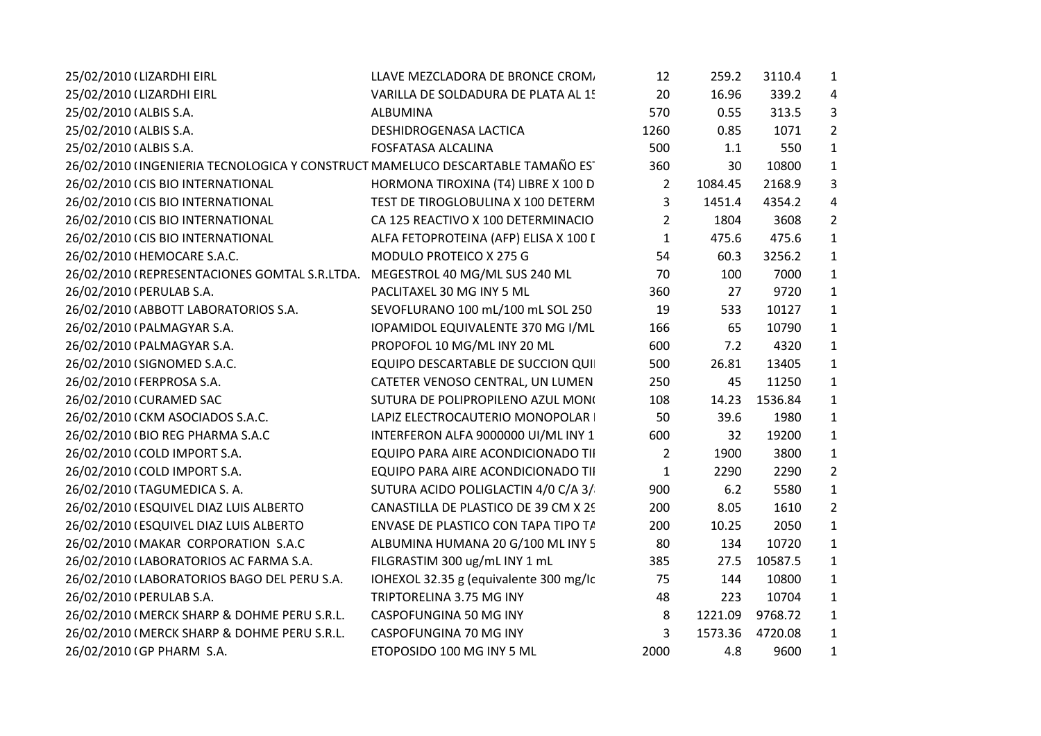| 25/02/2010 (LIZARDHI EIRL                                                      | LLAVE MEZCLADORA DE BRONCE CROM.       | 12             | 259.2   | 3110.4  | $\mathbf{1}$   |
|--------------------------------------------------------------------------------|----------------------------------------|----------------|---------|---------|----------------|
| 25/02/2010 (LIZARDHI EIRL                                                      | VARILLA DE SOLDADURA DE PLATA AL 1!    | 20             | 16.96   | 339.2   | 4              |
| 25/02/2010 (ALBIS S.A.                                                         | ALBUMINA                               | 570            | 0.55    | 313.5   | 3              |
| 25/02/2010 (ALBIS S.A.                                                         | DESHIDROGENASA LACTICA                 | 1260           | 0.85    | 1071    | $\overline{2}$ |
| 25/02/2010 (ALBIS S.A.                                                         | <b>FOSFATASA ALCALINA</b>              | 500            | 1.1     | 550     | $\mathbf{1}$   |
| 26/02/2010 (INGENIERIA TECNOLOGICA Y CONSTRUCT MAMELUCO DESCARTABLE TAMAÑO ES' |                                        | 360            | 30      | 10800   | $\mathbf{1}$   |
| 26/02/2010 (CIS BIO INTERNATIONAL                                              | HORMONA TIROXINA (T4) LIBRE X 100 D    | $\overline{2}$ | 1084.45 | 2168.9  | 3              |
| 26/02/2010 (CIS BIO INTERNATIONAL                                              | TEST DE TIROGLOBULINA X 100 DETERM     | 3              | 1451.4  | 4354.2  | 4              |
| 26/02/2010 (CIS BIO INTERNATIONAL                                              | CA 125 REACTIVO X 100 DETERMINACIO     | 2              | 1804    | 3608    | $\overline{2}$ |
| 26/02/2010 (CIS BIO INTERNATIONAL                                              | ALFA FETOPROTEINA (AFP) ELISA X 100 I  | $\mathbf{1}$   | 475.6   | 475.6   | $\mathbf{1}$   |
| 26/02/2010 (HEMOCARE S.A.C.                                                    | MODULO PROTEICO X 275 G                | 54             | 60.3    | 3256.2  | $\mathbf{1}$   |
| 26/02/2010 (REPRESENTACIONES GOMTAL S.R.LTDA. MEGESTROL 40 MG/ML SUS 240 ML    |                                        | 70             | 100     | 7000    | $\mathbf{1}$   |
| 26/02/2010 (PERULAB S.A.                                                       | PACLITAXEL 30 MG INY 5 ML              | 360            | 27      | 9720    | $\mathbf{1}$   |
| 26/02/2010 (ABBOTT LABORATORIOS S.A.                                           | SEVOFLURANO 100 mL/100 mL SOL 250      | 19             | 533     | 10127   | $\mathbf{1}$   |
| 26/02/2010 (PALMAGYAR S.A.                                                     | IOPAMIDOL EQUIVALENTE 370 MG I/ML      | 166            | 65      | 10790   | $\mathbf{1}$   |
| 26/02/2010 (PALMAGYAR S.A.                                                     | PROPOFOL 10 MG/ML INY 20 ML            | 600            | 7.2     | 4320    | $\mathbf{1}$   |
| 26/02/2010 (SIGNOMED S.A.C.                                                    | EQUIPO DESCARTABLE DE SUCCION QUI      | 500            | 26.81   | 13405   | $\mathbf{1}$   |
| 26/02/2010 (FERPROSA S.A.                                                      | CATETER VENOSO CENTRAL, UN LUMEN       | 250            | 45      | 11250   | $\mathbf{1}$   |
| 26/02/2010 (CURAMED SAC                                                        | SUTURA DE POLIPROPILENO AZUL MONO      | 108            | 14.23   | 1536.84 | $\mathbf{1}$   |
| 26/02/2010 (CKM ASOCIADOS S.A.C.                                               | LAPIZ ELECTROCAUTERIO MONOPOLAR        | 50             | 39.6    | 1980    | $\mathbf{1}$   |
| 26/02/2010 (BIO REG PHARMA S.A.C                                               | INTERFERON ALFA 9000000 UI/ML INY 1    | 600            | 32      | 19200   | $\mathbf{1}$   |
| 26/02/2010 (COLD IMPORT S.A.                                                   | EQUIPO PARA AIRE ACONDICIONADO TII     | $\overline{2}$ | 1900    | 3800    | $\mathbf{1}$   |
| 26/02/2010 (COLD IMPORT S.A.                                                   | EQUIPO PARA AIRE ACONDICIONADO TII     | $\mathbf{1}$   | 2290    | 2290    | $\overline{2}$ |
| 26/02/2010 (TAGUMEDICA S.A.                                                    | SUTURA ACIDO POLIGLACTIN 4/0 C/A 3/    | 900            | 6.2     | 5580    | $\mathbf{1}$   |
| 26/02/2010 (ESQUIVEL DIAZ LUIS ALBERTO                                         | CANASTILLA DE PLASTICO DE 39 CM X 29   | 200            | 8.05    | 1610    | $\overline{2}$ |
| 26/02/2010 (ESQUIVEL DIAZ LUIS ALBERTO                                         | ENVASE DE PLASTICO CON TAPA TIPO T/    | 200            | 10.25   | 2050    | $\mathbf{1}$   |
| 26/02/2010 (MAKAR CORPORATION S.A.C                                            | ALBUMINA HUMANA 20 G/100 ML INY 5      | 80             | 134     | 10720   | $\mathbf{1}$   |
| 26/02/2010 (LABORATORIOS AC FARMA S.A.                                         | FILGRASTIM 300 ug/mL INY 1 mL          | 385            | 27.5    | 10587.5 | $\mathbf{1}$   |
| 26/02/2010 (LABORATORIOS BAGO DEL PERU S.A.                                    | IOHEXOL 32.35 g (equivalente 300 mg/lc | 75             | 144     | 10800   | $\mathbf{1}$   |
| 26/02/2010 (PERULAB S.A.                                                       | TRIPTORELINA 3.75 MG INY               | 48             | 223     | 10704   | $\mathbf{1}$   |
| 26/02/2010 (MERCK SHARP & DOHME PERU S.R.L.                                    | CASPOFUNGINA 50 MG INY                 | 8              | 1221.09 | 9768.72 | $\mathbf{1}$   |
| 26/02/2010 (MERCK SHARP & DOHME PERU S.R.L.                                    | CASPOFUNGINA 70 MG INY                 | 3              | 1573.36 | 4720.08 | $\mathbf{1}$   |
| 26/02/2010 (GP PHARM S.A.                                                      | ETOPOSIDO 100 MG INY 5 ML              | 2000           | 4.8     | 9600    | $\mathbf{1}$   |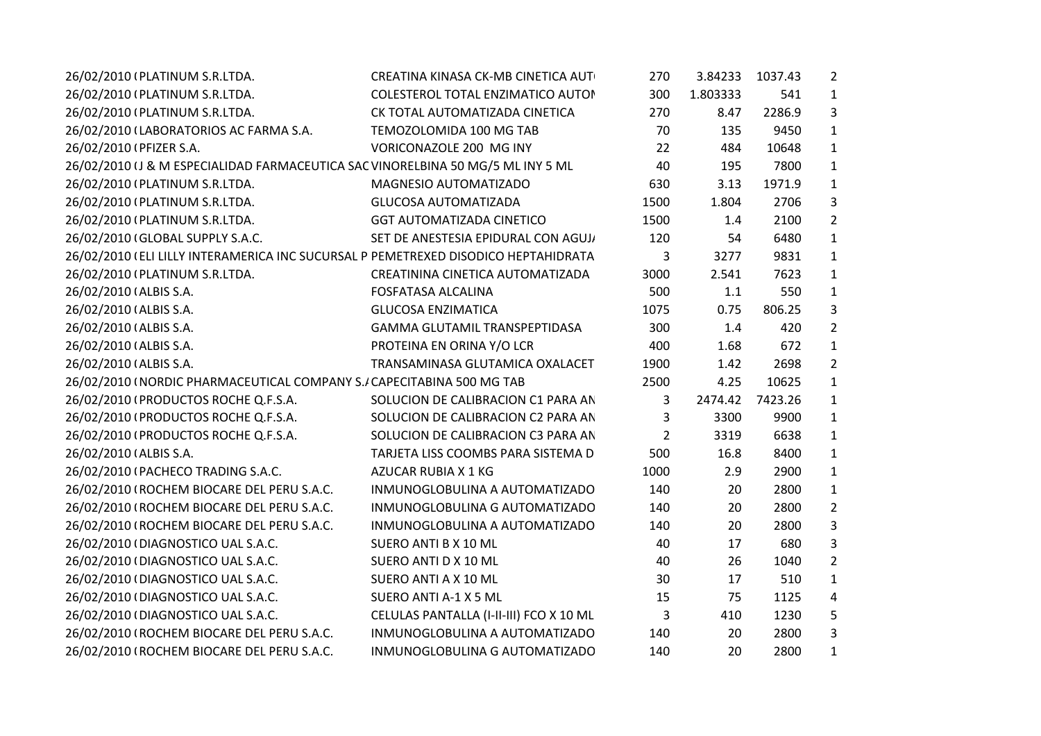| 26/02/2010 (PLATINUM S.R.LTDA.                                                     | CREATINA KINASA CK-MB CINETICA AUT      | 270  | 3.84233  | 1037.43 | $\overline{2}$ |
|------------------------------------------------------------------------------------|-----------------------------------------|------|----------|---------|----------------|
| 26/02/2010 (PLATINUM S.R.LTDA.                                                     | COLESTEROL TOTAL ENZIMATICO AUTOR       | 300  | 1.803333 | 541     | 1              |
| 26/02/2010 (PLATINUM S.R.LTDA.                                                     | CK TOTAL AUTOMATIZADA CINETICA          | 270  | 8.47     | 2286.9  | 3              |
| 26/02/2010 (LABORATORIOS AC FARMA S.A.                                             | TEMOZOLOMIDA 100 MG TAB                 | 70   | 135      | 9450    | 1              |
| 26/02/2010 (PFIZER S.A.                                                            | VORICONAZOLE 200 MG INY                 | 22   | 484      | 10648   | 1              |
| 26/02/2010 (J & M ESPECIALIDAD FARMACEUTICA SAC VINORELBINA 50 MG/5 ML INY 5 ML    |                                         | 40   | 195      | 7800    | 1              |
| 26/02/2010 (PLATINUM S.R.LTDA.                                                     | MAGNESIO AUTOMATIZADO                   | 630  | 3.13     | 1971.9  | 1              |
| 26/02/2010 (PLATINUM S.R.LTDA.                                                     | <b>GLUCOSA AUTOMATIZADA</b>             | 1500 | 1.804    | 2706    | 3              |
| 26/02/2010 (PLATINUM S.R.LTDA.                                                     | <b>GGT AUTOMATIZADA CINETICO</b>        | 1500 | 1.4      | 2100    | $\overline{2}$ |
| 26/02/2010 (GLOBAL SUPPLY S.A.C.                                                   | SET DE ANESTESIA EPIDURAL CON AGUJ,     | 120  | 54       | 6480    | 1              |
| 26/02/2010 (ELI LILLY INTERAMERICA INC SUCURSAL P PEMETREXED DISODICO HEPTAHIDRATA |                                         | 3    | 3277     | 9831    | $\mathbf{1}$   |
| 26/02/2010 (PLATINUM S.R.LTDA.                                                     | CREATININA CINETICA AUTOMATIZADA        | 3000 | 2.541    | 7623    | 1              |
| 26/02/2010 (ALBIS S.A.                                                             | <b>FOSFATASA ALCALINA</b>               | 500  | 1.1      | 550     | 1              |
| 26/02/2010 (ALBIS S.A.                                                             | <b>GLUCOSA ENZIMATICA</b>               | 1075 | 0.75     | 806.25  | 3              |
| 26/02/2010 (ALBIS S.A.                                                             | GAMMA GLUTAMIL TRANSPEPTIDASA           | 300  | 1.4      | 420     | $\overline{2}$ |
| 26/02/2010 (ALBIS S.A.                                                             | PROTEINA EN ORINA Y/O LCR               | 400  | 1.68     | 672     | $\mathbf{1}$   |
| 26/02/2010 (ALBIS S.A.                                                             | TRANSAMINASA GLUTAMICA OXALACET         | 1900 | 1.42     | 2698    | $\overline{2}$ |
| 26/02/2010 (NORDIC PHARMACEUTICAL COMPANY S./ CAPECITABINA 500 MG TAB              |                                         | 2500 | 4.25     | 10625   | $\mathbf{1}$   |
| 26/02/2010 (PRODUCTOS ROCHE Q.F.S.A.                                               | SOLUCION DE CALIBRACION C1 PARA AN      | 3    | 2474.42  | 7423.26 | 1              |
| 26/02/2010 (PRODUCTOS ROCHE Q.F.S.A.                                               | SOLUCION DE CALIBRACION C2 PARA AN      | 3    | 3300     | 9900    | 1              |
| 26/02/2010 (PRODUCTOS ROCHE Q.F.S.A.                                               | SOLUCION DE CALIBRACION C3 PARA AN      | 2    | 3319     | 6638    | 1              |
| 26/02/2010 (ALBIS S.A.                                                             | TARJETA LISS COOMBS PARA SISTEMA D      | 500  | 16.8     | 8400    | 1              |
| 26/02/2010 (PACHECO TRADING S.A.C.                                                 | AZUCAR RUBIA X 1 KG                     | 1000 | 2.9      | 2900    | 1              |
| 26/02/2010 (ROCHEM BIOCARE DEL PERU S.A.C.                                         | INMUNOGLOBULINA A AUTOMATIZADO          | 140  | 20       | 2800    | 1              |
| 26/02/2010 (ROCHEM BIOCARE DEL PERU S.A.C.                                         | INMUNOGLOBULINA G AUTOMATIZADO          | 140  | 20       | 2800    | $\overline{2}$ |
| 26/02/2010 (ROCHEM BIOCARE DEL PERU S.A.C.                                         | INMUNOGLOBULINA A AUTOMATIZADO          | 140  | 20       | 2800    | 3              |
| 26/02/2010 (DIAGNOSTICO UAL S.A.C.                                                 | SUERO ANTI B X 10 ML                    | 40   | 17       | 680     | 3              |
| 26/02/2010 (DIAGNOSTICO UAL S.A.C.                                                 | SUERO ANTI D X 10 ML                    | 40   | 26       | 1040    | $\overline{2}$ |
| 26/02/2010 (DIAGNOSTICO UAL S.A.C.                                                 | SUERO ANTI A X 10 ML                    | 30   | 17       | 510     | 1              |
| 26/02/2010 (DIAGNOSTICO UAL S.A.C.                                                 | SUERO ANTI A-1 X 5 ML                   | 15   | 75       | 1125    | 4              |
| 26/02/2010 (DIAGNOSTICO UAL S.A.C.                                                 | CELULAS PANTALLA (I-II-III) FCO X 10 ML | 3    | 410      | 1230    | 5              |
| 26/02/2010 (ROCHEM BIOCARE DEL PERU S.A.C.                                         | INMUNOGLOBULINA A AUTOMATIZADO          | 140  | 20       | 2800    | 3              |
| 26/02/2010 (ROCHEM BIOCARE DEL PERU S.A.C.                                         | INMUNOGLOBULINA G AUTOMATIZADO          | 140  | 20       | 2800    | 1              |
|                                                                                    |                                         |      |          |         |                |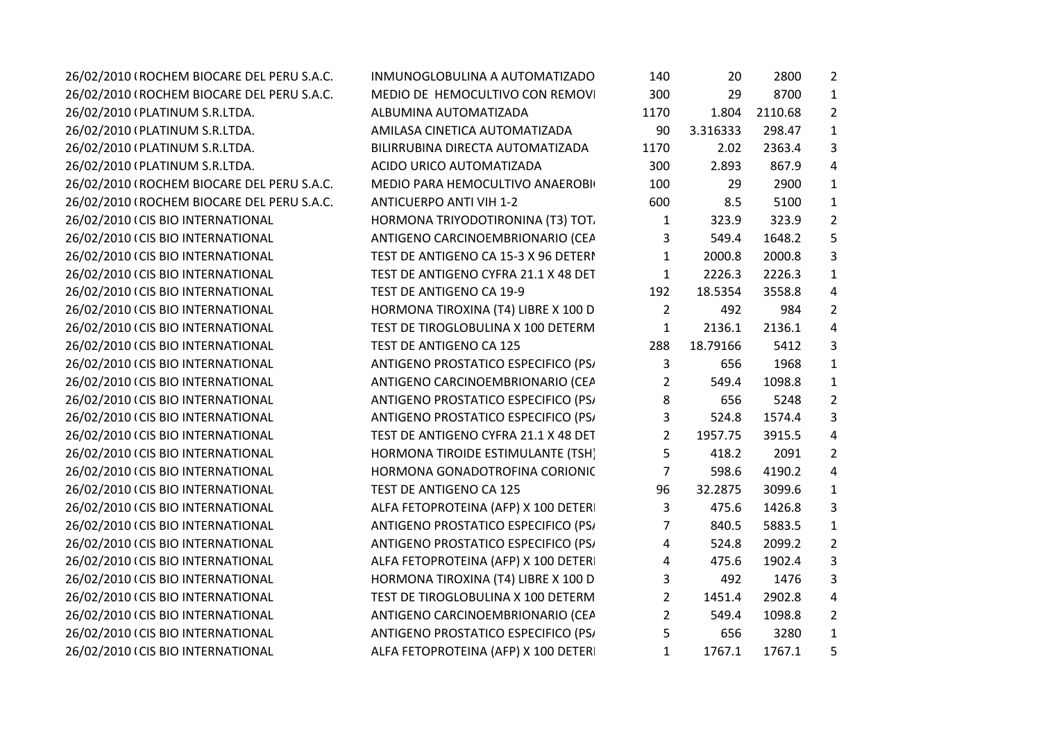| 26/02/2010 (ROCHEM BIOCARE DEL PERU S.A.C. | INMUNOGLOBULINA A AUTOMATIZADO       | 140            | 20       | 2800    | $\overline{2}$ |
|--------------------------------------------|--------------------------------------|----------------|----------|---------|----------------|
| 26/02/2010 (ROCHEM BIOCARE DEL PERU S.A.C. | MEDIO DE HEMOCULTIVO CON REMOVI      | 300            | 29       | 8700    | $\mathbf{1}$   |
| 26/02/2010 (PLATINUM S.R.LTDA.             | ALBUMINA AUTOMATIZADA                | 1170           | 1.804    | 2110.68 | $\overline{2}$ |
| 26/02/2010 (PLATINUM S.R.LTDA.             | AMILASA CINETICA AUTOMATIZADA        | 90             | 3.316333 | 298.47  | $\mathbf{1}$   |
| 26/02/2010 (PLATINUM S.R.LTDA.             | BILIRRUBINA DIRECTA AUTOMATIZADA     | 1170           | 2.02     | 2363.4  | 3              |
| 26/02/2010 (PLATINUM S.R.LTDA.             | ACIDO URICO AUTOMATIZADA             | 300            | 2.893    | 867.9   | 4              |
| 26/02/2010 (ROCHEM BIOCARE DEL PERU S.A.C. | MEDIO PARA HEMOCULTIVO ANAEROBI      | 100            | 29       | 2900    | $\mathbf{1}$   |
| 26/02/2010 (ROCHEM BIOCARE DEL PERU S.A.C. | <b>ANTICUERPO ANTI VIH 1-2</b>       | 600            | 8.5      | 5100    | $\mathbf{1}$   |
| 26/02/2010 (CIS BIO INTERNATIONAL          | HORMONA TRIYODOTIRONINA (T3) TOT.    | $\mathbf{1}$   | 323.9    | 323.9   | $\overline{2}$ |
| 26/02/2010 (CIS BIO INTERNATIONAL          | ANTIGENO CARCINOEMBRIONARIO (CEA     | 3              | 549.4    | 1648.2  | 5              |
| 26/02/2010 (CIS BIO INTERNATIONAL          | TEST DE ANTIGENO CA 15-3 X 96 DETERI | $\mathbf{1}$   | 2000.8   | 2000.8  | 3              |
| 26/02/2010 (CIS BIO INTERNATIONAL          | TEST DE ANTIGENO CYFRA 21.1 X 48 DET | $\mathbf{1}$   | 2226.3   | 2226.3  | $\mathbf{1}$   |
| 26/02/2010 (CIS BIO INTERNATIONAL          | TEST DE ANTIGENO CA 19-9             | 192            | 18.5354  | 3558.8  | 4              |
| 26/02/2010 (CIS BIO INTERNATIONAL          | HORMONA TIROXINA (T4) LIBRE X 100 D  | $\overline{2}$ | 492      | 984     | $\overline{2}$ |
| 26/02/2010 (CIS BIO INTERNATIONAL          | TEST DE TIROGLOBULINA X 100 DETERM   | $\mathbf{1}$   | 2136.1   | 2136.1  | $\sqrt{4}$     |
| 26/02/2010 (CIS BIO INTERNATIONAL          | TEST DE ANTIGENO CA 125              | 288            | 18.79166 | 5412    | 3              |
| 26/02/2010 (CIS BIO INTERNATIONAL          | ANTIGENO PROSTATICO ESPECIFICO (PS/  | 3              | 656      | 1968    | $\mathbf{1}$   |
| 26/02/2010 (CIS BIO INTERNATIONAL          | ANTIGENO CARCINOEMBRIONARIO (CEA     | $\overline{2}$ | 549.4    | 1098.8  | $\mathbf{1}$   |
| 26/02/2010 (CIS BIO INTERNATIONAL          | ANTIGENO PROSTATICO ESPECIFICO (PS/  | 8              | 656      | 5248    | $\overline{2}$ |
| 26/02/2010 (CIS BIO INTERNATIONAL          | ANTIGENO PROSTATICO ESPECIFICO (PS/  | 3              | 524.8    | 1574.4  | 3              |
| 26/02/2010 (CIS BIO INTERNATIONAL          | TEST DE ANTIGENO CYFRA 21.1 X 48 DET | $2^{\circ}$    | 1957.75  | 3915.5  | $\sqrt{4}$     |
| 26/02/2010 (CIS BIO INTERNATIONAL          | HORMONA TIROIDE ESTIMULANTE (TSH)    | 5              | 418.2    | 2091    | $\overline{2}$ |
| 26/02/2010 (CIS BIO INTERNATIONAL          | HORMONA GONADOTROFINA CORIONIC       | $\overline{7}$ | 598.6    | 4190.2  | 4              |
| 26/02/2010 (CIS BIO INTERNATIONAL          | TEST DE ANTIGENO CA 125              | 96             | 32.2875  | 3099.6  | $\mathbf{1}$   |
| 26/02/2010 (CIS BIO INTERNATIONAL          | ALFA FETOPROTEINA (AFP) X 100 DETER  | 3              | 475.6    | 1426.8  | 3              |
| 26/02/2010 (CIS BIO INTERNATIONAL          | ANTIGENO PROSTATICO ESPECIFICO (PS/  | 7              | 840.5    | 5883.5  | $\mathbf{1}$   |
| 26/02/2010 (CIS BIO INTERNATIONAL          | ANTIGENO PROSTATICO ESPECIFICO (PS/  | 4              | 524.8    | 2099.2  | $\overline{2}$ |
| 26/02/2010 (CIS BIO INTERNATIONAL          | ALFA FETOPROTEINA (AFP) X 100 DETER  | 4              | 475.6    | 1902.4  | 3              |
| 26/02/2010 (CIS BIO INTERNATIONAL          | HORMONA TIROXINA (T4) LIBRE X 100 D  | 3              | 492      | 1476    | 3              |
| 26/02/2010 (CIS BIO INTERNATIONAL          | TEST DE TIROGLOBULINA X 100 DETERM   | $2^{\circ}$    | 1451.4   | 2902.8  | 4              |
| 26/02/2010 (CIS BIO INTERNATIONAL          | ANTIGENO CARCINOEMBRIONARIO (CEA     | $\overline{2}$ | 549.4    | 1098.8  | $\overline{2}$ |
| 26/02/2010 (CIS BIO INTERNATIONAL          | ANTIGENO PROSTATICO ESPECIFICO (PS/  | 5              | 656      | 3280    | $\mathbf{1}$   |
| 26/02/2010 (CIS BIO INTERNATIONAL          | ALFA FETOPROTEINA (AFP) X 100 DETER  | $\mathbf{1}$   | 1767.1   | 1767.1  | 5              |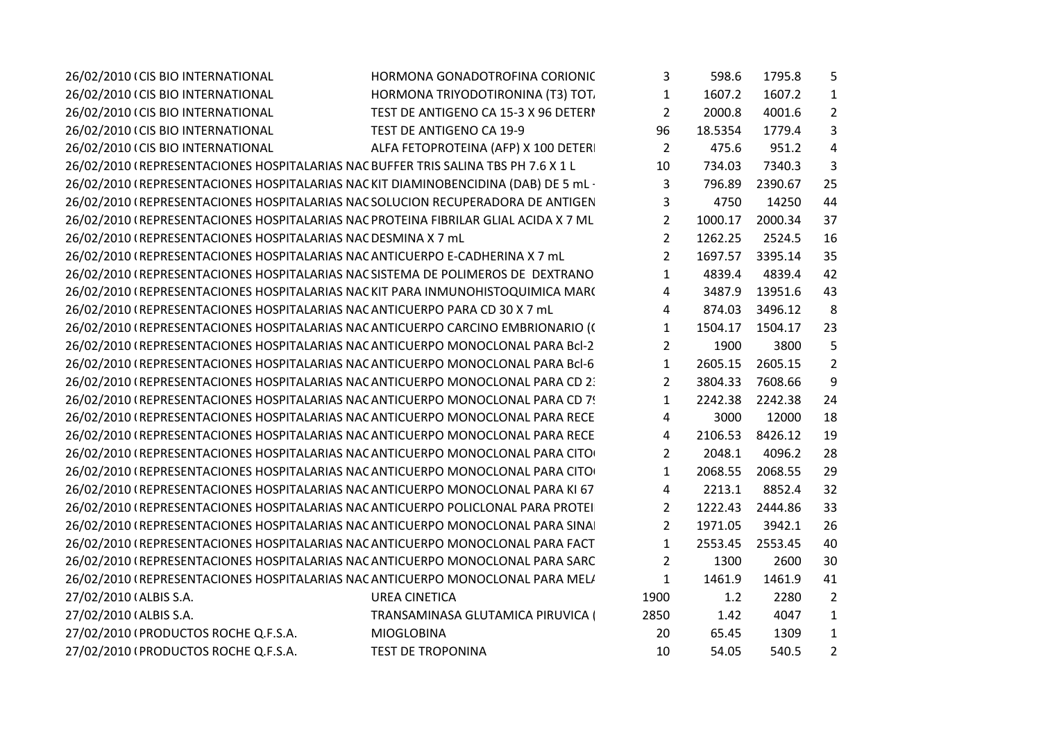| 26/02/2010 (CIS BIO INTERNATIONAL                                                   | HORMONA GONADOTROFINA CORIONIC<br>3                    | 598.6   | 1795.8  | 5              |
|-------------------------------------------------------------------------------------|--------------------------------------------------------|---------|---------|----------------|
| 26/02/2010 (CIS BIO INTERNATIONAL                                                   | HORMONA TRIYODOTIRONINA (T3) TOT.<br>$\mathbf{1}$      | 1607.2  | 1607.2  | $\mathbf{1}$   |
| 26/02/2010 (CIS BIO INTERNATIONAL                                                   | $\overline{2}$<br>TEST DE ANTIGENO CA 15-3 X 96 DETERI | 2000.8  | 4001.6  | $\overline{2}$ |
| 26/02/2010 (CIS BIO INTERNATIONAL<br>TEST DE ANTIGENO CA 19-9                       | 96                                                     | 18.5354 | 1779.4  | 3              |
| 26/02/2010 (CIS BIO INTERNATIONAL                                                   | $\overline{2}$<br>ALFA FETOPROTEINA (AFP) X 100 DETER  | 475.6   | 951.2   | 4              |
| 26/02/2010 (REPRESENTACIONES HOSPITALARIAS NAC BUFFER TRIS SALINA TBS PH 7.6 X 1 L  | 10                                                     | 734.03  | 7340.3  | 3              |
| 26/02/2010 (REPRESENTACIONES HOSPITALARIAS NACKIT DIAMINOBENCIDINA (DAB) DE 5 mL·   | 3                                                      | 796.89  | 2390.67 | 25             |
| 26/02/2010 (REPRESENTACIONES HOSPITALARIAS NAC SOLUCION RECUPERADORA DE ANTIGEN     | $\mathbf{3}$                                           | 4750    | 14250   | 44             |
| 26/02/2010 (REPRESENTACIONES HOSPITALARIAS NAC PROTEINA FIBRILAR GLIAL ACIDA X 7 ML | $2^{\circ}$                                            | 1000.17 | 2000.34 | 37             |
| 26/02/2010 (REPRESENTACIONES HOSPITALARIAS NAC DESMINA X 7 mL                       | $2^{\circ}$                                            | 1262.25 | 2524.5  | 16             |
| 26/02/2010 (REPRESENTACIONES HOSPITALARIAS NAC ANTICUERPO E-CADHERINA X 7 mL        | $2^{\circ}$                                            | 1697.57 | 3395.14 | 35             |
| 26/02/2010 (REPRESENTACIONES HOSPITALARIAS NAC SISTEMA DE POLIMEROS DE DEXTRANO     | $\mathbf{1}$                                           | 4839.4  | 4839.4  | 42             |
| 26/02/2010 (REPRESENTACIONES HOSPITALARIAS NACKIT PARA INMUNOHISTOQUIMICA MAR(      | 4                                                      | 3487.9  | 13951.6 | 43             |
| 26/02/2010 (REPRESENTACIONES HOSPITALARIAS NAC ANTICUERPO PARA CD 30 X 7 mL         | 4                                                      | 874.03  | 3496.12 | 8              |
| 26/02/2010 (REPRESENTACIONES HOSPITALARIAS NACANTICUERPO CARCINO EMBRIONARIO ((     | $\mathbf{1}$                                           | 1504.17 | 1504.17 | 23             |
| 26/02/2010 (REPRESENTACIONES HOSPITALARIAS NAC ANTICUERPO MONOCLONAL PARA Bcl-2     | $\overline{2}$                                         | 1900    | 3800    | 5              |
| 26/02/2010 (REPRESENTACIONES HOSPITALARIAS NACANTICUERPO MONOCLONAL PARA Bcl-6      | $\mathbf{1}$                                           | 2605.15 | 2605.15 | $\overline{2}$ |
| 26/02/2010 (REPRESENTACIONES HOSPITALARIAS NACANTICUERPO MONOCLONAL PARA CD 2)      | $\overline{2}$                                         | 3804.33 | 7608.66 | 9              |
| 26/02/2010 (REPRESENTACIONES HOSPITALARIAS NAC ANTICUERPO MONOCLONAL PARA CD 7!     | $\mathbf{1}$                                           | 2242.38 | 2242.38 | 24             |
| 26/02/2010 (REPRESENTACIONES HOSPITALARIAS NAC ANTICUERPO MONOCLONAL PARA RECE      | $\overline{4}$                                         | 3000    | 12000   | 18             |
| 26/02/2010 (REPRESENTACIONES HOSPITALARIAS NAC ANTICUERPO MONOCLONAL PARA RECE      | 4                                                      | 2106.53 | 8426.12 | 19             |
| 26/02/2010 (REPRESENTACIONES HOSPITALARIAS NACANTICUERPO MONOCLONAL PARA CITO       | $2^{\circ}$                                            | 2048.1  | 4096.2  | 28             |
| 26/02/2010 (REPRESENTACIONES HOSPITALARIAS NACANTICUERPO MONOCLONAL PARA CITO       | $\mathbf{1}$                                           | 2068.55 | 2068.55 | 29             |
| 26/02/2010 (REPRESENTACIONES HOSPITALARIAS NACANTICUERPO MONOCLONAL PARA KI 67      | 4                                                      | 2213.1  | 8852.4  | 32             |
| 26/02/2010 (REPRESENTACIONES HOSPITALARIAS NAC ANTICUERPO POLICLONAL PARA PROTEI    | $\overline{2}$                                         | 1222.43 | 2444.86 | 33             |
| 26/02/2010 (REPRESENTACIONES HOSPITALARIAS NACANTICUERPO MONOCLONAL PARA SINA       | $2^{\circ}$                                            | 1971.05 | 3942.1  | 26             |
| 26/02/2010 (REPRESENTACIONES HOSPITALARIAS NACANTICUERPO MONOCLONAL PARA FACT       | $\mathbf{1}$                                           | 2553.45 | 2553.45 | 40             |
| 26/02/2010 (REPRESENTACIONES HOSPITALARIAS NAC ANTICUERPO MONOCLONAL PARA SARC      | $\overline{2}$                                         | 1300    | 2600    | 30             |
| 26/02/2010 (REPRESENTACIONES HOSPITALARIAS NACANTICUERPO MONOCLONAL PARA MEL/       | $\mathbf{1}$                                           | 1461.9  | 1461.9  | 41             |
| 27/02/2010 (ALBIS S.A.<br><b>UREA CINETICA</b>                                      | 1900                                                   | 1.2     | 2280    | $\overline{2}$ |
| 27/02/2010 (ALBIS S.A.                                                              | 2850<br>TRANSAMINASA GLUTAMICA PIRUVICA (              | 1.42    | 4047    | $\mathbf{1}$   |
| 27/02/2010 (PRODUCTOS ROCHE Q.F.S.A.<br><b>MIOGLOBINA</b>                           | 20                                                     | 65.45   | 1309    | $\mathbf{1}$   |
| 27/02/2010 (PRODUCTOS ROCHE Q.F.S.A.<br><b>TEST DE TROPONINA</b>                    | 10                                                     | 54.05   | 540.5   | $\overline{2}$ |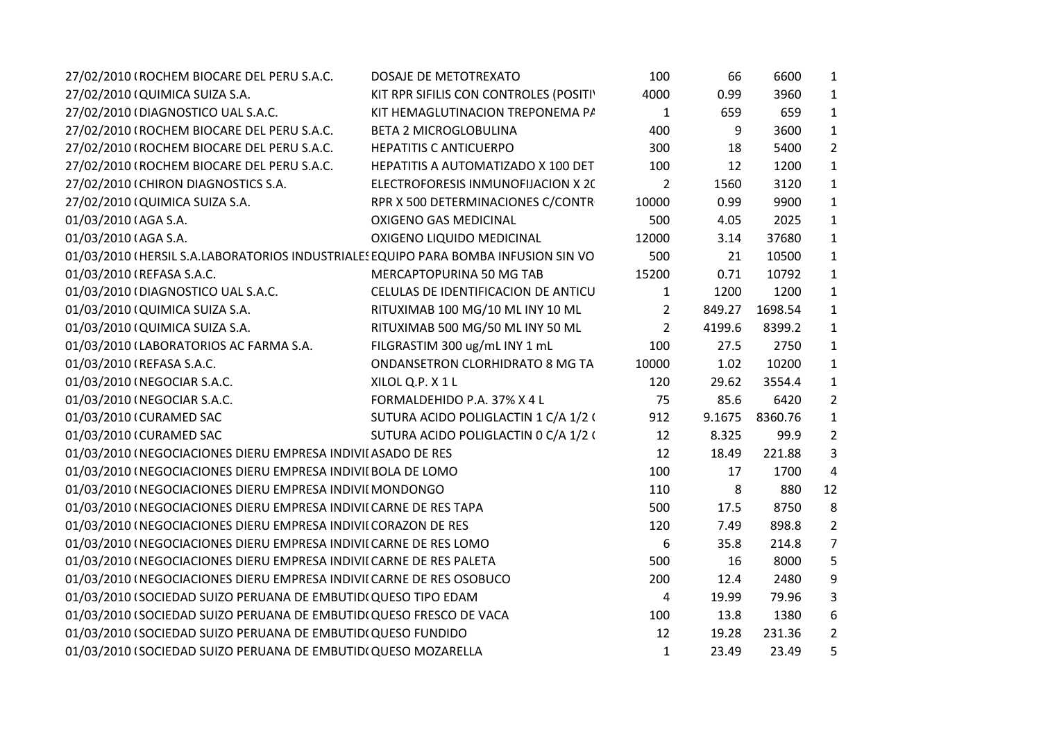| 27/02/2010 (ROCHEM BIOCARE DEL PERU S.A.C.<br>DOSAJE DE METOTREXATO                | 100            | 66     | 6600           | $\mathbf{1}$   |
|------------------------------------------------------------------------------------|----------------|--------|----------------|----------------|
| 27/02/2010 (QUIMICA SUIZA S.A.<br>KIT RPR SIFILIS CON CONTROLES (POSITI'           | 4000           | 0.99   | 3960           | $\mathbf{1}$   |
| 27/02/2010 (DIAGNOSTICO UAL S.A.C.<br>KIT HEMAGLUTINACION TREPONEMA P/             | $\mathbf{1}$   | 659    | 659            | $\mathbf{1}$   |
| 27/02/2010 (ROCHEM BIOCARE DEL PERU S.A.C.<br><b>BETA 2 MICROGLOBULINA</b>         | 400            | 9      | 3600           | $\mathbf{1}$   |
| 27/02/2010 (ROCHEM BIOCARE DEL PERU S.A.C.<br><b>HEPATITIS C ANTICUERPO</b>        | 300            | 18     | 5400           | $\overline{2}$ |
| 27/02/2010 (ROCHEM BIOCARE DEL PERU S.A.C.<br>HEPATITIS A AUTOMATIZADO X 100 DET   | 100            | 12     | 1200           | $\mathbf{1}$   |
| 27/02/2010 (CHIRON DIAGNOSTICS S.A.<br>ELECTROFORESIS INMUNOFIJACION X 20          | $\overline{2}$ | 1560   | 3120           | $\mathbf{1}$   |
| 27/02/2010 (QUIMICA SUIZA S.A.<br>RPR X 500 DETERMINACIONES C/CONTR                | 10000          | 0.99   | 9900           | $\mathbf{1}$   |
| 01/03/2010 (AGA S.A.<br><b>OXIGENO GAS MEDICINAL</b>                               | 500            | 4.05   | 2025           | $\mathbf{1}$   |
| 01/03/2010 (AGA S.A.<br>OXIGENO LIQUIDO MEDICINAL                                  | 12000          | 3.14   | 37680          | $\mathbf{1}$   |
| 01/03/2010 (HERSIL S.A.LABORATORIOS INDUSTRIALES EQUIPO PARA BOMBA INFUSION SIN VO | 500            | 21     | 10500          | $\mathbf{1}$   |
| 01/03/2010 (REFASA S.A.C.<br>MERCAPTOPURINA 50 MG TAB                              | 15200          | 0.71   | 10792          | $\mathbf{1}$   |
| 01/03/2010 (DIAGNOSTICO UAL S.A.C.<br>CELULAS DE IDENTIFICACION DE ANTICU          | $\mathbf{1}$   | 1200   | 1200           | $\mathbf{1}$   |
| 01/03/2010 (QUIMICA SUIZA S.A.<br>RITUXIMAB 100 MG/10 ML INY 10 ML                 | $\overline{2}$ | 849.27 | 1698.54        | $\mathbf{1}$   |
| RITUXIMAB 500 MG/50 ML INY 50 ML<br>01/03/2010 (QUIMICA SUIZA S.A.                 | $2^{\circ}$    | 4199.6 | 8399.2         | $\mathbf{1}$   |
| FILGRASTIM 300 ug/mL INY 1 mL<br>01/03/2010 (LABORATORIOS AC FARMA S.A.            | 100            | 27.5   | 2750           | $\mathbf{1}$   |
| 01/03/2010 (REFASA S.A.C.<br>ONDANSETRON CLORHIDRATO 8 MG TA                       | 10000          | 1.02   | 10200          | $\mathbf{1}$   |
| 01/03/2010 (NEGOCIAR S.A.C.<br>XILOL Q.P. X1L                                      | 120            | 29.62  | 3554.4         | $\mathbf{1}$   |
| 01/03/2010 (NEGOCIAR S.A.C.<br>FORMALDEHIDO P.A. 37% X 4 L                         | 75             | 85.6   | 6420           | $\overline{2}$ |
| 01/03/2010 (CURAMED SAC<br>SUTURA ACIDO POLIGLACTIN 1 C/A 1/2 (                    | 912            |        | 9.1675 8360.76 | $\mathbf{1}$   |
| 01/03/2010 (CURAMED SAC<br>SUTURA ACIDO POLIGLACTIN 0 C/A 1/2 (                    | 12             | 8.325  | 99.9           | $\overline{2}$ |
| 01/03/2010 (NEGOCIACIONES DIERU EMPRESA INDIVII ASADO DE RES                       | 12             | 18.49  | 221.88         | 3              |
| 01/03/2010 (NEGOCIACIONES DIERU EMPRESA INDIVII BOLA DE LOMO                       | 100            | 17     | 1700           | $\overline{a}$ |
| 01/03/2010 (NEGOCIACIONES DIERU EMPRESA INDIVII MONDONGO                           | 110            | 8      | 880            | 12             |
| 01/03/2010 (NEGOCIACIONES DIERU EMPRESA INDIVII CARNE DE RES TAPA                  | 500            | 17.5   | 8750           | 8              |
| 01/03/2010 (NEGOCIACIONES DIERU EMPRESA INDIVII CORAZON DE RES                     | 120            | 7.49   | 898.8          | $\overline{2}$ |
| 01/03/2010 (NEGOCIACIONES DIERU EMPRESA INDIVII CARNE DE RES LOMO                  | 6              | 35.8   | 214.8          | $\overline{7}$ |
| 01/03/2010 (NEGOCIACIONES DIERU EMPRESA INDIVII CARNE DE RES PALETA                | 500            | 16     | 8000           | 5              |
| 01/03/2010 (NEGOCIACIONES DIERU EMPRESA INDIVII CARNE DE RES OSOBUCO               | 200            | 12.4   | 2480           | 9              |
| 01/03/2010 (SOCIEDAD SUIZO PERUANA DE EMBUTID(QUESO TIPO EDAM                      | 4              | 19.99  | 79.96          | 3              |
| 01/03/2010 (SOCIEDAD SUIZO PERUANA DE EMBUTID(QUESO FRESCO DE VACA                 | 100            | 13.8   | 1380           | 6              |
| 01/03/2010 (SOCIEDAD SUIZO PERUANA DE EMBUTIDI QUESO FUNDIDO                       | 12             | 19.28  | 231.36         | $\overline{2}$ |
| 01/03/2010 (SOCIEDAD SUIZO PERUANA DE EMBUTIDI QUESO MOZARELLA                     | $\mathbf{1}$   | 23.49  | 23.49          | 5              |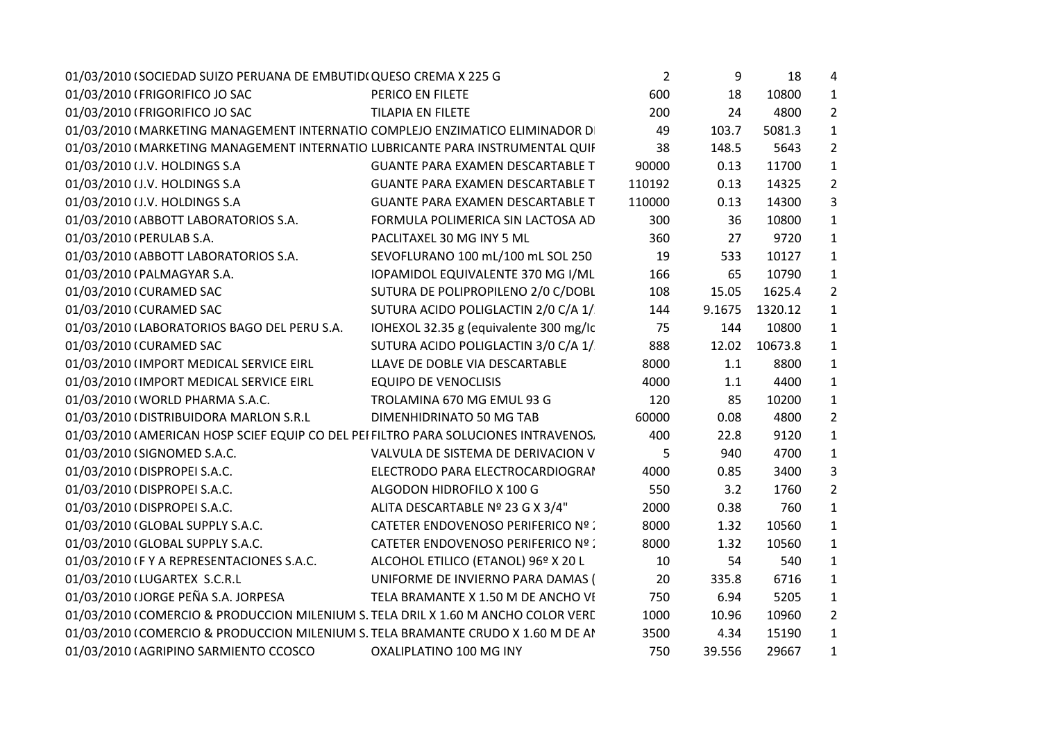| 01/03/2010 (SOCIEDAD SUIZO PERUANA DE EMBUTIDI QUESO CREMA X 225 G                  |                                         | $\overline{2}$ | 9      | 18      | 4              |  |
|-------------------------------------------------------------------------------------|-----------------------------------------|----------------|--------|---------|----------------|--|
| 01/03/2010 (FRIGORIFICO JO SAC                                                      | PERICO EN FILETE                        | 600            | 18     | 10800   | $\mathbf{1}$   |  |
| 01/03/2010 (FRIGORIFICO JO SAC                                                      | <b>TILAPIA EN FILETE</b>                | 200            | 24     | 4800    | $\overline{2}$ |  |
| 01/03/2010 (MARKETING MANAGEMENT INTERNATIO COMPLEJO ENZIMATICO ELIMINADOR D        |                                         | 49             | 103.7  | 5081.3  | $\mathbf{1}$   |  |
| 01/03/2010 (MARKETING MANAGEMENT INTERNATIO LUBRICANTE PARA INSTRUMENTAL QUIF       |                                         | 38             | 148.5  | 5643    | $\overline{2}$ |  |
| 01/03/2010 (J.V. HOLDINGS S.A                                                       | <b>GUANTE PARA EXAMEN DESCARTABLE T</b> | 90000          | 0.13   | 11700   | $\mathbf{1}$   |  |
| 01/03/2010 (J.V. HOLDINGS S.A                                                       | <b>GUANTE PARA EXAMEN DESCARTABLE T</b> | 110192         | 0.13   | 14325   | $\overline{2}$ |  |
| 01/03/2010 (J.V. HOLDINGS S.A                                                       | <b>GUANTE PARA EXAMEN DESCARTABLE T</b> | 110000         | 0.13   | 14300   | 3              |  |
| 01/03/2010 (ABBOTT LABORATORIOS S.A.                                                | FORMULA POLIMERICA SIN LACTOSA AD       | 300            | 36     | 10800   | $\mathbf{1}$   |  |
| 01/03/2010 (PERULAB S.A.                                                            | PACLITAXEL 30 MG INY 5 ML               | 360            | 27     | 9720    | $\mathbf{1}$   |  |
| 01/03/2010 (ABBOTT LABORATORIOS S.A.                                                | SEVOFLURANO 100 mL/100 mL SOL 250       | 19             | 533    | 10127   | $\mathbf{1}$   |  |
| 01/03/2010 (PALMAGYAR S.A.                                                          | IOPAMIDOL EQUIVALENTE 370 MG I/ML       | 166            | 65     | 10790   | $\mathbf{1}$   |  |
| 01/03/2010 (CURAMED SAC                                                             | SUTURA DE POLIPROPILENO 2/0 C/DOBL      | 108            | 15.05  | 1625.4  | $\overline{2}$ |  |
| 01/03/2010 (CURAMED SAC                                                             | SUTURA ACIDO POLIGLACTIN 2/0 C/A 1/     | 144            | 9.1675 | 1320.12 | $\mathbf{1}$   |  |
| 01/03/2010 (LABORATORIOS BAGO DEL PERU S.A.                                         | IOHEXOL 32.35 g (equivalente 300 mg/lc  | 75             | 144    | 10800   | 1              |  |
| 01/03/2010 (CURAMED SAC                                                             | SUTURA ACIDO POLIGLACTIN 3/0 C/A 1/     | 888            | 12.02  | 10673.8 | $\mathbf{1}$   |  |
| 01/03/2010 (IMPORT MEDICAL SERVICE EIRL                                             | LLAVE DE DOBLE VIA DESCARTABLE          | 8000           | 1.1    | 8800    | $\mathbf{1}$   |  |
| 01/03/2010 (IMPORT MEDICAL SERVICE EIRL                                             | <b>EQUIPO DE VENOCLISIS</b>             | 4000           | 1.1    | 4400    | $\mathbf{1}$   |  |
| 01/03/2010 (WORLD PHARMA S.A.C.                                                     | TROLAMINA 670 MG EMUL 93 G              | 120            | 85     | 10200   | $\mathbf{1}$   |  |
| 01/03/2010 (DISTRIBUIDORA MARLON S.R.L                                              | DIMENHIDRINATO 50 MG TAB                | 60000          | 0.08   | 4800    | $\overline{2}$ |  |
| 01/03/2010 (AMERICAN HOSP SCIEF EQUIP CO DEL PEI FILTRO PARA SOLUCIONES INTRAVENOS. |                                         | 400            | 22.8   | 9120    | $\mathbf{1}$   |  |
| 01/03/2010 (SIGNOMED S.A.C.                                                         | VALVULA DE SISTEMA DE DERIVACION V      | 5              | 940    | 4700    | $\mathbf{1}$   |  |
| 01/03/2010 (DISPROPEI S.A.C.                                                        | ELECTRODO PARA ELECTROCARDIOGRAI        | 4000           | 0.85   | 3400    | 3              |  |
| 01/03/2010 (DISPROPEI S.A.C.                                                        | ALGODON HIDROFILO X 100 G               | 550            | 3.2    | 1760    | $\overline{2}$ |  |
| 01/03/2010 (DISPROPEI S.A.C.                                                        | ALITA DESCARTABLE Nº 23 G X 3/4"        | 2000           | 0.38   | 760     | $\mathbf{1}$   |  |
| 01/03/2010 (GLOBAL SUPPLY S.A.C.                                                    | CATETER ENDOVENOSO PERIFERICO Nº :      | 8000           | 1.32   | 10560   | $\mathbf{1}$   |  |
| 01/03/2010 (GLOBAL SUPPLY S.A.C.                                                    | CATETER ENDOVENOSO PERIFERICO Nº :      | 8000           | 1.32   | 10560   | $\mathbf{1}$   |  |
| 01/03/2010 IF Y A REPRESENTACIONES S.A.C.                                           | ALCOHOL ETILICO (ETANOL) 96º X 20 L     | 10             | 54     | 540     | $\mathbf{1}$   |  |
| 01/03/2010 (LUGARTEX S.C.R.L                                                        | UNIFORME DE INVIERNO PARA DAMAS (       | 20             | 335.8  | 6716    | $\mathbf{1}$   |  |
| 01/03/2010 (JORGE PEÑA S.A. JORPESA                                                 | TELA BRAMANTE X 1.50 M DE ANCHO VI      | 750            | 6.94   | 5205    | $\mathbf{1}$   |  |
| 01/03/2010 (COMERCIO & PRODUCCION MILENIUM S. TELA DRIL X 1.60 M ANCHO COLOR VERE   |                                         | 1000           | 10.96  | 10960   | $\overline{2}$ |  |
| 01/03/2010 (COMERCIO & PRODUCCION MILENIUM S. TELA BRAMANTE CRUDO X 1.60 M DE AI    |                                         | 3500           | 4.34   | 15190   | $\mathbf{1}$   |  |
| 01/03/2010 (AGRIPINO SARMIENTO CCOSCO                                               | OXALIPLATINO 100 MG INY                 | 750            | 39.556 | 29667   | $\mathbf{1}$   |  |
|                                                                                     |                                         |                |        |         |                |  |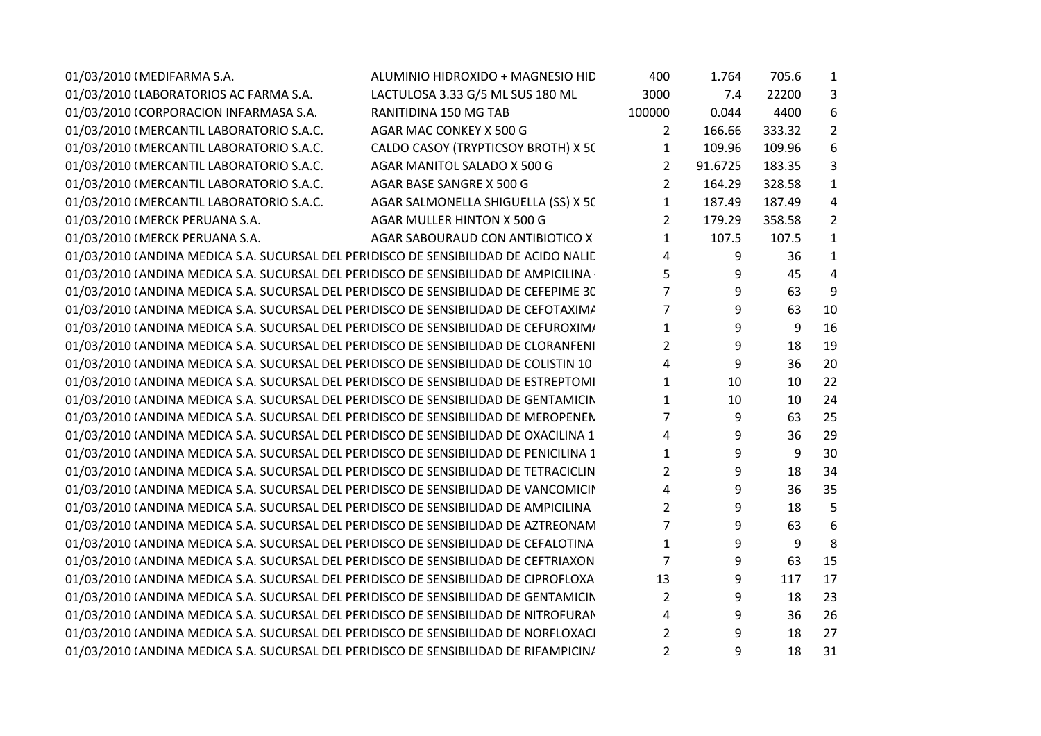| 01/03/2010 (MEDIFARMA S.A.                                                            | ALUMINIO HIDROXIDO + MAGNESIO HID   | 400            | 1.764   | 705.6  | 1              |
|---------------------------------------------------------------------------------------|-------------------------------------|----------------|---------|--------|----------------|
| 01/03/2010 (LABORATORIOS AC FARMA S.A.                                                | LACTULOSA 3.33 G/5 ML SUS 180 ML    | 3000           | 7.4     | 22200  | 3              |
| 01/03/2010 (CORPORACION INFARMASA S.A.                                                | RANITIDINA 150 MG TAB               | 100000         | 0.044   | 4400   | 6              |
| 01/03/2010 (MERCANTIL LABORATORIO S.A.C.                                              | AGAR MAC CONKEY X 500 G             | $\mathbf{2}$   | 166.66  | 333.32 | $\overline{2}$ |
| 01/03/2010 (MERCANTIL LABORATORIO S.A.C.                                              | CALDO CASOY (TRYPTICSOY BROTH) X 50 | 1              | 109.96  | 109.96 | 6              |
| 01/03/2010 (MERCANTIL LABORATORIO S.A.C.                                              | AGAR MANITOL SALADO X 500 G         | 2              | 91.6725 | 183.35 | 3              |
| 01/03/2010 (MERCANTIL LABORATORIO S.A.C.                                              | AGAR BASE SANGRE X 500 G            | $\overline{2}$ | 164.29  | 328.58 | $\mathbf{1}$   |
| 01/03/2010 (MERCANTIL LABORATORIO S.A.C.                                              | AGAR SALMONELLA SHIGUELLA (SS) X 50 | $\mathbf{1}$   | 187.49  | 187.49 | 4              |
| 01/03/2010 (MERCK PERUANA S.A.                                                        | AGAR MULLER HINTON X 500 G          | 2              | 179.29  | 358.58 | $\overline{2}$ |
| 01/03/2010 (MERCK PERUANA S.A.                                                        | AGAR SABOURAUD CON ANTIBIOTICO X    | 1              | 107.5   | 107.5  | $\mathbf{1}$   |
| 01/03/2010 (ANDINA MEDICA S.A. SUCURSAL DEL PERIDISCO DE SENSIBILIDAD DE ACIDO NALIE  |                                     | 4              | 9       | 36     | $\mathbf{1}$   |
| 01/03/2010 (ANDINA MEDICA S.A. SUCURSAL DEL PERI DISCO DE SENSIBILIDAD DE AMPICILINA  |                                     | 5              | 9       | 45     | $\overline{4}$ |
| 01/03/2010 (ANDINA MEDICA S.A. SUCURSAL DEL PERIDISCO DE SENSIBILIDAD DE CEFEPIME 30  |                                     | 7              | 9       | 63     | 9              |
| 01/03/2010 (ANDINA MEDICA S.A. SUCURSAL DEL PERIDISCO DE SENSIBILIDAD DE CEFOTAXIM/   |                                     | $\overline{7}$ | 9       | 63     | 10             |
| 01/03/2010 (ANDINA MEDICA S.A. SUCURSAL DEL PERIDISCO DE SENSIBILIDAD DE CEFUROXIM/   |                                     | 1              | 9       | 9      | 16             |
| 01/03/2010 (ANDINA MEDICA S.A. SUCURSAL DEL PERIDISCO DE SENSIBILIDAD DE CLORANFENI   |                                     | $\overline{2}$ | 9       | 18     | 19             |
| 01/03/2010 (ANDINA MEDICA S.A. SUCURSAL DEL PERIDISCO DE SENSIBILIDAD DE COLISTIN 10  |                                     | 4              | 9       | 36     | 20             |
| 01/03/2010 (ANDINA MEDICA S.A. SUCURSAL DEL PERIDISCO DE SENSIBILIDAD DE ESTREPTOMI   |                                     | $\mathbf{1}$   | 10      | 10     | 22             |
| 01/03/2010 (ANDINA MEDICA S.A. SUCURSAL DEL PERIDISCO DE SENSIBILIDAD DE GENTAMICIN   |                                     | $\mathbf{1}$   | 10      | 10     | 24             |
| 01/03/2010 (ANDINA MEDICA S.A. SUCURSAL DEL PERIDISCO DE SENSIBILIDAD DE MEROPENEN    |                                     | 7              | 9       | 63     | 25             |
| 01/03/2010 (ANDINA MEDICA S.A. SUCURSAL DEL PERIDISCO DE SENSIBILIDAD DE OXACILINA 1  |                                     | 4              | 9       | 36     | 29             |
| 01/03/2010 (ANDINA MEDICA S.A. SUCURSAL DEL PERIDISCO DE SENSIBILIDAD DE PENICILINA 1 |                                     | 1              | 9       | 9      | 30             |
| 01/03/2010 (ANDINA MEDICA S.A. SUCURSAL DEL PERIDISCO DE SENSIBILIDAD DE TETRACICLIN  |                                     | $\overline{2}$ | 9       | 18     | 34             |
| 01/03/2010 (ANDINA MEDICA S.A. SUCURSAL DEL PERIDISCO DE SENSIBILIDAD DE VANCOMICII   |                                     | 4              | 9       | 36     | 35             |
| 01/03/2010 (ANDINA MEDICA S.A. SUCURSAL DEL PERIDISCO DE SENSIBILIDAD DE AMPICILINA   |                                     | $\overline{2}$ | 9       | 18     | 5              |
| 01/03/2010 (ANDINA MEDICA S.A. SUCURSAL DEL PERIDISCO DE SENSIBILIDAD DE AZTREONAN    |                                     | $\overline{7}$ | 9       | 63     | 6              |
| 01/03/2010 (ANDINA MEDICA S.A. SUCURSAL DEL PERIDISCO DE SENSIBILIDAD DE CEFALOTINA   |                                     | $\mathbf{1}$   | 9       | 9      | 8              |
| 01/03/2010 (ANDINA MEDICA S.A. SUCURSAL DEL PERIDISCO DE SENSIBILIDAD DE CEFTRIAXON   |                                     | 7              | 9       | 63     | 15             |
| 01/03/2010 (ANDINA MEDICA S.A. SUCURSAL DEL PERIDISCO DE SENSIBILIDAD DE CIPROFLOXA   |                                     | 13             | 9       | 117    | 17             |
| 01/03/2010 (ANDINA MEDICA S.A. SUCURSAL DEL PERIDISCO DE SENSIBILIDAD DE GENTAMICIN   |                                     | 2              | 9       | 18     | 23             |
| 01/03/2010 (ANDINA MEDICA S.A. SUCURSAL DEL PERIDISCO DE SENSIBILIDAD DE NITROFURAN   |                                     | 4              | 9       | 36     | 26             |
| 01/03/2010 (ANDINA MEDICA S.A. SUCURSAL DEL PERIDISCO DE SENSIBILIDAD DE NORFLOXACI   |                                     | 2              | 9       | 18     | 27             |
| 01/03/2010 (ANDINA MEDICA S.A. SUCURSAL DEL PERIDISCO DE SENSIBILIDAD DE RIFAMPICIN/  |                                     | 2              | 9       | 18     | 31             |
|                                                                                       |                                     |                |         |        |                |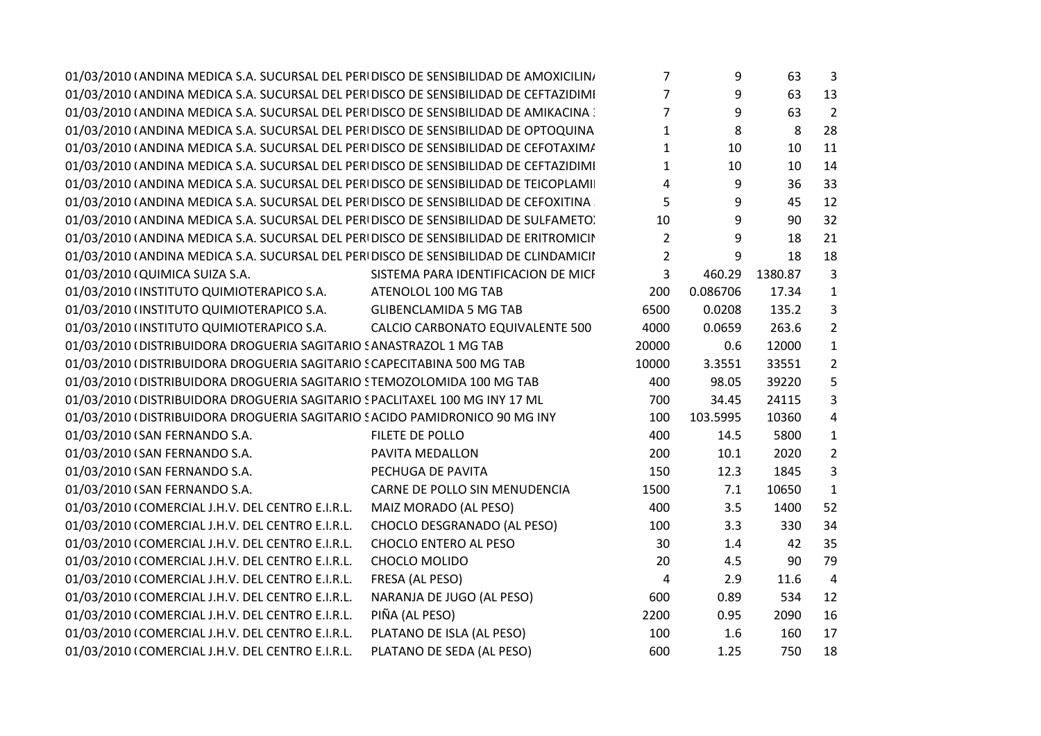| 01/03/2010 (ANDINA MEDICA S.A. SUCURSAL DEL PERI DISCO DE SENSIBILIDAD DE AMOXICILIN) |                                     | $\overline{7}$ | 9                | 63      | 3              |  |
|---------------------------------------------------------------------------------------|-------------------------------------|----------------|------------------|---------|----------------|--|
| 01/03/2010 (ANDINA MEDICA S.A. SUCURSAL DEL PERI DISCO DE SENSIBILIDAD DE CEFTAZIDIMI |                                     | $\overline{7}$ | 9                | 63      | 13             |  |
| 01/03/2010 (ANDINA MEDICA S.A. SUCURSAL DEL PERI DISCO DE SENSIBILIDAD DE AMIKACINA : |                                     | $\overline{7}$ | 9                | 63      | $\overline{2}$ |  |
| 01/03/2010 (ANDINA MEDICA S.A. SUCURSAL DEL PERI DISCO DE SENSIBILIDAD DE OPTOQUINA   |                                     | $\mathbf{1}$   | 8                | 8       | 28             |  |
| 01/03/2010 (ANDINA MEDICA S.A. SUCURSAL DEL PERI DISCO DE SENSIBILIDAD DE CEFOTAXIM/  |                                     | $\mathbf{1}$   | 10               | 10      | 11             |  |
| 01/03/2010 (ANDINA MEDICA S.A. SUCURSAL DEL PERI DISCO DE SENSIBILIDAD DE CEFTAZIDIMI |                                     | $\mathbf{1}$   | 10               | 10      | 14             |  |
| 01/03/2010 (ANDINA MEDICA S.A. SUCURSAL DEL PERIDISCO DE SENSIBILIDAD DE TEICOPLAMI   |                                     | $\overline{4}$ | $\boldsymbol{9}$ | 36      | 33             |  |
| 01/03/2010 (ANDINA MEDICA S.A. SUCURSAL DEL PERIDISCO DE SENSIBILIDAD DE CEFOXITINA   |                                     | 5              | 9                | 45      | 12             |  |
| 01/03/2010 (ANDINA MEDICA S.A. SUCURSAL DEL PERI DISCO DE SENSIBILIDAD DE SULFAMETO)  |                                     | 10             | 9                | 90      | 32             |  |
| 01/03/2010 (ANDINA MEDICA S.A. SUCURSAL DEL PERI DISCO DE SENSIBILIDAD DE ERITROMICII |                                     | $\overline{2}$ | 9                | 18      | 21             |  |
| 01/03/2010 (ANDINA MEDICA S.A. SUCURSAL DEL PERI DISCO DE SENSIBILIDAD DE CLINDAMICII |                                     | $\overline{2}$ | 9                | 18      | 18             |  |
| 01/03/2010 (QUIMICA SUIZA S.A.                                                        | SISTEMA PARA IDENTIFICACION DE MICI | $\overline{3}$ | 460.29           | 1380.87 | $\mathbf{3}$   |  |
| 01/03/2010 (INSTITUTO QUIMIOTERAPICO S.A.                                             | ATENOLOL 100 MG TAB                 | 200            | 0.086706         | 17.34   | 1              |  |
| 01/03/2010 (INSTITUTO QUIMIOTERAPICO S.A. GLIBENCLAMIDA 5 MG TAB                      |                                     | 6500           | 0.0208           | 135.2   | 3              |  |
| 01/03/2010 (INSTITUTO QUIMIOTERAPICO S.A.                                             | CALCIO CARBONATO EQUIVALENTE 500    | 4000           | 0.0659           | 263.6   | $\overline{2}$ |  |
| 01/03/2010 (DISTRIBUIDORA DROGUERIA SAGITARIO SANASTRAZOL 1 MG TAB                    |                                     | 20000          | 0.6              | 12000   | $\mathbf{1}$   |  |
| 01/03/2010 (DISTRIBUIDORA DROGUERIA SAGITARIO SCAPECITABINA 500 MG TAB                |                                     | 10000          | 3.3551           | 33551   | $\overline{2}$ |  |
| 01/03/2010 (DISTRIBUIDORA DROGUERIA SAGITARIO STEMOZOLOMIDA 100 MG TAB                |                                     | 400            | 98.05            | 39220   | 5              |  |
| 01/03/2010 (DISTRIBUIDORA DROGUERIA SAGITARIO SPACLITAXEL 100 MG INY 17 ML            |                                     | 700            | 34.45            | 24115   | 3              |  |
| 01/03/2010 (DISTRIBUIDORA DROGUERIA SAGITARIO SACIDO PAMIDRONICO 90 MG INY            |                                     | 100            | 103.5995         | 10360   | 4              |  |
| 01/03/2010 (SAN FERNANDO S.A.                                                         | FILETE DE POLLO                     | 400            | 14.5             | 5800    | 1              |  |
| 01/03/2010 (SAN FERNANDO S.A.                                                         | PAVITA MEDALLON                     | 200            | 10.1             | 2020    | $\overline{2}$ |  |
| 01/03/2010 (SAN FERNANDO S.A.                                                         | PECHUGA DE PAVITA                   | 150            | 12.3             | 1845    | 3              |  |
| 01/03/2010 (SAN FERNANDO S.A.                                                         | CARNE DE POLLO SIN MENUDENCIA       | 1500           | 7.1              | 10650   | $\mathbf{1}$   |  |
| 01/03/2010 (COMERCIAL J.H.V. DEL CENTRO E.I.R.L.                                      | MAIZ MORADO (AL PESO)               | 400            | 3.5              | 1400    | 52             |  |
| 01/03/2010 (COMERCIAL J.H.V. DEL CENTRO E.I.R.L.                                      | CHOCLO DESGRANADO (AL PESO)         | 100            | 3.3              | 330     | 34             |  |
| 01/03/2010 (COMERCIAL J.H.V. DEL CENTRO E.I.R.L.                                      | CHOCLO ENTERO AL PESO               | 30             | $1.4\,$          | 42      | 35             |  |
| 01/03/2010 (COMERCIAL J.H.V. DEL CENTRO E.I.R.L.                                      | <b>CHOCLO MOLIDO</b>                | 20             | 4.5              | 90      | 79             |  |
| 01/03/2010 (COMERCIAL J.H.V. DEL CENTRO E.I.R.L.                                      | FRESA (AL PESO)                     | 4              | 2.9              | 11.6    | 4              |  |
| 01/03/2010 (COMERCIAL J.H.V. DEL CENTRO E.I.R.L.                                      | NARANJA DE JUGO (AL PESO)           | 600            | 0.89             | 534     | 12             |  |
| 01/03/2010 (COMERCIAL J.H.V. DEL CENTRO E.I.R.L.                                      | PIÑA (AL PESO)                      | 2200           | 0.95             | 2090    | 16             |  |
| 01/03/2010 (COMERCIAL J.H.V. DEL CENTRO E.I.R.L.                                      | PLATANO DE ISLA (AL PESO)           | 100            | 1.6              | 160     | 17             |  |
| 01/03/2010 (COMERCIAL J.H.V. DEL CENTRO E.I.R.L.                                      | PLATANO DE SEDA (AL PESO)           | 600            | 1.25             | 750     | 18             |  |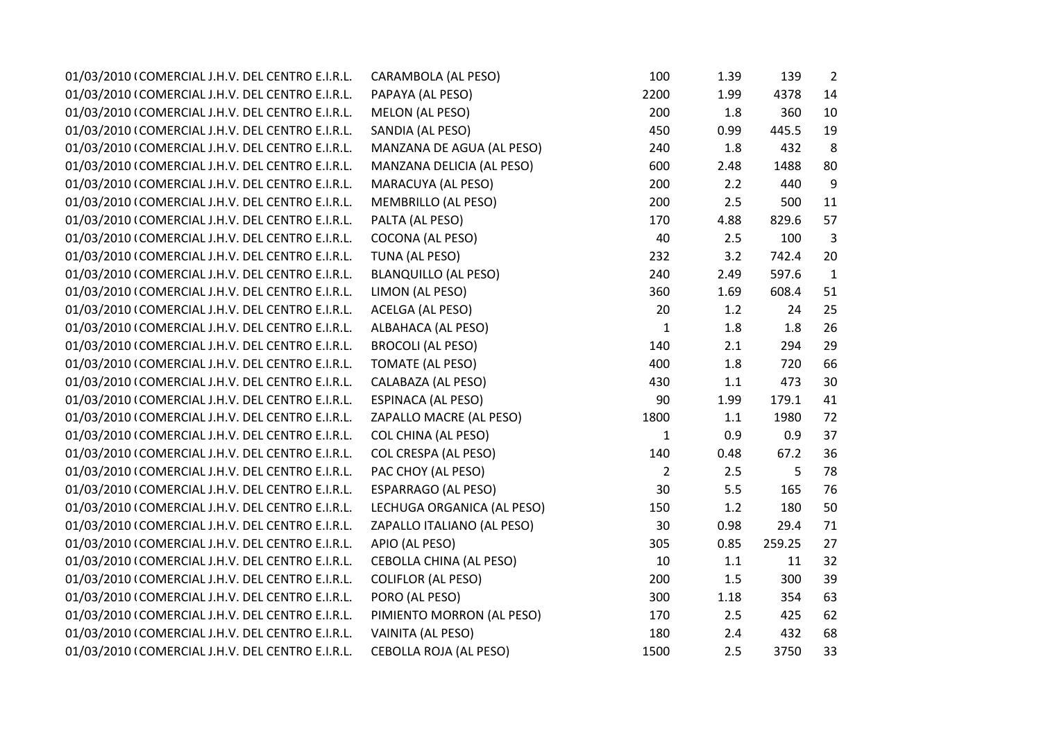| 01/03/2010 (COMERCIAL J.H.V. DEL CENTRO E.I.R.L. | CARAMBOLA (AL PESO)            | 100            | 1.39    | 139    | $\overline{2}$ |
|--------------------------------------------------|--------------------------------|----------------|---------|--------|----------------|
| 01/03/2010 (COMERCIAL J.H.V. DEL CENTRO E.I.R.L. | PAPAYA (AL PESO)               | 2200           | 1.99    | 4378   | 14             |
| 01/03/2010 (COMERCIAL J.H.V. DEL CENTRO E.I.R.L. | MELON (AL PESO)                | 200            | 1.8     | 360    | 10             |
| 01/03/2010 (COMERCIAL J.H.V. DEL CENTRO E.I.R.L. | SANDIA (AL PESO)               | 450            | 0.99    | 445.5  | 19             |
| 01/03/2010 (COMERCIAL J.H.V. DEL CENTRO E.I.R.L. | MANZANA DE AGUA (AL PESO)      | 240            | 1.8     | 432    | 8              |
| 01/03/2010 (COMERCIAL J.H.V. DEL CENTRO E.I.R.L. | MANZANA DELICIA (AL PESO)      | 600            | 2.48    | 1488   | 80             |
| 01/03/2010 (COMERCIAL J.H.V. DEL CENTRO E.I.R.L. | MARACUYA (AL PESO)             | 200            | 2.2     | 440    | 9              |
| 01/03/2010 (COMERCIAL J.H.V. DEL CENTRO E.I.R.L. | <b>MEMBRILLO (AL PESO)</b>     | 200            | 2.5     | 500    | 11             |
| 01/03/2010 (COMERCIAL J.H.V. DEL CENTRO E.I.R.L. | PALTA (AL PESO)                | 170            | 4.88    | 829.6  | 57             |
| 01/03/2010 (COMERCIAL J.H.V. DEL CENTRO E.I.R.L. | <b>COCONA (AL PESO)</b>        | 40             | 2.5     | 100    | 3              |
| 01/03/2010 (COMERCIAL J.H.V. DEL CENTRO E.I.R.L. | TUNA (AL PESO)                 | 232            | 3.2     | 742.4  | 20             |
| 01/03/2010 (COMERCIAL J.H.V. DEL CENTRO E.I.R.L. | <b>BLANQUILLO (AL PESO)</b>    | 240            | 2.49    | 597.6  | $\mathbf{1}$   |
| 01/03/2010 (COMERCIAL J.H.V. DEL CENTRO E.I.R.L. | LIMON (AL PESO)                | 360            | 1.69    | 608.4  | 51             |
| 01/03/2010 (COMERCIAL J.H.V. DEL CENTRO E.I.R.L. | ACELGA (AL PESO)               | 20             | 1.2     | 24     | 25             |
| 01/03/2010 (COMERCIAL J.H.V. DEL CENTRO E.I.R.L. | ALBAHACA (AL PESO)             | $\mathbf{1}$   | 1.8     | 1.8    | 26             |
| 01/03/2010 (COMERCIAL J.H.V. DEL CENTRO E.I.R.L. | <b>BROCOLI (AL PESO)</b>       | 140            | 2.1     | 294    | 29             |
| 01/03/2010 (COMERCIAL J.H.V. DEL CENTRO E.I.R.L. | TOMATE (AL PESO)               | 400            | 1.8     | 720    | 66             |
| 01/03/2010 (COMERCIAL J.H.V. DEL CENTRO E.I.R.L. | CALABAZA (AL PESO)             | 430            | $1.1\,$ | 473    | 30             |
| 01/03/2010 (COMERCIAL J.H.V. DEL CENTRO E.I.R.L. | <b>ESPINACA (AL PESO)</b>      | 90             | 1.99    | 179.1  | 41             |
| 01/03/2010 (COMERCIAL J.H.V. DEL CENTRO E.I.R.L. | ZAPALLO MACRE (AL PESO)        | 1800           | $1.1\,$ | 1980   | 72             |
| 01/03/2010 (COMERCIAL J.H.V. DEL CENTRO E.I.R.L. | <b>COL CHINA (AL PESO)</b>     | $\mathbf{1}$   | 0.9     | 0.9    | 37             |
| 01/03/2010 (COMERCIAL J.H.V. DEL CENTRO E.I.R.L. | COL CRESPA (AL PESO)           | 140            | 0.48    | 67.2   | 36             |
| 01/03/2010 (COMERCIAL J.H.V. DEL CENTRO E.I.R.L. | PAC CHOY (AL PESO)             | $\overline{2}$ | 2.5     | 5      | 78             |
| 01/03/2010 (COMERCIAL J.H.V. DEL CENTRO E.I.R.L. | <b>ESPARRAGO (AL PESO)</b>     | 30             | 5.5     | 165    | 76             |
| 01/03/2010 (COMERCIAL J.H.V. DEL CENTRO E.I.R.L. | LECHUGA ORGANICA (AL PESO)     | 150            | 1.2     | 180    | 50             |
| 01/03/2010 (COMERCIAL J.H.V. DEL CENTRO E.I.R.L. | ZAPALLO ITALIANO (AL PESO)     | 30             | 0.98    | 29.4   | 71             |
| 01/03/2010 (COMERCIAL J.H.V. DEL CENTRO E.I.R.L. | APIO (AL PESO)                 | 305            | 0.85    | 259.25 | 27             |
| 01/03/2010 (COMERCIAL J.H.V. DEL CENTRO E.I.R.L. | <b>CEBOLLA CHINA (AL PESO)</b> | 10             | 1.1     | 11     | 32             |
| 01/03/2010 (COMERCIAL J.H.V. DEL CENTRO E.I.R.L. | <b>COLIFLOR (AL PESO)</b>      | 200            | 1.5     | 300    | 39             |
| 01/03/2010 (COMERCIAL J.H.V. DEL CENTRO E.I.R.L. | PORO (AL PESO)                 | 300            | 1.18    | 354    | 63             |
| 01/03/2010 (COMERCIAL J.H.V. DEL CENTRO E.I.R.L. | PIMIENTO MORRON (AL PESO)      | 170            | 2.5     | 425    | 62             |
| 01/03/2010 (COMERCIAL J.H.V. DEL CENTRO E.I.R.L. | VAINITA (AL PESO)              | 180            | 2.4     | 432    | 68             |
| 01/03/2010 (COMERCIAL J.H.V. DEL CENTRO E.I.R.L. | <b>CEBOLLA ROJA (AL PESO)</b>  | 1500           | 2.5     | 3750   | 33             |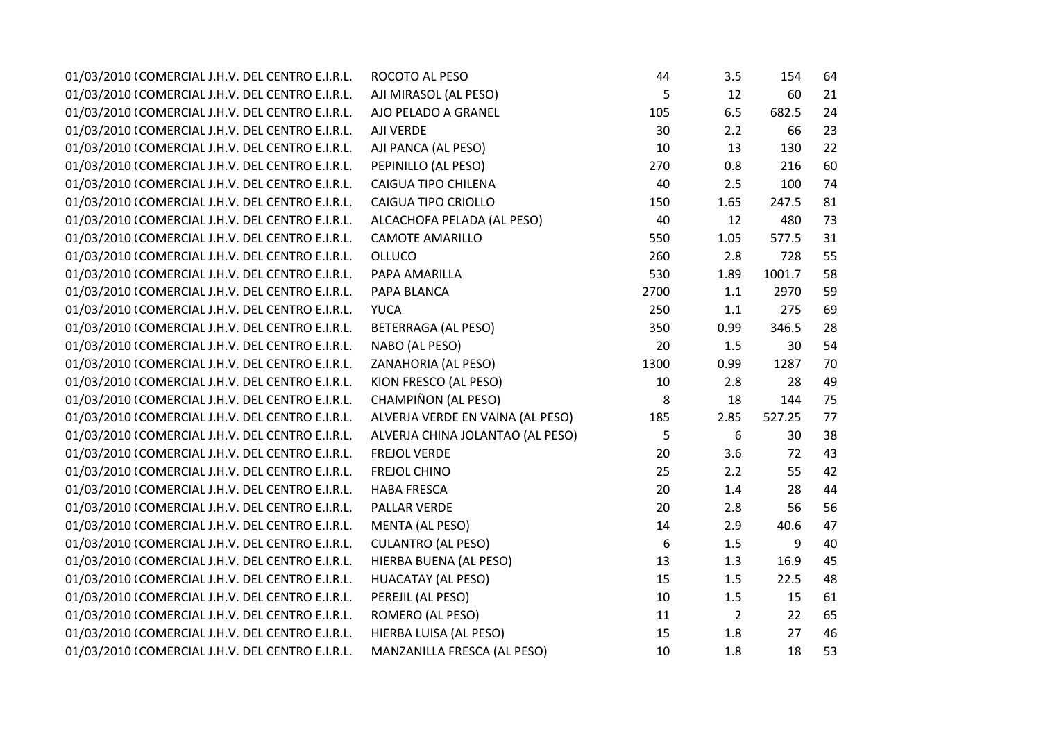| 01/03/2010 (COMERCIAL J.H.V. DEL CENTRO E.I.R.L. | ROCOTO AL PESO                   | 44   | 3.5            | 154    | 64 |
|--------------------------------------------------|----------------------------------|------|----------------|--------|----|
| 01/03/2010 (COMERCIAL J.H.V. DEL CENTRO E.I.R.L. | AJI MIRASOL (AL PESO)            | 5    | 12             | 60     | 21 |
| 01/03/2010 (COMERCIAL J.H.V. DEL CENTRO E.I.R.L. | AJO PELADO A GRANEL              | 105  | 6.5            | 682.5  | 24 |
| 01/03/2010 (COMERCIAL J.H.V. DEL CENTRO E.I.R.L. | AJI VERDE                        | 30   | 2.2            | 66     | 23 |
| 01/03/2010 (COMERCIAL J.H.V. DEL CENTRO E.I.R.L. | AJI PANCA (AL PESO)              | 10   | 13             | 130    | 22 |
| 01/03/2010 (COMERCIAL J.H.V. DEL CENTRO E.I.R.L. | PEPINILLO (AL PESO)              | 270  | 0.8            | 216    | 60 |
| 01/03/2010 (COMERCIAL J.H.V. DEL CENTRO E.I.R.L. | CAIGUA TIPO CHILENA              | 40   | 2.5            | 100    | 74 |
| 01/03/2010 (COMERCIAL J.H.V. DEL CENTRO E.I.R.L. | <b>CAIGUA TIPO CRIOLLO</b>       | 150  | 1.65           | 247.5  | 81 |
| 01/03/2010 (COMERCIAL J.H.V. DEL CENTRO E.I.R.L. | ALCACHOFA PELADA (AL PESO)       | 40   | 12             | 480    | 73 |
| 01/03/2010 (COMERCIAL J.H.V. DEL CENTRO E.I.R.L. | <b>CAMOTE AMARILLO</b>           | 550  | 1.05           | 577.5  | 31 |
| 01/03/2010 (COMERCIAL J.H.V. DEL CENTRO E.I.R.L. | <b>OLLUCO</b>                    | 260  | 2.8            | 728    | 55 |
| 01/03/2010 (COMERCIAL J.H.V. DEL CENTRO E.I.R.L. | PAPA AMARILLA                    | 530  | 1.89           | 1001.7 | 58 |
| 01/03/2010 (COMERCIAL J.H.V. DEL CENTRO E.I.R.L. | PAPA BLANCA                      | 2700 | 1.1            | 2970   | 59 |
| 01/03/2010 (COMERCIAL J.H.V. DEL CENTRO E.I.R.L. | <b>YUCA</b>                      | 250  | $1.1\,$        | 275    | 69 |
| 01/03/2010 (COMERCIAL J.H.V. DEL CENTRO E.I.R.L. | <b>BETERRAGA (AL PESO)</b>       | 350  | 0.99           | 346.5  | 28 |
| 01/03/2010 (COMERCIAL J.H.V. DEL CENTRO E.I.R.L. | NABO (AL PESO)                   | 20   | 1.5            | 30     | 54 |
| 01/03/2010 (COMERCIAL J.H.V. DEL CENTRO E.I.R.L. | ZANAHORIA (AL PESO)              | 1300 | 0.99           | 1287   | 70 |
| 01/03/2010 (COMERCIAL J.H.V. DEL CENTRO E.I.R.L. | KION FRESCO (AL PESO)            | 10   | 2.8            | 28     | 49 |
| 01/03/2010 (COMERCIAL J.H.V. DEL CENTRO E.I.R.L. | CHAMPIÑON (AL PESO)              | 8    | 18             | 144    | 75 |
| 01/03/2010 (COMERCIAL J.H.V. DEL CENTRO E.I.R.L. | ALVERJA VERDE EN VAINA (AL PESO) | 185  | 2.85           | 527.25 | 77 |
| 01/03/2010 (COMERCIAL J.H.V. DEL CENTRO E.I.R.L. | ALVERJA CHINA JOLANTAO (AL PESO) | 5    | 6              | 30     | 38 |
| 01/03/2010 (COMERCIAL J.H.V. DEL CENTRO E.I.R.L. | <b>FREJOL VERDE</b>              | 20   | 3.6            | 72     | 43 |
| 01/03/2010 (COMERCIAL J.H.V. DEL CENTRO E.I.R.L. | <b>FREJOL CHINO</b>              | 25   | 2.2            | 55     | 42 |
| 01/03/2010 (COMERCIAL J.H.V. DEL CENTRO E.I.R.L. | <b>HABA FRESCA</b>               | 20   | 1.4            | 28     | 44 |
| 01/03/2010 (COMERCIAL J.H.V. DEL CENTRO E.I.R.L. | PALLAR VERDE                     | 20   | 2.8            | 56     | 56 |
| 01/03/2010 (COMERCIAL J.H.V. DEL CENTRO E.I.R.L. | <b>MENTA (AL PESO)</b>           | 14   | 2.9            | 40.6   | 47 |
| 01/03/2010 (COMERCIAL J.H.V. DEL CENTRO E.I.R.L. | <b>CULANTRO (AL PESO)</b>        | 6    | 1.5            | 9      | 40 |
| 01/03/2010 (COMERCIAL J.H.V. DEL CENTRO E.I.R.L. | HIERBA BUENA (AL PESO)           | 13   | 1.3            | 16.9   | 45 |
| 01/03/2010 (COMERCIAL J.H.V. DEL CENTRO E.I.R.L. | <b>HUACATAY (AL PESO)</b>        | 15   | 1.5            | 22.5   | 48 |
| 01/03/2010 (COMERCIAL J.H.V. DEL CENTRO E.I.R.L. | PEREJIL (AL PESO)                | 10   | 1.5            | 15     | 61 |
| 01/03/2010 (COMERCIAL J.H.V. DEL CENTRO E.I.R.L. | ROMERO (AL PESO)                 | 11   | $\overline{2}$ | 22     | 65 |
| 01/03/2010 (COMERCIAL J.H.V. DEL CENTRO E.I.R.L. | HIERBA LUISA (AL PESO)           | 15   | 1.8            | 27     | 46 |
| 01/03/2010 (COMERCIAL J.H.V. DEL CENTRO E.I.R.L. | MANZANILLA FRESCA (AL PESO)      | 10   | 1.8            | 18     | 53 |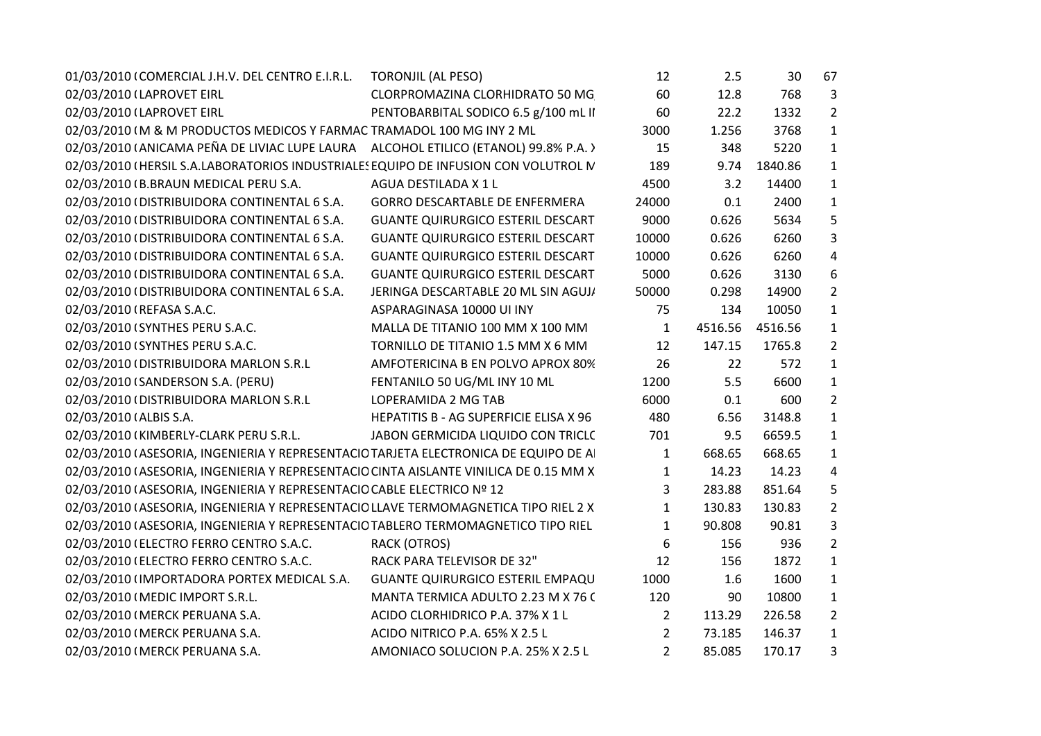| 01/03/2010 (COMERCIAL J.H.V. DEL CENTRO E.I.R.L.                                      | <b>TORONJIL (AL PESO)</b>                | 12             | 2.5     | 30      | 67             |
|---------------------------------------------------------------------------------------|------------------------------------------|----------------|---------|---------|----------------|
| 02/03/2010 (LAPROVET EIRL                                                             | CLORPROMAZINA CLORHIDRATO 50 MG          | 60             | 12.8    | 768     | 3              |
| 02/03/2010 (LAPROVET EIRL                                                             | PENTOBARBITAL SODICO 6.5 g/100 mL II     | 60             | 22.2    | 1332    | $\overline{2}$ |
| 02/03/2010 IM & M PRODUCTOS MEDICOS Y FARMAC TRAMADOL 100 MG INY 2 ML                 |                                          | 3000           | 1.256   | 3768    | $\mathbf{1}$   |
| 02/03/2010 (ANICAMA PEÑA DE LIVIAC LUPE LAURA ALCOHOL ETILICO (ETANOL) 99.8% P.A.)    |                                          | 15             | 348     | 5220    | $\mathbf{1}$   |
| 02/03/2010 (HERSIL S.A.LABORATORIOS INDUSTRIALES EQUIPO DE INFUSION CON VOLUTROL IV   |                                          | 189            | 9.74    | 1840.86 | $\mathbf{1}$   |
| 02/03/2010 (B.BRAUN MEDICAL PERU S.A.                                                 | AGUA DESTILADA X 1 L                     | 4500           | 3.2     | 14400   | $\mathbf{1}$   |
| 02/03/2010 (DISTRIBUIDORA CONTINENTAL 6 S.A.                                          | <b>GORRO DESCARTABLE DE ENFERMERA</b>    | 24000          | 0.1     | 2400    | $\mathbf{1}$   |
| 02/03/2010 (DISTRIBUIDORA CONTINENTAL 6 S.A.                                          | <b>GUANTE QUIRURGICO ESTERIL DESCART</b> | 9000           | 0.626   | 5634    | 5              |
| 02/03/2010 (DISTRIBUIDORA CONTINENTAL 6 S.A.                                          | <b>GUANTE QUIRURGICO ESTERIL DESCART</b> | 10000          | 0.626   | 6260    | 3              |
| 02/03/2010 (DISTRIBUIDORA CONTINENTAL 6 S.A.                                          | <b>GUANTE QUIRURGICO ESTERIL DESCART</b> | 10000          | 0.626   | 6260    | $\overline{4}$ |
| 02/03/2010 (DISTRIBUIDORA CONTINENTAL 6 S.A.                                          | <b>GUANTE QUIRURGICO ESTERIL DESCART</b> | 5000           | 0.626   | 3130    | 6              |
| 02/03/2010 (DISTRIBUIDORA CONTINENTAL 6 S.A.                                          | JERINGA DESCARTABLE 20 ML SIN AGUJ/      | 50000          | 0.298   | 14900   | 2              |
| 02/03/2010 (REFASA S.A.C.                                                             | ASPARAGINASA 10000 UI INY                | 75             | 134     | 10050   | $\mathbf{1}$   |
| 02/03/2010 (SYNTHES PERU S.A.C.                                                       | MALLA DE TITANIO 100 MM X 100 MM         | $\mathbf{1}$   | 4516.56 | 4516.56 | $\mathbf{1}$   |
| 02/03/2010 (SYNTHES PERU S.A.C.                                                       | TORNILLO DE TITANIO 1.5 MM X 6 MM        | 12             | 147.15  | 1765.8  | $\overline{2}$ |
| 02/03/2010 (DISTRIBUIDORA MARLON S.R.L                                                | AMFOTERICINA B EN POLVO APROX 80%        | 26             | 22      | 572     | $\mathbf{1}$   |
| 02/03/2010 (SANDERSON S.A. (PERU)                                                     | FENTANILO 50 UG/ML INY 10 ML             | 1200           | 5.5     | 6600    | $\mathbf{1}$   |
| 02/03/2010 (DISTRIBUIDORA MARLON S.R.L                                                | LOPERAMIDA 2 MG TAB                      | 6000           | 0.1     | 600     | $\overline{2}$ |
| 02/03/2010 (ALBIS S.A.                                                                | HEPATITIS B - AG SUPERFICIE ELISA X 96   | 480            | 6.56    | 3148.8  | $\mathbf{1}$   |
| 02/03/2010 (KIMBERLY-CLARK PERU S.R.L.                                                | JABON GERMICIDA LIQUIDO CON TRICLO       | 701            | 9.5     | 6659.5  | $\mathbf{1}$   |
| 02/03/2010 (ASESORIA, INGENIERIA Y REPRESENTACIO TARJETA ELECTRONICA DE EQUIPO DE A   |                                          | $\mathbf{1}$   | 668.65  | 668.65  | $\mathbf{1}$   |
| 02/03/2010 (ASESORIA, INGENIERIA Y REPRESENTACIO CINTA AISLANTE VINILICA DE 0.15 MM X |                                          | $\mathbf{1}$   | 14.23   | 14.23   | 4              |
| 02/03/2010 (ASESORIA, INGENIERIA Y REPRESENTACIO CABLE ELECTRICO Nº 12                |                                          | 3              | 283.88  | 851.64  | 5              |
| 02/03/2010 (ASESORIA, INGENIERIA Y REPRESENTACIO LLAVE TERMOMAGNETICA TIPO RIEL 2 X   |                                          | $\mathbf{1}$   | 130.83  | 130.83  | $\overline{2}$ |
| 02/03/2010 (ASESORIA, INGENIERIA Y REPRESENTACIO TABLERO TERMOMAGNETICO TIPO RIEL     |                                          | 1              | 90.808  | 90.81   | 3              |
| 02/03/2010 (ELECTRO FERRO CENTRO S.A.C.                                               | <b>RACK (OTROS)</b>                      | 6              | 156     | 936     | $\overline{2}$ |
| 02/03/2010 (ELECTRO FERRO CENTRO S.A.C.                                               | RACK PARA TELEVISOR DE 32"               | 12             | 156     | 1872    | $\mathbf{1}$   |
| 02/03/2010 (IMPORTADORA PORTEX MEDICAL S.A.                                           | <b>GUANTE QUIRURGICO ESTERIL EMPAQU</b>  | 1000           | 1.6     | 1600    | $\mathbf{1}$   |
| 02/03/2010 (MEDIC IMPORT S.R.L.                                                       | MANTA TERMICA ADULTO 2.23 M X 76 (       | 120            | 90      | 10800   | $\mathbf{1}$   |
| 02/03/2010 (MERCK PERUANA S.A.                                                        | ACIDO CLORHIDRICO P.A. 37% X 1 L         | $\overline{2}$ | 113.29  | 226.58  | $\overline{2}$ |
| 02/03/2010 (MERCK PERUANA S.A.                                                        | ACIDO NITRICO P.A. 65% X 2.5 L           | $\overline{2}$ | 73.185  | 146.37  | $\mathbf{1}$   |
| 02/03/2010 (MERCK PERUANA S.A.                                                        | AMONIACO SOLUCION P.A. 25% X 2.5 L       | $\overline{2}$ | 85.085  | 170.17  | 3              |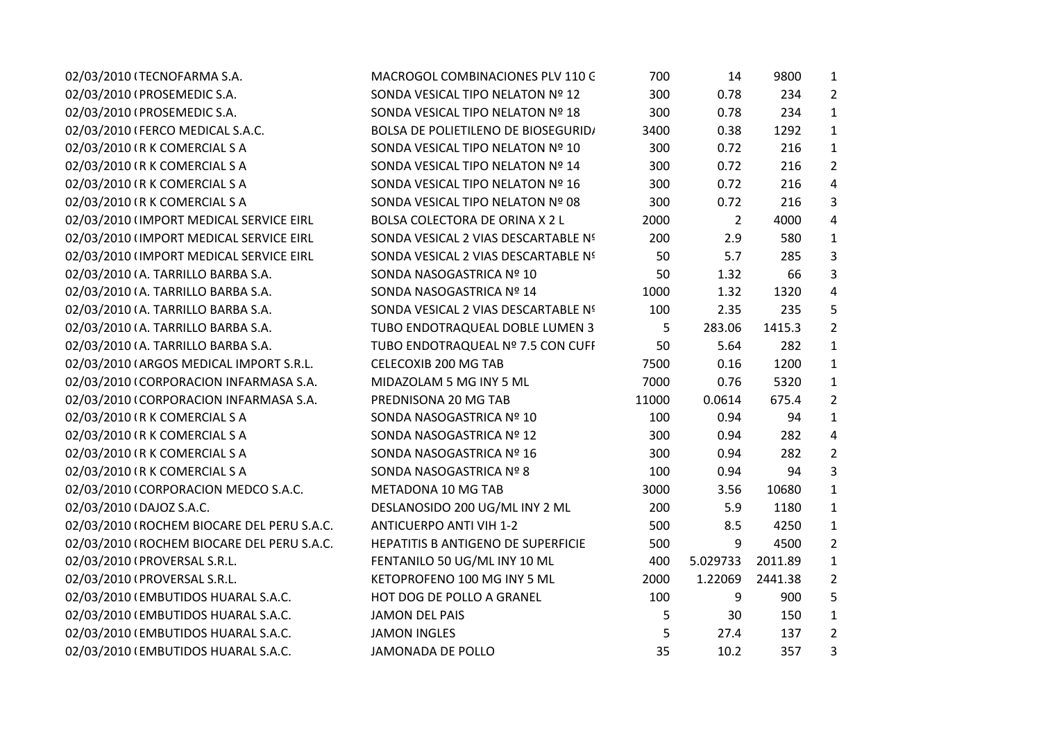| 02/03/2010 (TECNOFARMA S.A.                | MACROGOL COMBINACIONES PLV 110 G           | 700   | 14             | 9800    | $\mathbf{1}$   |
|--------------------------------------------|--------------------------------------------|-------|----------------|---------|----------------|
| 02/03/2010 (PROSEMEDIC S.A.                | SONDA VESICAL TIPO NELATON Nº 12           | 300   | 0.78           | 234     | $2^{\circ}$    |
| 02/03/2010 (PROSEMEDIC S.A.                | SONDA VESICAL TIPO NELATON Nº 18           | 300   | 0.78           | 234     | $\mathbf{1}$   |
| 02/03/2010 (FERCO MEDICAL S.A.C.           | <b>BOLSA DE POLIETILENO DE BIOSEGURID/</b> | 3400  | 0.38           | 1292    | $\mathbf{1}$   |
| 02/03/2010 (R K COMERCIAL S A              | SONDA VESICAL TIPO NELATON Nº 10           | 300   | 0.72           | 216     | $\mathbf{1}$   |
| 02/03/2010 (R K COMERCIAL S A              | SONDA VESICAL TIPO NELATON Nº 14           | 300   | 0.72           | 216     | $\overline{2}$ |
| 02/03/2010 (R K COMERCIAL S A              | SONDA VESICAL TIPO NELATON Nº 16           | 300   | 0.72           | 216     | 4              |
| 02/03/2010 (R K COMERCIAL S A              | SONDA VESICAL TIPO NELATON Nº 08           | 300   | 0.72           | 216     | 3              |
| 02/03/2010 (IMPORT MEDICAL SERVICE EIRL    | BOLSA COLECTORA DE ORINA X 2 L             | 2000  | $\overline{2}$ | 4000    | $\overline{4}$ |
| 02/03/2010 (IMPORT MEDICAL SERVICE EIRL    | SONDA VESICAL 2 VIAS DESCARTABLE Nº        | 200   | 2.9            | 580     | $\mathbf{1}$   |
| 02/03/2010 (IMPORT MEDICAL SERVICE EIRL    | SONDA VESICAL 2 VIAS DESCARTABLE Nº        | 50    | 5.7            | 285     | 3              |
| 02/03/2010 (A. TARRILLO BARBA S.A.         | SONDA NASOGASTRICA Nº 10                   | 50    | 1.32           | 66      | 3              |
| 02/03/2010 (A. TARRILLO BARBA S.A.         | SONDA NASOGASTRICA Nº 14                   | 1000  | 1.32           | 1320    | $\overline{4}$ |
| 02/03/2010 (A. TARRILLO BARBA S.A.         | SONDA VESICAL 2 VIAS DESCARTABLE Nº        | 100   | 2.35           | 235     | 5              |
| 02/03/2010 (A. TARRILLO BARBA S.A.         | TUBO ENDOTRAQUEAL DOBLE LUMEN 3            | 5     | 283.06         | 1415.3  | $\overline{2}$ |
| 02/03/2010 (A. TARRILLO BARBA S.A.         | TUBO ENDOTRAQUEAL Nº 7.5 CON CUFF          | 50    | 5.64           | 282     | $\mathbf{1}$   |
| 02/03/2010 (ARGOS MEDICAL IMPORT S.R.L.    | CELECOXIB 200 MG TAB                       | 7500  | 0.16           | 1200    | $\mathbf{1}$   |
| 02/03/2010 (CORPORACION INFARMASA S.A.     | MIDAZOLAM 5 MG INY 5 ML                    | 7000  | 0.76           | 5320    | $\mathbf{1}$   |
| 02/03/2010 (CORPORACION INFARMASA S.A.     | PREDNISONA 20 MG TAB                       | 11000 | 0.0614         | 675.4   | $\overline{2}$ |
| 02/03/2010 (R K COMERCIAL S A              | SONDA NASOGASTRICA Nº 10                   | 100   | 0.94           | 94      | $\mathbf{1}$   |
| 02/03/2010 (R K COMERCIAL S A              | SONDA NASOGASTRICA Nº 12                   | 300   | 0.94           | 282     | $\overline{4}$ |
| 02/03/2010 (R K COMERCIAL S A              | SONDA NASOGASTRICA Nº 16                   | 300   | 0.94           | 282     | $\overline{2}$ |
| 02/03/2010 (R K COMERCIAL S A              | SONDA NASOGASTRICA Nº 8                    | 100   | 0.94           | 94      | $\overline{3}$ |
| 02/03/2010 (CORPORACION MEDCO S.A.C.       | METADONA 10 MG TAB                         | 3000  | 3.56           | 10680   | $\mathbf{1}$   |
| 02/03/2010 (DAJOZ S.A.C.                   | DESLANOSIDO 200 UG/ML INY 2 ML             | 200   | 5.9            | 1180    | $\mathbf{1}$   |
| 02/03/2010 (ROCHEM BIOCARE DEL PERU S.A.C. | <b>ANTICUERPO ANTI VIH 1-2</b>             | 500   | 8.5            | 4250    | $\mathbf{1}$   |
| 02/03/2010 (ROCHEM BIOCARE DEL PERU S.A.C. | HEPATITIS B ANTIGENO DE SUPERFICIE         | 500   | 9              | 4500    | $\overline{2}$ |
| 02/03/2010 (PROVERSAL S.R.L.               | FENTANILO 50 UG/ML INY 10 ML               | 400   | 5.029733       | 2011.89 | $\mathbf{1}$   |
| 02/03/2010 (PROVERSAL S.R.L.               | KETOPROFENO 100 MG INY 5 ML                | 2000  | 1.22069        | 2441.38 | $\overline{2}$ |
| 02/03/2010 (EMBUTIDOS HUARAL S.A.C.        | HOT DOG DE POLLO A GRANEL                  | 100   | 9              | 900     | 5              |
| 02/03/2010 (EMBUTIDOS HUARAL S.A.C.        | <b>JAMON DEL PAIS</b>                      | 5     | 30             | 150     | $\mathbf{1}$   |
| 02/03/2010 (EMBUTIDOS HUARAL S.A.C.        | <b>JAMON INGLES</b>                        | 5     | 27.4           | 137     | $\overline{2}$ |
| 02/03/2010 (EMBUTIDOS HUARAL S.A.C.        | <b>JAMONADA DE POLLO</b>                   | 35    | 10.2           | 357     | 3              |
|                                            |                                            |       |                |         |                |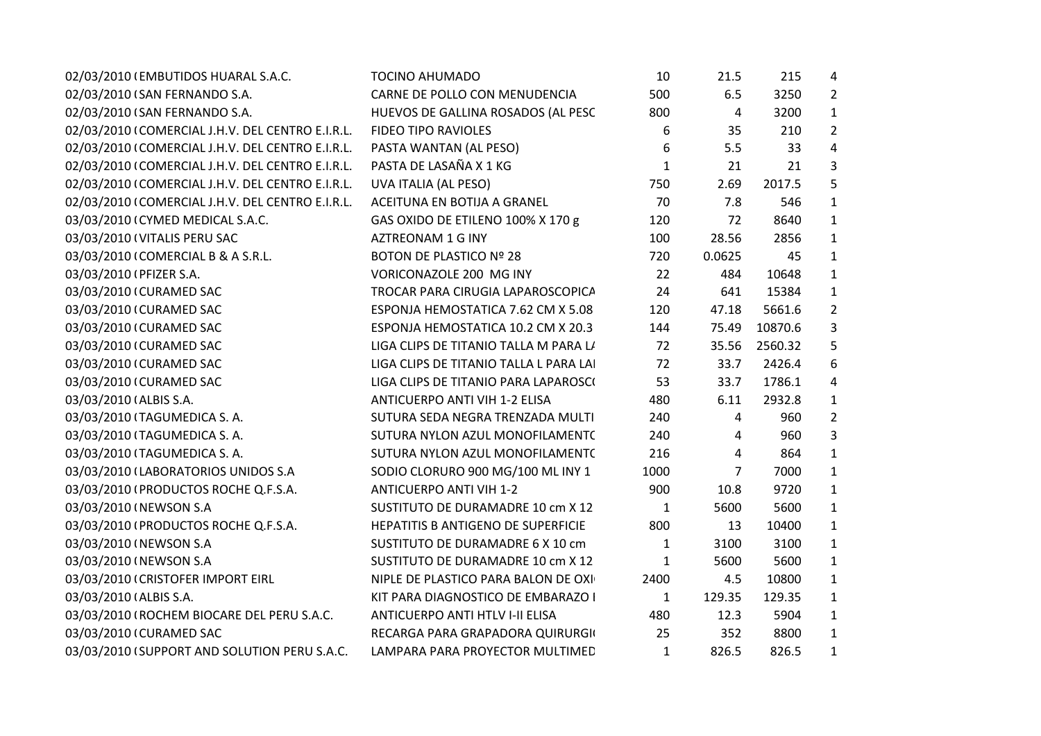| 02/03/2010 (EMBUTIDOS HUARAL S.A.C.              | <b>TOCINO AHUMADO</b>                  | 10           | 21.5           | 215     | 4                       |  |
|--------------------------------------------------|----------------------------------------|--------------|----------------|---------|-------------------------|--|
| 02/03/2010 (SAN FERNANDO S.A.                    | CARNE DE POLLO CON MENUDENCIA          | 500          | 6.5            | 3250    | $\overline{2}$          |  |
| 02/03/2010 (SAN FERNANDO S.A.                    | HUEVOS DE GALLINA ROSADOS (AL PESC     | 800          | $\overline{a}$ | 3200    | $\mathbf{1}$            |  |
| 02/03/2010 (COMERCIAL J.H.V. DEL CENTRO E.I.R.L. | <b>FIDEO TIPO RAVIOLES</b>             | 6            | 35             | 210     | $\overline{2}$          |  |
| 02/03/2010 (COMERCIAL J.H.V. DEL CENTRO E.I.R.L. | PASTA WANTAN (AL PESO)                 | 6            | 5.5            | 33      | $\overline{\mathbf{4}}$ |  |
| 02/03/2010 (COMERCIAL J.H.V. DEL CENTRO E.I.R.L. | PASTA DE LASAÑA X 1 KG                 | $\mathbf{1}$ | 21             | 21      | 3                       |  |
| 02/03/2010 (COMERCIAL J.H.V. DEL CENTRO E.I.R.L. | UVA ITALIA (AL PESO)                   | 750          | 2.69           | 2017.5  | 5                       |  |
| 02/03/2010 (COMERCIAL J.H.V. DEL CENTRO E.I.R.L. | ACEITUNA EN BOTIJA A GRANEL            | 70           | 7.8            | 546     | $\mathbf{1}$            |  |
| 03/03/2010 (CYMED MEDICAL S.A.C.                 | GAS OXIDO DE ETILENO 100% X 170 g      | 120          | 72             | 8640    | $\mathbf{1}$            |  |
| 03/03/2010 (VITALIS PERU SAC                     | AZTREONAM 1 G INY                      | 100          | 28.56          | 2856    | $\mathbf{1}$            |  |
| 03/03/2010 (COMERCIAL B & A S.R.L.               | <b>BOTON DE PLASTICO Nº 28</b>         | 720          | 0.0625         | 45      | $1\,$                   |  |
| 03/03/2010 (PFIZER S.A.                          | VORICONAZOLE 200 MG INY                | 22           | 484            | 10648   | $\mathbf{1}$            |  |
| 03/03/2010 (CURAMED SAC                          | TROCAR PARA CIRUGIA LAPAROSCOPICA      | 24           | 641            | 15384   | $\mathbf 1$             |  |
| 03/03/2010 (CURAMED SAC                          | ESPONJA HEMOSTATICA 7.62 CM X 5.08     | 120          | 47.18          | 5661.6  | $\overline{2}$          |  |
| 03/03/2010 (CURAMED SAC                          | ESPONJA HEMOSTATICA 10.2 CM X 20.3     | 144          | 75.49          | 10870.6 | 3                       |  |
| 03/03/2010 (CURAMED SAC                          | LIGA CLIPS DE TITANIO TALLA M PARA LI  | 72           | 35.56          | 2560.32 | 5                       |  |
| 03/03/2010 (CURAMED SAC                          | LIGA CLIPS DE TITANIO TALLA L PARA LAI | 72           | 33.7           | 2426.4  | 6                       |  |
| 03/03/2010 (CURAMED SAC                          | LIGA CLIPS DE TITANIO PARA LAPAROSCI   | 53           | 33.7           | 1786.1  | 4                       |  |
| 03/03/2010 (ALBIS S.A.                           | ANTICUERPO ANTI VIH 1-2 ELISA          | 480          | 6.11           | 2932.8  | $\mathbf{1}$            |  |
| 03/03/2010 (TAGUMEDICA S.A.                      | SUTURA SEDA NEGRA TRENZADA MULTI       | 240          | 4              | 960     | $\overline{2}$          |  |
| 03/03/2010 (TAGUMEDICA S.A.                      | SUTURA NYLON AZUL MONOFILAMENT(        | 240          | 4              | 960     | 3                       |  |
| 03/03/2010 (TAGUMEDICA S. A.                     | SUTURA NYLON AZUL MONOFILAMENT(        | 216          | 4              | 864     | $\mathbf{1}$            |  |
| 03/03/2010 (LABORATORIOS UNIDOS S.A              | SODIO CLORURO 900 MG/100 ML INY 1      | 1000         | 7              | 7000    | $1\,$                   |  |
| 03/03/2010 (PRODUCTOS ROCHE Q.F.S.A.             | <b>ANTICUERPO ANTI VIH 1-2</b>         | 900          | 10.8           | 9720    | $\mathbf{1}$            |  |
| 03/03/2010 (NEWSON S.A                           | SUSTITUTO DE DURAMADRE 10 cm X 12      | 1            | 5600           | 5600    | $\mathbf{1}$            |  |
| 03/03/2010 (PRODUCTOS ROCHE Q.F.S.A.             | HEPATITIS B ANTIGENO DE SUPERFICIE     | 800          | 13             | 10400   | $\mathbf{1}$            |  |
| 03/03/2010 (NEWSON S.A                           | SUSTITUTO DE DURAMADRE 6 X 10 cm       | $\mathbf{1}$ | 3100           | 3100    | $\mathbf{1}$            |  |
| 03/03/2010 (NEWSON S.A                           | SUSTITUTO DE DURAMADRE 10 cm X 12      | $\mathbf{1}$ | 5600           | 5600    | $\mathbf{1}$            |  |
| 03/03/2010 (CRISTOFER IMPORT EIRL                | NIPLE DE PLASTICO PARA BALON DE OXI    | 2400         | 4.5            | 10800   | $\mathbf{1}$            |  |
| 03/03/2010 (ALBIS S.A.                           | KIT PARA DIAGNOSTICO DE EMBARAZO I     | $\mathbf{1}$ | 129.35         | 129.35  | $\mathbf{1}$            |  |
| 03/03/2010 (ROCHEM BIOCARE DEL PERU S.A.C.       | ANTICUERPO ANTI HTLV I-II ELISA        | 480          | 12.3           | 5904    | $\mathbf{1}$            |  |
| 03/03/2010 (CURAMED SAC                          | RECARGA PARA GRAPADORA QUIRURGIO       | 25           | 352            | 8800    | $\mathbf{1}$            |  |
| 03/03/2010 (SUPPORT AND SOLUTION PERU S.A.C.     | LAMPARA PARA PROYECTOR MULTIMED        | $\mathbf{1}$ | 826.5          | 826.5   | $\mathbf{1}$            |  |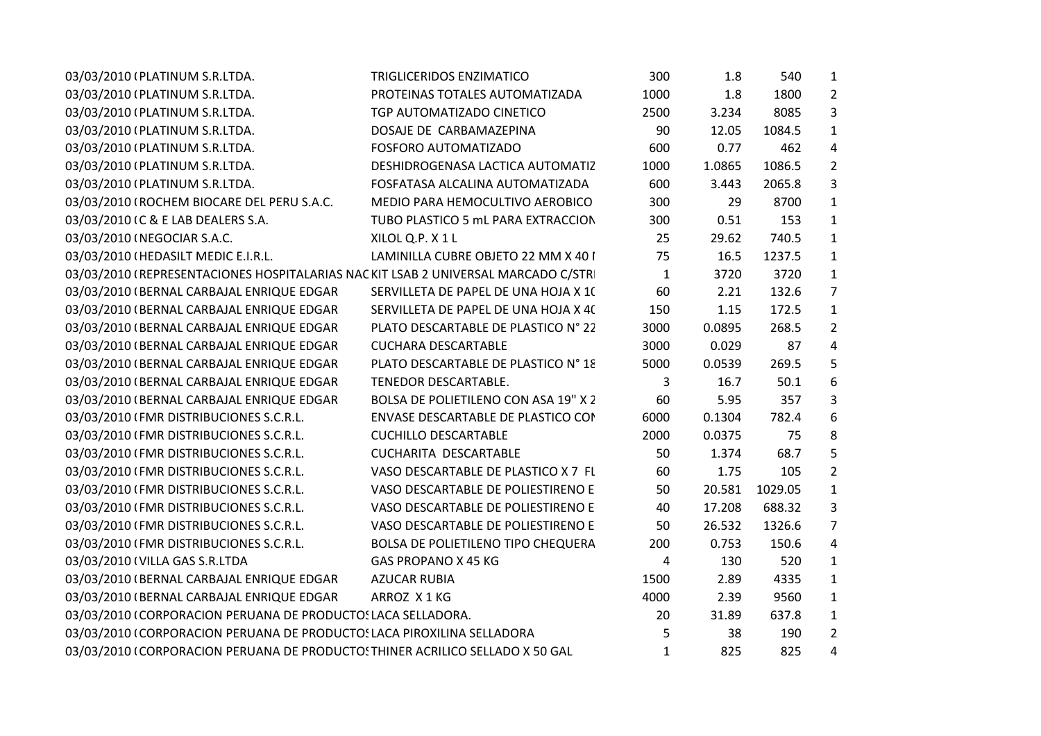| 03/03/2010 (PLATINUM S.R.LTDA.<br>TRIGLICERIDOS ENZIMATICO                        | 300            | 1.8    | 540     | $\mathbf{1}$            |  |
|-----------------------------------------------------------------------------------|----------------|--------|---------|-------------------------|--|
| 03/03/2010 (PLATINUM S.R.LTDA.<br>PROTEINAS TOTALES AUTOMATIZADA                  | 1000           | 1.8    | 1800    | $\overline{2}$          |  |
| 03/03/2010 (PLATINUM S.R.LTDA.<br>TGP AUTOMATIZADO CINETICO                       | 2500           | 3.234  | 8085    | 3                       |  |
| 03/03/2010 (PLATINUM S.R.LTDA.<br>DOSAJE DE CARBAMAZEPINA                         | 90             | 12.05  | 1084.5  | $\mathbf{1}$            |  |
| 03/03/2010 (PLATINUM S.R.LTDA.<br>FOSFORO AUTOMATIZADO                            | 600            | 0.77   | 462     | $\overline{a}$          |  |
| 03/03/2010 (PLATINUM S.R.LTDA.<br>DESHIDROGENASA LACTICA AUTOMATIZ                | 1000           | 1.0865 | 1086.5  | $\overline{2}$          |  |
| 03/03/2010 (PLATINUM S.R.LTDA.<br>FOSFATASA ALCALINA AUTOMATIZADA                 | 600            | 3.443  | 2065.8  | 3                       |  |
| 03/03/2010 (ROCHEM BIOCARE DEL PERU S.A.C.<br>MEDIO PARA HEMOCULTIVO AEROBICO     | 300            | 29     | 8700    | $\mathbf{1}$            |  |
| 03/03/2010 (C & E LAB DEALERS S.A.<br>TUBO PLASTICO 5 mL PARA EXTRACCION          | 300            | 0.51   | 153     | $\mathbf{1}$            |  |
| 03/03/2010 (NEGOCIAR S.A.C.<br>XILOL Q.P. X 1 L                                   | 25             | 29.62  | 740.5   | $\mathbf{1}$            |  |
| 03/03/2010 (HEDASILT MEDIC E.I.R.L.<br>LAMINILLA CUBRE OBJETO 22 MM X 40 I        | 75             | 16.5   | 1237.5  | $\mathbf{1}$            |  |
| 03/03/2010 (REPRESENTACIONES HOSPITALARIAS NACKIT LSAB 2 UNIVERSAL MARCADO C/STR  | $\mathbf{1}$   | 3720   | 3720    | $\mathbf{1}$            |  |
| 03/03/2010 (BERNAL CARBAJAL ENRIQUE EDGAR<br>SERVILLETA DE PAPEL DE UNA HOJA X 10 | 60             | 2.21   | 132.6   | $\overline{7}$          |  |
| 03/03/2010 (BERNAL CARBAJAL ENRIQUE EDGAR<br>SERVILLETA DE PAPEL DE UNA HOJA X 40 | 150            | 1.15   | 172.5   | $\mathbf{1}$            |  |
| 03/03/2010 (BERNAL CARBAJAL ENRIQUE EDGAR<br>PLATO DESCARTABLE DE PLASTICO Nº 22  | 3000           | 0.0895 | 268.5   | $\overline{2}$          |  |
| 03/03/2010 (BERNAL CARBAJAL ENRIQUE EDGAR<br><b>CUCHARA DESCARTABLE</b>           | 3000           | 0.029  | 87      | $\overline{\mathbf{4}}$ |  |
| PLATO DESCARTABLE DE PLASTICO N° 18<br>03/03/2010 (BERNAL CARBAJAL ENRIQUE EDGAR  | 5000           | 0.0539 | 269.5   | 5                       |  |
| 03/03/2010 (BERNAL CARBAJAL ENRIQUE EDGAR<br>TENEDOR DESCARTABLE.                 | 3              | 16.7   | 50.1    | 6                       |  |
| 03/03/2010 (BERNAL CARBAJAL ENRIQUE EDGAR<br>BOLSA DE POLIETILENO CON ASA 19" X 2 | 60             | 5.95   | 357     | 3                       |  |
| 03/03/2010 (FMR DISTRIBUCIONES S.C.R.L.<br>ENVASE DESCARTABLE DE PLASTICO COI     | 6000           | 0.1304 | 782.4   | 6                       |  |
| 03/03/2010 (FMR DISTRIBUCIONES S.C.R.L.<br><b>CUCHILLO DESCARTABLE</b>            | 2000           | 0.0375 | 75      | 8                       |  |
| 03/03/2010 (FMR DISTRIBUCIONES S.C.R.L.<br>CUCHARITA DESCARTABLE                  | 50             | 1.374  | 68.7    | 5                       |  |
| 03/03/2010 (FMR DISTRIBUCIONES S.C.R.L.<br>VASO DESCARTABLE DE PLASTICO X 7 FL    | 60             | 1.75   | 105     | $\overline{2}$          |  |
| 03/03/2010 (FMR DISTRIBUCIONES S.C.R.L.<br>VASO DESCARTABLE DE POLIESTIRENO E     | 50             | 20.581 | 1029.05 | $\mathbf{1}$            |  |
| 03/03/2010 (FMR DISTRIBUCIONES S.C.R.L.<br>VASO DESCARTABLE DE POLIESTIRENO E     | 40             | 17.208 | 688.32  | 3                       |  |
| 03/03/2010 (FMR DISTRIBUCIONES S.C.R.L.<br>VASO DESCARTABLE DE POLIESTIRENO E     | 50             | 26.532 | 1326.6  | $\overline{7}$          |  |
| 03/03/2010 (FMR DISTRIBUCIONES S.C.R.L.<br>BOLSA DE POLIETILENO TIPO CHEQUERA     | 200            | 0.753  | 150.6   | 4                       |  |
| 03/03/2010 (VILLA GAS S.R.LTDA<br>GAS PROPANO X 45 KG                             | $\overline{4}$ | 130    | 520     | $\mathbf{1}$            |  |
| 03/03/2010 (BERNAL CARBAJAL ENRIQUE EDGAR<br><b>AZUCAR RUBIA</b>                  | 1500           | 2.89   | 4335    | $\mathbf{1}$            |  |
| 03/03/2010 (BERNAL CARBAJAL ENRIQUE EDGAR<br>ARROZ X1KG                           | 4000           | 2.39   | 9560    | $\mathbf{1}$            |  |
| 03/03/2010 (CORPORACION PERUANA DE PRODUCTO: LACA SELLADORA.                      | 20             | 31.89  | 637.8   | $\mathbf{1}$            |  |
| 03/03/2010 (CORPORACION PERUANA DE PRODUCTO: LACA PIROXILINA SELLADORA            | 5              | 38     | 190     | $\overline{2}$          |  |
| 03/03/2010 (CORPORACION PERUANA DE PRODUCTO: THINER ACRILICO SELLADO X 50 GAL     | $\mathbf{1}$   | 825    | 825     | 4                       |  |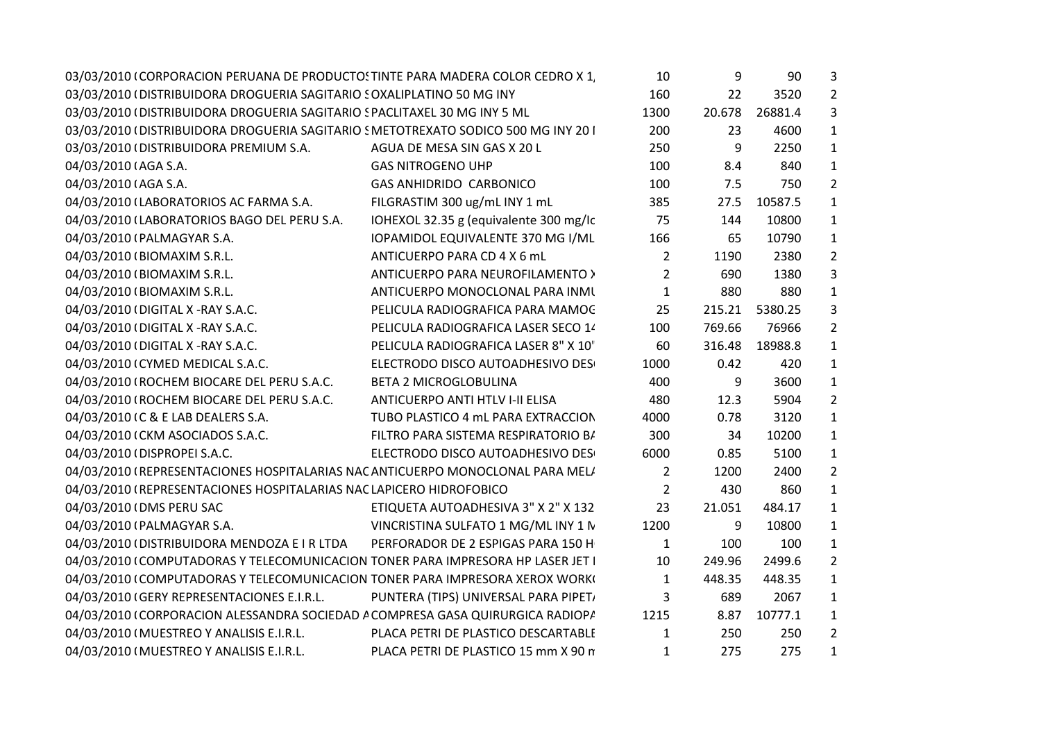| 03/03/2010 (CORPORACION PERUANA DE PRODUCTO: TINTE PARA MADERA COLOR CEDRO X 1   |                                        | 10             | 9      | 90      | 3              |
|----------------------------------------------------------------------------------|----------------------------------------|----------------|--------|---------|----------------|
| 03/03/2010 (DISTRIBUIDORA DROGUERIA SAGITARIO SOXALIPLATINO 50 MG INY            |                                        | 160            | 22     | 3520    | $\overline{2}$ |
| 03/03/2010 (DISTRIBUIDORA DROGUERIA SAGITARIO S PACLITAXEL 30 MG INY 5 ML        |                                        | 1300           | 20.678 | 26881.4 | 3              |
| 03/03/2010 (DISTRIBUIDORA DROGUERIA SAGITARIO SMETOTREXATO SODICO 500 MG INY 201 |                                        | 200            | 23     | 4600    | $\mathbf{1}$   |
| 03/03/2010 (DISTRIBUIDORA PREMIUM S.A.                                           | AGUA DE MESA SIN GAS X 20 L            | 250            | 9      | 2250    | $\mathbf{1}$   |
| 04/03/2010 (AGA S.A.                                                             | <b>GAS NITROGENO UHP</b>               | 100            | 8.4    | 840     | $\mathbf{1}$   |
| 04/03/2010 (AGA S.A.                                                             | <b>GAS ANHIDRIDO CARBONICO</b>         | 100            | 7.5    | 750     | $\overline{2}$ |
| 04/03/2010 (LABORATORIOS AC FARMA S.A.                                           | FILGRASTIM 300 ug/mL INY 1 mL          | 385            | 27.5   | 10587.5 | $\mathbf{1}$   |
| 04/03/2010 (LABORATORIOS BAGO DEL PERU S.A.                                      | IOHEXOL 32.35 g (equivalente 300 mg/lc | 75             | 144    | 10800   | $\mathbf{1}$   |
| 04/03/2010 (PALMAGYAR S.A.                                                       | IOPAMIDOL EQUIVALENTE 370 MG I/ML      | 166            | 65     | 10790   | $\mathbf{1}$   |
| 04/03/2010 (BIOMAXIM S.R.L.                                                      | ANTICUERPO PARA CD 4 X 6 mL            | $\overline{2}$ | 1190   | 2380    | $\overline{2}$ |
| 04/03/2010 (BIOMAXIM S.R.L.                                                      | ANTICUERPO PARA NEUROFILAMENTO >       | $\overline{2}$ | 690    | 1380    | 3              |
| 04/03/2010 (BIOMAXIM S.R.L.                                                      | ANTICUERPO MONOCLONAL PARA INMI        | 1              | 880    | 880     | $\mathbf{1}$   |
| 04/03/2010 (DIGITAL X -RAY S.A.C.                                                | PELICULA RADIOGRAFICA PARA MAMOC       | 25             | 215.21 | 5380.25 | 3              |
| 04/03/2010 (DIGITAL X -RAY S.A.C.                                                | PELICULA RADIOGRAFICA LASER SECO 14    | 100            | 769.66 | 76966   | $\overline{2}$ |
| 04/03/2010 (DIGITAL X -RAY S.A.C.                                                | PELICULA RADIOGRAFICA LASER 8" X 10"   | 60             | 316.48 | 18988.8 | $\mathbf{1}$   |
| 04/03/2010 (CYMED MEDICAL S.A.C.                                                 | ELECTRODO DISCO AUTOADHESIVO DES       | 1000           | 0.42   | 420     | $\mathbf{1}$   |
| 04/03/2010 (ROCHEM BIOCARE DEL PERU S.A.C.                                       | <b>BETA 2 MICROGLOBULINA</b>           | 400            | 9      | 3600    | $\mathbf{1}$   |
| 04/03/2010 (ROCHEM BIOCARE DEL PERU S.A.C.                                       | ANTICUERPO ANTI HTLV I-II ELISA        | 480            | 12.3   | 5904    | $\overline{2}$ |
| 04/03/2010 IC & E LAB DEALERS S.A.                                               | TUBO PLASTICO 4 mL PARA EXTRACCION     | 4000           | 0.78   | 3120    | $\mathbf{1}$   |
| 04/03/2010 (CKM ASOCIADOS S.A.C.                                                 | FILTRO PARA SISTEMA RESPIRATORIO B/    | 300            | 34     | 10200   | $\mathbf{1}$   |
| 04/03/2010 (DISPROPEI S.A.C.                                                     | ELECTRODO DISCO AUTOADHESIVO DES       | 6000           | 0.85   | 5100    | $\mathbf{1}$   |
| 04/03/2010 (REPRESENTACIONES HOSPITALARIAS NAC ANTICUERPO MONOCLONAL PARA MEL/   |                                        | $\overline{2}$ | 1200   | 2400    | $\overline{2}$ |
| 04/03/2010 (REPRESENTACIONES HOSPITALARIAS NAC LAPICERO HIDROFOBICO              |                                        | $\overline{2}$ | 430    | 860     | $\mathbf{1}$   |
| 04/03/2010 (DMS PERU SAC                                                         | ETIQUETA AUTOADHESIVA 3" X 2" X 132    | 23             | 21.051 | 484.17  | $\mathbf{1}$   |
| 04/03/2010 (PALMAGYAR S.A.                                                       | VINCRISTINA SULFATO 1 MG/ML INY 1 N    | 1200           | 9      | 10800   | 1              |
| 04/03/2010 (DISTRIBUIDORA MENDOZA E I R LTDA                                     | PERFORADOR DE 2 ESPIGAS PARA 150 H     | 1              | 100    | 100     | $\mathbf{1}$   |
| 04/03/2010 (COMPUTADORAS Y TELECOMUNICACION TONER PARA IMPRESORA HP LASER JET I  |                                        | 10             | 249.96 | 2499.6  | $\overline{2}$ |
| 04/03/2010 (COMPUTADORAS Y TELECOMUNICACION TONER PARA IMPRESORA XEROX WORK)     |                                        | $\mathbf{1}$   | 448.35 | 448.35  | $\mathbf{1}$   |
| 04/03/2010 (GERY REPRESENTACIONES E.I.R.L.                                       | PUNTERA (TIPS) UNIVERSAL PARA PIPET,   | 3              | 689    | 2067    | $\mathbf{1}$   |
| 04/03/2010 (CORPORACION ALESSANDRA SOCIEDAD A COMPRESA GASA QUIRURGICA RADIOP/   |                                        | 1215           | 8.87   | 10777.1 | $\mathbf{1}$   |
| 04/03/2010 (MUESTREO Y ANALISIS E.I.R.L.                                         | PLACA PETRI DE PLASTICO DESCARTABLE    | 1              | 250    | 250     | $\overline{2}$ |
| 04/03/2010 (MUESTREO Y ANALISIS E.I.R.L.                                         | PLACA PETRI DE PLASTICO 15 mm X 90 n   | 1              | 275    | 275     | $\mathbf{1}$   |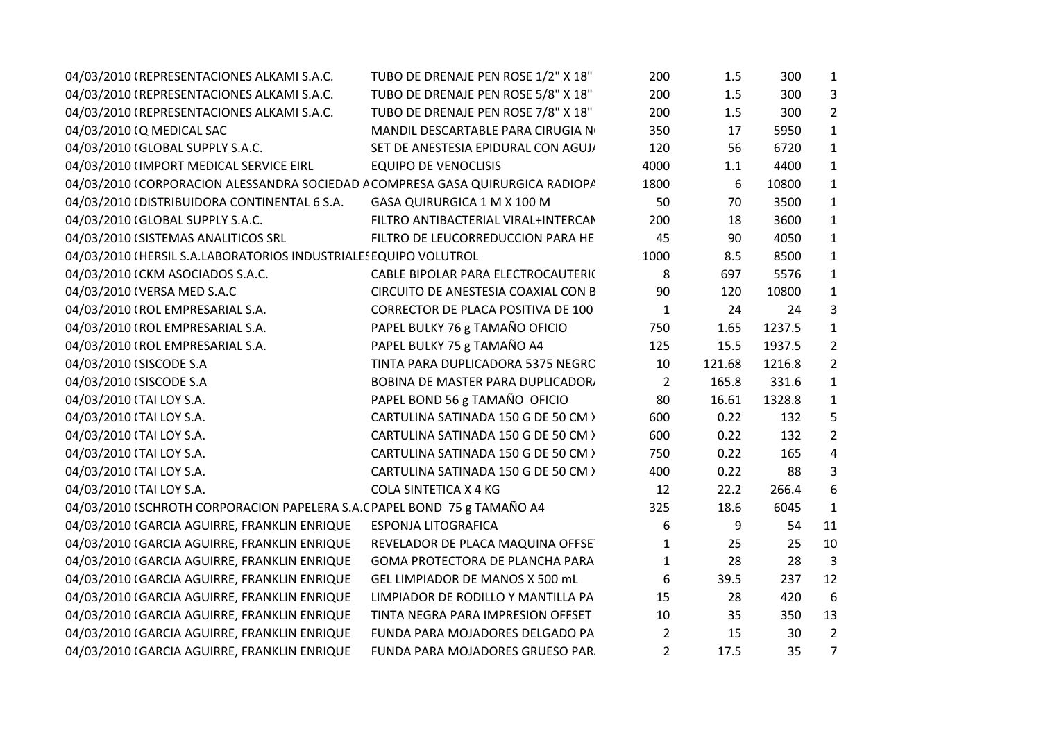| 04/03/2010 (REPRESENTACIONES ALKAMI S.A.C.                                     | TUBO DE DRENAJE PEN ROSE 1/2" X 18" | 200            | 1.5    | 300    | 1              |
|--------------------------------------------------------------------------------|-------------------------------------|----------------|--------|--------|----------------|
| 04/03/2010 (REPRESENTACIONES ALKAMI S.A.C.                                     | TUBO DE DRENAJE PEN ROSE 5/8" X 18" | 200            | 1.5    | 300    | 3              |
| 04/03/2010 (REPRESENTACIONES ALKAMI S.A.C.                                     | TUBO DE DRENAJE PEN ROSE 7/8" X 18" | 200            | 1.5    | 300    | $\overline{2}$ |
| 04/03/2010 (Q MEDICAL SAC                                                      | MANDIL DESCARTABLE PARA CIRUGIA N   | 350            | 17     | 5950   | $\mathbf{1}$   |
| 04/03/2010 (GLOBAL SUPPLY S.A.C.                                               | SET DE ANESTESIA EPIDURAL CON AGUJ, | 120            | 56     | 6720   | $\mathbf{1}$   |
| 04/03/2010 (IMPORT MEDICAL SERVICE EIRL                                        | <b>EQUIPO DE VENOCLISIS</b>         | 4000           | 1.1    | 4400   | 1              |
| 04/03/2010 (CORPORACION ALESSANDRA SOCIEDAD A COMPRESA GASA QUIRURGICA RADIOP/ |                                     | 1800           | 6      | 10800  | $\mathbf{1}$   |
| 04/03/2010 (DISTRIBUIDORA CONTINENTAL 6 S.A.                                   | GASA QUIRURGICA 1 M X 100 M         | 50             | 70     | 3500   | $\mathbf{1}$   |
| 04/03/2010 (GLOBAL SUPPLY S.A.C.                                               | FILTRO ANTIBACTERIAL VIRAL+INTERCAM | 200            | 18     | 3600   | $\mathbf{1}$   |
| 04/03/2010 (SISTEMAS ANALITICOS SRL                                            | FILTRO DE LEUCORREDUCCION PARA HE   | 45             | 90     | 4050   | $\mathbf{1}$   |
| 04/03/2010 (HERSIL S.A.LABORATORIOS INDUSTRIALES EQUIPO VOLUTROL               |                                     | 1000           | 8.5    | 8500   | $\mathbf{1}$   |
| 04/03/2010 (CKM ASOCIADOS S.A.C.                                               | CABLE BIPOLAR PARA ELECTROCAUTERI(  | 8              | 697    | 5576   | $\mathbf{1}$   |
| 04/03/2010 (VERSA MED S.A.C                                                    | CIRCUITO DE ANESTESIA COAXIAL CON E | 90             | 120    | 10800  | $\mathbf{1}$   |
| 04/03/2010 (ROL EMPRESARIAL S.A.                                               | CORRECTOR DE PLACA POSITIVA DE 100  | $\mathbf{1}$   | 24     | 24     | 3              |
| 04/03/2010 (ROL EMPRESARIAL S.A.                                               | PAPEL BULKY 76 g TAMAÑO OFICIO      | 750            | 1.65   | 1237.5 | $\mathbf{1}$   |
| 04/03/2010 (ROL EMPRESARIAL S.A.                                               | PAPEL BULKY 75 g TAMAÑO A4          | 125            | 15.5   | 1937.5 | $\overline{2}$ |
| 04/03/2010 (SISCODE S.A                                                        | TINTA PARA DUPLICADORA 5375 NEGRC   | 10             | 121.68 | 1216.8 | $\overline{2}$ |
| 04/03/2010 (SISCODE S.A                                                        | BOBINA DE MASTER PARA DUPLICADOR.   | $\overline{2}$ | 165.8  | 331.6  | $\mathbf{1}$   |
| 04/03/2010 (TAI LOY S.A.                                                       | PAPEL BOND 56 g TAMAÑO OFICIO       | 80             | 16.61  | 1328.8 | $\mathbf{1}$   |
| 04/03/2010 (TAI LOY S.A.                                                       | CARTULINA SATINADA 150 G DE 50 CM > | 600            | 0.22   | 132    | 5              |
| 04/03/2010 (TAI LOY S.A.                                                       | CARTULINA SATINADA 150 G DE 50 CM > | 600            | 0.22   | 132    | $\overline{2}$ |
| 04/03/2010 (TAI LOY S.A.                                                       | CARTULINA SATINADA 150 G DE 50 CM > | 750            | 0.22   | 165    | 4              |
| 04/03/2010 (TAI LOY S.A.                                                       | CARTULINA SATINADA 150 G DE 50 CM > | 400            | 0.22   | 88     | 3              |
| 04/03/2010 (TAI LOY S.A.                                                       | <b>COLA SINTETICA X 4 KG</b>        | 12             | 22.2   | 266.4  | 6              |
| 04/03/2010 (SCHROTH CORPORACION PAPELERA S.A.C PAPEL BOND 75 g TAMAÑO A4       |                                     | 325            | 18.6   | 6045   | 1              |
| 04/03/2010 (GARCIA AGUIRRE, FRANKLIN ENRIQUE                                   | <b>ESPONJA LITOGRAFICA</b>          | 6              | 9      | 54     | 11             |
| 04/03/2010 (GARCIA AGUIRRE, FRANKLIN ENRIQUE                                   | REVELADOR DE PLACA MAQUINA OFFSE    | $\mathbf{1}$   | 25     | 25     | 10             |
| 04/03/2010 (GARCIA AGUIRRE, FRANKLIN ENRIQUE                                   | GOMA PROTECTORA DE PLANCHA PARA     | $\mathbf{1}$   | 28     | 28     | 3              |
| 04/03/2010 (GARCIA AGUIRRE, FRANKLIN ENRIQUE                                   | GEL LIMPIADOR DE MANOS X 500 mL     | 6              | 39.5   | 237    | 12             |
| 04/03/2010 (GARCIA AGUIRRE, FRANKLIN ENRIQUE                                   | LIMPIADOR DE RODILLO Y MANTILLA PA  | 15             | 28     | 420    | 6              |
| 04/03/2010 (GARCIA AGUIRRE, FRANKLIN ENRIQUE                                   | TINTA NEGRA PARA IMPRESION OFFSET   | 10             | 35     | 350    | 13             |
| 04/03/2010 (GARCIA AGUIRRE, FRANKLIN ENRIQUE                                   | FUNDA PARA MOJADORES DELGADO PA     | $\overline{2}$ | 15     | 30     | $\overline{2}$ |
| 04/03/2010 (GARCIA AGUIRRE, FRANKLIN ENRIQUE                                   | FUNDA PARA MOJADORES GRUESO PAR     | $\overline{2}$ | 17.5   | 35     | $\overline{7}$ |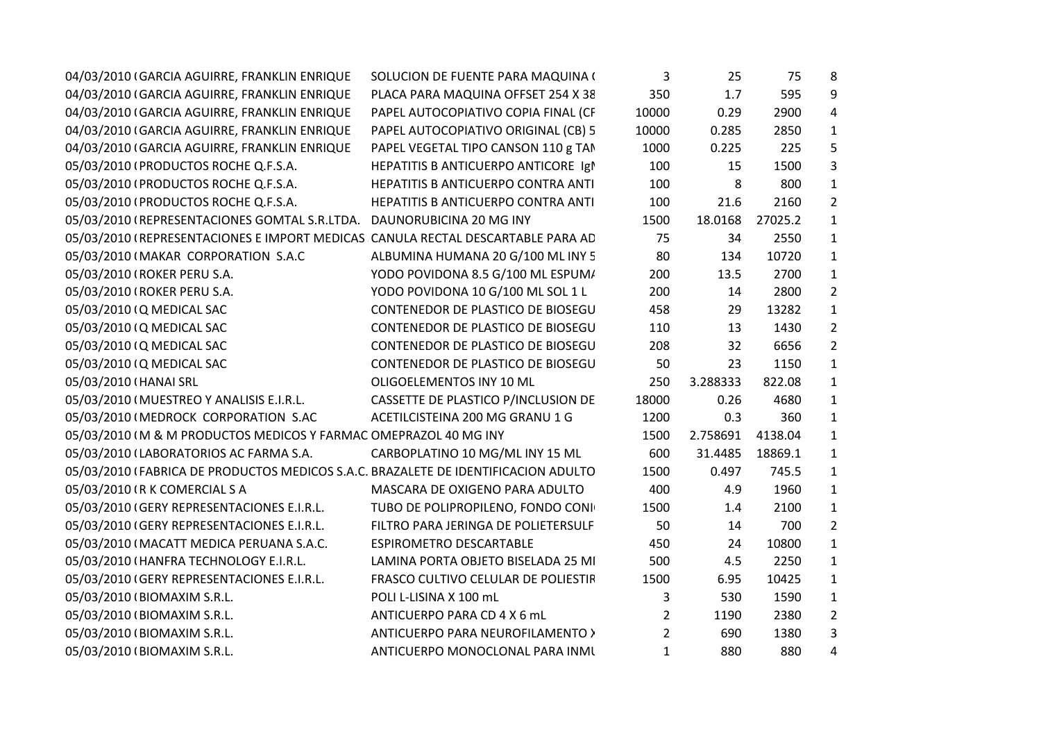| 04/03/2010 (GARCIA AGUIRRE, FRANKLIN ENRIQUE                                       | SOLUCION DE FUENTE PARA MAQUINA (         | 3              | 25       | 75      | 8              |
|------------------------------------------------------------------------------------|-------------------------------------------|----------------|----------|---------|----------------|
| 04/03/2010 (GARCIA AGUIRRE, FRANKLIN ENRIQUE                                       | PLACA PARA MAQUINA OFFSET 254 X 38        | 350            | 1.7      | 595     | 9              |
| 04/03/2010 (GARCIA AGUIRRE, FRANKLIN ENRIQUE                                       | PAPEL AUTOCOPIATIVO COPIA FINAL (CF       | 10000          | 0.29     | 2900    | 4              |
| 04/03/2010 (GARCIA AGUIRRE, FRANKLIN ENRIQUE                                       | PAPEL AUTOCOPIATIVO ORIGINAL (CB) 5       | 10000          | 0.285    | 2850    | 1              |
| 04/03/2010 (GARCIA AGUIRRE, FRANKLIN ENRIQUE                                       | PAPEL VEGETAL TIPO CANSON 110 g TAN       | 1000           | 0.225    | 225     | 5              |
| 05/03/2010 (PRODUCTOS ROCHE Q.F.S.A.                                               | HEPATITIS B ANTICUERPO ANTICORE Igl       | 100            | 15       | 1500    | 3              |
| 05/03/2010 (PRODUCTOS ROCHE Q.F.S.A.                                               | <b>HEPATITIS B ANTICUERPO CONTRA ANTI</b> | 100            | 8        | 800     | $\mathbf{1}$   |
| 05/03/2010 (PRODUCTOS ROCHE Q.F.S.A.                                               | HEPATITIS B ANTICUERPO CONTRA ANTI        | 100            | 21.6     | 2160    | $\overline{2}$ |
| 05/03/2010 (REPRESENTACIONES GOMTAL S.R.LTDA. DAUNORUBICINA 20 MG INY              |                                           | 1500           | 18.0168  | 27025.2 | $\mathbf{1}$   |
| 05/03/2010 (REPRESENTACIONES E IMPORT MEDICAS CANULA RECTAL DESCARTABLE PARA AC    |                                           | 75             | 34       | 2550    | 1              |
| 05/03/2010 (MAKAR CORPORATION S.A.C                                                | ALBUMINA HUMANA 20 G/100 ML INY 5         | 80             | 134      | 10720   | $\mathbf{1}$   |
| 05/03/2010 (ROKER PERU S.A.                                                        | YODO POVIDONA 8.5 G/100 ML ESPUM/         | 200            | 13.5     | 2700    | 1              |
| 05/03/2010 (ROKER PERU S.A.                                                        | YODO POVIDONA 10 G/100 ML SOL 1 L         | 200            | 14       | 2800    | $\overline{2}$ |
| 05/03/2010 (Q MEDICAL SAC                                                          | CONTENEDOR DE PLASTICO DE BIOSEGU         | 458            | 29       | 13282   | 1              |
| 05/03/2010 (Q MEDICAL SAC                                                          | CONTENEDOR DE PLASTICO DE BIOSEGU         | 110            | 13       | 1430    | $\overline{2}$ |
| 05/03/2010 (Q MEDICAL SAC                                                          | CONTENEDOR DE PLASTICO DE BIOSEGU         | 208            | 32       | 6656    | $\overline{2}$ |
| 05/03/2010 (Q MEDICAL SAC                                                          | CONTENEDOR DE PLASTICO DE BIOSEGU         | 50             | 23       | 1150    | $\mathbf{1}$   |
| 05/03/2010 (HANAI SRL                                                              | OLIGOELEMENTOS INY 10 ML                  | 250            | 3.288333 | 822.08  | $\mathbf{1}$   |
| 05/03/2010 (MUESTREO Y ANALISIS E.I.R.L.                                           | CASSETTE DE PLASTICO P/INCLUSION DE       | 18000          | 0.26     | 4680    | $\mathbf{1}$   |
| 05/03/2010 (MEDROCK CORPORATION S.AC                                               | ACETILCISTEINA 200 MG GRANU 1 G           | 1200           | 0.3      | 360     | $\mathbf{1}$   |
| 05/03/2010 (M & M PRODUCTOS MEDICOS Y FARMAC OMEPRAZOL 40 MG INY                   |                                           | 1500           | 2.758691 | 4138.04 | $\mathbf{1}$   |
| 05/03/2010 (LABORATORIOS AC FARMA S.A.                                             | CARBOPLATINO 10 MG/ML INY 15 ML           | 600            | 31.4485  | 18869.1 | 1              |
| 05/03/2010 (FABRICA DE PRODUCTOS MEDICOS S.A.C. BRAZALETE DE IDENTIFICACION ADULTO |                                           | 1500           | 0.497    | 745.5   | $\mathbf{1}$   |
| 05/03/2010 (R K COMERCIAL S A                                                      | MASCARA DE OXIGENO PARA ADULTO            | 400            | 4.9      | 1960    | $\mathbf{1}$   |
| 05/03/2010 (GERY REPRESENTACIONES E.I.R.L.                                         | TUBO DE POLIPROPILENO, FONDO CONI         | 1500           | 1.4      | 2100    | $\mathbf{1}$   |
| 05/03/2010 (GERY REPRESENTACIONES E.I.R.L.                                         | FILTRO PARA JERINGA DE POLIETERSULF       | 50             | 14       | 700     | $\overline{2}$ |
| 05/03/2010 (MACATT MEDICA PERUANA S.A.C.                                           | ESPIROMETRO DESCARTABLE                   | 450            | 24       | 10800   | $\mathbf{1}$   |
| 05/03/2010 (HANFRA TECHNOLOGY E.I.R.L.                                             | LAMINA PORTA OBJETO BISELADA 25 MI        | 500            | 4.5      | 2250    | $\mathbf{1}$   |
| 05/03/2010 (GERY REPRESENTACIONES E.I.R.L.                                         | FRASCO CULTIVO CELULAR DE POLIESTIF       | 1500           | 6.95     | 10425   | $\mathbf{1}$   |
| 05/03/2010 (BIOMAXIM S.R.L.                                                        | POLI L-LISINA X 100 mL                    | 3              | 530      | 1590    | $\mathbf{1}$   |
| 05/03/2010 (BIOMAXIM S.R.L.                                                        | ANTICUERPO PARA CD 4 X 6 mL               | $\overline{2}$ | 1190     | 2380    | $\overline{2}$ |
| 05/03/2010 (BIOMAXIM S.R.L.                                                        | ANTICUERPO PARA NEUROFILAMENTO >          | $\overline{2}$ | 690      | 1380    | 3              |
| 05/03/2010 (BIOMAXIM S.R.L.                                                        | ANTICUERPO MONOCLONAL PARA INMI           | $\mathbf{1}$   | 880      | 880     | 4              |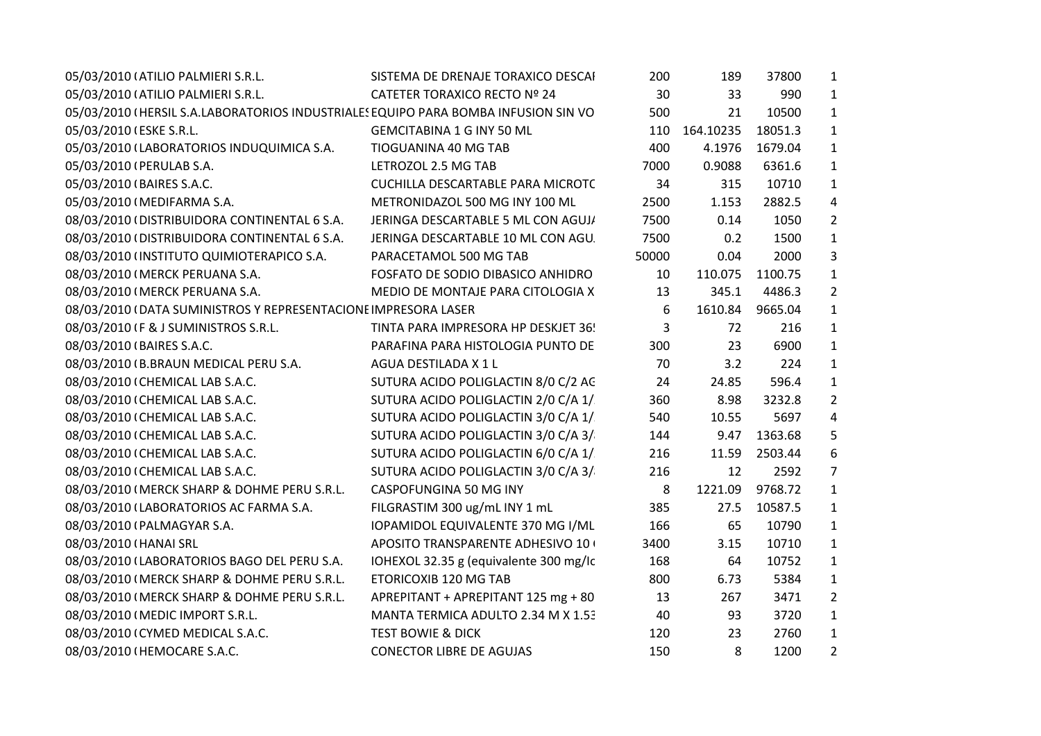| 05/03/2010 (ATILIO PALMIERI S.R.L.                                                 | SISTEMA DE DRENAJE TORAXICO DESCAI       | 200   | 189       | 37800   | $\mathbf{1}$   |  |
|------------------------------------------------------------------------------------|------------------------------------------|-------|-----------|---------|----------------|--|
| 05/03/2010 (ATILIO PALMIERI S.R.L.                                                 | CATETER TORAXICO RECTO Nº 24             | 30    | 33        | 990     | $\mathbf{1}$   |  |
| 05/03/2010 (HERSIL S.A.LABORATORIOS INDUSTRIALES EQUIPO PARA BOMBA INFUSION SIN VO |                                          | 500   | 21        | 10500   | $\mathbf{1}$   |  |
| 05/03/2010 (ESKE S.R.L.                                                            | <b>GEMCITABINA 1 G INY 50 ML</b>         | 110   | 164.10235 | 18051.3 | $\mathbf{1}$   |  |
| 05/03/2010 (LABORATORIOS INDUQUIMICA S.A.                                          | TIOGUANINA 40 MG TAB                     | 400   | 4.1976    | 1679.04 | $\mathbf{1}$   |  |
| 05/03/2010 (PERULAB S.A.                                                           | LETROZOL 2.5 MG TAB                      | 7000  | 0.9088    | 6361.6  | $\mathbf{1}$   |  |
| 05/03/2010 (BAIRES S.A.C.                                                          | <b>CUCHILLA DESCARTABLE PARA MICROTC</b> | 34    | 315       | 10710   | 1              |  |
| 05/03/2010 (MEDIFARMA S.A.                                                         | METRONIDAZOL 500 MG INY 100 ML           | 2500  | 1.153     | 2882.5  | 4              |  |
| 08/03/2010 (DISTRIBUIDORA CONTINENTAL 6 S.A.                                       | JERINGA DESCARTABLE 5 ML CON AGUJ/       | 7500  | 0.14      | 1050    | $\overline{2}$ |  |
| 08/03/2010 (DISTRIBUIDORA CONTINENTAL 6 S.A.                                       | JERINGA DESCARTABLE 10 ML CON AGU.       | 7500  | 0.2       | 1500    | $\mathbf{1}$   |  |
| 08/03/2010 (INSTITUTO QUIMIOTERAPICO S.A.                                          | PARACETAMOL 500 MG TAB                   | 50000 | 0.04      | 2000    | 3              |  |
| 08/03/2010 (MERCK PERUANA S.A.                                                     | FOSFATO DE SODIO DIBASICO ANHIDRO        | 10    | 110.075   | 1100.75 | $\mathbf{1}$   |  |
| 08/03/2010 (MERCK PERUANA S.A.                                                     | MEDIO DE MONTAJE PARA CITOLOGIA X        | 13    | 345.1     | 4486.3  | $\overline{2}$ |  |
| 08/03/2010 (DATA SUMINISTROS Y REPRESENTACIONE IMPRESORA LASER                     |                                          | 6     | 1610.84   | 9665.04 | $\mathbf{1}$   |  |
| 08/03/2010 IF & J SUMINISTROS S.R.L.                                               | TINTA PARA IMPRESORA HP DESKJET 36!      | 3     | 72        | 216     | $\mathbf{1}$   |  |
| 08/03/2010 (BAIRES S.A.C.                                                          | PARAFINA PARA HISTOLOGIA PUNTO DE        | 300   | 23        | 6900    | $\mathbf{1}$   |  |
| 08/03/2010 (B.BRAUN MEDICAL PERU S.A.                                              | AGUA DESTILADA X 1 L                     | 70    | 3.2       | 224     | $\mathbf{1}$   |  |
| 08/03/2010 (CHEMICAL LAB S.A.C.                                                    | SUTURA ACIDO POLIGLACTIN 8/0 C/2 AC      | 24    | 24.85     | 596.4   | $\mathbf{1}$   |  |
| 08/03/2010 (CHEMICAL LAB S.A.C.                                                    | SUTURA ACIDO POLIGLACTIN 2/0 C/A 1/      | 360   | 8.98      | 3232.8  | $\overline{2}$ |  |
| 08/03/2010 (CHEMICAL LAB S.A.C.                                                    | SUTURA ACIDO POLIGLACTIN 3/0 C/A 1/      | 540   | 10.55     | 5697    | 4              |  |
| 08/03/2010 (CHEMICAL LAB S.A.C.                                                    | SUTURA ACIDO POLIGLACTIN 3/0 C/A 3/      | 144   | 9.47      | 1363.68 | 5              |  |
| 08/03/2010 (CHEMICAL LAB S.A.C.                                                    | SUTURA ACIDO POLIGLACTIN 6/0 C/A 1/      | 216   | 11.59     | 2503.44 | 6              |  |
| 08/03/2010 (CHEMICAL LAB S.A.C.                                                    | SUTURA ACIDO POLIGLACTIN 3/0 C/A 3/      | 216   | 12        | 2592    | $\overline{7}$ |  |
| 08/03/2010 (MERCK SHARP & DOHME PERU S.R.L.                                        | CASPOFUNGINA 50 MG INY                   | 8     | 1221.09   | 9768.72 | $\mathbf{1}$   |  |
| 08/03/2010 (LABORATORIOS AC FARMA S.A.                                             | FILGRASTIM 300 ug/mL INY 1 mL            | 385   | 27.5      | 10587.5 | $\mathbf{1}$   |  |
| 08/03/2010 (PALMAGYAR S.A.                                                         | IOPAMIDOL EQUIVALENTE 370 MG I/ML        | 166   | 65        | 10790   | 1              |  |
| 08/03/2010 (HANAI SRL                                                              | APOSITO TRANSPARENTE ADHESIVO 10+        | 3400  | 3.15      | 10710   | $\mathbf{1}$   |  |
| 08/03/2010 (LABORATORIOS BAGO DEL PERU S.A.                                        | IOHEXOL 32.35 g (equivalente 300 mg/lc   | 168   | 64        | 10752   | $\mathbf{1}$   |  |
| 08/03/2010 (MERCK SHARP & DOHME PERU S.R.L.                                        | ETORICOXIB 120 MG TAB                    | 800   | 6.73      | 5384    | $\mathbf{1}$   |  |
| 08/03/2010 (MERCK SHARP & DOHME PERU S.R.L.                                        | APREPITANT + APREPITANT 125 mg + 80      | 13    | 267       | 3471    | 2              |  |
| 08/03/2010 (MEDIC IMPORT S.R.L.                                                    | MANTA TERMICA ADULTO 2.34 M X 1.53       | 40    | 93        | 3720    | $\mathbf{1}$   |  |
| 08/03/2010 (CYMED MEDICAL S.A.C.                                                   | <b>TEST BOWIE &amp; DICK</b>             | 120   | 23        | 2760    | 1              |  |
| 08/03/2010 (HEMOCARE S.A.C.                                                        | <b>CONECTOR LIBRE DE AGUJAS</b>          | 150   | 8         | 1200    | $\overline{2}$ |  |
|                                                                                    |                                          |       |           |         |                |  |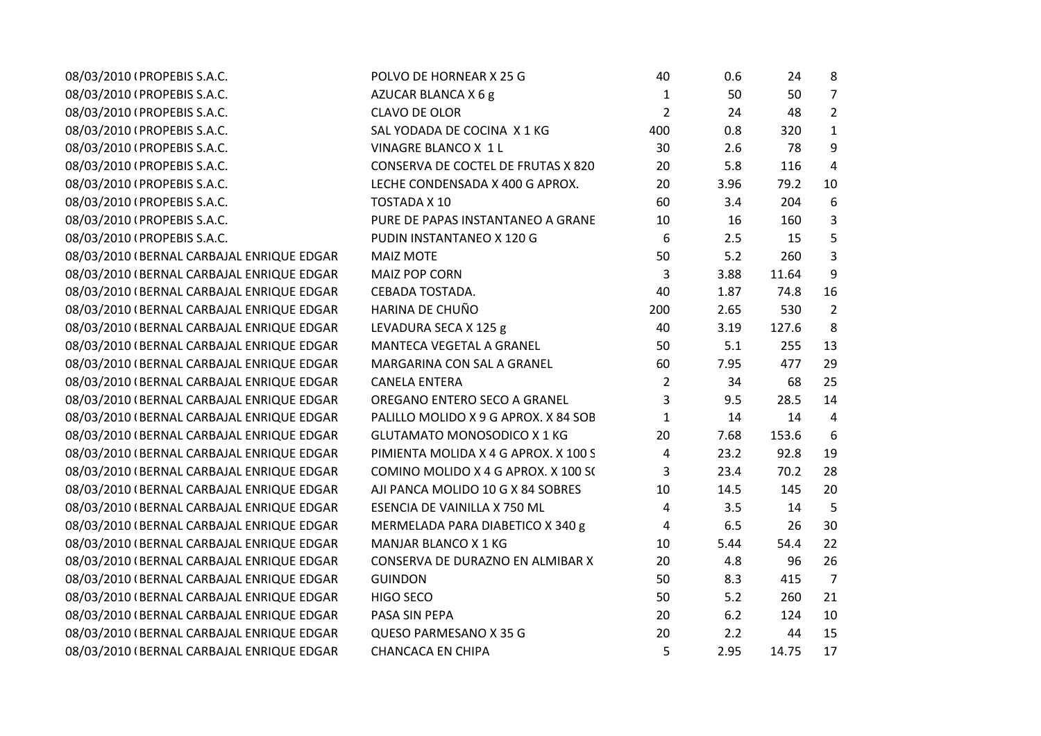| 08/03/2010 (PROPEBIS S.A.C.               | POLVO DE HORNEAR X 25 G              | 40             | 0.6  | 24    | 8              |
|-------------------------------------------|--------------------------------------|----------------|------|-------|----------------|
| 08/03/2010 (PROPEBIS S.A.C.               | AZUCAR BLANCA X 6 g                  | 1              | 50   | 50    | $\overline{7}$ |
| 08/03/2010 (PROPEBIS S.A.C.               | <b>CLAVO DE OLOR</b>                 | $\overline{2}$ | 24   | 48    | $\overline{2}$ |
| 08/03/2010 (PROPEBIS S.A.C.               | SAL YODADA DE COCINA X 1 KG          | 400            | 0.8  | 320   | $\mathbf{1}$   |
| 08/03/2010 (PROPEBIS S.A.C.               | VINAGRE BLANCO X 1 L                 | 30             | 2.6  | 78    | 9              |
| 08/03/2010 (PROPEBIS S.A.C.               | CONSERVA DE COCTEL DE FRUTAS X 820   | 20             | 5.8  | 116   | 4              |
| 08/03/2010 (PROPEBIS S.A.C.               | LECHE CONDENSADA X 400 G APROX.      | 20             | 3.96 | 79.2  | 10             |
| 08/03/2010 (PROPEBIS S.A.C.               | TOSTADA X 10                         | 60             | 3.4  | 204   | 6              |
| 08/03/2010 (PROPEBIS S.A.C.               | PURE DE PAPAS INSTANTANEO A GRANE    | 10             | 16   | 160   | 3              |
| 08/03/2010 (PROPEBIS S.A.C.               | PUDIN INSTANTANEO X 120 G            | 6              | 2.5  | 15    | 5              |
| 08/03/2010 (BERNAL CARBAJAL ENRIQUE EDGAR | <b>MAIZ MOTE</b>                     | 50             | 5.2  | 260   | 3              |
| 08/03/2010 (BERNAL CARBAJAL ENRIQUE EDGAR | <b>MAIZ POP CORN</b>                 | 3              | 3.88 | 11.64 | 9              |
| 08/03/2010 (BERNAL CARBAJAL ENRIQUE EDGAR | CEBADA TOSTADA.                      | 40             | 1.87 | 74.8  | 16             |
| 08/03/2010 (BERNAL CARBAJAL ENRIQUE EDGAR | HARINA DE CHUÑO                      | 200            | 2.65 | 530   | $\overline{2}$ |
| 08/03/2010 (BERNAL CARBAJAL ENRIQUE EDGAR | LEVADURA SECA X 125 g                | 40             | 3.19 | 127.6 | 8              |
| 08/03/2010 (BERNAL CARBAJAL ENRIQUE EDGAR | MANTECA VEGETAL A GRANEL             | 50             | 5.1  | 255   | 13             |
| 08/03/2010 (BERNAL CARBAJAL ENRIQUE EDGAR | MARGARINA CON SAL A GRANEL           | 60             | 7.95 | 477   | 29             |
| 08/03/2010 (BERNAL CARBAJAL ENRIQUE EDGAR | <b>CANELA ENTERA</b>                 | $\overline{2}$ | 34   | 68    | 25             |
| 08/03/2010 (BERNAL CARBAJAL ENRIQUE EDGAR | OREGANO ENTERO SECO A GRANEL         | 3              | 9.5  | 28.5  | 14             |
| 08/03/2010 (BERNAL CARBAJAL ENRIQUE EDGAR | PALILLO MOLIDO X 9 G APROX. X 84 SOB | $\mathbf{1}$   | 14   | 14    | $\overline{4}$ |
| 08/03/2010 (BERNAL CARBAJAL ENRIQUE EDGAR | <b>GLUTAMATO MONOSODICO X 1 KG</b>   | 20             | 7.68 | 153.6 | 6              |
| 08/03/2010 (BERNAL CARBAJAL ENRIQUE EDGAR | PIMIENTA MOLIDA X 4 G APROX. X 100 S | 4              | 23.2 | 92.8  | 19             |
| 08/03/2010 (BERNAL CARBAJAL ENRIQUE EDGAR | COMINO MOLIDO X 4 G APROX. X 100 S(  | 3              | 23.4 | 70.2  | 28             |
| 08/03/2010 (BERNAL CARBAJAL ENRIQUE EDGAR | AJI PANCA MOLIDO 10 G X 84 SOBRES    | 10             | 14.5 | 145   | 20             |
| 08/03/2010 (BERNAL CARBAJAL ENRIQUE EDGAR | ESENCIA DE VAINILLA X 750 ML         | 4              | 3.5  | 14    | 5              |
| 08/03/2010 (BERNAL CARBAJAL ENRIQUE EDGAR | MERMELADA PARA DIABETICO X 340 g     | 4              | 6.5  | 26    | 30             |
| 08/03/2010 (BERNAL CARBAJAL ENRIQUE EDGAR | MANJAR BLANCO X 1 KG                 | 10             | 5.44 | 54.4  | 22             |
| 08/03/2010 (BERNAL CARBAJAL ENRIQUE EDGAR | CONSERVA DE DURAZNO EN ALMIBAR X     | 20             | 4.8  | 96    | 26             |
| 08/03/2010 (BERNAL CARBAJAL ENRIQUE EDGAR | <b>GUINDON</b>                       | 50             | 8.3  | 415   | $\overline{7}$ |
| 08/03/2010 (BERNAL CARBAJAL ENRIQUE EDGAR | <b>HIGO SECO</b>                     | 50             | 5.2  | 260   | 21             |
| 08/03/2010 (BERNAL CARBAJAL ENRIQUE EDGAR | PASA SIN PEPA                        | 20             | 6.2  | 124   | 10             |
| 08/03/2010 (BERNAL CARBAJAL ENRIQUE EDGAR | QUESO PARMESANO X 35 G               | 20             | 2.2  | 44    | 15             |
| 08/03/2010 (BERNAL CARBAJAL ENRIQUE EDGAR | <b>CHANCACA EN CHIPA</b>             | 5              | 2.95 | 14.75 | 17             |
|                                           |                                      |                |      |       |                |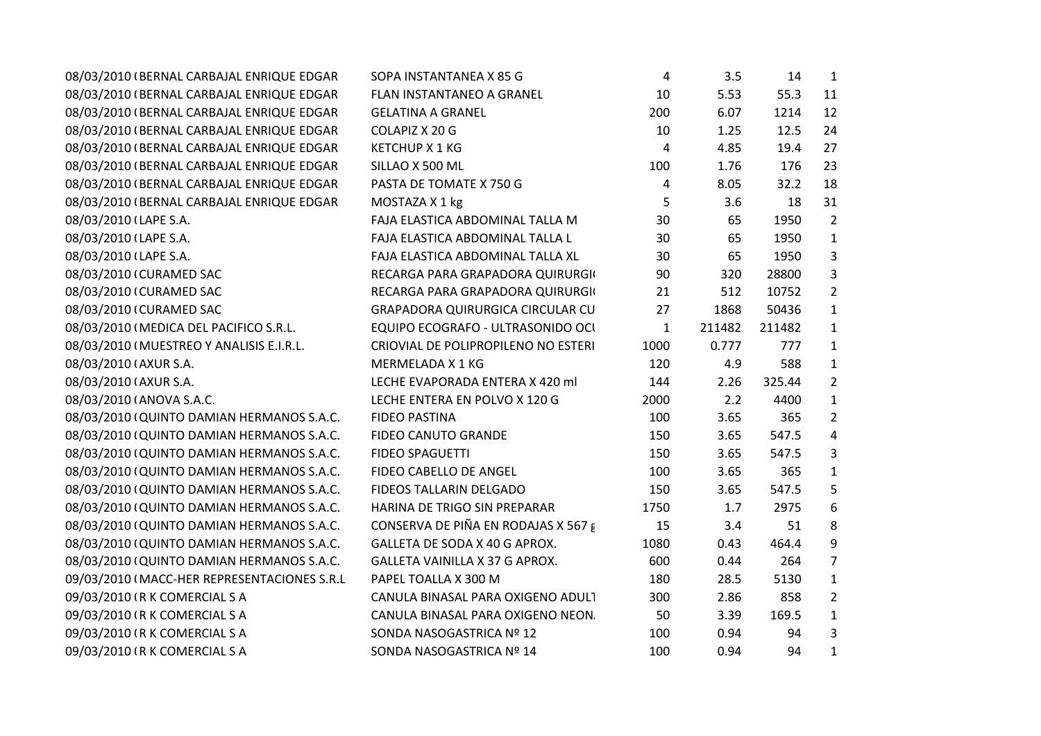| 08/03/2010 (BERNAL CARBAJAL ENRIQUE EDGAR   | SOPA INSTANTANEA X 85 G                      | 4            | 3.5    | 14     | $\mathbf{1}$   |
|---------------------------------------------|----------------------------------------------|--------------|--------|--------|----------------|
| 08/03/2010 (BERNAL CARBAJAL ENRIQUE EDGAR   | FLAN INSTANTANEO A GRANEL                    | 10           | 5.53   | 55.3   | 11             |
| 08/03/2010 (BERNAL CARBAJAL ENRIQUE EDGAR   | <b>GELATINA A GRANEL</b>                     | 200          | 6.07   | 1214   | 12             |
| 08/03/2010 (BERNAL CARBAJAL ENRIQUE EDGAR   | COLAPIZ X 20 G                               | 10           | 1.25   | 12.5   | 24             |
| 08/03/2010 (BERNAL CARBAJAL ENRIQUE EDGAR   | <b>KETCHUP X 1 KG</b>                        | 4            | 4.85   | 19.4   | 27             |
| 08/03/2010 (BERNAL CARBAJAL ENRIQUE EDGAR   | SILLAO X 500 ML                              | 100          | 1.76   | 176    | 23             |
| 08/03/2010 (BERNAL CARBAJAL ENRIQUE EDGAR   | PASTA DE TOMATE X 750 G                      | 4            | 8.05   | 32.2   | 18             |
| 08/03/2010 (BERNAL CARBAJAL ENRIQUE EDGAR   | MOSTAZA X 1 kg                               | 5            | 3.6    | 18     | 31             |
| 08/03/2010 (LAPE S.A.                       | FAJA ELASTICA ABDOMINAL TALLA M              | 30           | 65     | 1950   | $\overline{2}$ |
| 08/03/2010 (LAPE S.A.                       | FAJA ELASTICA ABDOMINAL TALLA L              | 30           | 65     | 1950   | $\mathbf{1}$   |
| 08/03/2010 (LAPE S.A.                       | FAJA ELASTICA ABDOMINAL TALLA XL             | 30           | 65     | 1950   | 3              |
| 08/03/2010 (CURAMED SAC                     | RECARGA PARA GRAPADORA QUIRURGIO             | 90           | 320    | 28800  | 3              |
| 08/03/2010 (CURAMED SAC                     | RECARGA PARA GRAPADORA QUIRURGIO             | 21           | 512    | 10752  | $\overline{2}$ |
| 08/03/2010 (CURAMED SAC                     | <b>GRAPADORA QUIRURGICA CIRCULAR CU</b>      | 27           | 1868   | 50436  | $\mathbf{1}$   |
| 08/03/2010 (MEDICA DEL PACIFICO S.R.L.      | EQUIPO ECOGRAFO - ULTRASONIDO OCI            | $\mathbf{1}$ | 211482 | 211482 | $\mathbf{1}$   |
| 08/03/2010 (MUESTREO Y ANALISIS E.I.R.L.    | CRIOVIAL DE POLIPROPILENO NO ESTERI          | 1000         | 0.777  | 777    | $\mathbf{1}$   |
| 08/03/2010 (AXUR S.A.                       | MERMELADA X 1 KG                             | 120          | 4.9    | 588    | $\mathbf{1}$   |
| 08/03/2010 (AXUR S.A.                       | LECHE EVAPORADA ENTERA X 420 ml              | 144          | 2.26   | 325.44 | $\overline{2}$ |
| 08/03/2010 (ANOVA S.A.C.                    | LECHE ENTERA EN POLVO X 120 G                | 2000         | 2.2    | 4400   | $\mathbf{1}$   |
| 08/03/2010 (QUINTO DAMIAN HERMANOS S.A.C.   | <b>FIDEO PASTINA</b>                         | 100          | 3.65   | 365    | $\overline{2}$ |
| 08/03/2010 (QUINTO DAMIAN HERMANOS S.A.C.   | FIDEO CANUTO GRANDE                          | 150          | 3.65   | 547.5  | 4              |
| 08/03/2010 (QUINTO DAMIAN HERMANOS S.A.C.   | <b>FIDEO SPAGUETTI</b>                       | 150          | 3.65   | 547.5  | 3              |
| 08/03/2010 (QUINTO DAMIAN HERMANOS S.A.C.   | FIDEO CABELLO DE ANGEL                       | 100          | 3.65   | 365    | $\mathbf{1}$   |
| 08/03/2010 (QUINTO DAMIAN HERMANOS S.A.C.   | FIDEOS TALLARIN DELGADO                      | 150          | 3.65   | 547.5  | 5              |
| 08/03/2010 (QUINTO DAMIAN HERMANOS S.A.C.   | HARINA DE TRIGO SIN PREPARAR                 | 1750         | 1.7    | 2975   | 6              |
| 08/03/2010 (QUINTO DAMIAN HERMANOS S.A.C.   | CONSERVA DE PIÑA EN RODAJAS X 567 $\epsilon$ | 15           | 3.4    | 51     | 8              |
| 08/03/2010 (QUINTO DAMIAN HERMANOS S.A.C.   | GALLETA DE SODA X 40 G APROX.                | 1080         | 0.43   | 464.4  | 9              |
| 08/03/2010 (QUINTO DAMIAN HERMANOS S.A.C.   | GALLETA VAINILLA X 37 G APROX.               | 600          | 0.44   | 264    | 7              |
| 09/03/2010 (MACC-HER REPRESENTACIONES S.R.L | PAPEL TOALLA X 300 M                         | 180          | 28.5   | 5130   | $\mathbf{1}$   |
| 09/03/2010 (R K COMERCIAL S A               | CANULA BINASAL PARA OXIGENO ADUL1            | 300          | 2.86   | 858    | $\overline{2}$ |
| 09/03/2010 (R K COMERCIAL S A               | CANULA BINASAL PARA OXIGENO NEON.            | 50           | 3.39   | 169.5  | $\mathbf{1}$   |
| 09/03/2010 (R K COMERCIAL S A               | SONDA NASOGASTRICA Nº 12                     | 100          | 0.94   | 94     | $\mathbf{3}$   |
| 09/03/2010 (R K COMERCIAL S A               | SONDA NASOGASTRICA Nº 14                     | 100          | 0.94   | 94     | $\mathbf{1}$   |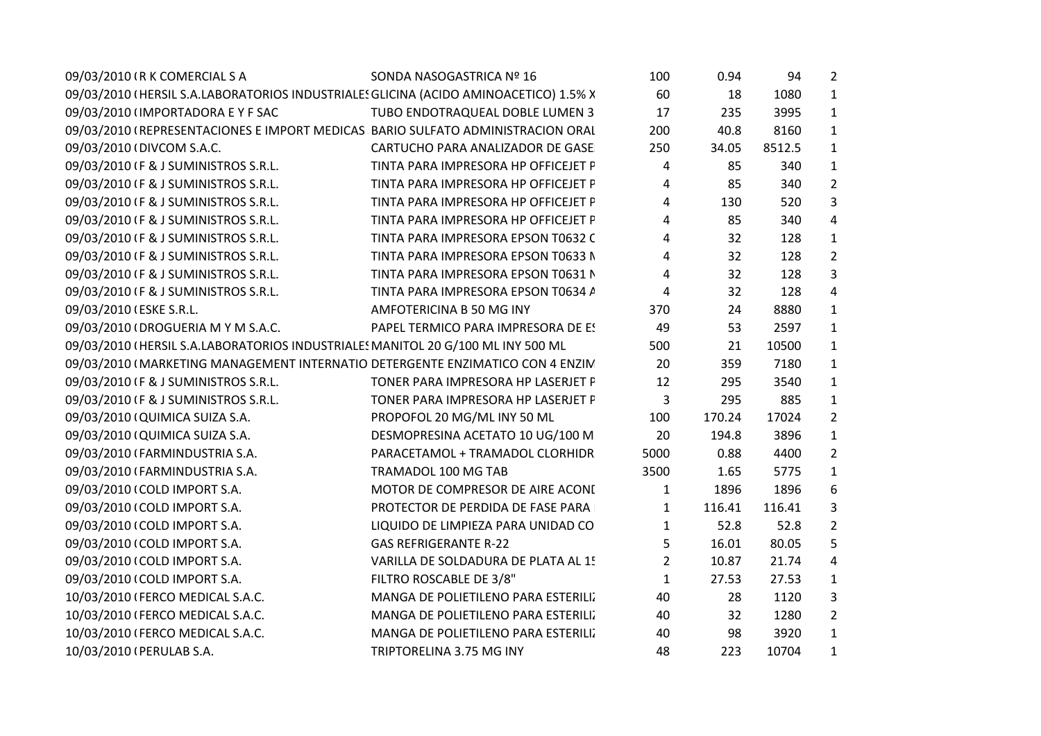| 09/03/2010 (R K COMERCIAL S A                                                        | SONDA NASOGASTRICA Nº 16            | 100            | 0.94   | 94     | $\overline{2}$ |  |
|--------------------------------------------------------------------------------------|-------------------------------------|----------------|--------|--------|----------------|--|
| 09/03/2010 (HERSIL S.A.LABORATORIOS INDUSTRIALES GLICINA (ACIDO AMINOACETICO) 1.5% X |                                     | 60             | 18     | 1080   | $\mathbf{1}$   |  |
| 09/03/2010 (IMPORTADORA E Y F SAC                                                    | TUBO ENDOTRAQUEAL DOBLE LUMEN 3     | 17             | 235    | 3995   | $\mathbf{1}$   |  |
| 09/03/2010 (REPRESENTACIONES E IMPORT MEDICAS BARIO SULFATO ADMINISTRACION ORAL      |                                     | 200            | 40.8   | 8160   | $\mathbf{1}$   |  |
| 09/03/2010 (DIVCOM S.A.C.                                                            | CARTUCHO PARA ANALIZADOR DE GASE    | 250            | 34.05  | 8512.5 | $\mathbf{1}$   |  |
| 09/03/2010 IF & J SUMINISTROS S.R.L.                                                 | TINTA PARA IMPRESORA HP OFFICEJET F | 4              | 85     | 340    | $\mathbf{1}$   |  |
| 09/03/2010 IF & J SUMINISTROS S.R.L.                                                 | TINTA PARA IMPRESORA HP OFFICEJET F | 4              | 85     | 340    | $\overline{2}$ |  |
| 09/03/2010 IF & J SUMINISTROS S.R.L.                                                 | TINTA PARA IMPRESORA HP OFFICEJET F | 4              | 130    | 520    | 3              |  |
| 09/03/2010 IF & J SUMINISTROS S.R.L.                                                 | TINTA PARA IMPRESORA HP OFFICEJET F | 4              | 85     | 340    | $\overline{4}$ |  |
| 09/03/2010 (F & J SUMINISTROS S.R.L.                                                 | TINTA PARA IMPRESORA EPSON T0632 C  | 4              | 32     | 128    | $\mathbf{1}$   |  |
| 09/03/2010 IF & J SUMINISTROS S.R.L.                                                 | TINTA PARA IMPRESORA EPSON T0633 N  | 4              | 32     | 128    | $\overline{2}$ |  |
| 09/03/2010 IF & J SUMINISTROS S.R.L.                                                 | TINTA PARA IMPRESORA EPSON T0631 N  | 4              | 32     | 128    | 3              |  |
| 09/03/2010 IF & J SUMINISTROS S.R.L.                                                 | TINTA PARA IMPRESORA EPSON T0634 A  | 4              | 32     | 128    | $\overline{4}$ |  |
| 09/03/2010 (ESKE S.R.L.                                                              | AMFOTERICINA B 50 MG INY            | 370            | 24     | 8880   | $\mathbf{1}$   |  |
| 09/03/2010 (DROGUERIA M Y M S.A.C.                                                   | PAPEL TERMICO PARA IMPRESORA DE ES  | 49             | 53     | 2597   | $\mathbf{1}$   |  |
| 09/03/2010 (HERSIL S.A.LABORATORIOS INDUSTRIALES MANITOL 20 G/100 ML INY 500 ML      |                                     | 500            | 21     | 10500  | $\mathbf{1}$   |  |
| 09/03/2010 (MARKETING MANAGEMENT INTERNATIO DETERGENTE ENZIMATICO CON 4 ENZIN        |                                     | 20             | 359    | 7180   | $\mathbf{1}$   |  |
| 09/03/2010 IF & J SUMINISTROS S.R.L.                                                 | TONER PARA IMPRESORA HP LASERJET F  | 12             | 295    | 3540   | $\mathbf{1}$   |  |
| 09/03/2010 IF & J SUMINISTROS S.R.L.                                                 | TONER PARA IMPRESORA HP LASERJET F  | 3              | 295    | 885    | $\mathbf{1}$   |  |
| 09/03/2010 (QUIMICA SUIZA S.A.                                                       | PROPOFOL 20 MG/ML INY 50 ML         | 100            | 170.24 | 17024  | $\overline{2}$ |  |
| 09/03/2010 (QUIMICA SUIZA S.A.                                                       | DESMOPRESINA ACETATO 10 UG/100 M    | 20             | 194.8  | 3896   | $\mathbf{1}$   |  |
| 09/03/2010 (FARMINDUSTRIA S.A.                                                       | PARACETAMOL + TRAMADOL CLORHIDR     | 5000           | 0.88   | 4400   | $\overline{2}$ |  |
| 09/03/2010 (FARMINDUSTRIA S.A.                                                       | TRAMADOL 100 MG TAB                 | 3500           | 1.65   | 5775   | $\mathbf{1}$   |  |
| 09/03/2010 (COLD IMPORT S.A.                                                         | MOTOR DE COMPRESOR DE AIRE ACONI    | $\mathbf{1}$   | 1896   | 1896   | 6              |  |
| 09/03/2010 (COLD IMPORT S.A.                                                         | PROTECTOR DE PERDIDA DE FASE PARA   | $\mathbf{1}$   | 116.41 | 116.41 | 3              |  |
| 09/03/2010 (COLD IMPORT S.A.                                                         | LIQUIDO DE LIMPIEZA PARA UNIDAD CO  | $\mathbf{1}$   | 52.8   | 52.8   | $\overline{2}$ |  |
| 09/03/2010 (COLD IMPORT S.A.                                                         | <b>GAS REFRIGERANTE R-22</b>        | 5              | 16.01  | 80.05  | 5              |  |
| 09/03/2010 (COLD IMPORT S.A.                                                         | VARILLA DE SOLDADURA DE PLATA AL 1! | $\overline{2}$ | 10.87  | 21.74  | $\overline{4}$ |  |
| 09/03/2010 (COLD IMPORT S.A.                                                         | FILTRO ROSCABLE DE 3/8"             | $\mathbf{1}$   | 27.53  | 27.53  | $\mathbf{1}$   |  |
| 10/03/2010 (FERCO MEDICAL S.A.C.                                                     | MANGA DE POLIETILENO PARA ESTERILI. | 40             | 28     | 1120   | 3              |  |
| 10/03/2010 (FERCO MEDICAL S.A.C.                                                     | MANGA DE POLIETILENO PARA ESTERILI. | 40             | 32     | 1280   | $\overline{2}$ |  |
| 10/03/2010 (FERCO MEDICAL S.A.C.                                                     | MANGA DE POLIETILENO PARA ESTERILI. | 40             | 98     | 3920   | $\mathbf{1}$   |  |
| 10/03/2010 (PERULAB S.A.                                                             | TRIPTORELINA 3.75 MG INY            | 48             | 223    | 10704  | $\mathbf{1}$   |  |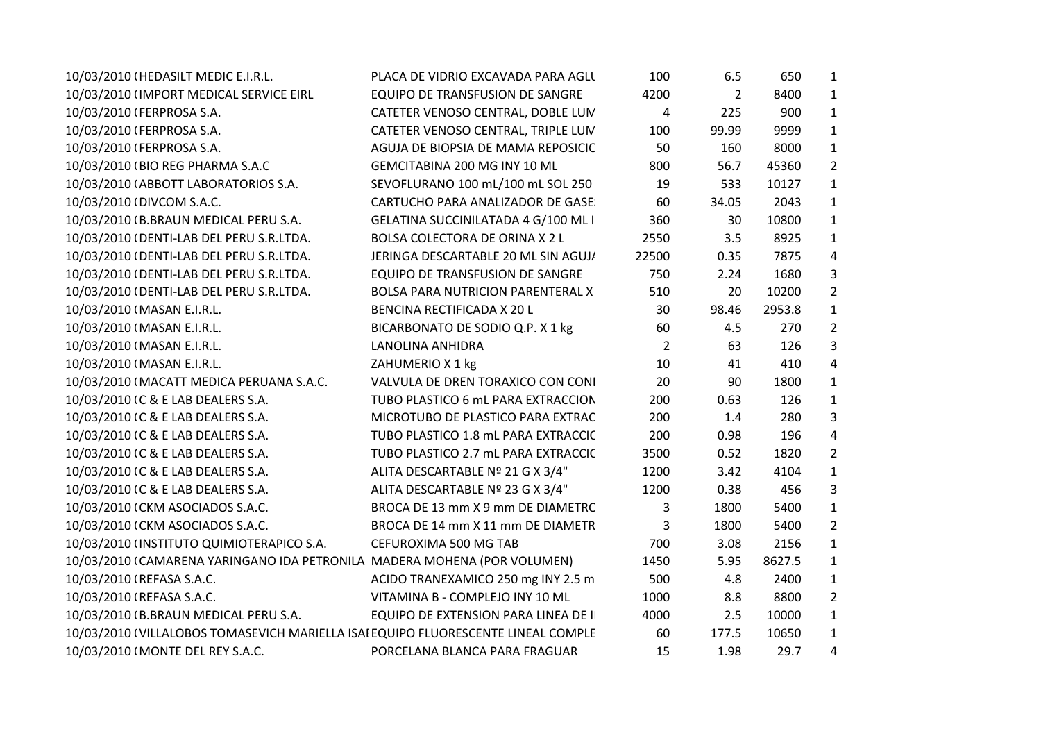| $\mathbf{1}$<br>10/03/2010 (IMPORT MEDICAL SERVICE EIRL<br>4200<br>$\overline{2}$<br>8400<br>EQUIPO DE TRANSFUSION DE SANGRE<br>$\mathbf{1}$<br>CATETER VENOSO CENTRAL, DOBLE LUN<br>4<br>900<br>10/03/2010 (FERPROSA S.A.<br>225<br>$\mathbf{1}$<br>10/03/2010 (FERPROSA S.A.<br>CATETER VENOSO CENTRAL, TRIPLE LUN<br>100<br>99.99<br>9999<br>$\mathbf{1}$<br>50<br>160<br>8000<br>10/03/2010 (FERPROSA S.A.<br>AGUJA DE BIOPSIA DE MAMA REPOSICIC<br>$\overline{2}$<br>56.7<br>45360<br>10/03/2010 (BIO REG PHARMA S.A.C<br>GEMCITABINA 200 MG INY 10 ML<br>800<br>10127<br>$\mathbf{1}$<br>10/03/2010 (ABBOTT LABORATORIOS S.A.<br>SEVOFLURANO 100 mL/100 mL SOL 250<br>19<br>533<br>$\mathbf{1}$<br>10/03/2010 (DIVCOM S.A.C.<br>60<br>34.05<br>2043<br>CARTUCHO PARA ANALIZADOR DE GASE<br>$\mathbf{1}$<br>10/03/2010 (B.BRAUN MEDICAL PERU S.A.<br>GELATINA SUCCINILATADA 4 G/100 ML I<br>360<br>30<br>10800<br>2550<br>8925<br>$\mathbf{1}$<br>10/03/2010 (DENTI-LAB DEL PERU S.R.LTDA.<br>BOLSA COLECTORA DE ORINA X 2 L<br>3.5<br>$\overline{4}$<br>22500<br>7875<br>10/03/2010 (DENTI-LAB DEL PERU S.R.LTDA.<br>JERINGA DESCARTABLE 20 ML SIN AGUJ/<br>0.35<br>3<br>1680<br>10/03/2010 (DENTI-LAB DEL PERU S.R.LTDA.<br><b>EQUIPO DE TRANSFUSION DE SANGRE</b><br>750<br>2.24<br>$\overline{2}$<br>10200<br>10/03/2010 (DENTI-LAB DEL PERU S.R.LTDA.<br><b>BOLSA PARA NUTRICION PARENTERAL X</b><br>510<br>20<br>$\mathbf{1}$<br>10/03/2010 (MASAN E.I.R.L.<br><b>BENCINA RECTIFICADA X 20 L</b><br>30<br>98.46<br>2953.8<br>$\overline{2}$<br>10/03/2010 (MASAN E.I.R.L.<br>60<br>4.5<br>270<br>BICARBONATO DE SODIO Q.P. X 1 kg<br>3<br>$\overline{2}$<br>10/03/2010 (MASAN E.I.R.L.<br><b>LANOLINA ANHIDRA</b><br>63<br>126<br>$\overline{4}$<br>10/03/2010 (MASAN E.I.R.L.<br>ZAHUMERIO X 1 kg<br>10<br>410<br>41<br>10/03/2010 (MACATT MEDICA PERUANA S.A.C.<br>20<br>1800<br>$\mathbf{1}$<br>VALVULA DE DREN TORAXICO CON CONI<br>90<br>$\mathbf{1}$<br>10/03/2010 IC & E LAB DEALERS S.A.<br>TUBO PLASTICO 6 mL PARA EXTRACCION<br>200<br>0.63<br>126<br>3<br>10/03/2010 IC & E LAB DEALERS S.A.<br>MICROTUBO DE PLASTICO PARA EXTRAC<br>200<br>1.4<br>280<br>$\overline{\mathbf{4}}$<br>10/03/2010 IC & E LAB DEALERS S.A.<br>TUBO PLASTICO 1.8 mL PARA EXTRACCIC<br>200<br>0.98<br>196<br>$\overline{2}$<br>10/03/2010 IC & E LAB DEALERS S.A.<br>3500<br>0.52<br>1820<br>TUBO PLASTICO 2.7 mL PARA EXTRACCIC<br>$\mathbf{1}$<br>ALITA DESCARTABLE Nº 21 G X 3/4"<br>1200<br>10/03/2010 IC & E LAB DEALERS S.A.<br>3.42<br>4104<br>3<br>ALITA DESCARTABLE Nº 23 G X 3/4"<br>1200<br>10/03/2010 IC & E LAB DEALERS S.A.<br>0.38<br>456 |  |
|-----------------------------------------------------------------------------------------------------------------------------------------------------------------------------------------------------------------------------------------------------------------------------------------------------------------------------------------------------------------------------------------------------------------------------------------------------------------------------------------------------------------------------------------------------------------------------------------------------------------------------------------------------------------------------------------------------------------------------------------------------------------------------------------------------------------------------------------------------------------------------------------------------------------------------------------------------------------------------------------------------------------------------------------------------------------------------------------------------------------------------------------------------------------------------------------------------------------------------------------------------------------------------------------------------------------------------------------------------------------------------------------------------------------------------------------------------------------------------------------------------------------------------------------------------------------------------------------------------------------------------------------------------------------------------------------------------------------------------------------------------------------------------------------------------------------------------------------------------------------------------------------------------------------------------------------------------------------------------------------------------------------------------------------------------------------------------------------------------------------------------------------------------------------------------------------------------------------------------------------------------------------------------------------------------------------------------------------------------------------------------------------------------------------------------------------------------------------------------------------------------------------------------------------------------------------------------------------------------------------------------------------------------------|--|
|                                                                                                                                                                                                                                                                                                                                                                                                                                                                                                                                                                                                                                                                                                                                                                                                                                                                                                                                                                                                                                                                                                                                                                                                                                                                                                                                                                                                                                                                                                                                                                                                                                                                                                                                                                                                                                                                                                                                                                                                                                                                                                                                                                                                                                                                                                                                                                                                                                                                                                                                                                                                                                                           |  |
|                                                                                                                                                                                                                                                                                                                                                                                                                                                                                                                                                                                                                                                                                                                                                                                                                                                                                                                                                                                                                                                                                                                                                                                                                                                                                                                                                                                                                                                                                                                                                                                                                                                                                                                                                                                                                                                                                                                                                                                                                                                                                                                                                                                                                                                                                                                                                                                                                                                                                                                                                                                                                                                           |  |
|                                                                                                                                                                                                                                                                                                                                                                                                                                                                                                                                                                                                                                                                                                                                                                                                                                                                                                                                                                                                                                                                                                                                                                                                                                                                                                                                                                                                                                                                                                                                                                                                                                                                                                                                                                                                                                                                                                                                                                                                                                                                                                                                                                                                                                                                                                                                                                                                                                                                                                                                                                                                                                                           |  |
|                                                                                                                                                                                                                                                                                                                                                                                                                                                                                                                                                                                                                                                                                                                                                                                                                                                                                                                                                                                                                                                                                                                                                                                                                                                                                                                                                                                                                                                                                                                                                                                                                                                                                                                                                                                                                                                                                                                                                                                                                                                                                                                                                                                                                                                                                                                                                                                                                                                                                                                                                                                                                                                           |  |
|                                                                                                                                                                                                                                                                                                                                                                                                                                                                                                                                                                                                                                                                                                                                                                                                                                                                                                                                                                                                                                                                                                                                                                                                                                                                                                                                                                                                                                                                                                                                                                                                                                                                                                                                                                                                                                                                                                                                                                                                                                                                                                                                                                                                                                                                                                                                                                                                                                                                                                                                                                                                                                                           |  |
|                                                                                                                                                                                                                                                                                                                                                                                                                                                                                                                                                                                                                                                                                                                                                                                                                                                                                                                                                                                                                                                                                                                                                                                                                                                                                                                                                                                                                                                                                                                                                                                                                                                                                                                                                                                                                                                                                                                                                                                                                                                                                                                                                                                                                                                                                                                                                                                                                                                                                                                                                                                                                                                           |  |
|                                                                                                                                                                                                                                                                                                                                                                                                                                                                                                                                                                                                                                                                                                                                                                                                                                                                                                                                                                                                                                                                                                                                                                                                                                                                                                                                                                                                                                                                                                                                                                                                                                                                                                                                                                                                                                                                                                                                                                                                                                                                                                                                                                                                                                                                                                                                                                                                                                                                                                                                                                                                                                                           |  |
|                                                                                                                                                                                                                                                                                                                                                                                                                                                                                                                                                                                                                                                                                                                                                                                                                                                                                                                                                                                                                                                                                                                                                                                                                                                                                                                                                                                                                                                                                                                                                                                                                                                                                                                                                                                                                                                                                                                                                                                                                                                                                                                                                                                                                                                                                                                                                                                                                                                                                                                                                                                                                                                           |  |
|                                                                                                                                                                                                                                                                                                                                                                                                                                                                                                                                                                                                                                                                                                                                                                                                                                                                                                                                                                                                                                                                                                                                                                                                                                                                                                                                                                                                                                                                                                                                                                                                                                                                                                                                                                                                                                                                                                                                                                                                                                                                                                                                                                                                                                                                                                                                                                                                                                                                                                                                                                                                                                                           |  |
|                                                                                                                                                                                                                                                                                                                                                                                                                                                                                                                                                                                                                                                                                                                                                                                                                                                                                                                                                                                                                                                                                                                                                                                                                                                                                                                                                                                                                                                                                                                                                                                                                                                                                                                                                                                                                                                                                                                                                                                                                                                                                                                                                                                                                                                                                                                                                                                                                                                                                                                                                                                                                                                           |  |
|                                                                                                                                                                                                                                                                                                                                                                                                                                                                                                                                                                                                                                                                                                                                                                                                                                                                                                                                                                                                                                                                                                                                                                                                                                                                                                                                                                                                                                                                                                                                                                                                                                                                                                                                                                                                                                                                                                                                                                                                                                                                                                                                                                                                                                                                                                                                                                                                                                                                                                                                                                                                                                                           |  |
|                                                                                                                                                                                                                                                                                                                                                                                                                                                                                                                                                                                                                                                                                                                                                                                                                                                                                                                                                                                                                                                                                                                                                                                                                                                                                                                                                                                                                                                                                                                                                                                                                                                                                                                                                                                                                                                                                                                                                                                                                                                                                                                                                                                                                                                                                                                                                                                                                                                                                                                                                                                                                                                           |  |
|                                                                                                                                                                                                                                                                                                                                                                                                                                                                                                                                                                                                                                                                                                                                                                                                                                                                                                                                                                                                                                                                                                                                                                                                                                                                                                                                                                                                                                                                                                                                                                                                                                                                                                                                                                                                                                                                                                                                                                                                                                                                                                                                                                                                                                                                                                                                                                                                                                                                                                                                                                                                                                                           |  |
|                                                                                                                                                                                                                                                                                                                                                                                                                                                                                                                                                                                                                                                                                                                                                                                                                                                                                                                                                                                                                                                                                                                                                                                                                                                                                                                                                                                                                                                                                                                                                                                                                                                                                                                                                                                                                                                                                                                                                                                                                                                                                                                                                                                                                                                                                                                                                                                                                                                                                                                                                                                                                                                           |  |
|                                                                                                                                                                                                                                                                                                                                                                                                                                                                                                                                                                                                                                                                                                                                                                                                                                                                                                                                                                                                                                                                                                                                                                                                                                                                                                                                                                                                                                                                                                                                                                                                                                                                                                                                                                                                                                                                                                                                                                                                                                                                                                                                                                                                                                                                                                                                                                                                                                                                                                                                                                                                                                                           |  |
|                                                                                                                                                                                                                                                                                                                                                                                                                                                                                                                                                                                                                                                                                                                                                                                                                                                                                                                                                                                                                                                                                                                                                                                                                                                                                                                                                                                                                                                                                                                                                                                                                                                                                                                                                                                                                                                                                                                                                                                                                                                                                                                                                                                                                                                                                                                                                                                                                                                                                                                                                                                                                                                           |  |
|                                                                                                                                                                                                                                                                                                                                                                                                                                                                                                                                                                                                                                                                                                                                                                                                                                                                                                                                                                                                                                                                                                                                                                                                                                                                                                                                                                                                                                                                                                                                                                                                                                                                                                                                                                                                                                                                                                                                                                                                                                                                                                                                                                                                                                                                                                                                                                                                                                                                                                                                                                                                                                                           |  |
|                                                                                                                                                                                                                                                                                                                                                                                                                                                                                                                                                                                                                                                                                                                                                                                                                                                                                                                                                                                                                                                                                                                                                                                                                                                                                                                                                                                                                                                                                                                                                                                                                                                                                                                                                                                                                                                                                                                                                                                                                                                                                                                                                                                                                                                                                                                                                                                                                                                                                                                                                                                                                                                           |  |
|                                                                                                                                                                                                                                                                                                                                                                                                                                                                                                                                                                                                                                                                                                                                                                                                                                                                                                                                                                                                                                                                                                                                                                                                                                                                                                                                                                                                                                                                                                                                                                                                                                                                                                                                                                                                                                                                                                                                                                                                                                                                                                                                                                                                                                                                                                                                                                                                                                                                                                                                                                                                                                                           |  |
|                                                                                                                                                                                                                                                                                                                                                                                                                                                                                                                                                                                                                                                                                                                                                                                                                                                                                                                                                                                                                                                                                                                                                                                                                                                                                                                                                                                                                                                                                                                                                                                                                                                                                                                                                                                                                                                                                                                                                                                                                                                                                                                                                                                                                                                                                                                                                                                                                                                                                                                                                                                                                                                           |  |
|                                                                                                                                                                                                                                                                                                                                                                                                                                                                                                                                                                                                                                                                                                                                                                                                                                                                                                                                                                                                                                                                                                                                                                                                                                                                                                                                                                                                                                                                                                                                                                                                                                                                                                                                                                                                                                                                                                                                                                                                                                                                                                                                                                                                                                                                                                                                                                                                                                                                                                                                                                                                                                                           |  |
|                                                                                                                                                                                                                                                                                                                                                                                                                                                                                                                                                                                                                                                                                                                                                                                                                                                                                                                                                                                                                                                                                                                                                                                                                                                                                                                                                                                                                                                                                                                                                                                                                                                                                                                                                                                                                                                                                                                                                                                                                                                                                                                                                                                                                                                                                                                                                                                                                                                                                                                                                                                                                                                           |  |
|                                                                                                                                                                                                                                                                                                                                                                                                                                                                                                                                                                                                                                                                                                                                                                                                                                                                                                                                                                                                                                                                                                                                                                                                                                                                                                                                                                                                                                                                                                                                                                                                                                                                                                                                                                                                                                                                                                                                                                                                                                                                                                                                                                                                                                                                                                                                                                                                                                                                                                                                                                                                                                                           |  |
| $\mathbf{1}$<br>5400<br>10/03/2010 (CKM ASOCIADOS S.A.C.<br>BROCA DE 13 mm X 9 mm DE DIAMETRC<br>3<br>1800                                                                                                                                                                                                                                                                                                                                                                                                                                                                                                                                                                                                                                                                                                                                                                                                                                                                                                                                                                                                                                                                                                                                                                                                                                                                                                                                                                                                                                                                                                                                                                                                                                                                                                                                                                                                                                                                                                                                                                                                                                                                                                                                                                                                                                                                                                                                                                                                                                                                                                                                                |  |
| $\overline{2}$<br>10/03/2010 (CKM ASOCIADOS S.A.C.<br>BROCA DE 14 mm X 11 mm DE DIAMETR<br>3<br>1800<br>5400                                                                                                                                                                                                                                                                                                                                                                                                                                                                                                                                                                                                                                                                                                                                                                                                                                                                                                                                                                                                                                                                                                                                                                                                                                                                                                                                                                                                                                                                                                                                                                                                                                                                                                                                                                                                                                                                                                                                                                                                                                                                                                                                                                                                                                                                                                                                                                                                                                                                                                                                              |  |
| $\mathbf{1}$<br>700<br>10/03/2010 (INSTITUTO QUIMIOTERAPICO S.A.<br>CEFUROXIMA 500 MG TAB<br>3.08<br>2156                                                                                                                                                                                                                                                                                                                                                                                                                                                                                                                                                                                                                                                                                                                                                                                                                                                                                                                                                                                                                                                                                                                                                                                                                                                                                                                                                                                                                                                                                                                                                                                                                                                                                                                                                                                                                                                                                                                                                                                                                                                                                                                                                                                                                                                                                                                                                                                                                                                                                                                                                 |  |
| $\mathbf{1}$<br>10/03/2010 (CAMARENA YARINGANO IDA PETRONILA MADERA MOHENA (POR VOLUMEN)<br>1450<br>5.95<br>8627.5                                                                                                                                                                                                                                                                                                                                                                                                                                                                                                                                                                                                                                                                                                                                                                                                                                                                                                                                                                                                                                                                                                                                                                                                                                                                                                                                                                                                                                                                                                                                                                                                                                                                                                                                                                                                                                                                                                                                                                                                                                                                                                                                                                                                                                                                                                                                                                                                                                                                                                                                        |  |
| 500<br>$\mathbf{1}$<br>10/03/2010 (REFASA S.A.C.<br>ACIDO TRANEXAMICO 250 mg INY 2.5 m<br>4.8<br>2400                                                                                                                                                                                                                                                                                                                                                                                                                                                                                                                                                                                                                                                                                                                                                                                                                                                                                                                                                                                                                                                                                                                                                                                                                                                                                                                                                                                                                                                                                                                                                                                                                                                                                                                                                                                                                                                                                                                                                                                                                                                                                                                                                                                                                                                                                                                                                                                                                                                                                                                                                     |  |
| $\overline{2}$<br>10/03/2010 (REFASA S.A.C.<br>VITAMINA B - COMPLEJO INY 10 ML<br>1000<br>8.8<br>8800                                                                                                                                                                                                                                                                                                                                                                                                                                                                                                                                                                                                                                                                                                                                                                                                                                                                                                                                                                                                                                                                                                                                                                                                                                                                                                                                                                                                                                                                                                                                                                                                                                                                                                                                                                                                                                                                                                                                                                                                                                                                                                                                                                                                                                                                                                                                                                                                                                                                                                                                                     |  |
| $\mathbf{1}$<br>10/03/2010 (B.BRAUN MEDICAL PERU S.A.<br>10000<br>EQUIPO DE EXTENSION PARA LINEA DE I<br>4000<br>2.5                                                                                                                                                                                                                                                                                                                                                                                                                                                                                                                                                                                                                                                                                                                                                                                                                                                                                                                                                                                                                                                                                                                                                                                                                                                                                                                                                                                                                                                                                                                                                                                                                                                                                                                                                                                                                                                                                                                                                                                                                                                                                                                                                                                                                                                                                                                                                                                                                                                                                                                                      |  |
| 10/03/2010 (VILLALOBOS TOMASEVICH MARIELLA ISAI EQUIPO FLUORESCENTE LINEAL COMPLE<br>60<br>10650<br>$\mathbf{1}$<br>177.5                                                                                                                                                                                                                                                                                                                                                                                                                                                                                                                                                                                                                                                                                                                                                                                                                                                                                                                                                                                                                                                                                                                                                                                                                                                                                                                                                                                                                                                                                                                                                                                                                                                                                                                                                                                                                                                                                                                                                                                                                                                                                                                                                                                                                                                                                                                                                                                                                                                                                                                                 |  |
| 1.98<br>29.7<br>4<br>10/03/2010 (MONTE DEL REY S.A.C.<br>PORCELANA BLANCA PARA FRAGUAR<br>15                                                                                                                                                                                                                                                                                                                                                                                                                                                                                                                                                                                                                                                                                                                                                                                                                                                                                                                                                                                                                                                                                                                                                                                                                                                                                                                                                                                                                                                                                                                                                                                                                                                                                                                                                                                                                                                                                                                                                                                                                                                                                                                                                                                                                                                                                                                                                                                                                                                                                                                                                              |  |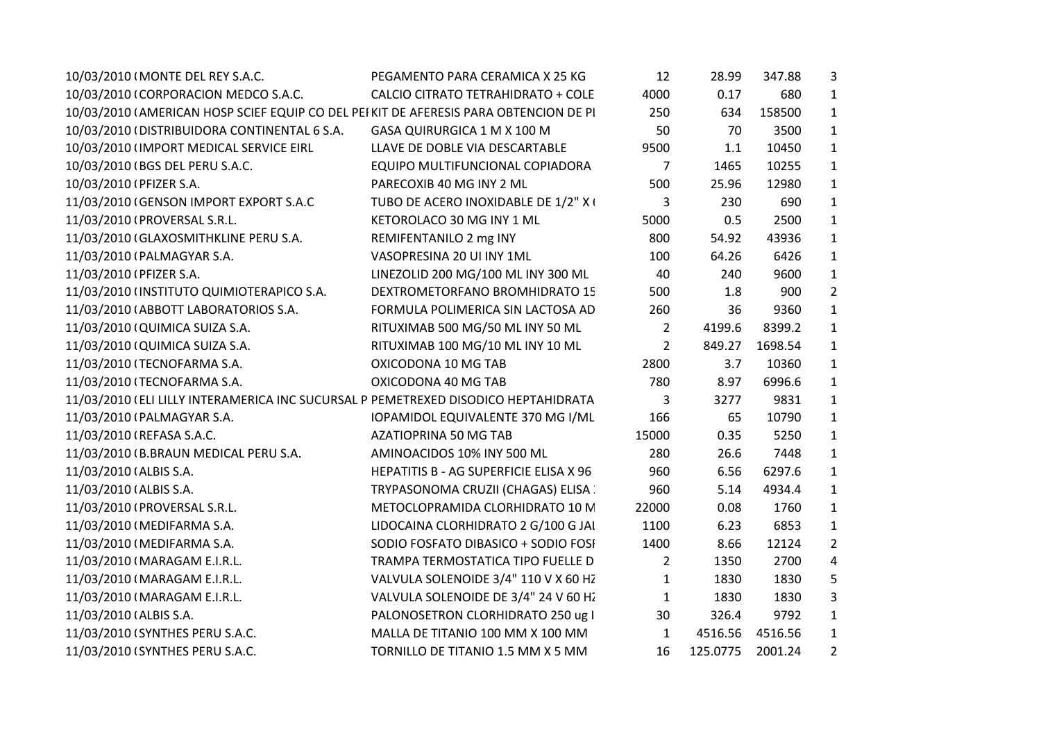| 10/03/2010 (MONTE DEL REY S.A.C.                                                      | PEGAMENTO PARA CERAMICA X 25 KG        | 12             | 28.99    | 347.88  | 3              |  |
|---------------------------------------------------------------------------------------|----------------------------------------|----------------|----------|---------|----------------|--|
| 10/03/2010 (CORPORACION MEDCO S.A.C.                                                  | CALCIO CITRATO TETRAHIDRATO + COLE     | 4000           | 0.17     | 680     | $\mathbf{1}$   |  |
| 10/03/2010 (AMERICAN HOSP SCIEF EQUIP CO DEL PEI KIT DE AFERESIS PARA OBTENCION DE PI |                                        | 250            | 634      | 158500  | $\mathbf{1}$   |  |
| 10/03/2010 (DISTRIBUIDORA CONTINENTAL 6 S.A.                                          | GASA QUIRURGICA 1 M X 100 M            | 50             | 70       | 3500    | 1              |  |
| 10/03/2010 (IMPORT MEDICAL SERVICE EIRL                                               | LLAVE DE DOBLE VIA DESCARTABLE         | 9500           | 1.1      | 10450   | $\mathbf{1}$   |  |
| 10/03/2010 (BGS DEL PERU S.A.C.                                                       | EQUIPO MULTIFUNCIONAL COPIADORA        | $\overline{7}$ | 1465     | 10255   | $\mathbf{1}$   |  |
| 10/03/2010 (PFIZER S.A.                                                               | PARECOXIB 40 MG INY 2 ML               | 500            | 25.96    | 12980   | $\mathbf{1}$   |  |
| 11/03/2010 (GENSON IMPORT EXPORT S.A.C                                                | TUBO DE ACERO INOXIDABLE DE 1/2" X I   | 3              | 230      | 690     | $\mathbf{1}$   |  |
| 11/03/2010 (PROVERSAL S.R.L.                                                          | KETOROLACO 30 MG INY 1 ML              | 5000           | 0.5      | 2500    | $\mathbf{1}$   |  |
| 11/03/2010 (GLAXOSMITHKLINE PERU S.A.                                                 | REMIFENTANILO 2 mg INY                 | 800            | 54.92    | 43936   | $\mathbf{1}$   |  |
| 11/03/2010 (PALMAGYAR S.A.                                                            | VASOPRESINA 20 UI INY 1ML              | 100            | 64.26    | 6426    | $\mathbf{1}$   |  |
| 11/03/2010 (PFIZER S.A.                                                               | LINEZOLID 200 MG/100 ML INY 300 ML     | 40             | 240      | 9600    | $\mathbf{1}$   |  |
| 11/03/2010 (INSTITUTO QUIMIOTERAPICO S.A.                                             | DEXTROMETORFANO BROMHIDRATO 15         | 500            | 1.8      | 900     | $\overline{2}$ |  |
| 11/03/2010 (ABBOTT LABORATORIOS S.A.                                                  | FORMULA POLIMERICA SIN LACTOSA AD      | 260            | 36       | 9360    | $\mathbf{1}$   |  |
| 11/03/2010 (QUIMICA SUIZA S.A.                                                        | RITUXIMAB 500 MG/50 ML INY 50 ML       | $\overline{2}$ | 4199.6   | 8399.2  | $\mathbf{1}$   |  |
| 11/03/2010 (QUIMICA SUIZA S.A.                                                        | RITUXIMAB 100 MG/10 ML INY 10 ML       | $\overline{2}$ | 849.27   | 1698.54 | $\mathbf{1}$   |  |
| 11/03/2010 (TECNOFARMA S.A.                                                           | OXICODONA 10 MG TAB                    | 2800           | 3.7      | 10360   | $\mathbf{1}$   |  |
| 11/03/2010 (TECNOFARMA S.A.                                                           | OXICODONA 40 MG TAB                    | 780            | 8.97     | 6996.6  | $\mathbf{1}$   |  |
| 11/03/2010 (ELI LILLY INTERAMERICA INC SUCURSAL P PEMETREXED DISODICO HEPTAHIDRATA    |                                        | 3              | 3277     | 9831    | $\mathbf{1}$   |  |
| 11/03/2010 (PALMAGYAR S.A.                                                            | IOPAMIDOL EQUIVALENTE 370 MG I/ML      | 166            | 65       | 10790   | $\mathbf{1}$   |  |
| 11/03/2010 (REFASA S.A.C.                                                             | AZATIOPRINA 50 MG TAB                  | 15000          | 0.35     | 5250    | $\mathbf{1}$   |  |
| 11/03/2010 (B.BRAUN MEDICAL PERU S.A.                                                 | AMINOACIDOS 10% INY 500 ML             | 280            | 26.6     | 7448    | $\mathbf{1}$   |  |
| 11/03/2010 (ALBIS S.A.                                                                | HEPATITIS B - AG SUPERFICIE ELISA X 96 | 960            | 6.56     | 6297.6  | $\mathbf{1}$   |  |
| 11/03/2010 (ALBIS S.A.                                                                | TRYPASONOMA CRUZII (CHAGAS) ELISA      | 960            | 5.14     | 4934.4  | $\mathbf{1}$   |  |
| 11/03/2010 (PROVERSAL S.R.L.                                                          | METOCLOPRAMIDA CLORHIDRATO 10 M        | 22000          | 0.08     | 1760    | $\mathbf{1}$   |  |
| 11/03/2010 (MEDIFARMA S.A.                                                            | LIDOCAINA CLORHIDRATO 2 G/100 G JAI    | 1100           | 6.23     | 6853    | $\mathbf{1}$   |  |
| 11/03/2010 (MEDIFARMA S.A.                                                            | SODIO FOSFATO DIBASICO + SODIO FOSI    | 1400           | 8.66     | 12124   | $\overline{2}$ |  |
| 11/03/2010 (MARAGAM E.I.R.L.                                                          | TRAMPA TERMOSTATICA TIPO FUELLE D      | $\overline{2}$ | 1350     | 2700    | 4              |  |
| 11/03/2010 (MARAGAM E.I.R.L.                                                          | VALVULA SOLENOIDE 3/4" 110 V X 60 HZ   | $\mathbf{1}$   | 1830     | 1830    | 5              |  |
| 11/03/2010 (MARAGAM E.I.R.L.                                                          | VALVULA SOLENOIDE DE 3/4" 24 V 60 HZ   | $\mathbf{1}$   | 1830     | 1830    | 3              |  |
| 11/03/2010 (ALBIS S.A.                                                                | PALONOSETRON CLORHIDRATO 250 ug I      | 30             | 326.4    | 9792    | 1              |  |
| 11/03/2010 (SYNTHES PERU S.A.C.                                                       | MALLA DE TITANIO 100 MM X 100 MM       | $\mathbf{1}$   | 4516.56  | 4516.56 | $\mathbf{1}$   |  |
| 11/03/2010 (SYNTHES PERU S.A.C.                                                       | TORNILLO DE TITANIO 1.5 MM X 5 MM      | 16             | 125.0775 | 2001.24 | $\overline{2}$ |  |
|                                                                                       |                                        |                |          |         |                |  |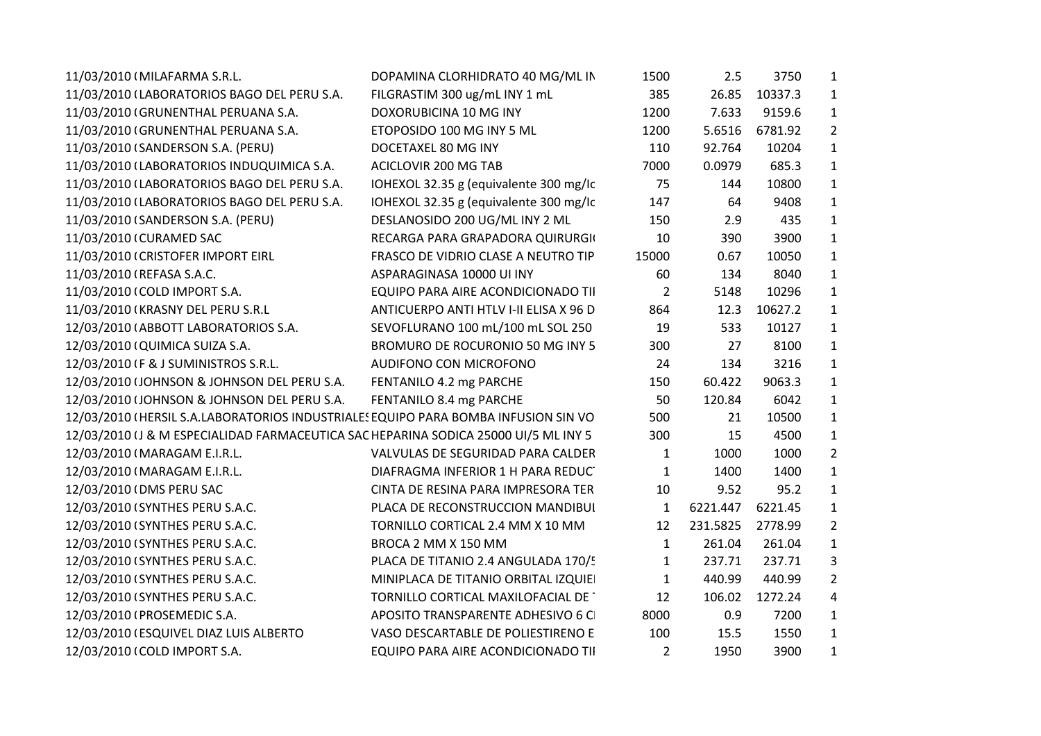| 11/03/2010 (MILAFARMA S.R.L.                                                        | DOPAMINA CLORHIDRATO 40 MG/ML IN       | 1500           | 2.5      | 3750    | $\mathbf{1}$   |
|-------------------------------------------------------------------------------------|----------------------------------------|----------------|----------|---------|----------------|
| 11/03/2010 (LABORATORIOS BAGO DEL PERU S.A.                                         | FILGRASTIM 300 ug/mL INY 1 mL          | 385            | 26.85    | 10337.3 | $\mathbf{1}$   |
| 11/03/2010 (GRUNENTHAL PERUANA S.A.                                                 | DOXORUBICINA 10 MG INY                 | 1200           | 7.633    | 9159.6  | $\mathbf{1}$   |
| 11/03/2010 (GRUNENTHAL PERUANA S.A.                                                 | ETOPOSIDO 100 MG INY 5 ML              | 1200           | 5.6516   | 6781.92 | $\overline{2}$ |
| 11/03/2010 (SANDERSON S.A. (PERU)                                                   | DOCETAXEL 80 MG INY                    | 110            | 92.764   | 10204   | $\mathbf{1}$   |
| 11/03/2010 (LABORATORIOS INDUQUIMICA S.A.                                           | ACICLOVIR 200 MG TAB                   | 7000           | 0.0979   | 685.3   | 1              |
| 11/03/2010 (LABORATORIOS BAGO DEL PERU S.A.                                         | IOHEXOL 32.35 g (equivalente 300 mg/lc | 75             | 144      | 10800   | $\mathbf{1}$   |
| 11/03/2010 (LABORATORIOS BAGO DEL PERU S.A.                                         | IOHEXOL 32.35 g (equivalente 300 mg/lc | 147            | 64       | 9408    | $\mathbf{1}$   |
| 11/03/2010 (SANDERSON S.A. (PERU)                                                   | DESLANOSIDO 200 UG/ML INY 2 ML         | 150            | 2.9      | 435     | $\mathbf{1}$   |
| 11/03/2010 (CURAMED SAC                                                             | RECARGA PARA GRAPADORA QUIRURGIO       | 10             | 390      | 3900    | $\mathbf{1}$   |
| 11/03/2010 (CRISTOFER IMPORT EIRL                                                   | FRASCO DE VIDRIO CLASE A NEUTRO TIP    | 15000          | 0.67     | 10050   | $\mathbf{1}$   |
| 11/03/2010 (REFASA S.A.C.                                                           | ASPARAGINASA 10000 UI INY              | 60             | 134      | 8040    | $\mathbf{1}$   |
| 11/03/2010 (COLD IMPORT S.A.                                                        | EQUIPO PARA AIRE ACONDICIONADO TII     | $\overline{2}$ | 5148     | 10296   | $\mathbf{1}$   |
| 11/03/2010 (KRASNY DEL PERU S.R.L                                                   | ANTICUERPO ANTI HTLV I-II ELISA X 96 D | 864            | 12.3     | 10627.2 | $\mathbf{1}$   |
| 12/03/2010 (ABBOTT LABORATORIOS S.A.                                                | SEVOFLURANO 100 mL/100 mL SOL 250      | 19             | 533      | 10127   | $\mathbf{1}$   |
| 12/03/2010 (QUIMICA SUIZA S.A.                                                      | BROMURO DE ROCURONIO 50 MG INY 5       | 300            | 27       | 8100    | $\mathbf{1}$   |
| 12/03/2010 IF & J SUMINISTROS S.R.L.                                                | AUDIFONO CON MICROFONO                 | 24             | 134      | 3216    | $\mathbf{1}$   |
| 12/03/2010 (JOHNSON & JOHNSON DEL PERU S.A.                                         | FENTANILO 4.2 mg PARCHE                | 150            | 60.422   | 9063.3  | $\mathbf{1}$   |
| 12/03/2010 (JOHNSON & JOHNSON DEL PERU S.A.                                         | FENTANILO 8.4 mg PARCHE                | 50             | 120.84   | 6042    | $\mathbf{1}$   |
| 12/03/2010 (HERSIL S.A.LABORATORIOS INDUSTRIALES EQUIPO PARA BOMBA INFUSION SIN VO  |                                        | 500            | 21       | 10500   | $\mathbf{1}$   |
| 12/03/2010 (J & M ESPECIALIDAD FARMACEUTICA SAC HEPARINA SODICA 25000 UI/5 ML INY 5 |                                        | 300            | 15       | 4500    | $\mathbf{1}$   |
| 12/03/2010 (MARAGAM E.I.R.L.                                                        | VALVULAS DE SEGURIDAD PARA CALDER      | $\mathbf{1}$   | 1000     | 1000    | $\overline{2}$ |
| 12/03/2010 (MARAGAM E.I.R.L.                                                        | DIAFRAGMA INFERIOR 1 H PARA REDUC      | $\mathbf{1}$   | 1400     | 1400    | $\mathbf{1}$   |
| 12/03/2010 (DMS PERU SAC                                                            | CINTA DE RESINA PARA IMPRESORA TER     | 10             | 9.52     | 95.2    | $\mathbf{1}$   |
| 12/03/2010 (SYNTHES PERU S.A.C.                                                     | PLACA DE RECONSTRUCCION MANDIBUI       | $\mathbf{1}$   | 6221.447 | 6221.45 | $\mathbf{1}$   |
| 12/03/2010 (SYNTHES PERU S.A.C.                                                     | TORNILLO CORTICAL 2.4 MM X 10 MM       | 12             | 231.5825 | 2778.99 | $\overline{2}$ |
| 12/03/2010 (SYNTHES PERU S.A.C.                                                     | BROCA 2 MM X 150 MM                    | $\mathbf{1}$   | 261.04   | 261.04  | $\mathbf{1}$   |
| 12/03/2010 (SYNTHES PERU S.A.C.                                                     | PLACA DE TITANIO 2.4 ANGULADA 170/5    | $\mathbf{1}$   | 237.71   | 237.71  | 3              |
| 12/03/2010 (SYNTHES PERU S.A.C.                                                     | MINIPLACA DE TITANIO ORBITAL IZQUIE    | $\mathbf{1}$   | 440.99   | 440.99  | $\overline{2}$ |
| 12/03/2010 (SYNTHES PERU S.A.C.                                                     | TORNILLO CORTICAL MAXILOFACIAL DE      | 12             | 106.02   | 1272.24 | 4              |
| 12/03/2010 (PROSEMEDIC S.A.                                                         | APOSITO TRANSPARENTE ADHESIVO 6 C      | 8000           | 0.9      | 7200    | $\mathbf{1}$   |
| 12/03/2010 (ESQUIVEL DIAZ LUIS ALBERTO                                              | VASO DESCARTABLE DE POLIESTIRENO E     | 100            | 15.5     | 1550    | $\mathbf{1}$   |
| 12/03/2010 (COLD IMPORT S.A.                                                        | EQUIPO PARA AIRE ACONDICIONADO TII     | $\overline{2}$ | 1950     | 3900    | $\mathbf{1}$   |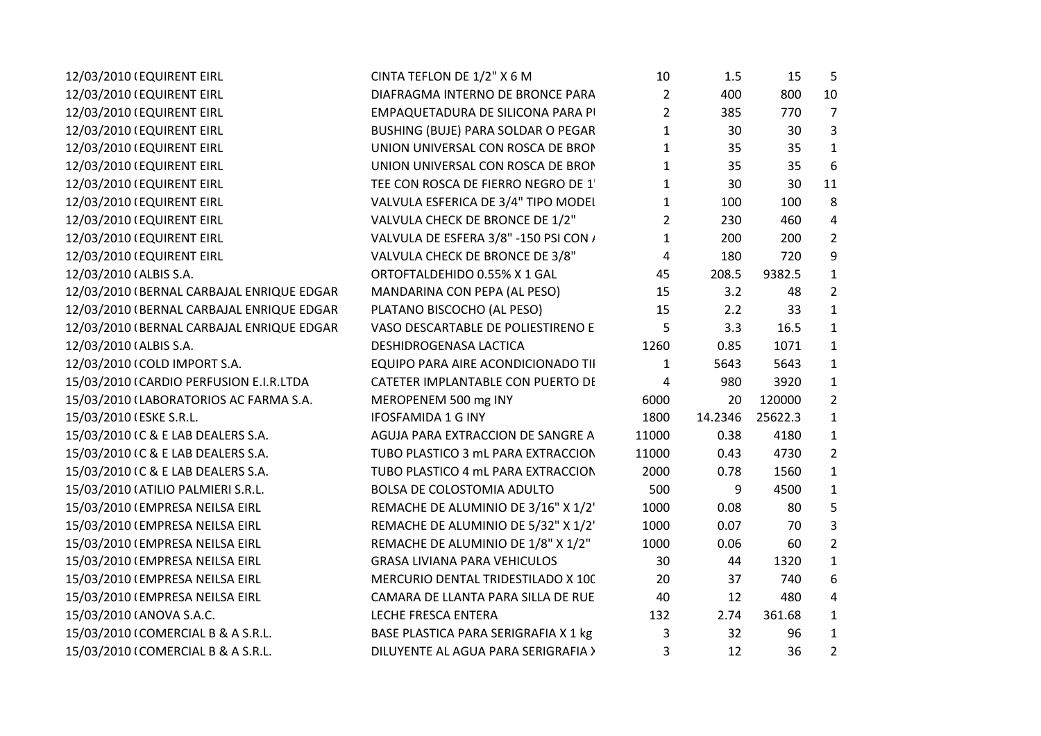| 12/03/2010 (EQUIRENT EIRL                 | CINTA TEFLON DE 1/2" X 6 M            | 10             | 1.5     | 15      | 5              |  |
|-------------------------------------------|---------------------------------------|----------------|---------|---------|----------------|--|
| 12/03/2010 (EQUIRENT EIRL                 | DIAFRAGMA INTERNO DE BRONCE PARA      | $\overline{2}$ | 400     | 800     | 10             |  |
| 12/03/2010 (EQUIRENT EIRL                 | EMPAQUETADURA DE SILICONA PARA PI     | $\overline{2}$ | 385     | 770     | $\overline{7}$ |  |
| 12/03/2010 (EQUIRENT EIRL                 | BUSHING (BUJE) PARA SOLDAR O PEGAR    | $\mathbf{1}$   | 30      | 30      | 3              |  |
| 12/03/2010 (EQUIRENT EIRL                 | UNION UNIVERSAL CON ROSCA DE BRON     | $\mathbf{1}$   | 35      | 35      | $\mathbf{1}$   |  |
| 12/03/2010 (EQUIRENT EIRL                 | UNION UNIVERSAL CON ROSCA DE BRON     | $\mathbf{1}$   | 35      | 35      | 6              |  |
| 12/03/2010 (EQUIRENT EIRL                 | TEE CON ROSCA DE FIERRO NEGRO DE 1    | $\mathbf{1}$   | 30      | 30      | 11             |  |
| 12/03/2010 (EQUIRENT EIRL                 | VALVULA ESFERICA DE 3/4" TIPO MODEI   | $\mathbf{1}$   | 100     | 100     | 8              |  |
| 12/03/2010 (EQUIRENT EIRL                 | VALVULA CHECK DE BRONCE DE 1/2"       | $\overline{2}$ | 230     | 460     | 4              |  |
| 12/03/2010 (EQUIRENT EIRL                 | VALVULA DE ESFERA 3/8" -150 PSI CON / | $\mathbf{1}$   | 200     | 200     | $\overline{2}$ |  |
| 12/03/2010 (EQUIRENT EIRL                 | VALVULA CHECK DE BRONCE DE 3/8"       | 4              | 180     | 720     | 9              |  |
| 12/03/2010 (ALBIS S.A.                    | ORTOFTALDEHIDO 0.55% X 1 GAL          | 45             | 208.5   | 9382.5  | $\mathbf{1}$   |  |
| 12/03/2010 (BERNAL CARBAJAL ENRIQUE EDGAR | MANDARINA CON PEPA (AL PESO)          | 15             | 3.2     | 48      | $\overline{2}$ |  |
| 12/03/2010 (BERNAL CARBAJAL ENRIQUE EDGAR | PLATANO BISCOCHO (AL PESO)            | 15             | 2.2     | 33      | $\mathbf{1}$   |  |
| 12/03/2010 (BERNAL CARBAJAL ENRIQUE EDGAR | VASO DESCARTABLE DE POLIESTIRENO E    | 5              | 3.3     | 16.5    | $\mathbf{1}$   |  |
| 12/03/2010 (ALBIS S.A.                    | DESHIDROGENASA LACTICA                | 1260           | 0.85    | 1071    | $\mathbf{1}$   |  |
| 12/03/2010 (COLD IMPORT S.A.              | EQUIPO PARA AIRE ACONDICIONADO TII    | $\mathbf{1}$   | 5643    | 5643    | $\mathbf{1}$   |  |
| 15/03/2010 (CARDIO PERFUSION E.I.R.LTDA   | CATETER IMPLANTABLE CON PUERTO DE     | 4              | 980     | 3920    | $\mathbf{1}$   |  |
| 15/03/2010 (LABORATORIOS AC FARMA S.A.    | MEROPENEM 500 mg INY                  | 6000           | 20      | 120000  | $\overline{2}$ |  |
| 15/03/2010 (ESKE S.R.L.                   | <b>IFOSFAMIDA 1 G INY</b>             | 1800           | 14.2346 | 25622.3 | $\mathbf{1}$   |  |
| 15/03/2010 IC & E LAB DEALERS S.A.        | AGUJA PARA EXTRACCION DE SANGRE A     | 11000          | 0.38    | 4180    | $\mathbf{1}$   |  |
| 15/03/2010 IC & E LAB DEALERS S.A.        | TUBO PLASTICO 3 mL PARA EXTRACCION    | 11000          | 0.43    | 4730    | $\overline{2}$ |  |
| 15/03/2010 (C & E LAB DEALERS S.A.        | TUBO PLASTICO 4 mL PARA EXTRACCION    | 2000           | 0.78    | 1560    | $\mathbf{1}$   |  |
| 15/03/2010 (ATILIO PALMIERI S.R.L.        | BOLSA DE COLOSTOMIA ADULTO            | 500            | 9       | 4500    | $\mathbf{1}$   |  |
| 15/03/2010 (EMPRESA NEILSA EIRL           | REMACHE DE ALUMINIO DE 3/16" X 1/2"   | 1000           | 0.08    | 80      | 5              |  |
| 15/03/2010 (EMPRESA NEILSA EIRL           | REMACHE DE ALUMINIO DE 5/32" X 1/2"   | 1000           | 0.07    | 70      | 3              |  |
| 15/03/2010 (EMPRESA NEILSA EIRL           | REMACHE DE ALUMINIO DE 1/8" X 1/2"    | 1000           | 0.06    | 60      | $\overline{2}$ |  |
| 15/03/2010 (EMPRESA NEILSA EIRL           | <b>GRASA LIVIANA PARA VEHICULOS</b>   | 30             | 44      | 1320    | $\mathbf{1}$   |  |
| 15/03/2010 (EMPRESA NEILSA EIRL           | MERCURIO DENTAL TRIDESTILADO X 100    | 20             | 37      | 740     | 6              |  |
| 15/03/2010 (EMPRESA NEILSA EIRL           | CAMARA DE LLANTA PARA SILLA DE RUE    | 40             | 12      | 480     | 4              |  |
| 15/03/2010 (ANOVA S.A.C.                  | LECHE FRESCA ENTERA                   | 132            | 2.74    | 361.68  | $\mathbf{1}$   |  |
| 15/03/2010 (COMERCIAL B & A S.R.L.        | BASE PLASTICA PARA SERIGRAFIA X 1 kg  | 3              | 32      | 96      | $\mathbf{1}$   |  |
| 15/03/2010 (COMERCIAL B & A S.R.L.        | DILUYENTE AL AGUA PARA SERIGRAFIA >   | 3              | 12      | 36      | $\overline{2}$ |  |
|                                           |                                       |                |         |         |                |  |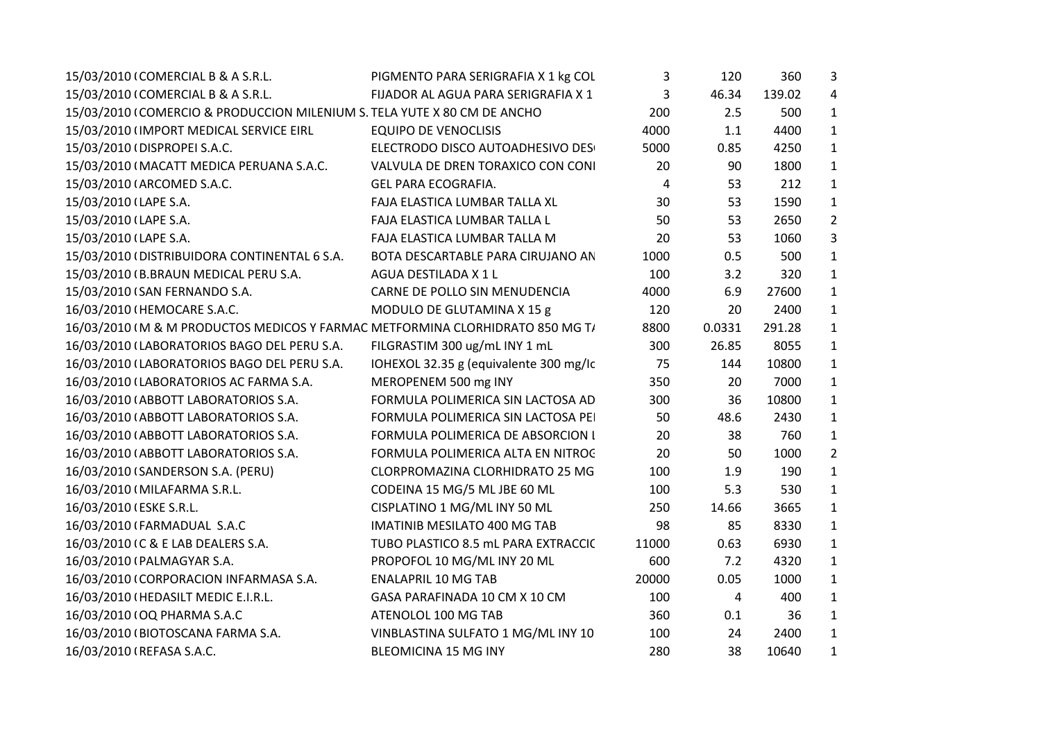| 15/03/2010 (COMERCIAL B & A S.R.L.<br>3<br>46.34<br>139.02<br>FIJADOR AL AGUA PARA SERIGRAFIA X 1<br>200<br>15/03/2010 (COMERCIO & PRODUCCION MILENIUM S. TELA YUTE X 80 CM DE ANCHO<br>2.5<br>500<br><b>EQUIPO DE VENOCLISIS</b><br>4000<br>1.1<br>4400<br>15/03/2010 (IMPORT MEDICAL SERVICE EIRL<br>15/03/2010 (DISPROPEI S.A.C.<br>ELECTRODO DISCO AUTOADHESIVO DES<br>5000<br>4250<br>0.85<br>15/03/2010 (MACATT MEDICA PERUANA S.A.C.<br>VALVULA DE DREN TORAXICO CON CONI<br>20<br>90<br>1800<br>212<br>15/03/2010 (ARCOMED S.A.C.<br><b>GEL PARA ECOGRAFIA.</b><br>4<br>53<br>15/03/2010 (LAPE S.A.<br>FAJA ELASTICA LUMBAR TALLA XL<br>30<br>53<br>1590<br>15/03/2010 (LAPE S.A.<br>2650<br>FAJA ELASTICA LUMBAR TALLA L<br>50<br>53<br>15/03/2010 (LAPE S.A.<br>FAJA ELASTICA LUMBAR TALLA M<br>20<br>53<br>1060<br>15/03/2010 (DISTRIBUIDORA CONTINENTAL 6 S.A.<br>0.5<br>500<br>BOTA DESCARTABLE PARA CIRUJANO AN<br>1000<br>100<br>3.2<br>15/03/2010 (B.BRAUN MEDICAL PERU S.A.<br>AGUA DESTILADA X 1 L<br>320<br>6.9<br>15/03/2010 (SAN FERNANDO S.A.<br>CARNE DE POLLO SIN MENUDENCIA<br>4000<br>27600<br>16/03/2010 (HEMOCARE S.A.C.<br>MODULO DE GLUTAMINA X 15 g<br>120<br>2400<br>20<br>16/03/2010 (M & M PRODUCTOS MEDICOS Y FARMAC METFORMINA CLORHIDRATO 850 MG T/<br>8800<br>0.0331<br>291.28<br>16/03/2010 (LABORATORIOS BAGO DEL PERU S.A.<br>FILGRASTIM 300 ug/mL INY 1 mL<br>300<br>26.85<br>8055<br>IOHEXOL 32.35 g (equivalente 300 mg/lc<br>75<br>10800<br>16/03/2010 (LABORATORIOS BAGO DEL PERU S.A.<br>144<br>MEROPENEM 500 mg INY<br>350<br>7000<br>16/03/2010 (LABORATORIOS AC FARMA S.A.<br>20<br>FORMULA POLIMERICA SIN LACTOSA AD<br>300<br>36<br>16/03/2010 (ABBOTT LABORATORIOS S.A.<br>10800<br>FORMULA POLIMERICA SIN LACTOSA PE<br>50<br>48.6<br>2430<br>16/03/2010 (ABBOTT LABORATORIOS S.A.<br>20<br>16/03/2010 (ABBOTT LABORATORIOS S.A.<br>FORMULA POLIMERICA DE ABSORCION I<br>38<br>760<br>16/03/2010 (ABBOTT LABORATORIOS S.A.<br>FORMULA POLIMERICA ALTA EN NITROC<br>20<br>50<br>1000<br>100<br>1.9<br>16/03/2010 (SANDERSON S.A. (PERU)<br>CLORPROMAZINA CLORHIDRATO 25 MG<br>190<br>CODEINA 15 MG/5 ML JBE 60 ML<br>100<br>5.3<br>530<br>16/03/2010 (MILAFARMA S.R.L.<br>16/03/2010 (ESKE S.R.L.<br>CISPLATINO 1 MG/ML INY 50 ML<br>250<br>14.66<br>3665<br>16/03/2010 (FARMADUAL S.A.C<br><b>IMATINIB MESILATO 400 MG TAB</b><br>98<br>85<br>8330<br>16/03/2010 IC & E LAB DEALERS S.A.<br>TUBO PLASTICO 8.5 mL PARA EXTRACCIC<br>11000<br>0.63<br>6930<br>16/03/2010 (PALMAGYAR S.A.<br>PROPOFOL 10 MG/ML INY 20 ML<br>600<br>7.2<br>4320<br><b>ENALAPRIL 10 MG TAB</b><br>20000<br>1000<br>16/03/2010 (CORPORACION INFARMASA S.A.<br>0.05<br>16/03/2010 (HEDASILT MEDIC E.I.R.L.<br>GASA PARAFINADA 10 CM X 10 CM<br>100<br>4<br>400<br>360<br>16/03/2010   OQ PHARMA S.A.C<br>ATENOLOL 100 MG TAB<br>36<br>0.1 | 15/03/2010 (COMERCIAL B & A S.R.L. | PIGMENTO PARA SERIGRAFIA X 1 kg COL | 3   | 120 | 360  | $\mathbf{3}$   |
|--------------------------------------------------------------------------------------------------------------------------------------------------------------------------------------------------------------------------------------------------------------------------------------------------------------------------------------------------------------------------------------------------------------------------------------------------------------------------------------------------------------------------------------------------------------------------------------------------------------------------------------------------------------------------------------------------------------------------------------------------------------------------------------------------------------------------------------------------------------------------------------------------------------------------------------------------------------------------------------------------------------------------------------------------------------------------------------------------------------------------------------------------------------------------------------------------------------------------------------------------------------------------------------------------------------------------------------------------------------------------------------------------------------------------------------------------------------------------------------------------------------------------------------------------------------------------------------------------------------------------------------------------------------------------------------------------------------------------------------------------------------------------------------------------------------------------------------------------------------------------------------------------------------------------------------------------------------------------------------------------------------------------------------------------------------------------------------------------------------------------------------------------------------------------------------------------------------------------------------------------------------------------------------------------------------------------------------------------------------------------------------------------------------------------------------------------------------------------------------------------------------------------------------------------------------------------------------------------------------------------------------------------------------------------------------------------------------------------------------------------------------------------------------------------------------------------------------------------------------------------|------------------------------------|-------------------------------------|-----|-----|------|----------------|
|                                                                                                                                                                                                                                                                                                                                                                                                                                                                                                                                                                                                                                                                                                                                                                                                                                                                                                                                                                                                                                                                                                                                                                                                                                                                                                                                                                                                                                                                                                                                                                                                                                                                                                                                                                                                                                                                                                                                                                                                                                                                                                                                                                                                                                                                                                                                                                                                                                                                                                                                                                                                                                                                                                                                                                                                                                                                          |                                    |                                     |     |     |      | $\overline{4}$ |
|                                                                                                                                                                                                                                                                                                                                                                                                                                                                                                                                                                                                                                                                                                                                                                                                                                                                                                                                                                                                                                                                                                                                                                                                                                                                                                                                                                                                                                                                                                                                                                                                                                                                                                                                                                                                                                                                                                                                                                                                                                                                                                                                                                                                                                                                                                                                                                                                                                                                                                                                                                                                                                                                                                                                                                                                                                                                          |                                    |                                     |     |     |      | $\mathbf{1}$   |
|                                                                                                                                                                                                                                                                                                                                                                                                                                                                                                                                                                                                                                                                                                                                                                                                                                                                                                                                                                                                                                                                                                                                                                                                                                                                                                                                                                                                                                                                                                                                                                                                                                                                                                                                                                                                                                                                                                                                                                                                                                                                                                                                                                                                                                                                                                                                                                                                                                                                                                                                                                                                                                                                                                                                                                                                                                                                          |                                    |                                     |     |     |      | $\mathbf{1}$   |
|                                                                                                                                                                                                                                                                                                                                                                                                                                                                                                                                                                                                                                                                                                                                                                                                                                                                                                                                                                                                                                                                                                                                                                                                                                                                                                                                                                                                                                                                                                                                                                                                                                                                                                                                                                                                                                                                                                                                                                                                                                                                                                                                                                                                                                                                                                                                                                                                                                                                                                                                                                                                                                                                                                                                                                                                                                                                          |                                    |                                     |     |     |      | $\mathbf{1}$   |
|                                                                                                                                                                                                                                                                                                                                                                                                                                                                                                                                                                                                                                                                                                                                                                                                                                                                                                                                                                                                                                                                                                                                                                                                                                                                                                                                                                                                                                                                                                                                                                                                                                                                                                                                                                                                                                                                                                                                                                                                                                                                                                                                                                                                                                                                                                                                                                                                                                                                                                                                                                                                                                                                                                                                                                                                                                                                          |                                    |                                     |     |     |      | $\mathbf{1}$   |
|                                                                                                                                                                                                                                                                                                                                                                                                                                                                                                                                                                                                                                                                                                                                                                                                                                                                                                                                                                                                                                                                                                                                                                                                                                                                                                                                                                                                                                                                                                                                                                                                                                                                                                                                                                                                                                                                                                                                                                                                                                                                                                                                                                                                                                                                                                                                                                                                                                                                                                                                                                                                                                                                                                                                                                                                                                                                          |                                    |                                     |     |     |      | $\mathbf{1}$   |
|                                                                                                                                                                                                                                                                                                                                                                                                                                                                                                                                                                                                                                                                                                                                                                                                                                                                                                                                                                                                                                                                                                                                                                                                                                                                                                                                                                                                                                                                                                                                                                                                                                                                                                                                                                                                                                                                                                                                                                                                                                                                                                                                                                                                                                                                                                                                                                                                                                                                                                                                                                                                                                                                                                                                                                                                                                                                          |                                    |                                     |     |     |      | $\mathbf{1}$   |
|                                                                                                                                                                                                                                                                                                                                                                                                                                                                                                                                                                                                                                                                                                                                                                                                                                                                                                                                                                                                                                                                                                                                                                                                                                                                                                                                                                                                                                                                                                                                                                                                                                                                                                                                                                                                                                                                                                                                                                                                                                                                                                                                                                                                                                                                                                                                                                                                                                                                                                                                                                                                                                                                                                                                                                                                                                                                          |                                    |                                     |     |     |      | $\overline{2}$ |
|                                                                                                                                                                                                                                                                                                                                                                                                                                                                                                                                                                                                                                                                                                                                                                                                                                                                                                                                                                                                                                                                                                                                                                                                                                                                                                                                                                                                                                                                                                                                                                                                                                                                                                                                                                                                                                                                                                                                                                                                                                                                                                                                                                                                                                                                                                                                                                                                                                                                                                                                                                                                                                                                                                                                                                                                                                                                          |                                    |                                     |     |     |      | $\overline{3}$ |
|                                                                                                                                                                                                                                                                                                                                                                                                                                                                                                                                                                                                                                                                                                                                                                                                                                                                                                                                                                                                                                                                                                                                                                                                                                                                                                                                                                                                                                                                                                                                                                                                                                                                                                                                                                                                                                                                                                                                                                                                                                                                                                                                                                                                                                                                                                                                                                                                                                                                                                                                                                                                                                                                                                                                                                                                                                                                          |                                    |                                     |     |     |      | $\mathbf{1}$   |
|                                                                                                                                                                                                                                                                                                                                                                                                                                                                                                                                                                                                                                                                                                                                                                                                                                                                                                                                                                                                                                                                                                                                                                                                                                                                                                                                                                                                                                                                                                                                                                                                                                                                                                                                                                                                                                                                                                                                                                                                                                                                                                                                                                                                                                                                                                                                                                                                                                                                                                                                                                                                                                                                                                                                                                                                                                                                          |                                    |                                     |     |     |      | $\mathbf{1}$   |
|                                                                                                                                                                                                                                                                                                                                                                                                                                                                                                                                                                                                                                                                                                                                                                                                                                                                                                                                                                                                                                                                                                                                                                                                                                                                                                                                                                                                                                                                                                                                                                                                                                                                                                                                                                                                                                                                                                                                                                                                                                                                                                                                                                                                                                                                                                                                                                                                                                                                                                                                                                                                                                                                                                                                                                                                                                                                          |                                    |                                     |     |     |      | $\mathbf{1}$   |
|                                                                                                                                                                                                                                                                                                                                                                                                                                                                                                                                                                                                                                                                                                                                                                                                                                                                                                                                                                                                                                                                                                                                                                                                                                                                                                                                                                                                                                                                                                                                                                                                                                                                                                                                                                                                                                                                                                                                                                                                                                                                                                                                                                                                                                                                                                                                                                                                                                                                                                                                                                                                                                                                                                                                                                                                                                                                          |                                    |                                     |     |     |      | $\mathbf{1}$   |
|                                                                                                                                                                                                                                                                                                                                                                                                                                                                                                                                                                                                                                                                                                                                                                                                                                                                                                                                                                                                                                                                                                                                                                                                                                                                                                                                                                                                                                                                                                                                                                                                                                                                                                                                                                                                                                                                                                                                                                                                                                                                                                                                                                                                                                                                                                                                                                                                                                                                                                                                                                                                                                                                                                                                                                                                                                                                          |                                    |                                     |     |     |      | $\mathbf{1}$   |
|                                                                                                                                                                                                                                                                                                                                                                                                                                                                                                                                                                                                                                                                                                                                                                                                                                                                                                                                                                                                                                                                                                                                                                                                                                                                                                                                                                                                                                                                                                                                                                                                                                                                                                                                                                                                                                                                                                                                                                                                                                                                                                                                                                                                                                                                                                                                                                                                                                                                                                                                                                                                                                                                                                                                                                                                                                                                          |                                    |                                     |     |     |      | $\mathbf{1}$   |
|                                                                                                                                                                                                                                                                                                                                                                                                                                                                                                                                                                                                                                                                                                                                                                                                                                                                                                                                                                                                                                                                                                                                                                                                                                                                                                                                                                                                                                                                                                                                                                                                                                                                                                                                                                                                                                                                                                                                                                                                                                                                                                                                                                                                                                                                                                                                                                                                                                                                                                                                                                                                                                                                                                                                                                                                                                                                          |                                    |                                     |     |     |      | $\mathbf{1}$   |
|                                                                                                                                                                                                                                                                                                                                                                                                                                                                                                                                                                                                                                                                                                                                                                                                                                                                                                                                                                                                                                                                                                                                                                                                                                                                                                                                                                                                                                                                                                                                                                                                                                                                                                                                                                                                                                                                                                                                                                                                                                                                                                                                                                                                                                                                                                                                                                                                                                                                                                                                                                                                                                                                                                                                                                                                                                                                          |                                    |                                     |     |     |      | $\mathbf{1}$   |
|                                                                                                                                                                                                                                                                                                                                                                                                                                                                                                                                                                                                                                                                                                                                                                                                                                                                                                                                                                                                                                                                                                                                                                                                                                                                                                                                                                                                                                                                                                                                                                                                                                                                                                                                                                                                                                                                                                                                                                                                                                                                                                                                                                                                                                                                                                                                                                                                                                                                                                                                                                                                                                                                                                                                                                                                                                                                          |                                    |                                     |     |     |      | $\mathbf{1}$   |
|                                                                                                                                                                                                                                                                                                                                                                                                                                                                                                                                                                                                                                                                                                                                                                                                                                                                                                                                                                                                                                                                                                                                                                                                                                                                                                                                                                                                                                                                                                                                                                                                                                                                                                                                                                                                                                                                                                                                                                                                                                                                                                                                                                                                                                                                                                                                                                                                                                                                                                                                                                                                                                                                                                                                                                                                                                                                          |                                    |                                     |     |     |      | $\mathbf{1}$   |
|                                                                                                                                                                                                                                                                                                                                                                                                                                                                                                                                                                                                                                                                                                                                                                                                                                                                                                                                                                                                                                                                                                                                                                                                                                                                                                                                                                                                                                                                                                                                                                                                                                                                                                                                                                                                                                                                                                                                                                                                                                                                                                                                                                                                                                                                                                                                                                                                                                                                                                                                                                                                                                                                                                                                                                                                                                                                          |                                    |                                     |     |     |      | $\mathbf{1}$   |
|                                                                                                                                                                                                                                                                                                                                                                                                                                                                                                                                                                                                                                                                                                                                                                                                                                                                                                                                                                                                                                                                                                                                                                                                                                                                                                                                                                                                                                                                                                                                                                                                                                                                                                                                                                                                                                                                                                                                                                                                                                                                                                                                                                                                                                                                                                                                                                                                                                                                                                                                                                                                                                                                                                                                                                                                                                                                          |                                    |                                     |     |     |      | $\overline{2}$ |
|                                                                                                                                                                                                                                                                                                                                                                                                                                                                                                                                                                                                                                                                                                                                                                                                                                                                                                                                                                                                                                                                                                                                                                                                                                                                                                                                                                                                                                                                                                                                                                                                                                                                                                                                                                                                                                                                                                                                                                                                                                                                                                                                                                                                                                                                                                                                                                                                                                                                                                                                                                                                                                                                                                                                                                                                                                                                          |                                    |                                     |     |     |      | $\mathbf{1}$   |
|                                                                                                                                                                                                                                                                                                                                                                                                                                                                                                                                                                                                                                                                                                                                                                                                                                                                                                                                                                                                                                                                                                                                                                                                                                                                                                                                                                                                                                                                                                                                                                                                                                                                                                                                                                                                                                                                                                                                                                                                                                                                                                                                                                                                                                                                                                                                                                                                                                                                                                                                                                                                                                                                                                                                                                                                                                                                          |                                    |                                     |     |     |      | $\mathbf{1}$   |
|                                                                                                                                                                                                                                                                                                                                                                                                                                                                                                                                                                                                                                                                                                                                                                                                                                                                                                                                                                                                                                                                                                                                                                                                                                                                                                                                                                                                                                                                                                                                                                                                                                                                                                                                                                                                                                                                                                                                                                                                                                                                                                                                                                                                                                                                                                                                                                                                                                                                                                                                                                                                                                                                                                                                                                                                                                                                          |                                    |                                     |     |     |      | $\mathbf{1}$   |
|                                                                                                                                                                                                                                                                                                                                                                                                                                                                                                                                                                                                                                                                                                                                                                                                                                                                                                                                                                                                                                                                                                                                                                                                                                                                                                                                                                                                                                                                                                                                                                                                                                                                                                                                                                                                                                                                                                                                                                                                                                                                                                                                                                                                                                                                                                                                                                                                                                                                                                                                                                                                                                                                                                                                                                                                                                                                          |                                    |                                     |     |     |      | $\mathbf{1}$   |
|                                                                                                                                                                                                                                                                                                                                                                                                                                                                                                                                                                                                                                                                                                                                                                                                                                                                                                                                                                                                                                                                                                                                                                                                                                                                                                                                                                                                                                                                                                                                                                                                                                                                                                                                                                                                                                                                                                                                                                                                                                                                                                                                                                                                                                                                                                                                                                                                                                                                                                                                                                                                                                                                                                                                                                                                                                                                          |                                    |                                     |     |     |      | $\mathbf{1}$   |
|                                                                                                                                                                                                                                                                                                                                                                                                                                                                                                                                                                                                                                                                                                                                                                                                                                                                                                                                                                                                                                                                                                                                                                                                                                                                                                                                                                                                                                                                                                                                                                                                                                                                                                                                                                                                                                                                                                                                                                                                                                                                                                                                                                                                                                                                                                                                                                                                                                                                                                                                                                                                                                                                                                                                                                                                                                                                          |                                    |                                     |     |     |      | $\mathbf{1}$   |
|                                                                                                                                                                                                                                                                                                                                                                                                                                                                                                                                                                                                                                                                                                                                                                                                                                                                                                                                                                                                                                                                                                                                                                                                                                                                                                                                                                                                                                                                                                                                                                                                                                                                                                                                                                                                                                                                                                                                                                                                                                                                                                                                                                                                                                                                                                                                                                                                                                                                                                                                                                                                                                                                                                                                                                                                                                                                          |                                    |                                     |     |     |      | $\mathbf{1}$   |
|                                                                                                                                                                                                                                                                                                                                                                                                                                                                                                                                                                                                                                                                                                                                                                                                                                                                                                                                                                                                                                                                                                                                                                                                                                                                                                                                                                                                                                                                                                                                                                                                                                                                                                                                                                                                                                                                                                                                                                                                                                                                                                                                                                                                                                                                                                                                                                                                                                                                                                                                                                                                                                                                                                                                                                                                                                                                          |                                    |                                     |     |     |      | $\mathbf{1}$   |
|                                                                                                                                                                                                                                                                                                                                                                                                                                                                                                                                                                                                                                                                                                                                                                                                                                                                                                                                                                                                                                                                                                                                                                                                                                                                                                                                                                                                                                                                                                                                                                                                                                                                                                                                                                                                                                                                                                                                                                                                                                                                                                                                                                                                                                                                                                                                                                                                                                                                                                                                                                                                                                                                                                                                                                                                                                                                          |                                    |                                     |     |     |      | $\mathbf{1}$   |
|                                                                                                                                                                                                                                                                                                                                                                                                                                                                                                                                                                                                                                                                                                                                                                                                                                                                                                                                                                                                                                                                                                                                                                                                                                                                                                                                                                                                                                                                                                                                                                                                                                                                                                                                                                                                                                                                                                                                                                                                                                                                                                                                                                                                                                                                                                                                                                                                                                                                                                                                                                                                                                                                                                                                                                                                                                                                          | 16/03/2010 (BIOTOSCANA FARMA S.A.  | VINBLASTINA SULFATO 1 MG/ML INY 10  | 100 | 24  | 2400 | $\mathbf{1}$   |
| <b>BLEOMICINA 15 MG INY</b><br>280<br>10640<br>16/03/2010 (REFASA S.A.C.<br>38                                                                                                                                                                                                                                                                                                                                                                                                                                                                                                                                                                                                                                                                                                                                                                                                                                                                                                                                                                                                                                                                                                                                                                                                                                                                                                                                                                                                                                                                                                                                                                                                                                                                                                                                                                                                                                                                                                                                                                                                                                                                                                                                                                                                                                                                                                                                                                                                                                                                                                                                                                                                                                                                                                                                                                                           |                                    |                                     |     |     |      | $\mathbf{1}$   |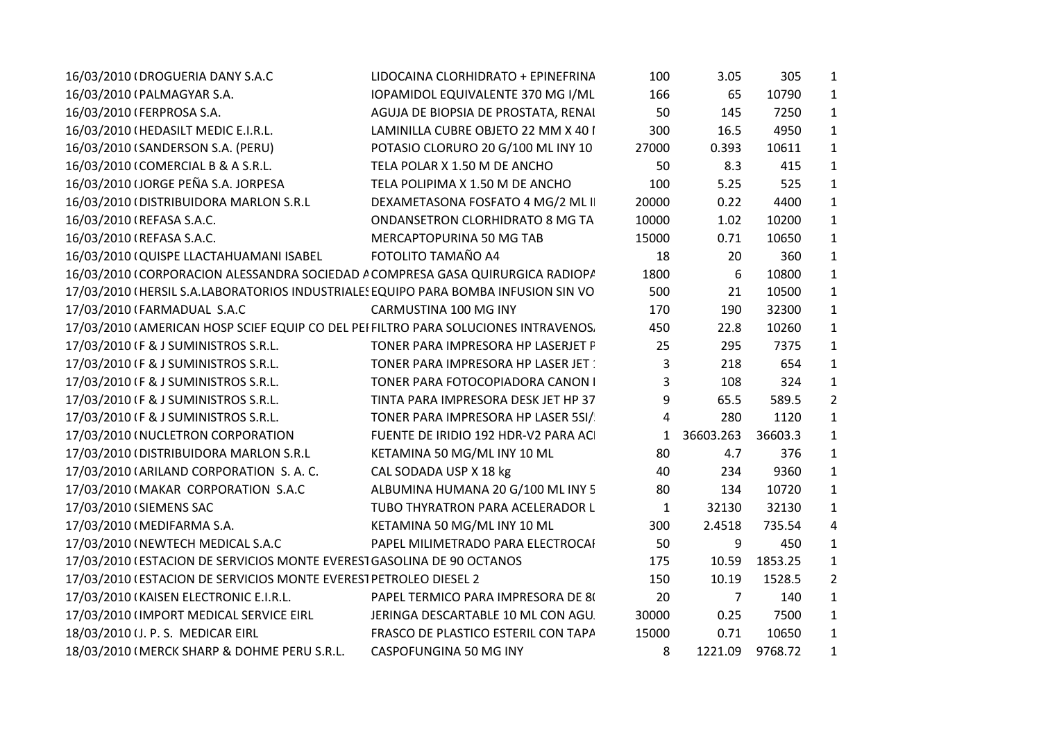| 16/03/2010 (DROGUERIA DANY S.A.C                                                    | LIDOCAINA CLORHIDRATO + EPINEFRINA   | 100          | 3.05      | 305     | $\mathbf{1}$   |  |
|-------------------------------------------------------------------------------------|--------------------------------------|--------------|-----------|---------|----------------|--|
| 16/03/2010 (PALMAGYAR S.A.                                                          | IOPAMIDOL EQUIVALENTE 370 MG I/ML    | 166          | 65        | 10790   | $\mathbf{1}$   |  |
| 16/03/2010 (FERPROSA S.A.                                                           | AGUJA DE BIOPSIA DE PROSTATA, RENAI  | 50           | 145       | 7250    | $\mathbf{1}$   |  |
| 16/03/2010 (HEDASILT MEDIC E.I.R.L.                                                 | LAMINILLA CUBRE OBJETO 22 MM X 40 I  | 300          | 16.5      | 4950    | $\mathbf{1}$   |  |
| 16/03/2010 (SANDERSON S.A. (PERU)                                                   | POTASIO CLORURO 20 G/100 ML INY 10   | 27000        | 0.393     | 10611   | $\mathbf{1}$   |  |
| 16/03/2010 (COMERCIAL B & A S.R.L.                                                  | TELA POLAR X 1.50 M DE ANCHO         | 50           | 8.3       | 415     | $\mathbf{1}$   |  |
| 16/03/2010 IJORGE PEÑA S.A. JORPESA                                                 | TELA POLIPIMA X 1.50 M DE ANCHO      | 100          | 5.25      | 525     | $\mathbf{1}$   |  |
| 16/03/2010 (DISTRIBUIDORA MARLON S.R.L                                              | DEXAMETASONA FOSFATO 4 MG/2 ML I     | 20000        | 0.22      | 4400    | $\mathbf{1}$   |  |
| 16/03/2010 (REFASA S.A.C.                                                           | ONDANSETRON CLORHIDRATO 8 MG TA      | 10000        | 1.02      | 10200   | $\mathbf{1}$   |  |
| 16/03/2010 (REFASA S.A.C.                                                           | MERCAPTOPURINA 50 MG TAB             | 15000        | 0.71      | 10650   | $\mathbf{1}$   |  |
| 16/03/2010 (QUISPE LLACTAHUAMANI ISABEL                                             | FOTOLITO TAMAÑO A4                   | 18           | 20        | 360     | $\mathbf{1}$   |  |
| 16/03/2010 (CORPORACION ALESSANDRA SOCIEDAD A COMPRESA GASA QUIRURGICA RADIOP/      |                                      | 1800         | 6         | 10800   | $\mathbf{1}$   |  |
| 17/03/2010 (HERSIL S.A.LABORATORIOS INDUSTRIALES EQUIPO PARA BOMBA INFUSION SIN VO  |                                      | 500          | 21        | 10500   | $\mathbf{1}$   |  |
| 17/03/2010 (FARMADUAL S.A.C                                                         | CARMUSTINA 100 MG INY                | 170          | 190       | 32300   | $\mathbf{1}$   |  |
| 17/03/2010 (AMERICAN HOSP SCIEF EQUIP CO DEL PEI FILTRO PARA SOLUCIONES INTRAVENOS. |                                      | 450          | 22.8      | 10260   | $\mathbf{1}$   |  |
| 17/03/2010 (F & J SUMINISTROS S.R.L.                                                | TONER PARA IMPRESORA HP LASERJET F   | 25           | 295       | 7375    | $\mathbf{1}$   |  |
| 17/03/2010 IF & J SUMINISTROS S.R.L.                                                | TONER PARA IMPRESORA HP LASER JET    | 3            | 218       | 654     | $\mathbf{1}$   |  |
| 17/03/2010 IF & J SUMINISTROS S.R.L.                                                | TONER PARA FOTOCOPIADORA CANON I     | 3            | 108       | 324     | $\mathbf{1}$   |  |
| 17/03/2010 IF & J SUMINISTROS S.R.L.                                                | TINTA PARA IMPRESORA DESK JET HP 37  | 9            | 65.5      | 589.5   | $\overline{2}$ |  |
| 17/03/2010 IF & J SUMINISTROS S.R.L.                                                | TONER PARA IMPRESORA HP LASER 5SI/   | 4            | 280       | 1120    | $\mathbf{1}$   |  |
| 17/03/2010 (NUCLETRON CORPORATION                                                   | FUENTE DE IRIDIO 192 HDR-V2 PARA ACI | $\mathbf{1}$ | 36603.263 | 36603.3 | $\mathbf{1}$   |  |
| 17/03/2010 (DISTRIBUIDORA MARLON S.R.L                                              | KETAMINA 50 MG/ML INY 10 ML          | 80           | 4.7       | 376     | $\mathbf{1}$   |  |
| 17/03/2010 (ARILAND CORPORATION S.A.C.                                              | CAL SODADA USP X 18 kg               | 40           | 234       | 9360    | $\mathbf{1}$   |  |
| 17/03/2010 (MAKAR CORPORATION S.A.C                                                 | ALBUMINA HUMANA 20 G/100 ML INY 5    | 80           | 134       | 10720   | $\mathbf{1}$   |  |
| 17/03/2010 (SIEMENS SAC                                                             | TUBO THYRATRON PARA ACELERADOR L     | 1            | 32130     | 32130   | $\mathbf{1}$   |  |
| 17/03/2010 (MEDIFARMA S.A.                                                          | KETAMINA 50 MG/ML INY 10 ML          | 300          | 2.4518    | 735.54  | 4              |  |
| 17/03/2010 (NEWTECH MEDICAL S.A.C                                                   | PAPEL MILIMETRADO PARA ELECTROCAI    | 50           | 9         | 450     | $\mathbf{1}$   |  |
| 17/03/2010 (ESTACION DE SERVICIOS MONTE EVERESTGASOLINA DE 90 OCTANOS               |                                      | 175          | 10.59     | 1853.25 | $\mathbf 1$    |  |
| 17/03/2010 (ESTACION DE SERVICIOS MONTE EVEREST PETROLEO DIESEL 2                   |                                      | 150          | 10.19     | 1528.5  | $\overline{2}$ |  |
| 17/03/2010 (KAISEN ELECTRONIC E.I.R.L.                                              | PAPEL TERMICO PARA IMPRESORA DE 80   | 20           | 7         | 140     | $\mathbf{1}$   |  |
| 17/03/2010 (IMPORT MEDICAL SERVICE EIRL                                             | JERINGA DESCARTABLE 10 ML CON AGU.   | 30000        | 0.25      | 7500    | $\mathbf{1}$   |  |
| 18/03/2010 (J. P. S. MEDICAR EIRL                                                   | FRASCO DE PLASTICO ESTERIL CON TAPA  | 15000        | 0.71      | 10650   | $\mathbf{1}$   |  |
| 18/03/2010 (MERCK SHARP & DOHME PERU S.R.L.                                         | CASPOFUNGINA 50 MG INY               | 8            | 1221.09   | 9768.72 | $\mathbf{1}$   |  |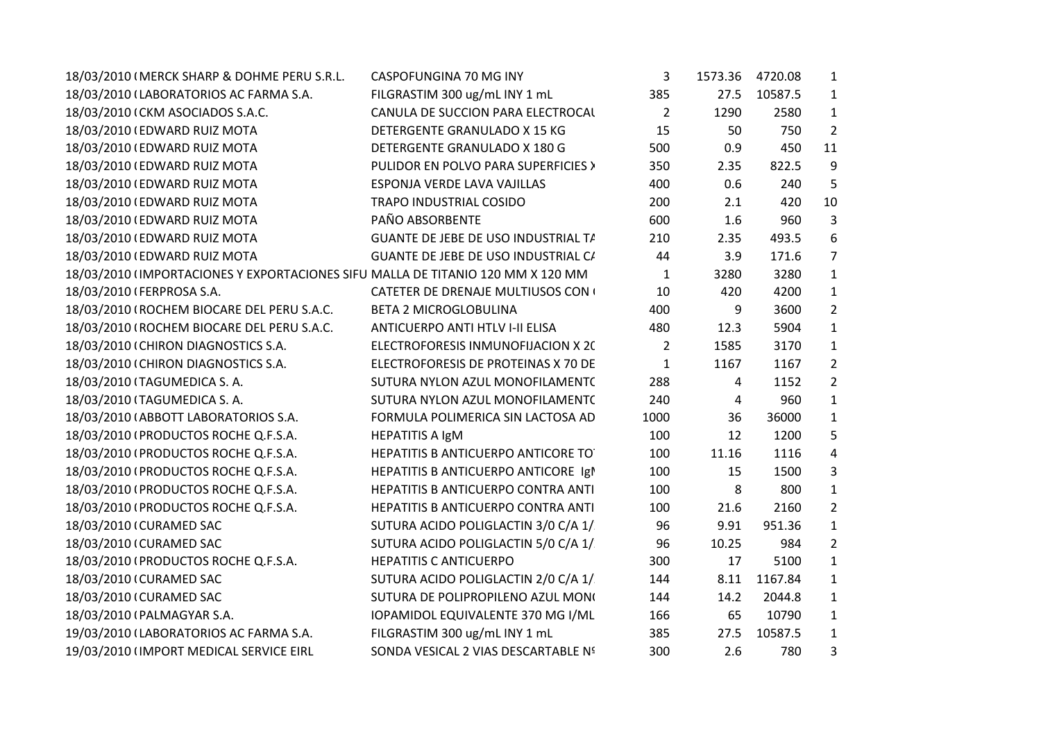| 18/03/2010 (MERCK SHARP & DOHME PERU S.R.L.                                     | CASPOFUNGINA 70 MG INY              | 3              |       | 1573.36 4720.08 | $\mathbf{1}$     |
|---------------------------------------------------------------------------------|-------------------------------------|----------------|-------|-----------------|------------------|
| 18/03/2010 (LABORATORIOS AC FARMA S.A.                                          | FILGRASTIM 300 ug/mL INY 1 mL       | 385            | 27.5  | 10587.5         | $\mathbf{1}$     |
| 18/03/2010 (CKM ASOCIADOS S.A.C.                                                | CANULA DE SUCCION PARA ELECTROCAL   | $\overline{2}$ | 1290  | 2580            | $\mathbf{1}$     |
| 18/03/2010 (EDWARD RUIZ MOTA                                                    | DETERGENTE GRANULADO X 15 KG        | 15             | 50    | 750             | $\overline{2}$   |
| 18/03/2010 (EDWARD RUIZ MOTA                                                    | DETERGENTE GRANULADO X 180 G        | 500            | 0.9   | 450             | 11               |
| 18/03/2010 (EDWARD RUIZ MOTA                                                    | PULIDOR EN POLVO PARA SUPERFICIES > | 350            | 2.35  | 822.5           | 9                |
| 18/03/2010 (EDWARD RUIZ MOTA                                                    | ESPONJA VERDE LAVA VAJILLAS         | 400            | 0.6   | 240             | 5                |
| 18/03/2010 (EDWARD RUIZ MOTA                                                    | TRAPO INDUSTRIAL COSIDO             | 200            | 2.1   | 420             | 10               |
| 18/03/2010 (EDWARD RUIZ MOTA                                                    | PAÑO ABSORBENTE                     | 600            | 1.6   | 960             | 3                |
| 18/03/2010 (EDWARD RUIZ MOTA                                                    | GUANTE DE JEBE DE USO INDUSTRIAL T/ | 210            | 2.35  | 493.5           | $\boldsymbol{6}$ |
| 18/03/2010 (EDWARD RUIZ MOTA                                                    | GUANTE DE JEBE DE USO INDUSTRIAL C/ | 44             | 3.9   | 171.6           | $\overline{7}$   |
| 18/03/2010 (IMPORTACIONES Y EXPORTACIONES SIFU MALLA DE TITANIO 120 MM X 120 MM |                                     | 1              | 3280  | 3280            | $\mathbf{1}$     |
| 18/03/2010 (FERPROSA S.A.                                                       | CATETER DE DRENAJE MULTIUSOS CON (  | 10             | 420   | 4200            | $\mathbf{1}$     |
| 18/03/2010 (ROCHEM BIOCARE DEL PERU S.A.C.                                      | <b>BETA 2 MICROGLOBULINA</b>        | 400            | 9     | 3600            | $\overline{2}$   |
| 18/03/2010 (ROCHEM BIOCARE DEL PERU S.A.C.                                      | ANTICUERPO ANTI HTLV I-II ELISA     | 480            | 12.3  | 5904            | $\mathbf{1}$     |
| 18/03/2010 (CHIRON DIAGNOSTICS S.A.                                             | ELECTROFORESIS INMUNOFIJACION X 20  | $\overline{2}$ | 1585  | 3170            | $\mathbf{1}$     |
| 18/03/2010 (CHIRON DIAGNOSTICS S.A.                                             | ELECTROFORESIS DE PROTEINAS X 70 DE | $\mathbf{1}$   | 1167  | 1167            | $\overline{2}$   |
| 18/03/2010 (TAGUMEDICA S.A.                                                     | SUTURA NYLON AZUL MONOFILAMENT(     | 288            | 4     | 1152            | $\overline{2}$   |
| 18/03/2010 (TAGUMEDICA S. A.                                                    | SUTURA NYLON AZUL MONOFILAMENT(     | 240            | 4     | 960             | $\mathbf 1$      |
| 18/03/2010 (ABBOTT LABORATORIOS S.A.                                            | FORMULA POLIMERICA SIN LACTOSA AD   | 1000           | 36    | 36000           | $\mathbf{1}$     |
| 18/03/2010 (PRODUCTOS ROCHE Q.F.S.A.                                            | <b>HEPATITIS A IgM</b>              | 100            | 12    | 1200            | 5                |
| 18/03/2010 (PRODUCTOS ROCHE Q.F.S.A.                                            | HEPATITIS B ANTICUERPO ANTICORE TO  | 100            | 11.16 | 1116            | 4                |
| 18/03/2010 (PRODUCTOS ROCHE Q.F.S.A.                                            | HEPATITIS B ANTICUERPO ANTICORE Igl | 100            | 15    | 1500            | 3                |
| 18/03/2010 (PRODUCTOS ROCHE Q.F.S.A.                                            | HEPATITIS B ANTICUERPO CONTRA ANTI  | 100            | 8     | 800             | $\mathbf{1}$     |
| 18/03/2010 (PRODUCTOS ROCHE Q.F.S.A.                                            | HEPATITIS B ANTICUERPO CONTRA ANTI  | 100            | 21.6  | 2160            | $\overline{2}$   |
| 18/03/2010 (CURAMED SAC                                                         | SUTURA ACIDO POLIGLACTIN 3/0 C/A 1/ | 96             | 9.91  | 951.36          | $\mathbf{1}$     |
| 18/03/2010 (CURAMED SAC                                                         | SUTURA ACIDO POLIGLACTIN 5/0 C/A 1/ | 96             | 10.25 | 984             | $\overline{2}$   |
| 18/03/2010 (PRODUCTOS ROCHE Q.F.S.A.                                            | <b>HEPATITIS C ANTICUERPO</b>       | 300            | 17    | 5100            | $\mathbf{1}$     |
| 18/03/2010 (CURAMED SAC                                                         | SUTURA ACIDO POLIGLACTIN 2/0 C/A 1/ | 144            | 8.11  | 1167.84         | $\mathbf{1}$     |
| 18/03/2010 (CURAMED SAC                                                         | SUTURA DE POLIPROPILENO AZUL MONO   | 144            | 14.2  | 2044.8          | $\mathbf{1}$     |
| 18/03/2010 (PALMAGYAR S.A.                                                      | IOPAMIDOL EQUIVALENTE 370 MG I/ML   | 166            | 65    | 10790           | $\mathbf{1}$     |
| 19/03/2010 (LABORATORIOS AC FARMA S.A.                                          | FILGRASTIM 300 ug/mL INY 1 mL       | 385            | 27.5  | 10587.5         | $\mathbf{1}$     |
| 19/03/2010 (IMPORT MEDICAL SERVICE EIRL                                         | SONDA VESICAL 2 VIAS DESCARTABLE Nº | 300            | 2.6   | 780             | 3                |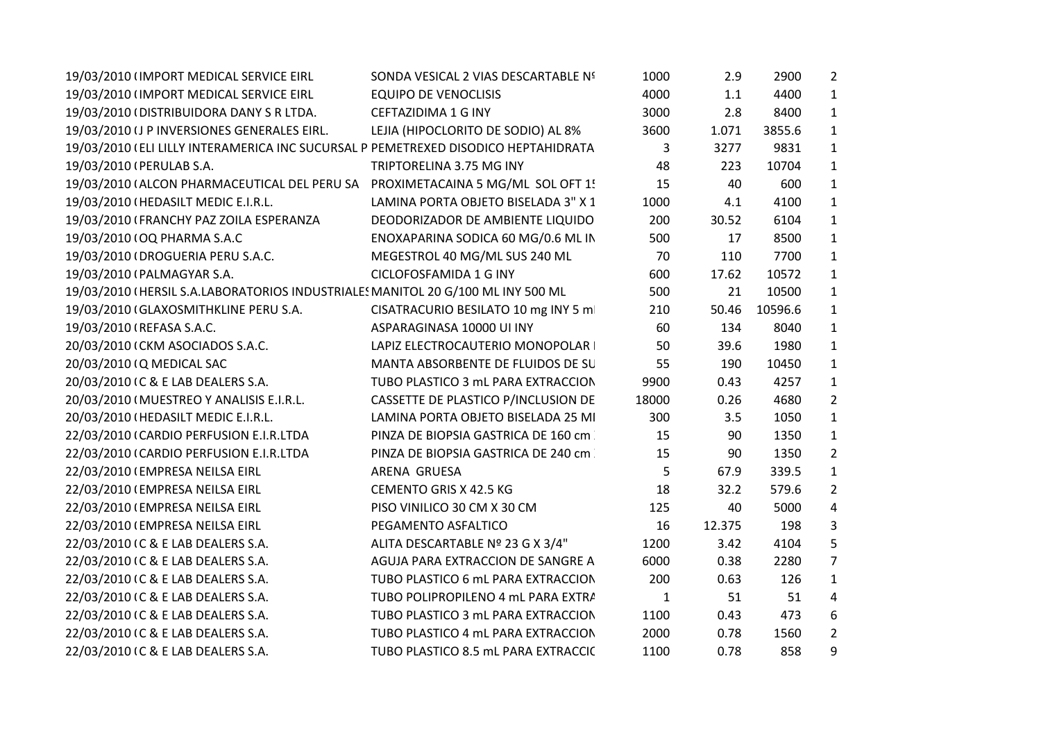| 19/03/2010 (IMPORT MEDICAL SERVICE EIRL                                            | SONDA VESICAL 2 VIAS DESCARTABLE Nº | 1000         | 2.9    | 2900    | $\overline{2}$ |  |
|------------------------------------------------------------------------------------|-------------------------------------|--------------|--------|---------|----------------|--|
| 19/03/2010 (IMPORT MEDICAL SERVICE EIRL                                            | <b>EQUIPO DE VENOCLISIS</b>         | 4000         | 1.1    | 4400    | 1              |  |
| 19/03/2010 (DISTRIBUIDORA DANY S R LTDA.                                           | CEFTAZIDIMA 1 G INY                 | 3000         | 2.8    | 8400    | $\mathbf{1}$   |  |
| 19/03/2010 (J P INVERSIONES GENERALES EIRL.                                        | LEJIA (HIPOCLORITO DE SODIO) AL 8%  | 3600         | 1.071  | 3855.6  | $\mathbf{1}$   |  |
| 19/03/2010 (ELI LILLY INTERAMERICA INC SUCURSAL P PEMETREXED DISODICO HEPTAHIDRATA |                                     | 3            | 3277   | 9831    | $\mathbf{1}$   |  |
| 19/03/2010 (PERULAB S.A.                                                           | TRIPTORELINA 3.75 MG INY            | 48           | 223    | 10704   | $\mathbf{1}$   |  |
| 19/03/2010 (ALCON PHARMACEUTICAL DEL PERU SA PROXIMETACAINA 5 MG/ML SOL OFT 1!     |                                     | 15           | 40     | 600     | 1              |  |
| 19/03/2010 (HEDASILT MEDIC E.I.R.L.                                                | LAMINA PORTA OBJETO BISELADA 3" X 1 | 1000         | 4.1    | 4100    | $\mathbf{1}$   |  |
| 19/03/2010 (FRANCHY PAZ ZOILA ESPERANZA                                            | DEODORIZADOR DE AMBIENTE LIQUIDO    | 200          | 30.52  | 6104    | $\mathbf{1}$   |  |
| 19/03/2010 (OQ PHARMA S.A.C                                                        | ENOXAPARINA SODICA 60 MG/0.6 ML IN  | 500          | 17     | 8500    | $\mathbf{1}$   |  |
| 19/03/2010 (DROGUERIA PERU S.A.C.                                                  | MEGESTROL 40 MG/ML SUS 240 ML       | 70           | 110    | 7700    | $\mathbf{1}$   |  |
| 19/03/2010 (PALMAGYAR S.A.                                                         | CICLOFOSFAMIDA 1 G INY              | 600          | 17.62  | 10572   | $\mathbf{1}$   |  |
| 19/03/2010 (HERSIL S.A.LABORATORIOS INDUSTRIALES MANITOL 20 G/100 ML INY 500 ML    |                                     | 500          | 21     | 10500   | $\mathbf{1}$   |  |
| 19/03/2010 (GLAXOSMITHKLINE PERU S.A.                                              | CISATRACURIO BESILATO 10 mg INY 5 m | 210          | 50.46  | 10596.6 | $\mathbf{1}$   |  |
| 19/03/2010 (REFASA S.A.C.                                                          | ASPARAGINASA 10000 UI INY           | 60           | 134    | 8040    | 1              |  |
| 20/03/2010 (CKM ASOCIADOS S.A.C.                                                   | LAPIZ ELECTROCAUTERIO MONOPOLAR     | 50           | 39.6   | 1980    | $\mathbf{1}$   |  |
| 20/03/2010 (Q MEDICAL SAC                                                          | MANTA ABSORBENTE DE FLUIDOS DE SU   | 55           | 190    | 10450   | $\mathbf{1}$   |  |
| 20/03/2010 IC & E LAB DEALERS S.A.                                                 | TUBO PLASTICO 3 mL PARA EXTRACCION  | 9900         | 0.43   | 4257    | $\mathbf{1}$   |  |
| 20/03/2010 (MUESTREO Y ANALISIS E.I.R.L.                                           | CASSETTE DE PLASTICO P/INCLUSION DE | 18000        | 0.26   | 4680    | $\overline{2}$ |  |
| 20/03/2010 (HEDASILT MEDIC E.I.R.L.                                                | LAMINA PORTA OBJETO BISELADA 25 MI  | 300          | 3.5    | 1050    | $\mathbf{1}$   |  |
| 22/03/2010 (CARDIO PERFUSION E.I.R.LTDA                                            | PINZA DE BIOPSIA GASTRICA DE 160 cm | 15           | 90     | 1350    | $\mathbf{1}$   |  |
| 22/03/2010 (CARDIO PERFUSION E.I.R.LTDA                                            | PINZA DE BIOPSIA GASTRICA DE 240 cm | 15           | 90     | 1350    | $\overline{2}$ |  |
| 22/03/2010 (EMPRESA NEILSA EIRL                                                    | ARENA GRUESA                        | 5            | 67.9   | 339.5   | $\mathbf{1}$   |  |
| 22/03/2010 (EMPRESA NEILSA EIRL                                                    | CEMENTO GRIS X 42.5 KG              | 18           | 32.2   | 579.6   | $\overline{2}$ |  |
| 22/03/2010 (EMPRESA NEILSA EIRL                                                    | PISO VINILICO 30 CM X 30 CM         | 125          | 40     | 5000    | 4              |  |
| 22/03/2010 (EMPRESA NEILSA EIRL                                                    | PEGAMENTO ASFALTICO                 | 16           | 12.375 | 198     | 3              |  |
| 22/03/2010 IC & E LAB DEALERS S.A.                                                 | ALITA DESCARTABLE Nº 23 G X 3/4"    | 1200         | 3.42   | 4104    | 5              |  |
| 22/03/2010 IC & E LAB DEALERS S.A.                                                 | AGUJA PARA EXTRACCION DE SANGRE A   | 6000         | 0.38   | 2280    | $\overline{7}$ |  |
| 22/03/2010 IC & E LAB DEALERS S.A.                                                 | TUBO PLASTICO 6 mL PARA EXTRACCION  | 200          | 0.63   | 126     | $\mathbf{1}$   |  |
| 22/03/2010 IC & E LAB DEALERS S.A.                                                 | TUBO POLIPROPILENO 4 mL PARA EXTRA  | $\mathbf{1}$ | 51     | 51      | 4              |  |
| 22/03/2010 IC & E LAB DEALERS S.A.                                                 | TUBO PLASTICO 3 mL PARA EXTRACCION  | 1100         | 0.43   | 473     | 6              |  |
| 22/03/2010 IC & E LAB DEALERS S.A.                                                 | TUBO PLASTICO 4 mL PARA EXTRACCION  | 2000         | 0.78   | 1560    | $\overline{2}$ |  |
| 22/03/2010 IC & E LAB DEALERS S.A.                                                 | TUBO PLASTICO 8.5 mL PARA EXTRACCIC | 1100         | 0.78   | 858     | 9              |  |
|                                                                                    |                                     |              |        |         |                |  |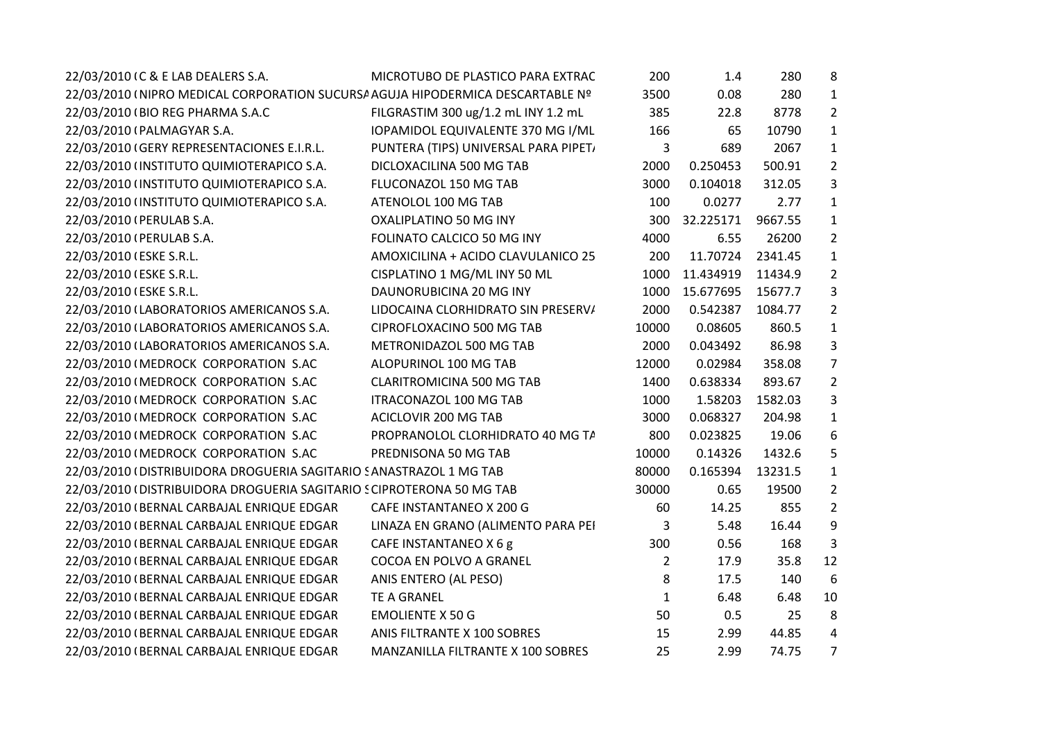| 22/03/2010 (C & E LAB DEALERS S.A.                                             | MICROTUBO DE PLASTICO PARA EXTRAC    | 200   | 1.4       | 280     | 8              |
|--------------------------------------------------------------------------------|--------------------------------------|-------|-----------|---------|----------------|
| 22/03/2010 (NIPRO MEDICAL CORPORATION SUCURSA AGUJA HIPODERMICA DESCARTABLE Nº |                                      | 3500  | 0.08      | 280     | $\mathbf{1}$   |
| 22/03/2010 (BIO REG PHARMA S.A.C                                               | FILGRASTIM 300 ug/1.2 mL INY 1.2 mL  | 385   | 22.8      | 8778    | $\overline{2}$ |
| 22/03/2010 (PALMAGYAR S.A.                                                     | IOPAMIDOL EQUIVALENTE 370 MG I/ML    | 166   | 65        | 10790   | $\mathbf{1}$   |
| 22/03/2010 (GERY REPRESENTACIONES E.I.R.L.                                     | PUNTERA (TIPS) UNIVERSAL PARA PIPET, | 3     | 689       | 2067    | 1              |
| 22/03/2010 (INSTITUTO QUIMIOTERAPICO S.A.                                      | DICLOXACILINA 500 MG TAB             | 2000  | 0.250453  | 500.91  | $\overline{2}$ |
| 22/03/2010 (INSTITUTO QUIMIOTERAPICO S.A.                                      | FLUCONAZOL 150 MG TAB                | 3000  | 0.104018  | 312.05  | 3              |
| 22/03/2010 (INSTITUTO QUIMIOTERAPICO S.A.                                      | ATENOLOL 100 MG TAB                  | 100   | 0.0277    | 2.77    | 1              |
| 22/03/2010 (PERULAB S.A.                                                       | OXALIPLATINO 50 MG INY               | 300   | 32.225171 | 9667.55 | 1              |
| 22/03/2010 (PERULAB S.A.                                                       | FOLINATO CALCICO 50 MG INY           | 4000  | 6.55      | 26200   | $\overline{2}$ |
| 22/03/2010 (ESKE S.R.L.                                                        | AMOXICILINA + ACIDO CLAVULANICO 25   | 200   | 11.70724  | 2341.45 | $\mathbf{1}$   |
| 22/03/2010 (ESKE S.R.L.                                                        | CISPLATINO 1 MG/ML INY 50 ML         | 1000  | 11.434919 | 11434.9 | $\overline{2}$ |
| 22/03/2010 (ESKE S.R.L.                                                        | DAUNORUBICINA 20 MG INY              | 1000  | 15.677695 | 15677.7 | 3              |
| 22/03/2010 (LABORATORIOS AMERICANOS S.A.                                       | LIDOCAINA CLORHIDRATO SIN PRESERV/   | 2000  | 0.542387  | 1084.77 | $\overline{2}$ |
| 22/03/2010 (LABORATORIOS AMERICANOS S.A.                                       | CIPROFLOXACINO 500 MG TAB            | 10000 | 0.08605   | 860.5   | $\mathbf{1}$   |
| 22/03/2010 (LABORATORIOS AMERICANOS S.A.                                       | METRONIDAZOL 500 MG TAB              | 2000  | 0.043492  | 86.98   | 3              |
| 22/03/2010 (MEDROCK CORPORATION S.AC                                           | ALOPURINOL 100 MG TAB                | 12000 | 0.02984   | 358.08  | $\overline{7}$ |
| 22/03/2010 (MEDROCK CORPORATION S.AC                                           | <b>CLARITROMICINA 500 MG TAB</b>     | 1400  | 0.638334  | 893.67  | $\overline{2}$ |
| 22/03/2010 (MEDROCK CORPORATION S.AC                                           | <b>ITRACONAZOL 100 MG TAB</b>        | 1000  | 1.58203   | 1582.03 | 3              |
| 22/03/2010 (MEDROCK CORPORATION S.AC                                           | ACICLOVIR 200 MG TAB                 | 3000  | 0.068327  | 204.98  | $\mathbf{1}$   |
| 22/03/2010 (MEDROCK CORPORATION S.AC                                           | PROPRANOLOL CLORHIDRATO 40 MG TA     | 800   | 0.023825  | 19.06   | 6              |
| 22/03/2010 (MEDROCK CORPORATION S.AC                                           | PREDNISONA 50 MG TAB                 | 10000 | 0.14326   | 1432.6  | 5              |
| 22/03/2010 (DISTRIBUIDORA DROGUERIA SAGITARIO SANASTRAZOL 1 MG TAB             |                                      | 80000 | 0.165394  | 13231.5 | 1              |
| 22/03/2010 (DISTRIBUIDORA DROGUERIA SAGITARIO SCIPROTERONA 50 MG TAB           |                                      | 30000 | 0.65      | 19500   | $\overline{2}$ |
| 22/03/2010 (BERNAL CARBAJAL ENRIQUE EDGAR                                      | CAFE INSTANTANEO X 200 G             | 60    | 14.25     | 855     | $\overline{2}$ |
| 22/03/2010 (BERNAL CARBAJAL ENRIQUE EDGAR                                      | LINAZA EN GRANO (ALIMENTO PARA PEI   | 3     | 5.48      | 16.44   | 9              |
| 22/03/2010 (BERNAL CARBAJAL ENRIQUE EDGAR                                      | CAFE INSTANTANEO X 6 g               | 300   | 0.56      | 168     | 3              |
| 22/03/2010 (BERNAL CARBAJAL ENRIQUE EDGAR                                      | COCOA EN POLVO A GRANEL              | 2     | 17.9      | 35.8    | 12             |
| 22/03/2010 (BERNAL CARBAJAL ENRIQUE EDGAR                                      | ANIS ENTERO (AL PESO)                | 8     | 17.5      | 140     | 6              |
| 22/03/2010 (BERNAL CARBAJAL ENRIQUE EDGAR                                      | <b>TE A GRANEL</b>                   | 1     | 6.48      | 6.48    | 10             |
| 22/03/2010 (BERNAL CARBAJAL ENRIQUE EDGAR                                      | <b>EMOLIENTE X 50 G</b>              | 50    | 0.5       | 25      | 8              |
| 22/03/2010 (BERNAL CARBAJAL ENRIQUE EDGAR                                      | ANIS FILTRANTE X 100 SOBRES          | 15    | 2.99      | 44.85   | 4              |
| 22/03/2010 (BERNAL CARBAJAL ENRIQUE EDGAR                                      | MANZANILLA FILTRANTE X 100 SOBRES    | 25    | 2.99      | 74.75   | $\overline{7}$ |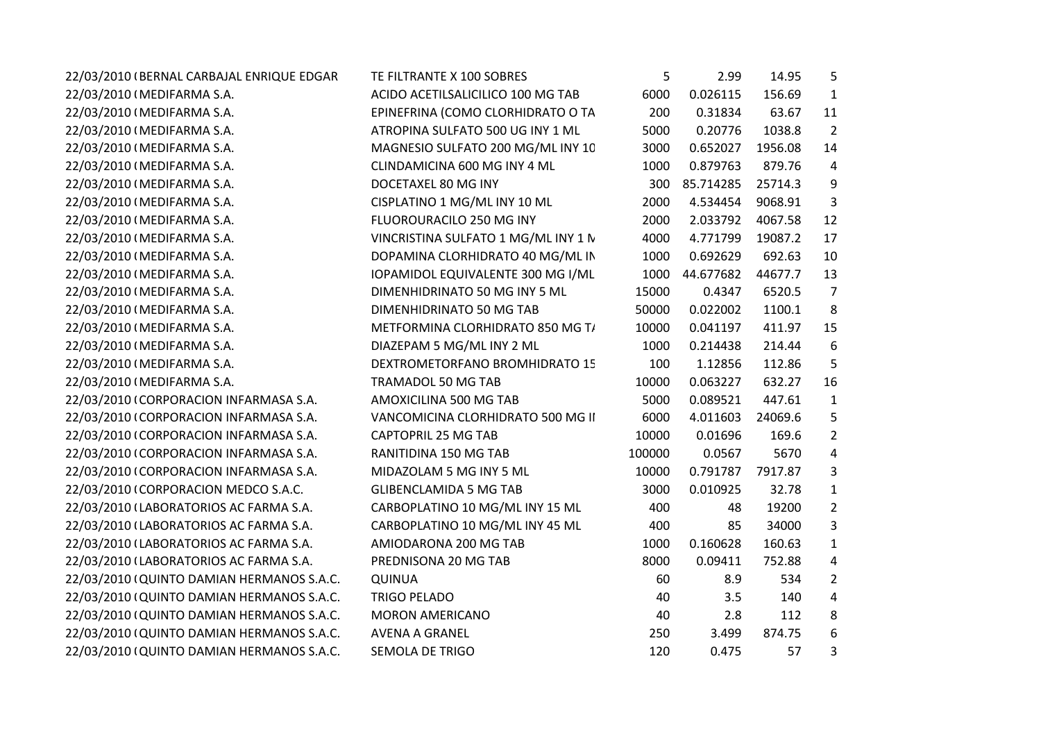| 22/03/2010 (BERNAL CARBAJAL ENRIQUE EDGAR | TE FILTRANTE X 100 SOBRES           | 5      | 2.99      | 14.95   | 5              |
|-------------------------------------------|-------------------------------------|--------|-----------|---------|----------------|
| 22/03/2010 (MEDIFARMA S.A.                | ACIDO ACETILSALICILICO 100 MG TAB   | 6000   | 0.026115  | 156.69  | $\mathbf{1}$   |
| 22/03/2010 (MEDIFARMA S.A.                | EPINEFRINA (COMO CLORHIDRATO O TA   | 200    | 0.31834   | 63.67   | 11             |
| 22/03/2010 (MEDIFARMA S.A.                | ATROPINA SULFATO 500 UG INY 1 ML    | 5000   | 0.20776   | 1038.8  | $\overline{2}$ |
| 22/03/2010 (MEDIFARMA S.A.                | MAGNESIO SULFATO 200 MG/ML INY 10   | 3000   | 0.652027  | 1956.08 | 14             |
| 22/03/2010 (MEDIFARMA S.A.                | CLINDAMICINA 600 MG INY 4 ML        | 1000   | 0.879763  | 879.76  | 4              |
| 22/03/2010 (MEDIFARMA S.A.                | DOCETAXEL 80 MG INY                 | 300    | 85.714285 | 25714.3 | 9              |
| 22/03/2010 (MEDIFARMA S.A.                | CISPLATINO 1 MG/ML INY 10 ML        | 2000   | 4.534454  | 9068.91 | 3              |
| 22/03/2010 (MEDIFARMA S.A.                | FLUOROURACILO 250 MG INY            | 2000   | 2.033792  | 4067.58 | 12             |
| 22/03/2010 (MEDIFARMA S.A.                | VINCRISTINA SULFATO 1 MG/ML INY 1 N | 4000   | 4.771799  | 19087.2 | 17             |
| 22/03/2010 (MEDIFARMA S.A.                | DOPAMINA CLORHIDRATO 40 MG/ML IN    | 1000   | 0.692629  | 692.63  | 10             |
| 22/03/2010 (MEDIFARMA S.A.                | IOPAMIDOL EQUIVALENTE 300 MG I/ML   | 1000   | 44.677682 | 44677.7 | 13             |
| 22/03/2010 (MEDIFARMA S.A.                | DIMENHIDRINATO 50 MG INY 5 ML       | 15000  | 0.4347    | 6520.5  | $\overline{7}$ |
| 22/03/2010 (MEDIFARMA S.A.                | DIMENHIDRINATO 50 MG TAB            | 50000  | 0.022002  | 1100.1  | 8              |
| 22/03/2010 (MEDIFARMA S.A.                | METFORMINA CLORHIDRATO 850 MG T/    | 10000  | 0.041197  | 411.97  | 15             |
| 22/03/2010 (MEDIFARMA S.A.                | DIAZEPAM 5 MG/ML INY 2 ML           | 1000   | 0.214438  | 214.44  | 6              |
| 22/03/2010 (MEDIFARMA S.A.                | DEXTROMETORFANO BROMHIDRATO 15      | 100    | 1.12856   | 112.86  | 5              |
| 22/03/2010 (MEDIFARMA S.A.                | TRAMADOL 50 MG TAB                  | 10000  | 0.063227  | 632.27  | 16             |
| 22/03/2010 (CORPORACION INFARMASA S.A.    | AMOXICILINA 500 MG TAB              | 5000   | 0.089521  | 447.61  | $\mathbf{1}$   |
| 22/03/2010 (CORPORACION INFARMASA S.A.    | VANCOMICINA CLORHIDRATO 500 MG II   | 6000   | 4.011603  | 24069.6 | 5              |
| 22/03/2010 (CORPORACION INFARMASA S.A.    | <b>CAPTOPRIL 25 MG TAB</b>          | 10000  | 0.01696   | 169.6   | $\overline{2}$ |
| 22/03/2010 (CORPORACION INFARMASA S.A.    | RANITIDINA 150 MG TAB               | 100000 | 0.0567    | 5670    | 4              |
| 22/03/2010 (CORPORACION INFARMASA S.A.    | MIDAZOLAM 5 MG INY 5 ML             | 10000  | 0.791787  | 7917.87 | $\overline{3}$ |
| 22/03/2010 (CORPORACION MEDCO S.A.C.      | <b>GLIBENCLAMIDA 5 MG TAB</b>       | 3000   | 0.010925  | 32.78   | $\mathbf{1}$   |
| 22/03/2010 (LABORATORIOS AC FARMA S.A.    | CARBOPLATINO 10 MG/ML INY 15 ML     | 400    | 48        | 19200   | $\overline{2}$ |
| 22/03/2010 (LABORATORIOS AC FARMA S.A.    | CARBOPLATINO 10 MG/ML INY 45 ML     | 400    | 85        | 34000   | 3              |
| 22/03/2010 (LABORATORIOS AC FARMA S.A.    | AMIODARONA 200 MG TAB               | 1000   | 0.160628  | 160.63  | $\mathbf{1}$   |
| 22/03/2010 (LABORATORIOS AC FARMA S.A.    | PREDNISONA 20 MG TAB                | 8000   | 0.09411   | 752.88  | 4              |
| 22/03/2010 (QUINTO DAMIAN HERMANOS S.A.C. | <b>QUINUA</b>                       | 60     | 8.9       | 534     | $\overline{2}$ |
| 22/03/2010 (QUINTO DAMIAN HERMANOS S.A.C. | <b>TRIGO PELADO</b>                 | 40     | 3.5       | 140     | $\overline{4}$ |
| 22/03/2010 (QUINTO DAMIAN HERMANOS S.A.C. | <b>MORON AMERICANO</b>              | 40     | 2.8       | 112     | 8              |
| 22/03/2010 (QUINTO DAMIAN HERMANOS S.A.C. | <b>AVENA A GRANEL</b>               | 250    | 3.499     | 874.75  | 6              |
| 22/03/2010 (QUINTO DAMIAN HERMANOS S.A.C. | <b>SEMOLA DE TRIGO</b>              | 120    | 0.475     | 57      | 3              |
|                                           |                                     |        |           |         |                |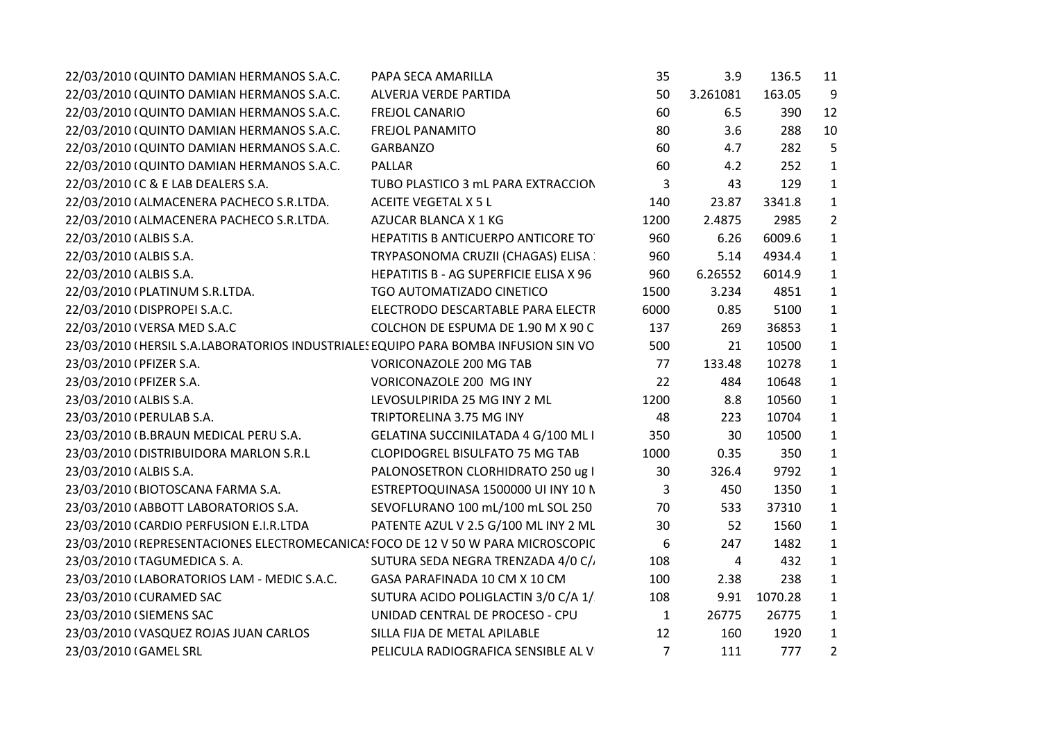| 22/03/2010 (QUINTO DAMIAN HERMANOS S.A.C.                                          | PAPA SECA AMARILLA                         | 35             | 3.9            | 136.5   | 11             |
|------------------------------------------------------------------------------------|--------------------------------------------|----------------|----------------|---------|----------------|
| 22/03/2010 (QUINTO DAMIAN HERMANOS S.A.C.                                          | ALVERJA VERDE PARTIDA                      | 50             | 3.261081       | 163.05  | 9              |
| 22/03/2010 (QUINTO DAMIAN HERMANOS S.A.C.                                          | <b>FREJOL CANARIO</b>                      | 60             | 6.5            | 390     | 12             |
| 22/03/2010 (QUINTO DAMIAN HERMANOS S.A.C.                                          | <b>FREJOL PANAMITO</b>                     | 80             | 3.6            | 288     | 10             |
| 22/03/2010 (QUINTO DAMIAN HERMANOS S.A.C.                                          | <b>GARBANZO</b>                            | 60             | 4.7            | 282     | 5              |
| 22/03/2010 (QUINTO DAMIAN HERMANOS S.A.C.                                          | PALLAR                                     | 60             | 4.2            | 252     | $\mathbf{1}$   |
| 22/03/2010 IC & E LAB DEALERS S.A.                                                 | TUBO PLASTICO 3 mL PARA EXTRACCION         | 3              | 43             | 129     | $\mathbf{1}$   |
| 22/03/2010 (ALMACENERA PACHECO S.R.LTDA.                                           | <b>ACEITE VEGETAL X 5 L</b>                | 140            | 23.87          | 3341.8  | $\mathbf{1}$   |
| 22/03/2010 (ALMACENERA PACHECO S.R.LTDA.                                           | AZUCAR BLANCA X 1 KG                       | 1200           | 2.4875         | 2985    | $\overline{2}$ |
| 22/03/2010 (ALBIS S.A.                                                             | HEPATITIS B ANTICUERPO ANTICORE TO         | 960            | 6.26           | 6009.6  | $\mathbf{1}$   |
| 22/03/2010 (ALBIS S.A.                                                             | TRYPASONOMA CRUZII (CHAGAS) ELISA          | 960            | 5.14           | 4934.4  | $\mathbf{1}$   |
| 22/03/2010 (ALBIS S.A.                                                             | HEPATITIS B - AG SUPERFICIE ELISA X 96     | 960            | 6.26552        | 6014.9  | $\mathbf{1}$   |
| 22/03/2010 (PLATINUM S.R.LTDA.                                                     | TGO AUTOMATIZADO CINETICO                  | 1500           | 3.234          | 4851    | $\mathbf{1}$   |
| 22/03/2010 (DISPROPEI S.A.C.                                                       | ELECTRODO DESCARTABLE PARA ELECTR          | 6000           | 0.85           | 5100    | $\mathbf{1}$   |
| 22/03/2010 (VERSA MED S.A.C                                                        | COLCHON DE ESPUMA DE 1.90 M X 90 C         | 137            | 269            | 36853   | $\mathbf{1}$   |
| 23/03/2010 (HERSIL S.A.LABORATORIOS INDUSTRIALES EQUIPO PARA BOMBA INFUSION SIN VO |                                            | 500            | 21             | 10500   | $\mathbf{1}$   |
| 23/03/2010 (PFIZER S.A.                                                            | <b>VORICONAZOLE 200 MG TAB</b>             | 77             | 133.48         | 10278   | $\mathbf{1}$   |
| 23/03/2010 (PFIZER S.A.                                                            | VORICONAZOLE 200 MG INY                    | 22             | 484            | 10648   | $\mathbf{1}$   |
| 23/03/2010 (ALBIS S.A.                                                             | LEVOSULPIRIDA 25 MG INY 2 ML               | 1200           | 8.8            | 10560   | $\mathbf{1}$   |
| 23/03/2010 (PERULAB S.A.                                                           | TRIPTORELINA 3.75 MG INY                   | 48             | 223            | 10704   | $\mathbf{1}$   |
| 23/03/2010 (B.BRAUN MEDICAL PERU S.A.                                              | <b>GELATINA SUCCINILATADA 4 G/100 ML I</b> | 350            | 30             | 10500   | $\mathbf{1}$   |
| 23/03/2010 (DISTRIBUIDORA MARLON S.R.L                                             | <b>CLOPIDOGREL BISULFATO 75 MG TAB</b>     | 1000           | 0.35           | 350     | $\mathbf{1}$   |
| 23/03/2010 (ALBIS S.A.                                                             | PALONOSETRON CLORHIDRATO 250 ug I          | 30             | 326.4          | 9792    | $\mathbf{1}$   |
| 23/03/2010 (BIOTOSCANA FARMA S.A.                                                  | ESTREPTOQUINASA 1500000 UI INY 10 N        | 3              | 450            | 1350    | $\mathbf{1}$   |
| 23/03/2010 (ABBOTT LABORATORIOS S.A.                                               | SEVOFLURANO 100 mL/100 mL SOL 250          | 70             | 533            | 37310   | $\mathbf{1}$   |
| 23/03/2010 (CARDIO PERFUSION E.I.R.LTDA                                            | PATENTE AZUL V 2.5 G/100 ML INY 2 ML       | 30             | 52             | 1560    | $\mathbf{1}$   |
| 23/03/2010 (REPRESENTACIONES ELECTROMECANICAS FOCO DE 12 V 50 W PARA MICROSCOPIC   |                                            | 6              | 247            | 1482    | $\mathbf{1}$   |
| 23/03/2010 (TAGUMEDICA S. A.                                                       | SUTURA SEDA NEGRA TRENZADA 4/0 C/.         | 108            | $\overline{4}$ | 432     | $\mathbf{1}$   |
| 23/03/2010 (LABORATORIOS LAM - MEDIC S.A.C.                                        | GASA PARAFINADA 10 CM X 10 CM              | 100            | 2.38           | 238     | $\mathbf{1}$   |
| 23/03/2010 (CURAMED SAC                                                            | SUTURA ACIDO POLIGLACTIN 3/0 C/A 1/        | 108            | 9.91           | 1070.28 | $\mathbf{1}$   |
| 23/03/2010 (SIEMENS SAC                                                            | UNIDAD CENTRAL DE PROCESO - CPU            | $\mathbf{1}$   | 26775          | 26775   | $\mathbf{1}$   |
| 23/03/2010 (VASQUEZ ROJAS JUAN CARLOS                                              | SILLA FIJA DE METAL APILABLE               | 12             | 160            | 1920    | $\mathbf{1}$   |
| 23/03/2010 (GAMEL SRL                                                              | PELICULA RADIOGRAFICA SENSIBLE AL V        | $\overline{7}$ | 111            | 777     | $\overline{2}$ |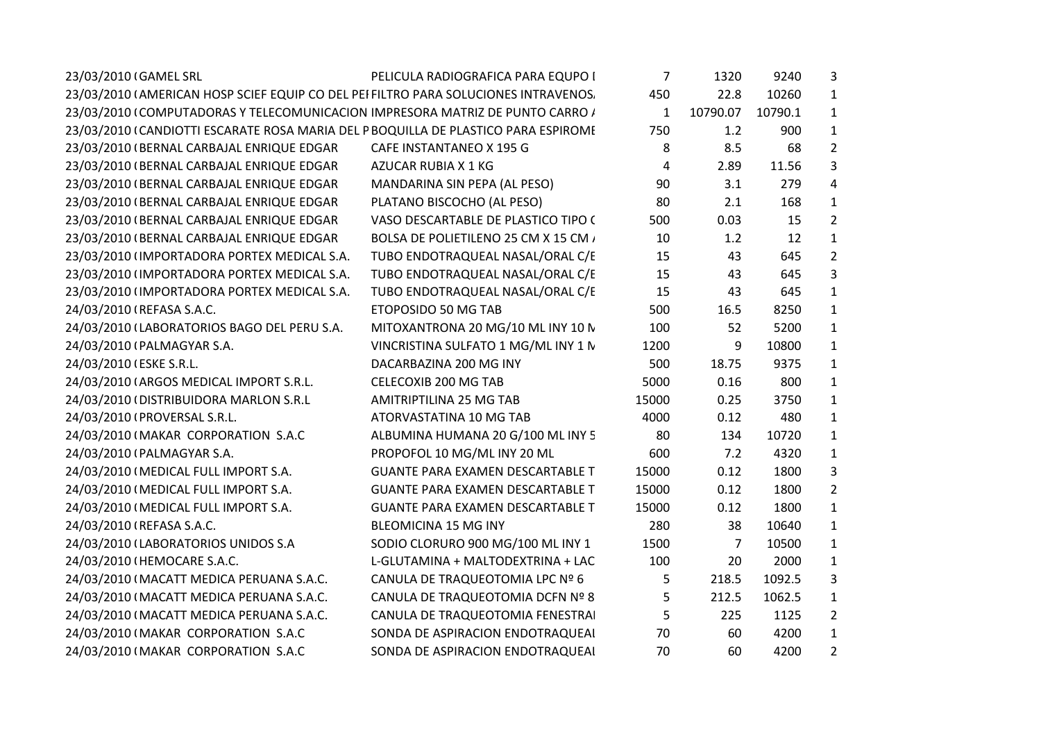| 23/03/2010 (GAMEL SRL                                                               | PELICULA RADIOGRAFICA PARA EQUPO I      | 7            | 1320     | 9240    | 3              |
|-------------------------------------------------------------------------------------|-----------------------------------------|--------------|----------|---------|----------------|
| 23/03/2010 (AMERICAN HOSP SCIEF EQUIP CO DEL PEI FILTRO PARA SOLUCIONES INTRAVENOS. |                                         | 450          | 22.8     | 10260   | $\mathbf{1}$   |
| 23/03/2010 (COMPUTADORAS Y TELECOMUNICACION IMPRESORA MATRIZ DE PUNTO CARRO /       |                                         | $\mathbf{1}$ | 10790.07 | 10790.1 | $\mathbf{1}$   |
| 23/03/2010 (CANDIOTTI ESCARATE ROSA MARIA DEL PBOQUILLA DE PLASTICO PARA ESPIROMI   |                                         | 750          | 1.2      | 900     | $\mathbf{1}$   |
| 23/03/2010 (BERNAL CARBAJAL ENRIQUE EDGAR                                           | CAFE INSTANTANEO X 195 G                | 8            | 8.5      | 68      | $\overline{2}$ |
| 23/03/2010 (BERNAL CARBAJAL ENRIQUE EDGAR                                           | AZUCAR RUBIA X 1 KG                     | 4            | 2.89     | 11.56   | 3              |
| 23/03/2010 (BERNAL CARBAJAL ENRIQUE EDGAR                                           | MANDARINA SIN PEPA (AL PESO)            | 90           | 3.1      | 279     | 4              |
| 23/03/2010 (BERNAL CARBAJAL ENRIQUE EDGAR                                           | PLATANO BISCOCHO (AL PESO)              | 80           | 2.1      | 168     | $\mathbf{1}$   |
| 23/03/2010 (BERNAL CARBAJAL ENRIQUE EDGAR                                           | VASO DESCARTABLE DE PLASTICO TIPO (     | 500          | 0.03     | 15      | $\overline{2}$ |
| 23/03/2010 (BERNAL CARBAJAL ENRIQUE EDGAR                                           | BOLSA DE POLIETILENO 25 CM X 15 CM /    | 10           | 1.2      | 12      | $\mathbf{1}$   |
| 23/03/2010 (IMPORTADORA PORTEX MEDICAL S.A.                                         | TUBO ENDOTRAQUEAL NASAL/ORAL C/E        | 15           | 43       | 645     | $\overline{2}$ |
| 23/03/2010 (IMPORTADORA PORTEX MEDICAL S.A.                                         | TUBO ENDOTRAQUEAL NASAL/ORAL C/E        | 15           | 43       | 645     | 3              |
| 23/03/2010 (IMPORTADORA PORTEX MEDICAL S.A.                                         | TUBO ENDOTRAQUEAL NASAL/ORAL C/E        | 15           | 43       | 645     | $\mathbf{1}$   |
| 24/03/2010 (REFASA S.A.C.                                                           | ETOPOSIDO 50 MG TAB                     | 500          | 16.5     | 8250    | $\mathbf{1}$   |
| 24/03/2010 (LABORATORIOS BAGO DEL PERU S.A.                                         | MITOXANTRONA 20 MG/10 ML INY 10 N       | 100          | 52       | 5200    | $\mathbf{1}$   |
| 24/03/2010 (PALMAGYAR S.A.                                                          | VINCRISTINA SULFATO 1 MG/ML INY 1 N     | 1200         | 9        | 10800   | $\mathbf{1}$   |
| 24/03/2010 (ESKE S.R.L.                                                             | DACARBAZINA 200 MG INY                  | 500          | 18.75    | 9375    | $\mathbf{1}$   |
| 24/03/2010 (ARGOS MEDICAL IMPORT S.R.L.                                             | CELECOXIB 200 MG TAB                    | 5000         | 0.16     | 800     | $\mathbf{1}$   |
| 24/03/2010 (DISTRIBUIDORA MARLON S.R.L                                              | AMITRIPTILINA 25 MG TAB                 | 15000        | 0.25     | 3750    | $\mathbf{1}$   |
| 24/03/2010 (PROVERSAL S.R.L.                                                        | ATORVASTATINA 10 MG TAB                 | 4000         | 0.12     | 480     | $\mathbf{1}$   |
| 24/03/2010 (MAKAR CORPORATION S.A.C                                                 | ALBUMINA HUMANA 20 G/100 ML INY 5       | 80           | 134      | 10720   | $\mathbf{1}$   |
| 24/03/2010 (PALMAGYAR S.A.                                                          | PROPOFOL 10 MG/ML INY 20 ML             | 600          | 7.2      | 4320    | $\mathbf{1}$   |
| 24/03/2010 (MEDICAL FULL IMPORT S.A.                                                | <b>GUANTE PARA EXAMEN DESCARTABLE T</b> | 15000        | 0.12     | 1800    | 3              |
| 24/03/2010 (MEDICAL FULL IMPORT S.A.                                                | <b>GUANTE PARA EXAMEN DESCARTABLE T</b> | 15000        | 0.12     | 1800    | $2^{\circ}$    |
| 24/03/2010 (MEDICAL FULL IMPORT S.A.                                                | <b>GUANTE PARA EXAMEN DESCARTABLE T</b> | 15000        | 0.12     | 1800    | $\mathbf{1}$   |
| 24/03/2010 (REFASA S.A.C.                                                           | <b>BLEOMICINA 15 MG INY</b>             | 280          | 38       | 10640   | $\mathbf{1}$   |
| 24/03/2010 (LABORATORIOS UNIDOS S.A                                                 | SODIO CLORURO 900 MG/100 ML INY 1       | 1500         | 7        | 10500   | $\mathbf{1}$   |
| 24/03/2010 (HEMOCARE S.A.C.                                                         | L-GLUTAMINA + MALTODEXTRINA + LAC       | 100          | 20       | 2000    | $\mathbf{1}$   |
| 24/03/2010 (MACATT MEDICA PERUANA S.A.C.                                            | CANULA DE TRAQUEOTOMIA LPC Nº 6         | 5            | 218.5    | 1092.5  | 3              |
| 24/03/2010 (MACATT MEDICA PERUANA S.A.C.                                            | CANULA DE TRAQUEOTOMIA DCFN Nº 8        | 5            | 212.5    | 1062.5  | $\mathbf{1}$   |
| 24/03/2010 IMACATT MEDICA PERUANA S.A.C.                                            | CANULA DE TRAQUEOTOMIA FENESTRAI        | 5            | 225      | 1125    | $\overline{2}$ |
| 24/03/2010 (MAKAR CORPORATION S.A.C                                                 | SONDA DE ASPIRACION ENDOTRAQUEAI        | 70           | 60       | 4200    | $\mathbf{1}$   |
| 24/03/2010 (MAKAR CORPORATION S.A.C                                                 | SONDA DE ASPIRACION ENDOTRAQUEAI        | 70           | 60       | 4200    | $\overline{2}$ |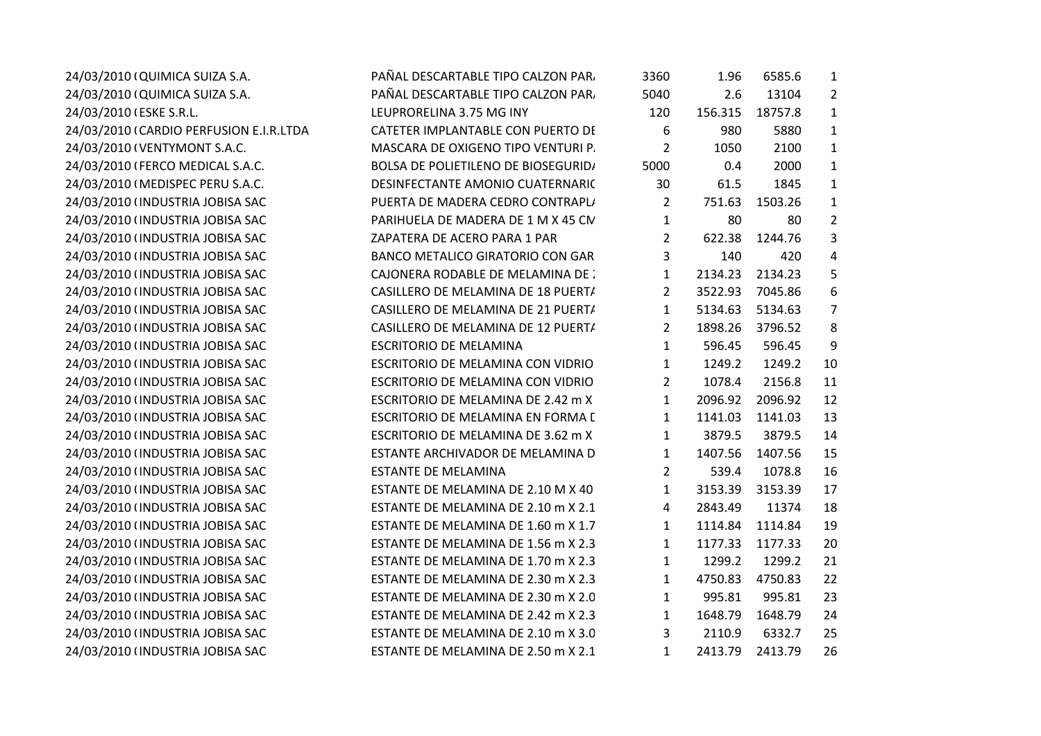| 24/03/2010 (QUIMICA SUIZA S.A.          | PAÑAL DESCARTABLE TIPO CALZON PAR.         | 3360           | 1.96    | 6585.6  | $\mathbf{1}$   |  |
|-----------------------------------------|--------------------------------------------|----------------|---------|---------|----------------|--|
| 24/03/2010 (QUIMICA SUIZA S.A.          | PAÑAL DESCARTABLE TIPO CALZON PAR.         | 5040           | 2.6     | 13104   | $\overline{2}$ |  |
| 24/03/2010 (ESKE S.R.L.                 | LEUPRORELINA 3.75 MG INY                   | 120            | 156.315 | 18757.8 | $\mathbf{1}$   |  |
| 24/03/2010 (CARDIO PERFUSION E.I.R.LTDA | CATETER IMPLANTABLE CON PUERTO DE          | 6              | 980     | 5880    | $\mathbf{1}$   |  |
| 24/03/2010 (VENTYMONT S.A.C.            | MASCARA DE OXIGENO TIPO VENTURI P.         | $\overline{2}$ | 1050    | 2100    | $\mathbf{1}$   |  |
| 24/03/2010 (FERCO MEDICAL S.A.C.        | <b>BOLSA DE POLIETILENO DE BIOSEGURID/</b> | 5000           | 0.4     | 2000    | $\mathbf{1}$   |  |
| 24/03/2010 (MEDISPEC PERU S.A.C.        | DESINFECTANTE AMONIO CUATERNARIC           | 30             | 61.5    | 1845    | $\mathbf{1}$   |  |
| 24/03/2010 (INDUSTRIA JOBISA SAC        | PUERTA DE MADERA CEDRO CONTRAPLI           | $\overline{2}$ | 751.63  | 1503.26 | $\mathbf{1}$   |  |
| 24/03/2010 (INDUSTRIA JOBISA SAC        | PARIHUELA DE MADERA DE 1 M X 45 CN         | $\mathbf{1}$   | 80      | 80      | $\overline{2}$ |  |
| 24/03/2010 (INDUSTRIA JOBISA SAC        | ZAPATERA DE ACERO PARA 1 PAR               | $\overline{2}$ | 622.38  | 1244.76 | 3              |  |
| 24/03/2010 (INDUSTRIA JOBISA SAC        | <b>BANCO METALICO GIRATORIO CON GAR</b>    | 3              | 140     | 420     | 4              |  |
| 24/03/2010 (INDUSTRIA JOBISA SAC        | CAJONERA RODABLE DE MELAMINA DE :          | $\mathbf{1}$   | 2134.23 | 2134.23 | 5              |  |
| 24/03/2010 (INDUSTRIA JOBISA SAC        | CASILLERO DE MELAMINA DE 18 PUERT/         | $\overline{2}$ | 3522.93 | 7045.86 | 6              |  |
| 24/03/2010 (INDUSTRIA JOBISA SAC        | CASILLERO DE MELAMINA DE 21 PUERT/         | $\mathbf{1}$   | 5134.63 | 5134.63 | 7              |  |
| 24/03/2010 (INDUSTRIA JOBISA SAC        | CASILLERO DE MELAMINA DE 12 PUERT/         | $\overline{2}$ | 1898.26 | 3796.52 | 8              |  |
| 24/03/2010 (INDUSTRIA JOBISA SAC        | <b>ESCRITORIO DE MELAMINA</b>              | 1              | 596.45  | 596.45  | 9              |  |
| 24/03/2010 (INDUSTRIA JOBISA SAC        | <b>ESCRITORIO DE MELAMINA CON VIDRIO</b>   | $\mathbf{1}$   | 1249.2  | 1249.2  | 10             |  |
| 24/03/2010 (INDUSTRIA JOBISA SAC        | ESCRITORIO DE MELAMINA CON VIDRIO          | $\overline{2}$ | 1078.4  | 2156.8  | 11             |  |
| 24/03/2010 (INDUSTRIA JOBISA SAC        | ESCRITORIO DE MELAMINA DE 2.42 m X         | $\mathbf{1}$   | 2096.92 | 2096.92 | 12             |  |
| 24/03/2010 (INDUSTRIA JOBISA SAC        | ESCRITORIO DE MELAMINA EN FORMA [          | 1              | 1141.03 | 1141.03 | 13             |  |
| 24/03/2010 (INDUSTRIA JOBISA SAC        | ESCRITORIO DE MELAMINA DE 3.62 m X         | $\mathbf{1}$   | 3879.5  | 3879.5  | 14             |  |
| 24/03/2010 (INDUSTRIA JOBISA SAC        | ESTANTE ARCHIVADOR DE MELAMINA D           | $\mathbf{1}$   | 1407.56 | 1407.56 | 15             |  |
| 24/03/2010 (INDUSTRIA JOBISA SAC        | <b>ESTANTE DE MELAMINA</b>                 | $\overline{2}$ | 539.4   | 1078.8  | 16             |  |
| 24/03/2010 (INDUSTRIA JOBISA SAC        | ESTANTE DE MELAMINA DE 2.10 M X 40         | $\mathbf{1}$   | 3153.39 | 3153.39 | 17             |  |
| 24/03/2010 (INDUSTRIA JOBISA SAC        | ESTANTE DE MELAMINA DE 2.10 m X 2.1        | 4              | 2843.49 | 11374   | 18             |  |
| 24/03/2010 (INDUSTRIA JOBISA SAC        | ESTANTE DE MELAMINA DE 1.60 m X 1.7        | $\mathbf{1}$   | 1114.84 | 1114.84 | 19             |  |
| 24/03/2010 (INDUSTRIA JOBISA SAC        | ESTANTE DE MELAMINA DE 1.56 m X 2.3        | $\mathbf{1}$   | 1177.33 | 1177.33 | 20             |  |
| 24/03/2010 (INDUSTRIA JOBISA SAC        | ESTANTE DE MELAMINA DE 1.70 m X 2.3        | 1              | 1299.2  | 1299.2  | 21             |  |
| 24/03/2010 (INDUSTRIA JOBISA SAC        | ESTANTE DE MELAMINA DE 2.30 m X 2.3        | $\mathbf{1}$   | 4750.83 | 4750.83 | 22             |  |
| 24/03/2010 (INDUSTRIA JOBISA SAC        | ESTANTE DE MELAMINA DE 2.30 m X 2.0        | $\mathbf{1}$   | 995.81  | 995.81  | 23             |  |
| 24/03/2010 (INDUSTRIA JOBISA SAC        | ESTANTE DE MELAMINA DE 2.42 m X 2.3        | $\mathbf{1}$   | 1648.79 | 1648.79 | 24             |  |
| 24/03/2010 (INDUSTRIA JOBISA SAC        | ESTANTE DE MELAMINA DE 2.10 m X 3.0        | 3              | 2110.9  | 6332.7  | 25             |  |
| 24/03/2010 (INDUSTRIA JOBISA SAC        | ESTANTE DE MELAMINA DE 2.50 m X 2.1        | $\mathbf{1}$   | 2413.79 | 2413.79 | 26             |  |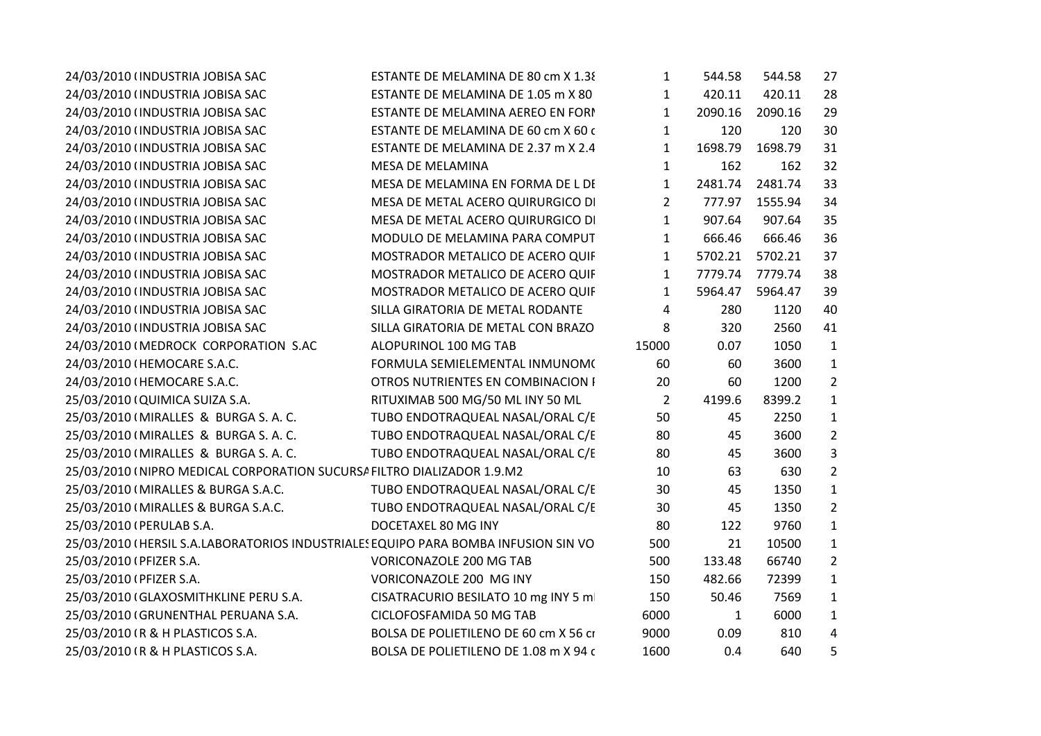| 24/03/2010 (INDUSTRIA JOBISA SAC                                                   | ESTANTE DE MELAMINA DE 80 cm X 1.38   | $\mathbf{1}$   | 544.58       | 544.58  | 27             |
|------------------------------------------------------------------------------------|---------------------------------------|----------------|--------------|---------|----------------|
| 24/03/2010 (INDUSTRIA JOBISA SAC                                                   | ESTANTE DE MELAMINA DE 1.05 m X 80    | $\mathbf{1}$   | 420.11       | 420.11  | 28             |
| 24/03/2010 (INDUSTRIA JOBISA SAC                                                   | ESTANTE DE MELAMINA AEREO EN FORI     | $\mathbf{1}$   | 2090.16      | 2090.16 | 29             |
| 24/03/2010 (INDUSTRIA JOBISA SAC                                                   | ESTANTE DE MELAMINA DE 60 cm X 60 c   | 1              | 120          | 120     | 30             |
| 24/03/2010 (INDUSTRIA JOBISA SAC                                                   | ESTANTE DE MELAMINA DE 2.37 m X 2.4   | $\mathbf{1}$   | 1698.79      | 1698.79 | 31             |
| 24/03/2010 (INDUSTRIA JOBISA SAC                                                   | MESA DE MELAMINA                      | $\mathbf{1}$   | 162          | 162     | 32             |
| 24/03/2010 (INDUSTRIA JOBISA SAC                                                   | MESA DE MELAMINA EN FORMA DE L DI     | $\mathbf{1}$   | 2481.74      | 2481.74 | 33             |
| 24/03/2010 (INDUSTRIA JOBISA SAC                                                   | MESA DE METAL ACERO QUIRURGICO DI     | $\overline{2}$ | 777.97       | 1555.94 | 34             |
| 24/03/2010 (INDUSTRIA JOBISA SAC                                                   | MESA DE METAL ACERO QUIRURGICO DI     | $\mathbf{1}$   | 907.64       | 907.64  | 35             |
| 24/03/2010 (INDUSTRIA JOBISA SAC                                                   | MODULO DE MELAMINA PARA COMPUT        | $\mathbf{1}$   | 666.46       | 666.46  | 36             |
| 24/03/2010 (INDUSTRIA JOBISA SAC                                                   | MOSTRADOR METALICO DE ACERO QUIF      | $\mathbf{1}$   | 5702.21      | 5702.21 | 37             |
| 24/03/2010 (INDUSTRIA JOBISA SAC                                                   | MOSTRADOR METALICO DE ACERO QUIF      | $\mathbf{1}$   | 7779.74      | 7779.74 | 38             |
| 24/03/2010 (INDUSTRIA JOBISA SAC                                                   | MOSTRADOR METALICO DE ACERO QUIF      | $\mathbf{1}$   | 5964.47      | 5964.47 | 39             |
| 24/03/2010 (INDUSTRIA JOBISA SAC                                                   | SILLA GIRATORIA DE METAL RODANTE      | 4              | 280          | 1120    | 40             |
| 24/03/2010 (INDUSTRIA JOBISA SAC                                                   | SILLA GIRATORIA DE METAL CON BRAZO    | 8              | 320          | 2560    | 41             |
| 24/03/2010 (MEDROCK CORPORATION S.AC                                               | ALOPURINOL 100 MG TAB                 | 15000          | 0.07         | 1050    | $\mathbf{1}$   |
| 24/03/2010 (HEMOCARE S.A.C.                                                        | FORMULA SEMIELEMENTAL INMUNOM(        | 60             | 60           | 3600    | $\mathbf{1}$   |
| 24/03/2010 (HEMOCARE S.A.C.                                                        | OTROS NUTRIENTES EN COMBINACION I     | 20             | 60           | 1200    | $\overline{2}$ |
| 25/03/2010 (QUIMICA SUIZA S.A.                                                     | RITUXIMAB 500 MG/50 ML INY 50 ML      | $\overline{2}$ | 4199.6       | 8399.2  | $\mathbf{1}$   |
| 25/03/2010 (MIRALLES & BURGA S. A. C.                                              | TUBO ENDOTRAQUEAL NASAL/ORAL C/E      | 50             | 45           | 2250    | $\mathbf{1}$   |
| 25/03/2010 (MIRALLES & BURGA S. A. C.                                              | TUBO ENDOTRAQUEAL NASAL/ORAL C/E      | 80             | 45           | 3600    | $\overline{2}$ |
| 25/03/2010 (MIRALLES & BURGA S. A. C.                                              | TUBO ENDOTRAQUEAL NASAL/ORAL C/E      | 80             | 45           | 3600    | 3              |
| 25/03/2010 (NIPRO MEDICAL CORPORATION SUCURSA FILTRO DIALIZADOR 1.9.M2             |                                       | 10             | 63           | 630     | $\overline{2}$ |
| 25/03/2010 (MIRALLES & BURGA S.A.C.                                                | TUBO ENDOTRAQUEAL NASAL/ORAL C/E      | 30             | 45           | 1350    | $\mathbf{1}$   |
| 25/03/2010 (MIRALLES & BURGA S.A.C.                                                | TUBO ENDOTRAQUEAL NASAL/ORAL C/E      | 30             | 45           | 1350    | $\overline{2}$ |
| 25/03/2010 (PERULAB S.A.                                                           | DOCETAXEL 80 MG INY                   | 80             | 122          | 9760    | $\mathbf{1}$   |
| 25/03/2010 (HERSIL S.A.LABORATORIOS INDUSTRIALES EQUIPO PARA BOMBA INFUSION SIN VO |                                       | 500            | 21           | 10500   | $\mathbf{1}$   |
| 25/03/2010 (PFIZER S.A.                                                            | VORICONAZOLE 200 MG TAB               | 500            | 133.48       | 66740   | $\overline{2}$ |
| 25/03/2010 (PFIZER S.A.                                                            | VORICONAZOLE 200 MG INY               | 150            | 482.66       | 72399   | $\mathbf{1}$   |
| 25/03/2010 (GLAXOSMITHKLINE PERU S.A.                                              | CISATRACURIO BESILATO 10 mg INY 5 m   | 150            | 50.46        | 7569    | $\mathbf{1}$   |
| 25/03/2010 (GRUNENTHAL PERUANA S.A.                                                | CICLOFOSFAMIDA 50 MG TAB              | 6000           | $\mathbf{1}$ | 6000    | $\mathbf{1}$   |
| 25/03/2010 (R & H PLASTICOS S.A.                                                   | BOLSA DE POLIETILENO DE 60 cm X 56 ci | 9000           | 0.09         | 810     | 4              |
| 25/03/2010 (R & H PLASTICOS S.A.                                                   | BOLSA DE POLIETILENO DE 1.08 m X 94 c | 1600           | 0.4          | 640     | 5              |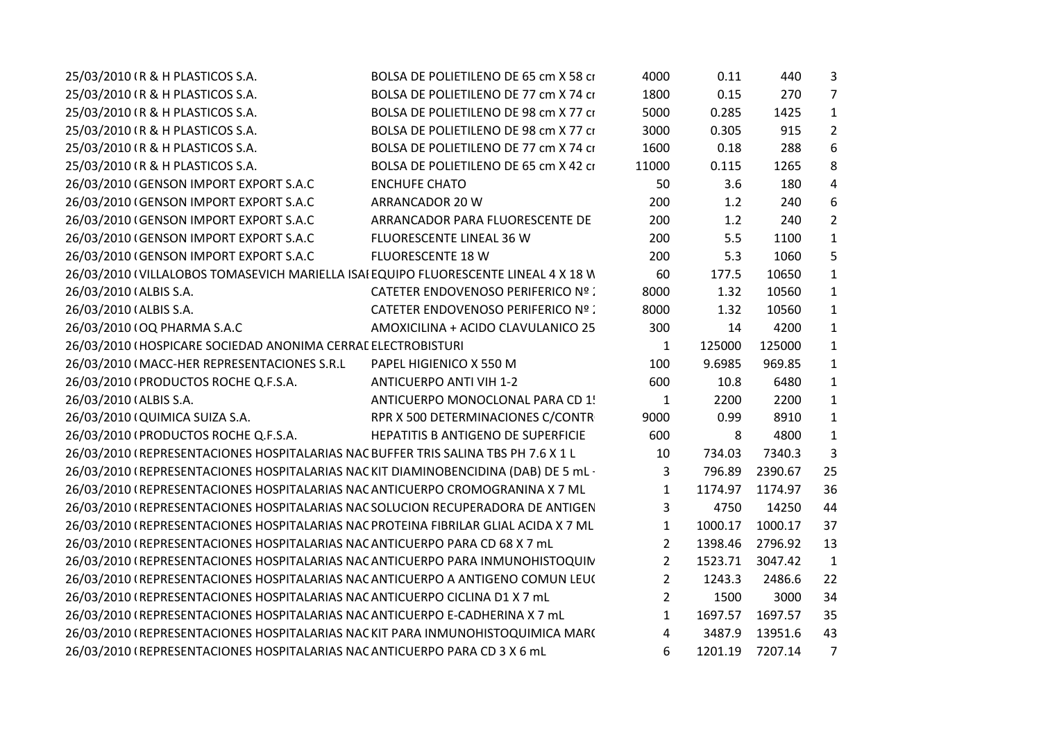| 25/03/2010 (R & H PLASTICOS S.A.                                                    | BOLSA DE POLIETILENO DE 65 cm X 58 ci     | 4000           | 0.11    | 440     | 3              |  |
|-------------------------------------------------------------------------------------|-------------------------------------------|----------------|---------|---------|----------------|--|
| 25/03/2010 (R & H PLASTICOS S.A.                                                    | BOLSA DE POLIETILENO DE 77 cm X 74 ci     | 1800           | 0.15    | 270     | $\overline{7}$ |  |
| 25/03/2010 (R & H PLASTICOS S.A.                                                    | BOLSA DE POLIETILENO DE 98 cm X 77 ci     | 5000           | 0.285   | 1425    | $1\,$          |  |
| 25/03/2010 (R & H PLASTICOS S.A.                                                    | BOLSA DE POLIETILENO DE 98 cm X 77 ci     | 3000           | 0.305   | 915     | $\overline{2}$ |  |
| 25/03/2010 (R & H PLASTICOS S.A.                                                    | BOLSA DE POLIETILENO DE 77 cm X 74 ci     | 1600           | 0.18    | 288     | 6              |  |
| 25/03/2010 (R & H PLASTICOS S.A.                                                    | BOLSA DE POLIETILENO DE 65 cm X 42 ci     | 11000          | 0.115   | 1265    | 8              |  |
| 26/03/2010 (GENSON IMPORT EXPORT S.A.C                                              | <b>ENCHUFE CHATO</b>                      | 50             | 3.6     | 180     | $\overline{4}$ |  |
| 26/03/2010 (GENSON IMPORT EXPORT S.A.C                                              | ARRANCADOR 20 W                           | 200            | 1.2     | 240     | 6              |  |
| 26/03/2010 (GENSON IMPORT EXPORT S.A.C                                              | ARRANCADOR PARA FLUORESCENTE DE           | 200            | 1.2     | 240     | $\overline{2}$ |  |
| 26/03/2010 (GENSON IMPORT EXPORT S.A.C                                              | FLUORESCENTE LINEAL 36 W                  | 200            | 5.5     | 1100    | $\mathbf{1}$   |  |
| 26/03/2010 (GENSON IMPORT EXPORT S.A.C                                              | <b>FLUORESCENTE 18 W</b>                  | 200            | 5.3     | 1060    | 5              |  |
| 26/03/2010 (VILLALOBOS TOMASEVICH MARIELLA ISAI EQUIPO FLUORESCENTE LINEAL 4 X 18 W |                                           | 60             | 177.5   | 10650   | $1\,$          |  |
| 26/03/2010 (ALBIS S.A.                                                              | <b>CATETER ENDOVENOSO PERIFERICO Nº :</b> | 8000           | 1.32    | 10560   | $\mathbf 1$    |  |
| 26/03/2010 (ALBIS S.A.                                                              | CATETER ENDOVENOSO PERIFERICO Nº :        | 8000           | 1.32    | 10560   | $\mathbf{1}$   |  |
| 26/03/2010 (OQ PHARMA S.A.C                                                         | AMOXICILINA + ACIDO CLAVULANICO 25        | 300            | 14      | 4200    | $\mathbf{1}$   |  |
| 26/03/2010 (HOSPICARE SOCIEDAD ANONIMA CERRAL ELECTROBISTURI                        |                                           | $\mathbf{1}$   | 125000  | 125000  | $\mathbf{1}$   |  |
| 26/03/2010 (MACC-HER REPRESENTACIONES S.R.L                                         | PAPEL HIGIENICO X 550 M                   | 100            | 9.6985  | 969.85  | $\mathbf{1}$   |  |
| 26/03/2010 (PRODUCTOS ROCHE Q.F.S.A.                                                | <b>ANTICUERPO ANTI VIH 1-2</b>            | 600            | 10.8    | 6480    | $1\,$          |  |
| 26/03/2010 (ALBIS S.A.                                                              | ANTICUERPO MONOCLONAL PARA CD 1!          | $\mathbf{1}$   | 2200    | 2200    | $\mathbf{1}$   |  |
| 26/03/2010 (QUIMICA SUIZA S.A.                                                      | RPR X 500 DETERMINACIONES C/CONTR         | 9000           | 0.99    | 8910    | $1\,$          |  |
| 26/03/2010 (PRODUCTOS ROCHE Q.F.S.A.                                                | HEPATITIS B ANTIGENO DE SUPERFICIE        | 600            | 8       | 4800    | $1\,$          |  |
| 26/03/2010 (REPRESENTACIONES HOSPITALARIAS NAC BUFFER TRIS SALINA TBS PH 7.6 X 1 L  |                                           | 10             | 734.03  | 7340.3  | 3              |  |
| 26/03/2010 (REPRESENTACIONES HOSPITALARIAS NACKIT DIAMINOBENCIDINA (DAB) DE 5 mL·   |                                           | $\mathbf{3}$   | 796.89  | 2390.67 | 25             |  |
| 26/03/2010 (REPRESENTACIONES HOSPITALARIAS NAC ANTICUERPO CROMOGRANINA X 7 ML       |                                           | $\mathbf{1}$   | 1174.97 | 1174.97 | 36             |  |
| 26/03/2010 (REPRESENTACIONES HOSPITALARIAS NAC SOLUCION RECUPERADORA DE ANTIGEN     |                                           | $\mathbf{3}$   | 4750    | 14250   | 44             |  |
| 26/03/2010 (REPRESENTACIONES HOSPITALARIAS NAC PROTEINA FIBRILAR GLIAL ACIDA X 7 ML |                                           | $\mathbf{1}$   | 1000.17 | 1000.17 | 37             |  |
| 26/03/2010 (REPRESENTACIONES HOSPITALARIAS NAC ANTICUERPO PARA CD 68 X 7 mL         |                                           | $\overline{2}$ | 1398.46 | 2796.92 | 13             |  |
| 26/03/2010 (REPRESENTACIONES HOSPITALARIAS NAC ANTICUERPO PARA INMUNOHISTOQUIN      |                                           | $\overline{2}$ | 1523.71 | 3047.42 | $\mathbf{1}$   |  |
| 26/03/2010 (REPRESENTACIONES HOSPITALARIAS NACANTICUERPO A ANTIGENO COMUN LEU(      |                                           | $\overline{2}$ | 1243.3  | 2486.6  | 22             |  |
| 26/03/2010 (REPRESENTACIONES HOSPITALARIAS NAC ANTICUERPO CICLINA D1 X 7 mL         |                                           | $\overline{2}$ | 1500    | 3000    | 34             |  |
| 26/03/2010 (REPRESENTACIONES HOSPITALARIAS NAC ANTICUERPO E-CADHERINA X 7 mL        |                                           | $\mathbf{1}$   | 1697.57 | 1697.57 | 35             |  |
| 26/03/2010 (REPRESENTACIONES HOSPITALARIAS NACKIT PARA INMUNOHISTOQUIMICA MAR(      |                                           | 4              | 3487.9  | 13951.6 | 43             |  |
| 26/03/2010 (REPRESENTACIONES HOSPITALARIAS NAC ANTICUERPO PARA CD 3 X 6 mL          |                                           | 6              | 1201.19 | 7207.14 | $\overline{7}$ |  |
|                                                                                     |                                           |                |         |         |                |  |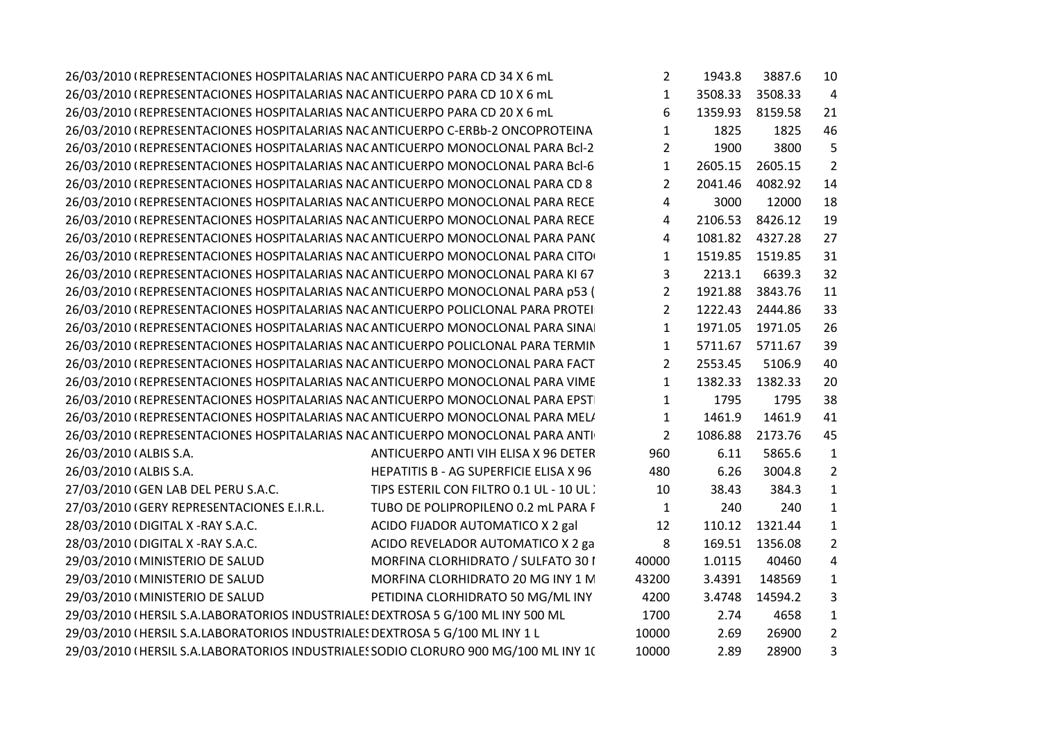| 26/03/2010 (REPRESENTACIONES HOSPITALARIAS NAC ANTICUERPO PARA CD 34 X 6 mL         |                                        | $\mathbf{2}$   | 1943.8  | 3887.6  | 10             |  |
|-------------------------------------------------------------------------------------|----------------------------------------|----------------|---------|---------|----------------|--|
| 26/03/2010 (REPRESENTACIONES HOSPITALARIAS NAC ANTICUERPO PARA CD 10 X 6 mL         |                                        | $\mathbf{1}$   | 3508.33 | 3508.33 | $\overline{4}$ |  |
| 26/03/2010 (REPRESENTACIONES HOSPITALARIAS NAC ANTICUERPO PARA CD 20 X 6 mL         |                                        | 6              | 1359.93 | 8159.58 | 21             |  |
| 26/03/2010 (REPRESENTACIONES HOSPITALARIAS NAC ANTICUERPO C-ERBb-2 ONCOPROTEINA     |                                        | $\mathbf{1}$   | 1825    | 1825    | 46             |  |
| 26/03/2010 (REPRESENTACIONES HOSPITALARIAS NAC ANTICUERPO MONOCLONAL PARA Bcl-2     |                                        | $\overline{2}$ | 1900    | 3800    | 5              |  |
| 26/03/2010 (REPRESENTACIONES HOSPITALARIAS NAC ANTICUERPO MONOCLONAL PARA Bcl-6     |                                        | $\mathbf{1}$   | 2605.15 | 2605.15 | $\overline{2}$ |  |
| 26/03/2010 (REPRESENTACIONES HOSPITALARIAS NAC ANTICUERPO MONOCLONAL PARA CD 8      |                                        | $\overline{2}$ | 2041.46 | 4082.92 | 14             |  |
| 26/03/2010 (REPRESENTACIONES HOSPITALARIAS NAC ANTICUERPO MONOCLONAL PARA RECE      |                                        | 4              | 3000    | 12000   | 18             |  |
| 26/03/2010 (REPRESENTACIONES HOSPITALARIAS NAC ANTICUERPO MONOCLONAL PARA RECE      |                                        | 4              | 2106.53 | 8426.12 | 19             |  |
| 26/03/2010 (REPRESENTACIONES HOSPITALARIAS NAC ANTICUERPO MONOCLONAL PARA PANC      |                                        | 4              | 1081.82 | 4327.28 | 27             |  |
| 26/03/2010 (REPRESENTACIONES HOSPITALARIAS NAC ANTICUERPO MONOCLONAL PARA CITO      |                                        | $\mathbf{1}$   | 1519.85 | 1519.85 | 31             |  |
| 26/03/2010 (REPRESENTACIONES HOSPITALARIAS NAC ANTICUERPO MONOCLONAL PARA KI 67     |                                        | 3              | 2213.1  | 6639.3  | 32             |  |
| 26/03/2010 (REPRESENTACIONES HOSPITALARIAS NACANTICUERPO MONOCLONAL PARA p53 (      |                                        | $\overline{2}$ | 1921.88 | 3843.76 | 11             |  |
| 26/03/2010 (REPRESENTACIONES HOSPITALARIAS NAC ANTICUERPO POLICLONAL PARA PROTEI    |                                        | $2^{\circ}$    | 1222.43 | 2444.86 | 33             |  |
| 26/03/2010 (REPRESENTACIONES HOSPITALARIAS NAC ANTICUERPO MONOCLONAL PARA SINA      |                                        | $\mathbf{1}$   | 1971.05 | 1971.05 | 26             |  |
| 26/03/2010 (REPRESENTACIONES HOSPITALARIAS NAC ANTICUERPO POLICLONAL PARA TERMIN    |                                        | $\mathbf{1}$   | 5711.67 | 5711.67 | 39             |  |
| 26/03/2010 (REPRESENTACIONES HOSPITALARIAS NAC ANTICUERPO MONOCLONAL PARA FACT      |                                        | $2^{\circ}$    | 2553.45 | 5106.9  | 40             |  |
| 26/03/2010 (REPRESENTACIONES HOSPITALARIAS NAC ANTICUERPO MONOCLONAL PARA VIME      |                                        | $\mathbf{1}$   | 1382.33 | 1382.33 | 20             |  |
| 26/03/2010 (REPRESENTACIONES HOSPITALARIAS NAC ANTICUERPO MONOCLONAL PARA EPST      |                                        | $\mathbf{1}$   | 1795    | 1795    | 38             |  |
| 26/03/2010 (REPRESENTACIONES HOSPITALARIAS NAC ANTICUERPO MONOCLONAL PARA MEL/      |                                        | $\mathbf{1}$   | 1461.9  | 1461.9  | 41             |  |
| 26/03/2010 (REPRESENTACIONES HOSPITALARIAS NAC ANTICUERPO MONOCLONAL PARA ANTI      |                                        | $\overline{2}$ | 1086.88 | 2173.76 | 45             |  |
| 26/03/2010 (ALBIS S.A.                                                              | ANTICUERPO ANTI VIH ELISA X 96 DETER   | 960            | 6.11    | 5865.6  | $\mathbf{1}$   |  |
| 26/03/2010 (ALBIS S.A.                                                              | HEPATITIS B - AG SUPERFICIE ELISA X 96 | 480            | 6.26    | 3004.8  | $\overline{2}$ |  |
| 27/03/2010 (GEN LAB DEL PERU S.A.C.                                                 | TIPS ESTERIL CON FILTRO 0.1 UL - 10 UL | 10             | 38.43   | 384.3   | 1              |  |
| 27/03/2010 (GERY REPRESENTACIONES E.I.R.L.                                          | TUBO DE POLIPROPILENO 0.2 mL PARA F    | $\mathbf{1}$   | 240     | 240     | 1              |  |
| 28/03/2010 (DIGITAL X -RAY S.A.C.                                                   | ACIDO FIJADOR AUTOMATICO X 2 gal       | 12             | 110.12  | 1321.44 | 1              |  |
| 28/03/2010 (DIGITAL X-RAY S.A.C.                                                    | ACIDO REVELADOR AUTOMATICO X 2 ga      | 8              | 169.51  | 1356.08 | $\overline{2}$ |  |
| 29/03/2010 (MINISTERIO DE SALUD                                                     | MORFINA CLORHIDRATO / SULFATO 301      | 40000          | 1.0115  | 40460   | 4              |  |
| 29/03/2010 (MINISTERIO DE SALUD                                                     | MORFINA CLORHIDRATO 20 MG INY 1 N      | 43200          | 3.4391  | 148569  | 1              |  |
| 29/03/2010 (MINISTERIO DE SALUD                                                     | PETIDINA CLORHIDRATO 50 MG/ML INY      | 4200           | 3.4748  | 14594.2 | 3              |  |
| 29/03/2010 (HERSIL S.A.LABORATORIOS INDUSTRIALES DEXTROSA 5 G/100 ML INY 500 ML     |                                        | 1700           | 2.74    | 4658    | 1              |  |
| 29/03/2010 (HERSIL S.A.LABORATORIOS INDUSTRIALES DEXTROSA 5 G/100 ML INY 1 L        |                                        | 10000          | 2.69    | 26900   | $\overline{2}$ |  |
| 29/03/2010 (HERSIL S.A.LABORATORIOS INDUSTRIALES SODIO CLORURO 900 MG/100 ML INY 1( |                                        | 10000          | 2.89    | 28900   | 3              |  |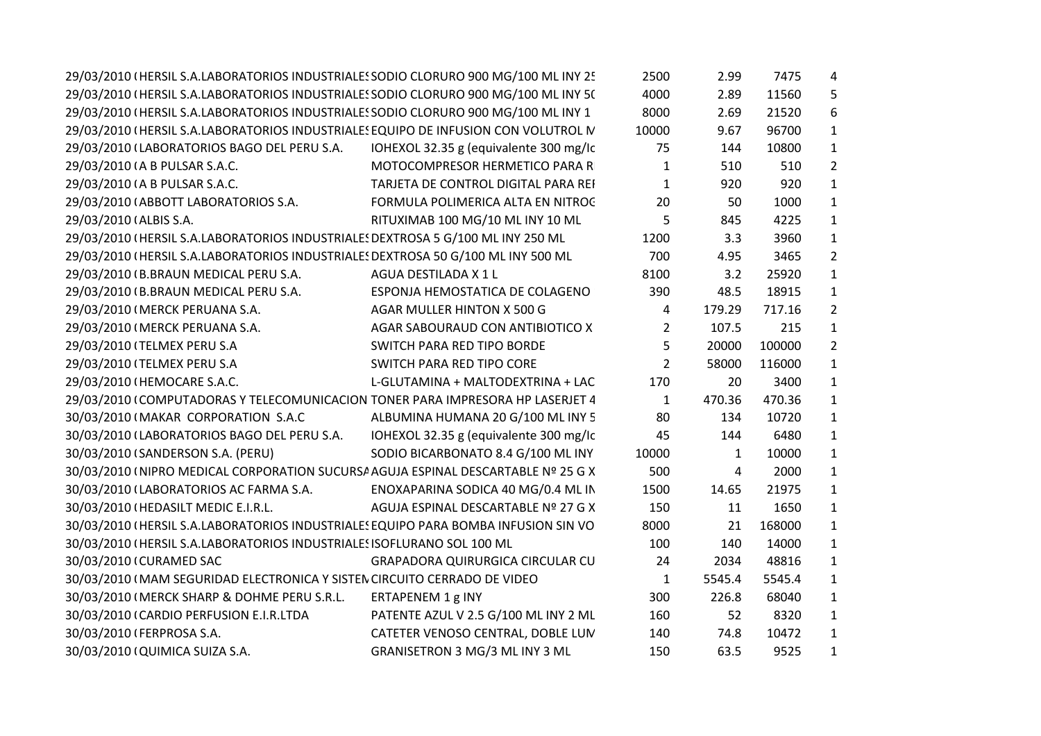| 29/03/2010 (HERSIL S.A.LABORATORIOS INDUSTRIALES SODIO CLORURO 900 MG/100 ML INY 25 |                                        | 2500           | 2.99         | 7475   | 4              |  |
|-------------------------------------------------------------------------------------|----------------------------------------|----------------|--------------|--------|----------------|--|
| 29/03/2010 (HERSIL S.A.LABORATORIOS INDUSTRIALES SODIO CLORURO 900 MG/100 ML INY 5( |                                        | 4000           | 2.89         | 11560  | 5              |  |
| 29/03/2010 (HERSIL S.A.LABORATORIOS INDUSTRIALES SODIO CLORURO 900 MG/100 ML INY 1  |                                        | 8000           | 2.69         | 21520  | 6              |  |
| 29/03/2010 (HERSIL S.A.LABORATORIOS INDUSTRIALES EQUIPO DE INFUSION CON VOLUTROL N  |                                        | 10000          | 9.67         | 96700  | $\mathbf{1}$   |  |
| 29/03/2010 (LABORATORIOS BAGO DEL PERU S.A.                                         | IOHEXOL 32.35 g (equivalente 300 mg/lc | 75             | 144          | 10800  | $\mathbf{1}$   |  |
| 29/03/2010 (A B PULSAR S.A.C.                                                       | MOTOCOMPRESOR HERMETICO PARA R         | 1              | 510          | 510    | $\overline{2}$ |  |
| 29/03/2010 (A B PULSAR S.A.C.                                                       | TARJETA DE CONTROL DIGITAL PARA REI    | $\mathbf{1}$   | 920          | 920    | $\mathbf{1}$   |  |
| 29/03/2010 (ABBOTT LABORATORIOS S.A.                                                | FORMULA POLIMERICA ALTA EN NITROC      | 20             | 50           | 1000   | $\mathbf{1}$   |  |
| 29/03/2010 (ALBIS S.A.                                                              | RITUXIMAB 100 MG/10 ML INY 10 ML       | 5              | 845          | 4225   | $\mathbf{1}$   |  |
| 29/03/2010 (HERSIL S.A.LABORATORIOS INDUSTRIALES DEXTROSA 5 G/100 ML INY 250 ML     |                                        | 1200           | 3.3          | 3960   | $\mathbf{1}$   |  |
| 29/03/2010 (HERSIL S.A.LABORATORIOS INDUSTRIALES DEXTROSA 50 G/100 ML INY 500 ML    |                                        | 700            | 4.95         | 3465   | $\overline{2}$ |  |
| 29/03/2010 (B.BRAUN MEDICAL PERU S.A.                                               | AGUA DESTILADA X 1 L                   | 8100           | 3.2          | 25920  | $\mathbf{1}$   |  |
| 29/03/2010 (B.BRAUN MEDICAL PERU S.A.                                               | ESPONJA HEMOSTATICA DE COLAGENO        | 390            | 48.5         | 18915  | $\mathbf{1}$   |  |
| 29/03/2010 (MERCK PERUANA S.A.                                                      | AGAR MULLER HINTON X 500 G             | 4              | 179.29       | 717.16 | $\overline{2}$ |  |
| 29/03/2010 (MERCK PERUANA S.A.                                                      | AGAR SABOURAUD CON ANTIBIOTICO X       | $\overline{2}$ | 107.5        | 215    | $\mathbf{1}$   |  |
| 29/03/2010 (TELMEX PERU S.A                                                         | SWITCH PARA RED TIPO BORDE             | 5              | 20000        | 100000 | $\overline{2}$ |  |
| 29/03/2010 (TELMEX PERU S.A                                                         | SWITCH PARA RED TIPO CORE              | $2^{\circ}$    | 58000        | 116000 | $\mathbf{1}$   |  |
| 29/03/2010 (HEMOCARE S.A.C.                                                         | L-GLUTAMINA + MALTODEXTRINA + LAC      | 170            | 20           | 3400   | $\mathbf{1}$   |  |
| 29/03/2010 (COMPUTADORAS Y TELECOMUNICACION TONER PARA IMPRESORA HP LASERJET 4      |                                        | $\mathbf{1}$   | 470.36       | 470.36 | $\mathbf{1}$   |  |
| 30/03/2010 (MAKAR CORPORATION S.A.C                                                 | ALBUMINA HUMANA 20 G/100 ML INY 5      | 80             | 134          | 10720  | $\mathbf{1}$   |  |
| 30/03/2010 (LABORATORIOS BAGO DEL PERU S.A.                                         | IOHEXOL 32.35 g (equivalente 300 mg/lc | 45             | 144          | 6480   | $\mathbf{1}$   |  |
| 30/03/2010 (SANDERSON S.A. (PERU)                                                   | SODIO BICARBONATO 8.4 G/100 ML INY     | 10000          | $\mathbf{1}$ | 10000  | $\mathbf{1}$   |  |
| 30/03/2010 (NIPRO MEDICAL CORPORATION SUCURSA AGUJA ESPINAL DESCARTABLE Nº 25 G X   |                                        | 500            | 4            | 2000   | $\mathbf{1}$   |  |
| 30/03/2010 (LABORATORIOS AC FARMA S.A.                                              | ENOXAPARINA SODICA 40 MG/0.4 ML IN     | 1500           | 14.65        | 21975  | $\mathbf{1}$   |  |
| 30/03/2010 (HEDASILT MEDIC E.I.R.L.                                                 | AGUJA ESPINAL DESCARTABLE Nº 27 G X    | 150            | 11           | 1650   | $\mathbf{1}$   |  |
| 30/03/2010 (HERSIL S.A.LABORATORIOS INDUSTRIALES EQUIPO PARA BOMBA INFUSION SIN VO  |                                        | 8000           | 21           | 168000 | $\mathbf{1}$   |  |
| 30/03/2010 (HERSIL S.A.LABORATORIOS INDUSTRIALES ISOFLURANO SOL 100 ML              |                                        | 100            | 140          | 14000  | $\mathbf{1}$   |  |
| 30/03/2010 (CURAMED SAC                                                             | GRAPADORA QUIRURGICA CIRCULAR CU       | 24             | 2034         | 48816  | $\mathbf{1}$   |  |
| 30/03/2010 (MAM SEGURIDAD ELECTRONICA Y SISTEN CIRCUITO CERRADO DE VIDEO            |                                        | $\mathbf{1}$   | 5545.4       | 5545.4 | $\mathbf{1}$   |  |
| 30/03/2010 (MERCK SHARP & DOHME PERU S.R.L.                                         | ERTAPENEM 1 g INY                      | 300            | 226.8        | 68040  | $\mathbf{1}$   |  |
| 30/03/2010 (CARDIO PERFUSION E.I.R.LTDA                                             | PATENTE AZUL V 2.5 G/100 ML INY 2 ML   | 160            | 52           | 8320   | $\mathbf{1}$   |  |
| 30/03/2010 (FERPROSA S.A.                                                           | CATETER VENOSO CENTRAL, DOBLE LUN      | 140            | 74.8         | 10472  | $\mathbf{1}$   |  |
| 30/03/2010 (QUIMICA SUIZA S.A.                                                      | GRANISETRON 3 MG/3 ML INY 3 ML         | 150            | 63.5         | 9525   | $\mathbf{1}$   |  |
|                                                                                     |                                        |                |              |        |                |  |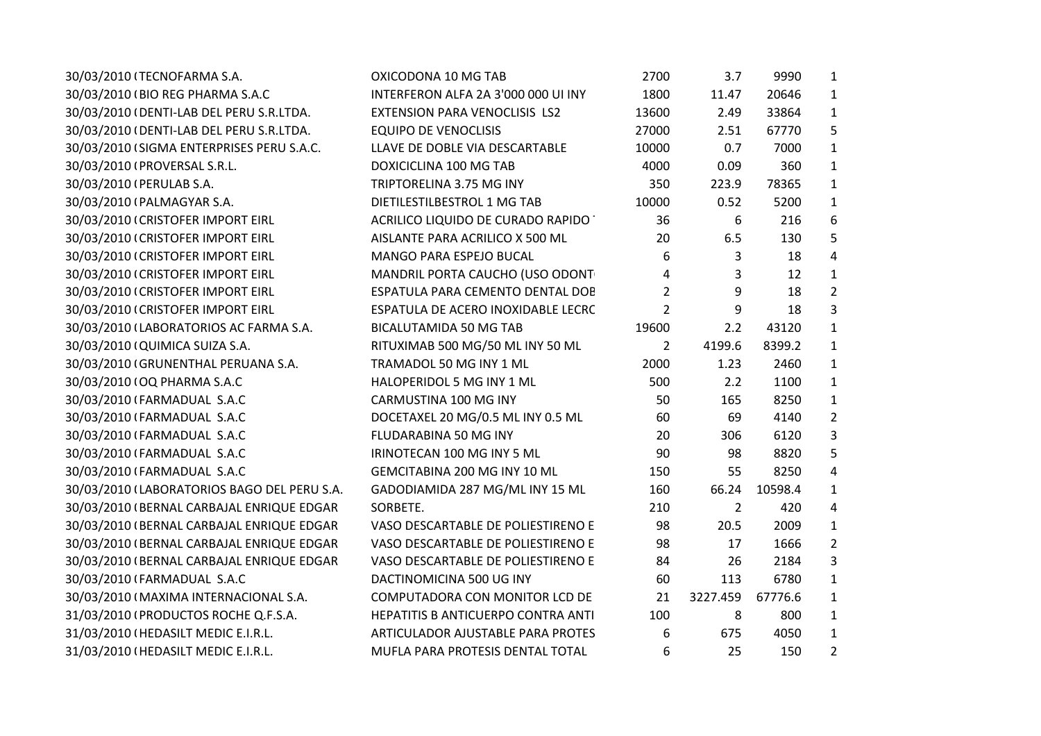| 30/03/2010 (TECNOFARMA S.A.                 | OXICODONA 10 MG TAB                 | 2700           | 3.7            | 9990    | $\mathbf{1}$   |
|---------------------------------------------|-------------------------------------|----------------|----------------|---------|----------------|
| 30/03/2010 (BIO REG PHARMA S.A.C            | INTERFERON ALFA 2A 3'000 000 UI INY | 1800           | 11.47          | 20646   | $\mathbf{1}$   |
| 30/03/2010 (DENTI-LAB DEL PERU S.R.LTDA.    | EXTENSION PARA VENOCLISIS LS2       | 13600          | 2.49           | 33864   | $\mathbf{1}$   |
| 30/03/2010 (DENTI-LAB DEL PERU S.R.LTDA.    | <b>EQUIPO DE VENOCLISIS</b>         | 27000          | 2.51           | 67770   | 5              |
| 30/03/2010 (SIGMA ENTERPRISES PERU S.A.C.   | LLAVE DE DOBLE VIA DESCARTABLE      | 10000          | 0.7            | 7000    | $\mathbf{1}$   |
| 30/03/2010 (PROVERSAL S.R.L.                | DOXICICLINA 100 MG TAB              | 4000           | 0.09           | 360     | $\mathbf{1}$   |
| 30/03/2010 (PERULAB S.A.                    | TRIPTORELINA 3.75 MG INY            | 350            | 223.9          | 78365   | $\mathbf{1}$   |
| 30/03/2010 (PALMAGYAR S.A.                  | DIETILESTILBESTROL 1 MG TAB         | 10000          | 0.52           | 5200    | $\mathbf{1}$   |
| 30/03/2010 (CRISTOFER IMPORT EIRL           | ACRILICO LIQUIDO DE CURADO RAPIDO ' | 36             | 6              | 216     | 6              |
| 30/03/2010 (CRISTOFER IMPORT EIRL           | AISLANTE PARA ACRILICO X 500 ML     | 20             | 6.5            | 130     | 5              |
| 30/03/2010 (CRISTOFER IMPORT EIRL           | MANGO PARA ESPEJO BUCAL             | 6              | 3              | 18      | $\overline{4}$ |
| 30/03/2010 (CRISTOFER IMPORT EIRL           | MANDRIL PORTA CAUCHO (USO ODONT     | 4              | 3              | 12      | $\mathbf{1}$   |
| 30/03/2010 (CRISTOFER IMPORT EIRL           | ESPATULA PARA CEMENTO DENTAL DOE    | 2              | 9              | 18      | $\overline{2}$ |
| 30/03/2010 (CRISTOFER IMPORT EIRL           | ESPATULA DE ACERO INOXIDABLE LECRC  | $\overline{2}$ | 9              | 18      | 3              |
| 30/03/2010 (LABORATORIOS AC FARMA S.A.      | <b>BICALUTAMIDA 50 MG TAB</b>       | 19600          | 2.2            | 43120   | $\mathbf{1}$   |
| 30/03/2010 (QUIMICA SUIZA S.A.              | RITUXIMAB 500 MG/50 ML INY 50 ML    | $\overline{2}$ | 4199.6         | 8399.2  | $\mathbf{1}$   |
| 30/03/2010 (GRUNENTHAL PERUANA S.A.         | TRAMADOL 50 MG INY 1 ML             | 2000           | 1.23           | 2460    | $\mathbf{1}$   |
| 30/03/2010 (OQ PHARMA S.A.C                 | HALOPERIDOL 5 MG INY 1 ML           | 500            | 2.2            | 1100    | $\mathbf{1}$   |
| 30/03/2010 (FARMADUAL S.A.C                 | CARMUSTINA 100 MG INY               | 50             | 165            | 8250    | $\mathbf{1}$   |
| 30/03/2010 (FARMADUAL S.A.C                 | DOCETAXEL 20 MG/0.5 ML INY 0.5 ML   | 60             | 69             | 4140    | $\overline{2}$ |
| 30/03/2010 (FARMADUAL S.A.C                 | FLUDARABINA 50 MG INY               | 20             | 306            | 6120    | 3              |
| 30/03/2010 (FARMADUAL S.A.C                 | IRINOTECAN 100 MG INY 5 ML          | 90             | 98             | 8820    | 5              |
| 30/03/2010 (FARMADUAL S.A.C                 | GEMCITABINA 200 MG INY 10 ML        | 150            | 55             | 8250    | $\overline{4}$ |
| 30/03/2010 (LABORATORIOS BAGO DEL PERU S.A. | GADODIAMIDA 287 MG/ML INY 15 ML     | 160            | 66.24          | 10598.4 | $\mathbf{1}$   |
| 30/03/2010 (BERNAL CARBAJAL ENRIQUE EDGAR   | SORBETE.                            | 210            | $\overline{2}$ | 420     | 4              |
| 30/03/2010 (BERNAL CARBAJAL ENRIQUE EDGAR   | VASO DESCARTABLE DE POLIESTIRENO E  | 98             | 20.5           | 2009    | $\mathbf{1}$   |
| 30/03/2010 (BERNAL CARBAJAL ENRIQUE EDGAR   | VASO DESCARTABLE DE POLIESTIRENO E  | 98             | 17             | 1666    | $\overline{2}$ |
| 30/03/2010 (BERNAL CARBAJAL ENRIQUE EDGAR   | VASO DESCARTABLE DE POLIESTIRENO E  | 84             | 26             | 2184    | 3              |
| 30/03/2010 (FARMADUAL S.A.C                 | DACTINOMICINA 500 UG INY            | 60             | 113            | 6780    | $\mathbf{1}$   |
| 30/03/2010 (MAXIMA INTERNACIONAL S.A.       | COMPUTADORA CON MONITOR LCD DE      | 21             | 3227.459       | 67776.6 | $\mathbf{1}$   |
| 31/03/2010 (PRODUCTOS ROCHE Q.F.S.A.        | HEPATITIS B ANTICUERPO CONTRA ANTI  | 100            | 8              | 800     | $\mathbf{1}$   |
| 31/03/2010 (HEDASILT MEDIC E.I.R.L.         | ARTICULADOR AJUSTABLE PARA PROTES   | 6              | 675            | 4050    | $\mathbf{1}$   |
| 31/03/2010 (HEDASILT MEDIC E.I.R.L.         | MUFLA PARA PROTESIS DENTAL TOTAL    | 6              | 25             | 150     | $\overline{2}$ |